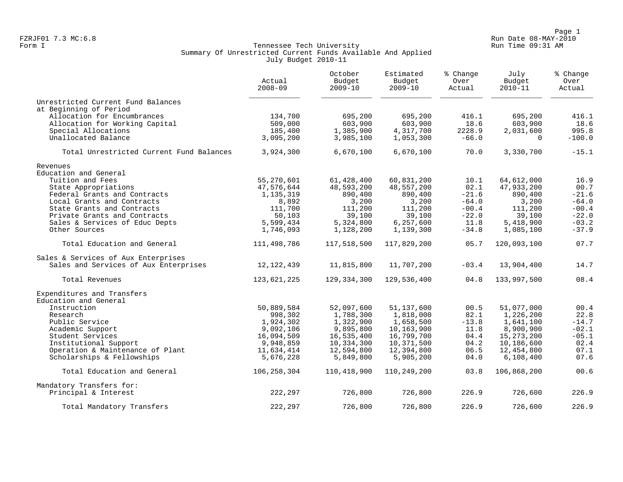Page 1<br>Run Date 08-MAY-2010 Run Date 08-MAY-2010 FZRJF01 7.3 MC:6.8 Run Date 08-MAY-2010

### Form I Georgian Communication of the Communication of Tennessee Tech University Communication Run Time 09:31 AM Summary Of Unrestricted Current Funds Available And Applied July Budget 2010-11

|                                                               | Actual<br>$2008 - 09$   | October<br>Budget<br>$2009 - 10$ | Estimated<br>Budget<br>$2009 - 10$ | % Change<br>Over<br>Actual | July<br>Budget<br>$2010 - 11$ | % Change<br>Over<br>Actual |
|---------------------------------------------------------------|-------------------------|----------------------------------|------------------------------------|----------------------------|-------------------------------|----------------------------|
| Unrestricted Current Fund Balances                            |                         |                                  |                                    |                            |                               |                            |
| at Beginning of Period                                        | 134,700                 |                                  |                                    |                            |                               |                            |
| Allocation for Encumbrances<br>Allocation for Working Capital | 509,000                 | 695,200<br>603,900               | 695,200<br>603,900                 | 416.1<br>18.6              | 695,200<br>603,900            | 416.1<br>18.6              |
| Special Allocations                                           | 185,400                 | 1,385,900                        | 4,317,700                          | 2228.9                     | 2,031,600                     | 995.8                      |
| Unallocated Balance                                           | 3,095,200               | 3,985,100                        | 1,053,300                          | $-66.0$                    | $\Omega$                      | $-100.0$                   |
| Total Unrestricted Current Fund Balances                      | 3,924,300               | 6,670,100                        | 6,670,100                          | 70.0                       | 3,330,700                     | $-15.1$                    |
| Revenues                                                      |                         |                                  |                                    |                            |                               |                            |
| Education and General                                         |                         |                                  |                                    |                            |                               |                            |
| Tuition and Fees                                              | 55,270,601              | 61,428,400                       | 60,831,200                         | 10.1                       | 64,612,000                    | 16.9                       |
| State Appropriations                                          | 47,576,644              | 48,593,200                       | 48,557,200                         | 02.1                       | 47,933,200                    | 00.7                       |
| Federal Grants and Contracts                                  | 1,135,319               | 890,400                          | 890,400                            | $-21.6$                    | 890,400                       | $-21.6$                    |
| Local Grants and Contracts                                    | 8,892                   | 3,200                            | 3,200                              | $-64.0$                    | 3,200                         | $-64.0$                    |
| State Grants and Contracts                                    | 111,700                 | 111,200                          | 111,200                            | $-00.4$                    | 111,200                       | $-00.4$                    |
| Private Grants and Contracts                                  | 50,103                  | 39,100                           | 39,100                             | $-22.0$                    | 39,100                        | $-22.0$                    |
| Sales & Services of Educ Depts<br>Other Sources               | 5,599,434<br>1,746,093  | 5,324,800<br>1,128,200           | 6,257,600<br>1,139,300             | 11.8<br>$-34.8$            | 5,418,900<br>1,085,100        | $-03.2$<br>$-37.9$         |
| Total Education and General                                   | 111,498,786             | 117,518,500                      | 117,829,200                        | 05.7                       | 120,093,100                   | 07.7                       |
| Sales & Services of Aux Enterprises                           |                         |                                  |                                    |                            |                               |                            |
| Sales and Services of Aux Enterprises                         | 12, 122, 439            | 11,815,800                       | 11,707,200                         | $-03.4$                    | 13,904,400                    | 14.7                       |
| Total Revenues                                                | 123,621,225             | 129,334,300                      | 129,536,400                        | 04.8                       | 133,997,500                   | 08.4                       |
| Expenditures and Transfers                                    |                         |                                  |                                    |                            |                               |                            |
| Education and General                                         |                         |                                  |                                    |                            |                               |                            |
| Instruction                                                   | 50,889,584              | 52,097,600                       | 51,137,600                         | 00.5                       | 51,077,000                    | 00.4                       |
| Research                                                      | 998,302                 | 1,788,300                        | 1,818,000                          | 82.1                       | 1,226,200                     | 22.8                       |
| Public Service                                                | 1,924,302               | 1,322,900                        | 1,658,500                          | $-13.8$                    | 1,641,100                     | $-14.7$<br>$-02.1$         |
| Academic Support<br>Student Services                          | 9,092,106<br>16,094,509 | 9,895,800<br>16,535,400          | 10,163,900<br>16,799,700           | 11.8<br>04.4               | 8,900,900<br>15, 273, 200     | $-05.1$                    |
| Institutional Support                                         | 9,948,859               | 10,334,300                       | 10,371,500                         | 04.2                       | 10,186,600                    | 02.4                       |
| Operation & Maintenance of Plant                              | 11,634,414              | 12,594,800                       | 12,394,800                         | 06.5                       | 12,454,800                    | 07.1                       |
| Scholarships & Fellowships                                    | 5,676,228               | 5,849,800                        | 5,905,200                          | 04.0                       | 6,108,400                     | 07.6                       |
| Total Education and General                                   | 106,258,304             | 110,418,900                      | 110,249,200                        | 03.8                       | 106,868,200                   | 00.6                       |
| Mandatory Transfers for:                                      |                         |                                  |                                    |                            |                               |                            |
| Principal & Interest                                          | 222,297                 | 726,800                          | 726,800                            | 226.9                      | 726,600                       | 226.9                      |
| Total Mandatory Transfers                                     | 222,297                 | 726,800                          | 726,800                            | 226.9                      | 726,600                       | 226.9                      |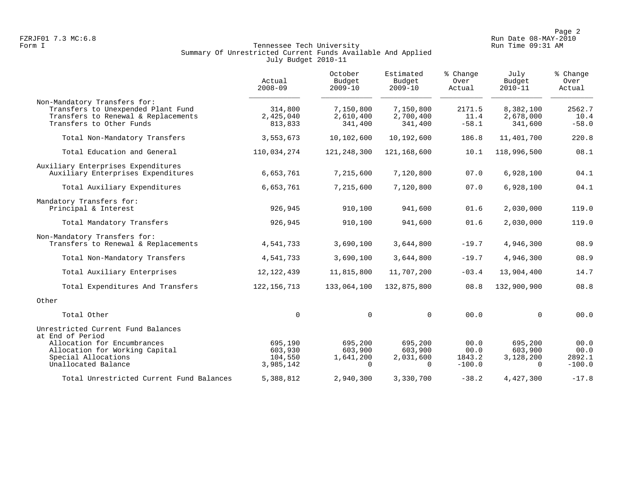Page 2<br>Run Date 08-MAY-2010 Run Date 08-MAY-2010

### Form I Georgian Communication of the Communication of Tennessee Tech University Communication Run Time 09:31 AM Summary Of Unrestricted Current Funds Available And Applied July Budget 2010-11

|                                                                                                                                       | Actual<br>$2008 - 09$           | October<br>Budget<br>$2009 - 10$  | Estimated<br>Budget<br>$2009 - 10$ | % Change<br>Over<br>Actual | July<br>Budget<br>$2010 - 11$     | % Change<br>Over<br>Actual |
|---------------------------------------------------------------------------------------------------------------------------------------|---------------------------------|-----------------------------------|------------------------------------|----------------------------|-----------------------------------|----------------------------|
| Non-Mandatory Transfers for:<br>Transfers to Unexpended Plant Fund<br>Transfers to Renewal & Replacements<br>Transfers to Other Funds | 314,800<br>2,425,040<br>813,833 | 7,150,800<br>2,610,400<br>341,400 | 7,150,800<br>2,700,400<br>341,400  | 2171.5<br>11.4<br>$-58.1$  | 8,382,100<br>2,678,000<br>341,600 | 2562.7<br>10.4<br>$-58.0$  |
| Total Non-Mandatory Transfers                                                                                                         | 3,553,673                       | 10,102,600                        | 10,192,600                         | 186.8                      | 11,401,700                        | 220.8                      |
| Total Education and General                                                                                                           | 110,034,274                     | 121,248,300                       | 121,168,600                        | 10.1                       | 118,996,500                       | 08.1                       |
| Auxiliary Enterprises Expenditures<br>Auxiliary Enterprises Expenditures                                                              | 6,653,761                       | 7,215,600                         | 7,120,800                          | 07.0                       | 6,928,100                         | 04.1                       |
| Total Auxiliary Expenditures                                                                                                          | 6,653,761                       | 7,215,600                         | 7,120,800                          | 07.0                       | 6,928,100                         | 04.1                       |
| Mandatory Transfers for:<br>Principal & Interest                                                                                      | 926,945                         | 910,100                           | 941,600                            | 01.6                       | 2,030,000                         | 119.0                      |
| Total Mandatory Transfers                                                                                                             | 926,945                         | 910,100                           | 941,600                            | 01.6                       | 2,030,000                         | 119.0                      |
| Non-Mandatory Transfers for:<br>Transfers to Renewal & Replacements                                                                   | 4,541,733                       | 3,690,100                         | 3,644,800                          | $-19.7$                    | 4,946,300                         | 08.9                       |
| Total Non-Mandatory Transfers                                                                                                         | 4,541,733                       | 3,690,100                         | 3,644,800                          | $-19.7$                    | 4,946,300                         | 08.9                       |
| Total Auxiliary Enterprises                                                                                                           | 12, 122, 439                    | 11,815,800                        | 11,707,200                         | $-03.4$                    | 13,904,400                        | 14.7                       |
| Total Expenditures And Transfers                                                                                                      | 122, 156, 713                   | 133,064,100                       | 132,875,800                        | 08.8                       | 132,900,900                       | 08.8                       |
| Other                                                                                                                                 |                                 |                                   |                                    |                            |                                   |                            |
| Total Other                                                                                                                           | $\mathbf 0$                     | $\Omega$                          | $\Omega$                           | 00.0                       | $\Omega$                          | 00.0                       |
| Unrestricted Current Fund Balances<br>at End of Period                                                                                |                                 |                                   |                                    |                            |                                   |                            |
| Allocation for Encumbrances                                                                                                           | 695,190                         | 695,200                           | 695,200                            | 00.0                       | 695,200                           | 00.0                       |
| Allocation for Working Capital                                                                                                        | 603,930                         | 603,900                           | 603,900                            | 00.0                       | 603,900                           | 00.0                       |
| Special Allocations<br>Unallocated Balance                                                                                            | 104,550<br>3,985,142            | 1,641,200<br>$\Omega$             | 2,031,600<br>$\Omega$              | 1843.2<br>$-100.0$         | 3,128,200<br>$\Omega$             | 2892.1<br>$-100.0$         |
| Total Unrestricted Current Fund Balances                                                                                              | 5,388,812                       | 2,940,300                         | 3,330,700                          | $-38.2$                    | 4,427,300                         | $-17.8$                    |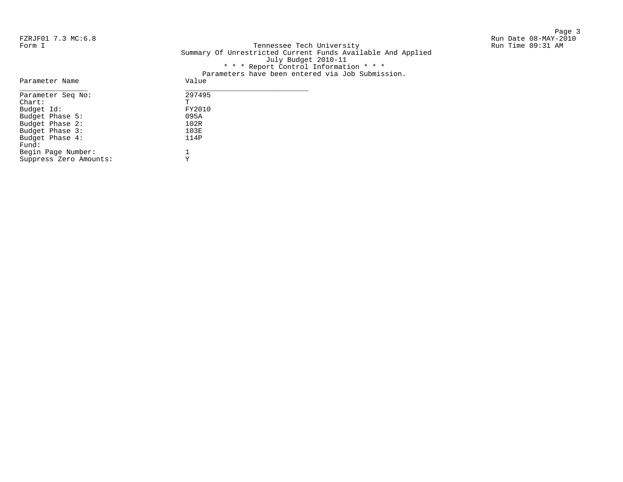Page 3 and 20 and 20 and 20 and 20 and 20 and 20 and 20 and 20 and 20 and 20 and 20 and 20 and 20 and 20 and 20 FZRJF01 7.3 MC:6.8 Run Date 08-MAY-2010

Form I Georgian Communication of the Communication of Tennessee Tech University Communication Run Time 09:31 AM Summary Of Unrestricted Current Funds Available And Applied July Budget 2010-11 \* \* \* Report Control Information \* \* \* Parameters have been entered via Job Submission.

|                        | tatameters have been entered via oop submissi |
|------------------------|-----------------------------------------------|
| Parameter Name         | Value                                         |
| Parameter Seq No:      | 297495                                        |
| $chart$ :              | T                                             |
| Budget Id:             | FY2010                                        |
| Budget Phase 5:        | 095A                                          |
| Budget Phase 2:        | 102R                                          |
| Budget Phase 3:        | 103E                                          |
| Budget Phase 4:        | 114P                                          |
| Fund:                  |                                               |
| Begin Page Number:     |                                               |
| Suppress Zero Amounts: | Υ                                             |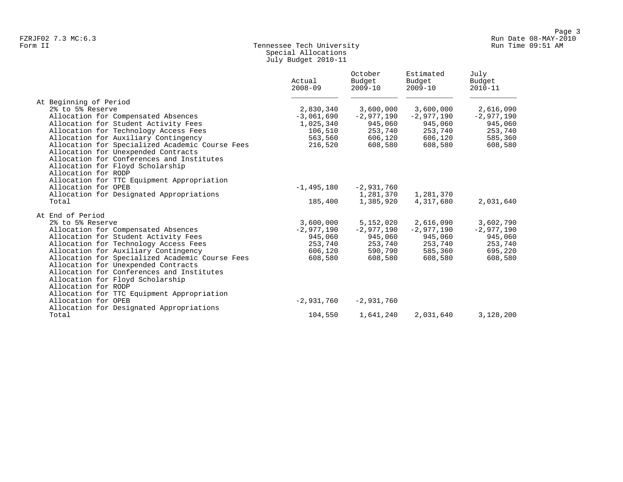### Form II Tennessee Tech University Run Time 09:51 AM Special Allocations July Budget 2010-11

|                                                 | Actual<br>$2008 - 09$ | October<br>Budget<br>$2009 - 10$ | Estimated<br>Budget<br>$2009 - 10$ | July<br>Budget<br>$2010 - 11$ |
|-------------------------------------------------|-----------------------|----------------------------------|------------------------------------|-------------------------------|
| At Beginning of Period                          |                       |                                  |                                    |                               |
| 2% to 5% Reserve                                | 2,830,340             | 3,600,000                        | 3,600,000                          | 2,616,090                     |
| Allocation for Compensated Absences             | $-3,061,690$          | $-2,977,190$                     | $-2,977,190$                       | $-2,977,190$                  |
| Allocation for Student Activity Fees            | 1,025,340             | 945,060                          | 945,060                            | 945,060                       |
| Allocation for Technology Access Fees           | 106,510               | 253,740                          | 253,740                            | 253,740                       |
| Allocation for Auxiliary Contingency            | 563,560               | 606,120                          | 606,120                            | 585,360                       |
| Allocation for Specialized Academic Course Fees | 216,520               | 608,580                          | 608,580                            | 608,580                       |
| Allocation for Unexpended Contracts             |                       |                                  |                                    |                               |
| Allocation for Conferences and Institutes       |                       |                                  |                                    |                               |
| Allocation for Floyd Scholarship                |                       |                                  |                                    |                               |
| Allocation for RODP                             |                       |                                  |                                    |                               |
| Allocation for TTC Equipment Appropriation      |                       |                                  |                                    |                               |
| Allocation for OPEB                             | $-1,495,180$          | $-2,931,760$                     |                                    |                               |
| Allocation for Designated Appropriations        |                       | 1,281,370                        | 1,281,370                          |                               |
| Total                                           | 185,400               | 1,385,920                        | 4,317,680                          | 2,031,640                     |
| At End of Period                                |                       |                                  |                                    |                               |
| 2% to 5% Reserve                                | 3,600,000             | 5,152,020                        | 2,616,090                          | 3,602,790                     |
| Allocation for Compensated Absences             | $-2,977,190$          | $-2,977,190$                     | $-2,977,190$                       | $-2,977,190$                  |
| Allocation for Student Activity Fees            | 945,060               | 945,060                          | 945,060                            | 945,060                       |
| Allocation for Technology Access Fees           | 253,740               | 253,740                          | 253,740                            | 253,740                       |
| Allocation for Auxiliary Contingency            | 606,120               | 590,790                          | 585,360                            | 695,220                       |
| Allocation for Specialized Academic Course Fees | 608,580               | 608,580                          | 608,580                            | 608,580                       |
| Allocation for Unexpended Contracts             |                       |                                  |                                    |                               |
| Allocation for Conferences and Institutes       |                       |                                  |                                    |                               |
| Allocation for Floyd Scholarship                |                       |                                  |                                    |                               |
| Allocation for RODP                             |                       |                                  |                                    |                               |
| Allocation for TTC Equipment Appropriation      |                       |                                  |                                    |                               |
| Allocation for OPEB                             | -2,931,760            | $-2,931,760$                     |                                    |                               |
| Allocation for Designated Appropriations        |                       |                                  |                                    |                               |
| Total                                           | 104,550               | 1,641,240                        | 2,031,640                          | 3,128,200                     |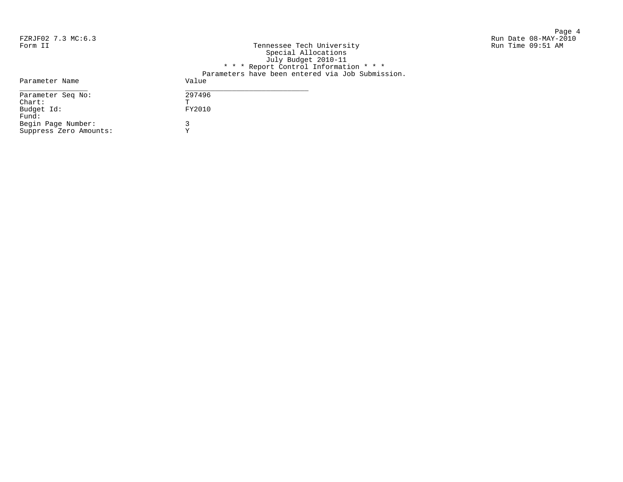Page 4<br>Run Date 08-MAY-2010 Run Date 08-MAY-2010 FZRJF02 7.3 MC:6.3 Run Date 08-MAY-2010

| Form II                | Tennessee Tech University                        | Run Time 09:51 AM |
|------------------------|--------------------------------------------------|-------------------|
|                        | Special Allocations                              |                   |
|                        | July Budget 2010-11                              |                   |
|                        | * * * Report Control Information * * *           |                   |
|                        | Parameters have been entered via Job Submission. |                   |
| Parameter Name         | Value                                            |                   |
| Parameter Seq No:      | 297496                                           |                   |
| $chart$ :              |                                                  |                   |
| Budget Id:             | FY2010                                           |                   |
| Fund:                  |                                                  |                   |
| Begin Page Number:     |                                                  |                   |
| Suppress Zero Amounts: |                                                  |                   |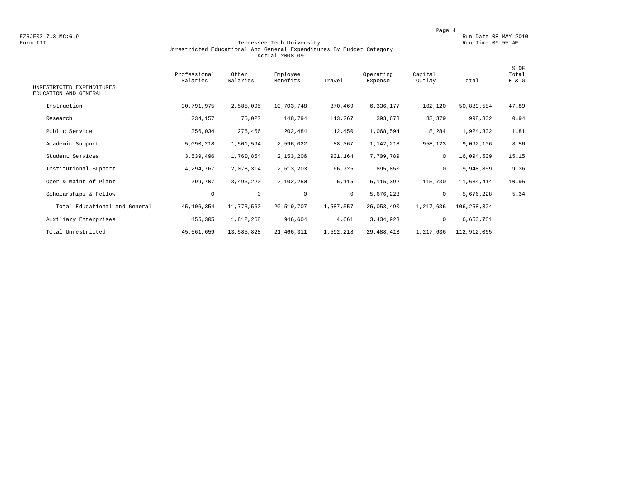FZRJF03 7.3 MC:6.9 Run Date 08-MAY-2010<br>Form III Run Date 08-MAY-2010 Run Date 09:55 AM

### Form III Tennessee Tech University Run Time 09:55 AM Unrestricted Educational And General Expenditures By Budget Category Actual 2008-09

| UNRESTRICTED EXPENDITURES<br>EDUCATION AND GENERAL | Professional<br>Salaries | Other<br>Salaries | Employee<br>Benefits | Travel    | Operating<br>Expense | Capital<br>Outlay | Total         | % OF<br>Total<br>E & G |
|----------------------------------------------------|--------------------------|-------------------|----------------------|-----------|----------------------|-------------------|---------------|------------------------|
| Instruction                                        | 30,791,975               | 2,585,095         | 10,703,748           | 370,469   | 6,336,177            | 102,120           | 50,889,584    | 47.89                  |
| Research                                           | 234,157                  | 75,027            | 148,794              | 113,267   | 393,678              | 33,379            | 998,302       | 0.94                   |
| Public Service                                     | 356,034                  | 276,456           | 202,484              | 12,450    | 1,068,594            | 8,284             | 1,924,302     | 1.81                   |
| Academic Support                                   | 5,090,218                | 1,501,594         | 2,596,022            | 88,367    | $-1,142,218$         | 958,123           | 9,092,106     | 8.56                   |
| Student Services                                   | 3,539,496                | 1,760,854         | 2,153,206            | 931,164   | 7,709,789            | 0                 | 16,094,509    | 15.15                  |
| Institutional Support                              | 4,294,767                | 2,078,314         | 2,613,203            | 66,725    | 895,850              | 0                 | 9,948,859     | 9.36                   |
| Oper & Maint of Plant                              | 799,707                  | 3,496,220         | 2,102,250            | 5,115     | 5, 115, 392          | 115,730           | 11,634,414    | 10.95                  |
| Scholarships & Fellow                              | $\circ$                  | $\mathsf 0$       | $\mathbf 0$          | $\circ$   | 5,676,228            | $\mathbf{0}$      | 5,676,228     | 5.34                   |
| Total Educational and General                      | 45,106,354               | 11,773,560        | 20,519,707           | 1,587,557 | 26,053,490           | 1,217,636         | 106, 258, 304 |                        |
| Auxiliary Enterprises                              | 455,305                  | 1,812,268         | 946,604              | 4,661     | 3,434,923            | 0                 | 6,653,761     |                        |
| Total Unrestricted                                 | 45,561,659               | 13,585,828        | 21,466,311           | 1,592,218 | 29,488,413           | 1,217,636         | 112,912,065   |                        |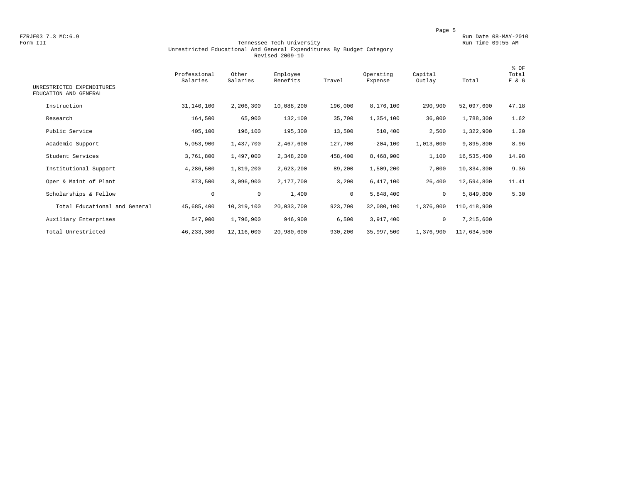FZRJF03 7.3 MC:6.9 Run Date 08-MAY-2010<br>Form III Run Date 08-MAY-2010 Run Date 09:55 AM

### Form III Tennessee Tech University Run Time 09:55 AM Unrestricted Educational And General Expenditures By Budget Category Revised 2009-10

| UNRESTRICTED EXPENDITURES     | Professional<br>Salaries | Other<br>Salaries | Employee<br>Benefits | Travel       | Operating<br>Expense | Capital<br>Outlay | Total       | % OF<br>Total<br>E & G |
|-------------------------------|--------------------------|-------------------|----------------------|--------------|----------------------|-------------------|-------------|------------------------|
| EDUCATION AND GENERAL         |                          |                   |                      |              |                      |                   |             |                        |
| Instruction                   | 31,140,100               | 2,206,300         | 10,088,200           | 196,000      | 8,176,100            | 290,900           | 52,097,600  | 47.18                  |
| Research                      | 164,500                  | 65,900            | 132,100              | 35,700       | 1,354,100            | 36,000            | 1,788,300   | 1.62                   |
| Public Service                | 405,100                  | 196,100           | 195,300              | 13,500       | 510,400              | 2,500             | 1,322,900   | 1.20                   |
| Academic Support              | 5,053,900                | 1,437,700         | 2,467,600            | 127,700      | $-204,100$           | 1,013,000         | 9,895,800   | 8.96                   |
| Student Services              | 3,761,800                | 1,497,000         | 2,348,200            | 458,400      | 8,468,900            | 1,100             | 16,535,400  | 14.98                  |
| Institutional Support         | 4,286,500                | 1,819,200         | 2,623,200            | 89,200       | 1,509,200            | 7,000             | 10,334,300  | 9.36                   |
| Oper & Maint of Plant         | 873,500                  | 3,096,900         | 2,177,700            | 3,200        | 6,417,100            | 26,400            | 12,594,800  | 11.41                  |
| Scholarships & Fellow         | 0                        | $\circ$           | 1,400                | $\mathbf{0}$ | 5,848,400            | 0                 | 5,849,800   | 5.30                   |
| Total Educational and General | 45,685,400               | 10,319,100        | 20,033,700           | 923,700      | 32,080,100           | 1,376,900         | 110,418,900 |                        |
| Auxiliary Enterprises         | 547,900                  | 1,796,900         | 946,900              | 6,500        | 3,917,400            | 0                 | 7,215,600   |                        |
| Total Unrestricted            | 46, 233, 300             | 12,116,000        | 20,980,600           | 930,200      | 35,997,500           | 1,376,900         | 117,634,500 |                        |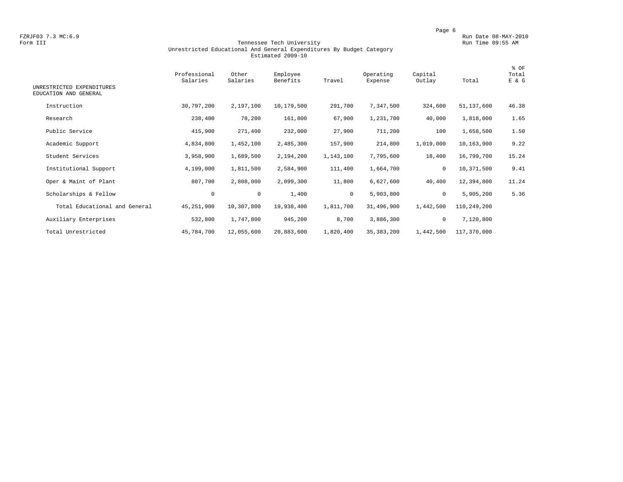FZRJF03 7.3 MC:6.9 Run Date 08-MAY-2010<br>Form III Run Date 08-MAY-2010 Run Date 09:55 AM

### Form III Tennessee Tech University Run Time 09:55 AM Unrestricted Educational And General Expenditures By Budget Category Estimated 2009-10

| UNRESTRICTED EXPENDITURES<br>EDUCATION AND GENERAL | Professional<br>Salaries | Other<br>Salaries | Employee<br>Benefits | Travel    | Operating<br>Expense | Capital<br>Outlay | Total       | % OF<br>Total<br>E & G |
|----------------------------------------------------|--------------------------|-------------------|----------------------|-----------|----------------------|-------------------|-------------|------------------------|
| Instruction                                        |                          |                   |                      |           |                      |                   |             |                        |
|                                                    | 30,797,200               | 2,197,100         | 10,179,500           | 291,700   | 7,347,500            | 324,600           | 51,137,600  | 46.38                  |
| Research                                           | 238,400                  | 78,200            | 161,800              | 67,900    | 1,231,700            | 40,000            | 1,818,000   | 1.65                   |
| Public Service                                     | 415,900                  | 271,400           | 232,000              | 27,900    | 711,200              | 100               | 1,658,500   | 1.50                   |
| Academic Support                                   | 4,834,800                | 1,452,100         | 2,485,300            | 157,900   | 214,800              | 1,019,000         | 10,163,900  | 9.22                   |
| Student Services                                   | 3,958,900                | 1,689,500         | 2,194,200            | 1,143,100 | 7,795,600            | 18,400            | 16,799,700  | 15.24                  |
| Institutional Support                              | 4,199,000                | 1,811,500         | 2,584,900            | 111,400   | 1,664,700            | 0                 | 10,371,500  | 9.41                   |
| Oper & Maint of Plant                              | 807,700                  | 2,808,000         | 2,099,300            | 11,800    | 6,627,600            | 40,400            | 12,394,800  | 11.24                  |
| Scholarships & Fellow                              | $\mathbf 0$              | $\mathbf 0$       | 1,400                | $\circ$   | 5,903,800            | 0                 | 5,905,200   | 5.36                   |
| Total Educational and General                      | 45,251,900               | 10,307,800        | 19,938,400           | 1,811,700 | 31,496,900           | 1,442,500         | 110,249,200 |                        |
| Auxiliary Enterprises                              | 532,800                  | 1,747,800         | 945,200              | 8,700     | 3,886,300            | 0                 | 7,120,800   |                        |
| Total Unrestricted                                 | 45,784,700               | 12,055,600        | 20,883,600           | 1,820,400 | 35, 383, 200         | 1,442,500         | 117,370,000 |                        |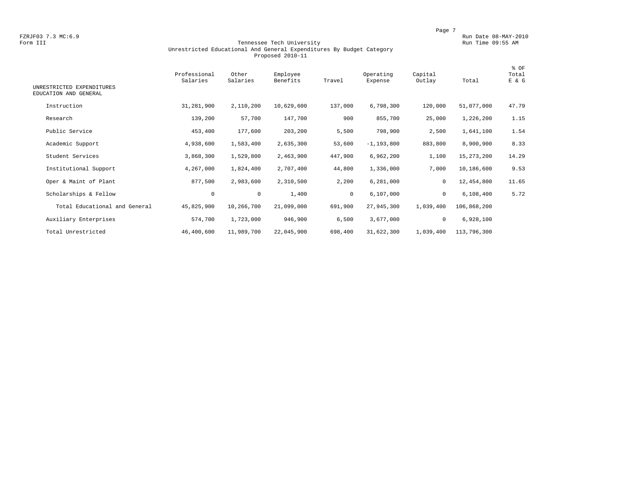FZRJF03 7.3 MC:6.9 Run Date 08-MAY-2010<br>Form III Run Date 08-MAY-2010 Run Date 08-MAY-2010 Run Date 09:55 AM

### Tennessee Tech University Unrestricted Educational And General Expenditures By Budget Category Proposed 2010-11

| UNRESTRICTED EXPENDITURES<br>EDUCATION AND GENERAL | Professional<br>Salaries | Other<br>Salaries | Employee<br>Benefits | Travel       | Operating<br>Expense | Capital<br>Outlay | Total       | % OF<br>Total<br>E & G |
|----------------------------------------------------|--------------------------|-------------------|----------------------|--------------|----------------------|-------------------|-------------|------------------------|
| Instruction                                        | 31,281,900               | 2,110,200         | 10,629,600           | 137,000      | 6,798,300            | 120,000           | 51,077,000  | 47.79                  |
|                                                    |                          |                   |                      |              |                      |                   |             |                        |
| Research                                           | 139,200                  | 57,700            | 147,700              | 900          | 855,700              | 25,000            | 1,226,200   | 1.15                   |
| Public Service                                     | 453,400                  | 177,600           | 203,200              | 5,500        | 798,900              | 2,500             | 1,641,100   | 1.54                   |
| Academic Support                                   | 4,938,600                | 1,583,400         | 2,635,300            | 53,600       | $-1, 193, 800$       | 883,800           | 8,900,900   | 8.33                   |
| Student Services                                   | 3,868,300                | 1,529,800         | 2,463,900            | 447,900      | 6,962,200            | 1,100             | 15,273,200  | 14.29                  |
| Institutional Support                              | 4,267,000                | 1,824,400         | 2,707,400            | 44,800       | 1,336,000            | 7,000             | 10,186,600  | 9.53                   |
| Oper & Maint of Plant                              | 877,500                  | 2,983,600         | 2,310,500            | 2,200        | 6,281,000            | 0                 | 12,454,800  | 11.65                  |
| Scholarships & Fellow                              | 0                        | $\mathbf 0$       | 1,400                | $\mathbf{0}$ | 6,107,000            | $\mathbf 0$       | 6,108,400   | 5.72                   |
| Total Educational and General                      | 45,825,900               | 10,266,700        | 21,099,000           | 691,900      | 27,945,300           | 1,039,400         | 106,868,200 |                        |
| Auxiliary Enterprises                              | 574,700                  | 1,723,000         | 946,900              | 6,500        | 3,677,000            | 0                 | 6,928,100   |                        |
| Total Unrestricted                                 | 46,400,600               | 11,989,700        | 22,045,900           | 698,400      | 31,622,300           | 1,039,400         | 113,796,300 |                        |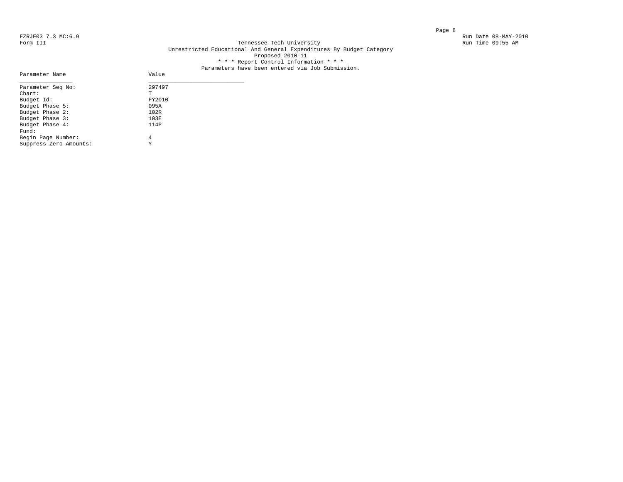Parameter Name

### FZRJF03 7.3 MC:6.9 Run Date 08-MAY-2010<br>Form III Run Date 08-MAY-2010 Run Date 09:55 AM Tennessee Tech University Unrestricted Educational And General Expenditures By Budget Category Proposed 2010-11 \* \* \* Report Control Information \* \* \*

## Parameters have been entered via Job Submission.<br>Value

| Parameter Seq No:      | 297497 |
|------------------------|--------|
| $Chart$ :              | т      |
| Budget Id:             | FY2010 |
| Budget Phase 5:        | 095A   |
| Budget Phase 2:        | 102R   |
| Budget Phase 3:        | 103E   |
| Budget Phase 4:        | 114P   |
| Fund:                  |        |
| Begin Page Number:     | 4      |
| Suppress Zero Amounts: | Y      |
|                        |        |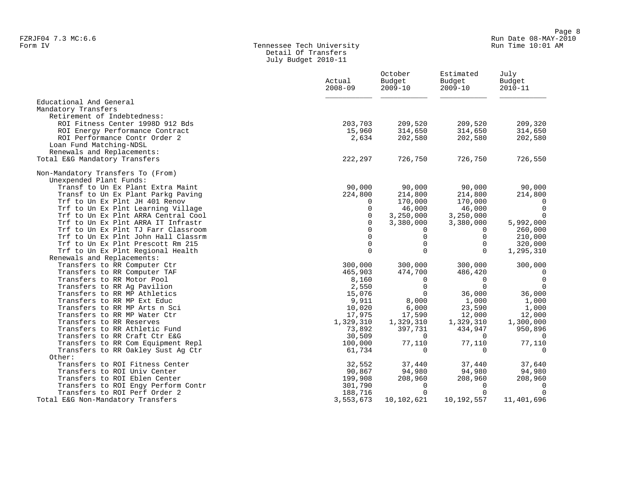### Form IV Tennessee Tech University Run Time 10:01 AM Detail Of Transfers July Budget 2010-11

|                                                                          | Actual<br>$2008 - 09$ | October<br>Budget<br>$2009 - 10$ | Estimated<br>Budget<br>$2009 - 10$ | July<br>Budget<br>$2010 - 11$ |
|--------------------------------------------------------------------------|-----------------------|----------------------------------|------------------------------------|-------------------------------|
| Educational And General                                                  |                       |                                  |                                    |                               |
| Mandatory Transfers                                                      |                       |                                  |                                    |                               |
| Retirement of Indebtedness:                                              |                       |                                  |                                    |                               |
| ROI Fitness Center 1998D 912 Bds                                         | 203,703               | 209,520                          | 209,520                            | 209,320                       |
| ROI Energy Performance Contract                                          | 15,960                | 314,650                          | 314,650                            | 314,650                       |
| ROI Performance Contr Order 2                                            | 2,634                 | 202,580                          | 202,580                            | 202,580                       |
| Loan Fund Matching-NDSL                                                  |                       |                                  |                                    |                               |
| Renewals and Replacements:<br>Total E&G Mandatory Transfers              | 222,297               | 726,750                          | 726,750                            | 726,550                       |
|                                                                          |                       |                                  |                                    |                               |
| Non-Mandatory Transfers To (From)                                        |                       |                                  |                                    |                               |
| Unexpended Plant Funds:                                                  |                       |                                  |                                    |                               |
| Transf to Un Ex Plant Extra Maint                                        | 90,000                | 90,000                           | 90,000                             | 90,000                        |
| Transf to Un Ex Plant Parkg Paving                                       | 224,800               | 214,800                          | 214,800                            | 214,800                       |
| Trf to Un Ex Plnt JH 401 Renov                                           | $\Omega$              | 170,000                          | 170,000                            | 0                             |
| Trf to Un Ex Plnt Learning Village                                       | 0                     | 46,000                           | 46,000                             | $\overline{0}$                |
| Trf to Un Ex Plnt ARRA Central Cool                                      | 0                     | 3,250,000                        | 3,250,000                          | $\mathbf 0$                   |
| Trf to Un Ex Plnt ARRA IT Infrastr                                       | 0                     | 3,380,000                        | 3,380,000                          | 5,992,000                     |
| Trf to Un Ex Plnt TJ Farr Classroom                                      | $\Omega$<br>$\Omega$  | $\Omega$<br>$\Omega$             | $\Omega$<br>0                      | 260,000                       |
| Trf to Un Ex Plnt John Hall Classrm<br>Trf to Un Ex Plnt Prescott Rm 215 | 0                     | $\mathbf 0$                      | 0                                  | 210,000<br>320,000            |
| Trf to Un Ex Plnt Regional Health                                        | $\Omega$              | $\Omega$                         | $\Omega$                           | 1,295,310                     |
| Renewals and Replacements:                                               |                       |                                  |                                    |                               |
| Transfers to RR Computer Ctr                                             | 300,000               | 300,000                          | 300,000                            | 300,000                       |
| Transfers to RR Computer TAF                                             | 465,903               | 474,700                          | 486,420                            | $\Omega$                      |
| Transfers to RR Motor Pool                                               | 8,160                 | 0                                | 0                                  | $\overline{0}$                |
| Transfers to RR Ag Pavilion                                              | 2,550                 | $\Omega$                         | $\Omega$                           | $\Omega$                      |
| Transfers to RR MP Athletics                                             | 15,076                | $\Omega$                         | 36,000                             | 36,000                        |
| Transfers to RR MP Ext Educ                                              | 9,911                 | 8,000                            | 1,000                              | 1,000                         |
| Transfers to RR MP Arts n Sci                                            | 10,020                | 6,000                            | 23,590                             | 1,000                         |
| Transfers to RR MP Water Ctr                                             | 17,975                | 17,590                           | 12,000                             | 12,000                        |
| Transfers to RR Reserves                                                 | 1,329,310             | 1,329,310                        | 1,329,310                          | 1,300,000                     |
| Transfers to RR Athletic Fund                                            | 73,892                | 397,731                          | 434,947                            | 950,896                       |
| Transfers to RR Craft Ctr E&G                                            | 30,509                | 0                                | 0                                  | - 0                           |
| Transfers to RR Com Equipment Repl                                       | 100,000               | 77,110                           | 77,110                             | 77,110                        |
| Transfers to RR Oakley Sust Ag Ctr                                       | 61,734                | $\Omega$                         | 0                                  | $\Omega$                      |
| Other:                                                                   |                       |                                  |                                    |                               |
| Transfers to ROI Fitness Center                                          | 32,552                | 37,440                           | 37,440                             | 37,640                        |
| Transfers to ROI Univ Center                                             | 90,867                | 94,980                           | 94,980                             | 94,980                        |
| Transfers to ROI Eblen Center                                            | 199,908               | 208,960                          | 208,960                            | 208,960                       |
| Transfers to ROI Engy Perform Contr                                      | 301,790               | 0                                | 0                                  | $\Omega$                      |
| Transfers to ROI Perf Order 2                                            | 188,716               | $\Omega$                         | $\mathbf 0$                        | $\Omega$                      |
| Total E&G Non-Mandatory Transfers                                        | 3,553,673             | 10,102,621                       | 10,192,557                         | 11,401,696                    |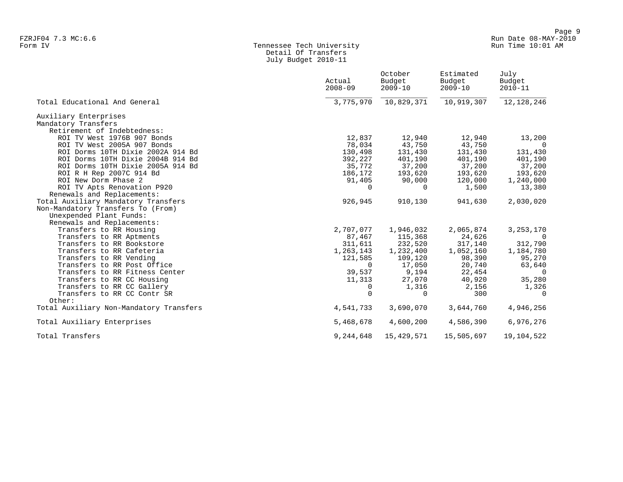### Form IV Tennessee Tech University Run Time 10:01 AM Detail Of Transfers July Budget 2010-11

|                                         | Actual<br>$2008 - 09$ | October<br>Budget<br>$2009 - 10$ | Estimated<br>Budget<br>$2009 - 10$ | July<br>Budget<br>$2010 - 11$ |
|-----------------------------------------|-----------------------|----------------------------------|------------------------------------|-------------------------------|
| Total Educational And General           | 3,775,970             | 10,829,371                       | 10,919,307                         | 12, 128, 246                  |
| Auxiliary Enterprises                   |                       |                                  |                                    |                               |
| Mandatory Transfers                     |                       |                                  |                                    |                               |
| Retirement of Indebtedness:             |                       |                                  |                                    |                               |
| ROI TV West 1976B 907 Bonds             | 12,837                | 12,940                           | 12,940                             | 13,200                        |
| ROI TV West 2005A 907 Bonds             | 78,034                | 43,750                           | 43,750                             | $\Omega$                      |
| ROI Dorms 10TH Dixie 2002A 914 Bd       | 130,498               | 131,430                          | 131,430                            | 131,430                       |
| ROI Dorms 10TH Dixie 2004B 914 Bd       | 392,227               | 401,190                          | 401,190                            | 401,190                       |
| ROI Dorms 10TH Dixie 2005A 914 Bd       | 35,772                | 37,200                           | 37,200                             | 37,200                        |
| ROI R H Rep 2007C 914 Bd                | 186,172               | 193,620                          | 193,620                            | 193,620                       |
| ROI New Dorm Phase 2                    | 91,405                | 90,000                           | 120,000                            | 1,240,000                     |
| ROI TV Apts Renovation P920             | $\Omega$              | $\Omega$                         | 1,500                              | 13,380                        |
| Renewals and Replacements:              |                       |                                  |                                    |                               |
| Total Auxiliary Mandatory Transfers     | 926,945               | 910,130                          | 941,630                            | 2,030,020                     |
| Non-Mandatory Transfers To (From)       |                       |                                  |                                    |                               |
| Unexpended Plant Funds:                 |                       |                                  |                                    |                               |
| Renewals and Replacements:              |                       |                                  |                                    |                               |
| Transfers to RR Housing                 | 2,707,077             | 1,946,032                        | 2,065,874                          | 3, 253, 170                   |
| Transfers to RR Aptments                | 87,467                | 115,368                          | 24,626                             | $\Omega$                      |
| Transfers to RR Bookstore               | 311,611               | 232,520                          | 317,140                            | 312,790                       |
| Transfers to RR Cafeteria               | 1,263,143             | 1,232,400                        | 1,052,160                          | 1,184,780                     |
| Transfers to RR Vending                 | 121,585               | 109,120                          | 98,390                             | 95,270                        |
| Transfers to RR Post Office             | $\Omega$              | 17,050                           | 20,740                             | 63,640                        |
| Transfers to RR Fitness Center          | 39,537                | 9,194                            | 22,454                             | $\overline{0}$                |
| Transfers to RR CC Housing              | 11,313                | 27,070                           | 40,920                             | 35,280                        |
| Transfers to RR CC Gallery              | 0                     | 1,316                            | 2,156                              | 1,326                         |
| Transfers to RR CC Contr SR<br>Other:   | 0                     | 0                                | 300                                | 0                             |
| Total Auxiliary Non-Mandatory Transfers | 4,541,733             | 3,690,070                        | 3,644,760                          | 4,946,256                     |
| Total Auxiliary Enterprises             | 5,468,678             | 4,600,200                        | 4,586,390                          | 6,976,276                     |
| Total Transfers                         | 9,244,648             | 15,429,571                       | 15,505,697                         | 19,104,522                    |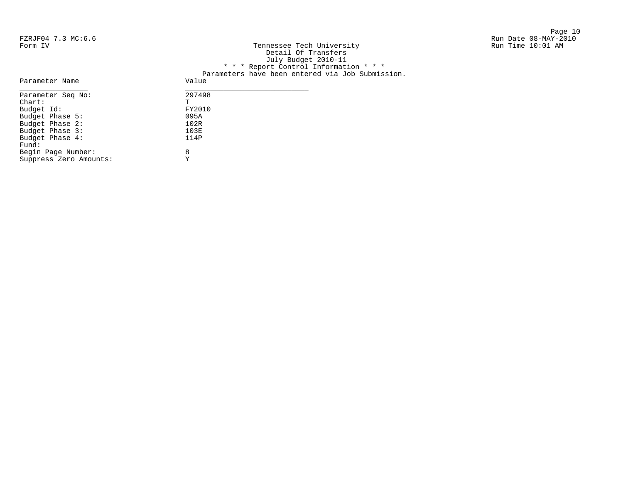Page 10

| FZRJF04 7.3 MC:6.6 |                                                  | Run Date 08-MAY-2010 |
|--------------------|--------------------------------------------------|----------------------|
| Form IV            | Tennessee Tech University                        | Run Time 10:01 AM    |
|                    | Detail Of Transfers                              |                      |
|                    | July Budget 2010-11                              |                      |
|                    | * * * Report Control Information * * *           |                      |
|                    | Parameters have been entered via Job Submission. |                      |
| Parameter Name     | Value                                            |                      |
| Parameter Seq No:  | 297498                                           |                      |
| $chart$ :          | $\mathbf{r}$                                     |                      |

FY2010<br>095A

 $103E$ <br> $114P$ 

| Parameter Seq No:      | 2974 |
|------------------------|------|
| $char$ :               | Ͳ    |
| Budget Id:             | FY20 |
| Budget Phase 5:        | 095A |
| Budget Phase 2:        | 102R |
| Budget Phase 3:        | 103E |
| Budget Phase 4:        | 114P |
| Fund:                  |      |
| Begin Page Number:     | 8    |
| Suppress Zero Amounts: | Y    |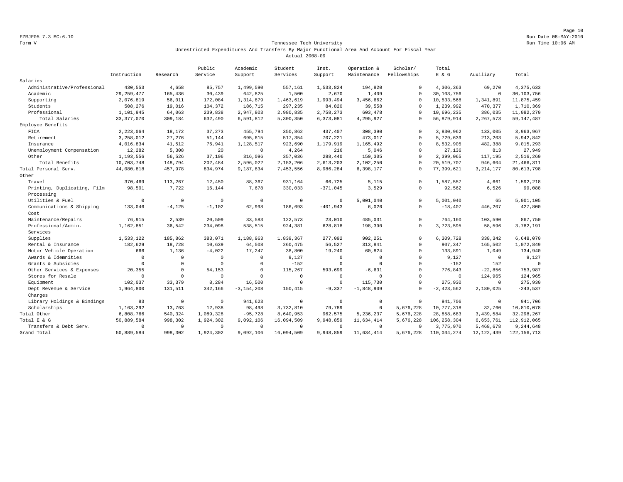Page 10 FZRJF05 7.3 MC:6.10 Run Date 08-MAY-2010

### Form V Tennessee Tech University **Tennessee Tech University** Run Time 10:06 AM Unrestricted Expenditures And Transfers By Major Functional Area And Account For Fiscal Year Actual 2008-09

|                             |              |              | Public    | Academic       | Student      | Inst.       | Operation &    | Scholar/    | Total          |              |               |
|-----------------------------|--------------|--------------|-----------|----------------|--------------|-------------|----------------|-------------|----------------|--------------|---------------|
|                             | Instruction  | Research     | Service   | Support        | Services     | Support     | Maintenance    | Fellowships | $E$ & $G$      | Auxiliary    | Total         |
| Salaries                    |              |              |           |                |              |             |                |             |                |              |               |
| Administrative/Professional | 430,553      | 4,658        | 85,757    | 1,499,590      | 557,161      | 1,533,824   | 194,820        | $\Omega$    | 4,306,363      | 69,270       | 4,375,633     |
| Academic                    | 29, 259, 477 | 165,436      | 30,439    | 642,825        | 1,500        | 2,670       | 1,409          | $\Omega$    | 30,103,756     | $\circ$      | 30,103,756    |
| Supporting                  | 2,076,819    | 56,011       | 172,084   | 1,314,879      | 1,463,619    | 1,993,494   | 3,456,662      | $\Omega$    | 10,533,568     | 1,341,891    | 11,875,459    |
| Students                    | 508,276      | 19,016       | 104,372   | 186,715        | 297,235      | 84,820      | 39,558         | $\Omega$    | 1,239,992      | 470,377      | 1,710,369     |
| Professional                | 1,101,945    | 64,063       | 239,838   | 2,947,803      | 2,980,835    | 2,758,273   | 603,478        | $\Omega$    | 10,696,235     | 386,035      | 11,082,270    |
| Total Salaries              | 33, 377, 070 | 309,184      | 632,490   | 6,591,812      | 5,300,350    | 6,373,081   | 4,295,927      | $\Omega$    | 56,879,914     | 2,267,573    | 59, 147, 487  |
| Employee Benefits           |              |              |           |                |              |             |                |             |                |              |               |
| FICA                        | 2,223,064    | 18,172       | 37,273    | 455,794        | 350,862      | 437,407     | 308,390        | $\Omega$    | 3,830,962      | 133,005      | 3,963,967     |
| Retirement                  | 3,258,012    | 27,276       | 51,144    | 695,615        | 517,354      | 707,221     | 473,017        | $\mathbf 0$ | 5,729,639      | 213,203      | 5,942,842     |
| Insurance                   | 4,016,834    | 41,512       | 76,941    | 1,128,517      | 923,690      | 1,179,919   | 1,165,492      | $\Omega$    | 8,532,905      | 482,388      | 9,015,293     |
| Unemployment Compensation   | 12,282       | 5,308        | 20        | $\Omega$       | 4,264        | 216         | 5,046          | $\Omega$    | 27,136         | 813          | 27,949        |
| Other                       | 1,193,556    | 56,526       | 37,106    | 316,096        | 357,036      | 288,440     | 150,305        | $\Omega$    | 2,399,065      | 117,195      | 2,516,260     |
| Total Benefits              | 10,703,748   | 148,794      | 202,484   | 2,596,022      | 2,153,206    | 2,613,203   | 2,102,250      | $\Omega$    | 20,519,707     | 946,604      | 21, 466, 311  |
| Total Personal Serv.        | 44,080,818   | 457,978      | 834,974   | 9,187,834      | 7,453,556    | 8,986,284   | 6,398,177      | $\Omega$    | 77,399,621     | 3, 214, 177  | 80,613,798    |
| Other                       |              |              |           |                |              |             |                |             |                |              |               |
| Travel                      | 370,469      | 113,267      | 12,450    | 88,367         | 931,164      | 66,725      | 5,115          | $\Omega$    | 1,587,557      | 4,661        | 1,592,218     |
| Printing, Duplicating, Film | 98,501       | 7,722        | 16,144    | 7,678          | 330,033      | $-371,045$  | 3,529          | $\Omega$    | 92,562         | 6,526        | 99,088        |
| Processing                  |              |              |           |                |              |             |                |             |                |              |               |
| Utilities & Fuel            | $\mathbf 0$  | $\mathbf 0$  | $\Omega$  | $\Omega$       | $\mathbb O$  | $\mathbf 0$ | 5,001,040      | $\Omega$    | 5,001,040      | 65           | 5,001,105     |
| Communications & Shipping   | 133,046      | $-4,125$     | $-1,102$  | 62,998         | 186,693      | $-401,943$  | 6,026          | $^{\circ}$  | $-18,407$      | 446,207      | 427,800       |
| Cost                        |              |              |           |                |              |             |                |             |                |              |               |
| Maintenance/Repairs         | 76,915       | 2,539        | 20,509    | 33,583         | 122,573      | 23,010      | 485,031        | $\Omega$    | 764,160        | 103,590      | 867,750       |
| Professional/Admin.         | 1,162,851    | 36,542       | 234,098   | 538,515        | 924,381      | 628,818     | 198,390        | $\Omega$    | 3,723,595      | 58,596       | 3,782,191     |
| Services                    |              |              |           |                |              |             |                |             |                |              |               |
| Supplies                    | 1,533,122    | 185,862      | 383,071   | 1,188,963      | 1,839,367    | 277,092     | 902,251        | $\mathbf 0$ | 6,309,728      | 338,342      | 6,648,070     |
| Rental & Insurance          | 182,629      | 18,728       | 10,639    | 64,508         | 260,475      | 56,527      | 313,841        | $\Omega$    | 907,347        | 165,502      | 1,072,849     |
| Motor Vehicle Operation     | 666          | 1,136        | $-4,022$  | 17,247         | 38,800       | 19,240      | 60,824         | $\Omega$    | 133,891        | 1,049        | 134,940       |
| Awards & Idemnities         | $\mathbf 0$  | $\mathbf{0}$ | $\Omega$  | $^{\circ}$     | 9,127        | $\Omega$    | $\overline{0}$ | $\mathbf 0$ | 9,127          | $^{\circ}$   | 9,127         |
| Grants & Subsidies          | $\Omega$     | $\mathbf 0$  | $\Omega$  | $\mathbf 0$    | $-152$       | $\Omega$    | $\Omega$       | $\Omega$    | $-152$         | 152          | $\Omega$      |
| Other Services & Expenses   | 20,355       | $\Omega$     | 54,153    | $\mathbf 0$    | 115,267      | 593,699     | $-6,631$       | $\Omega$    | 776,843        | $-22,856$    | 753,987       |
| Stores for Resale           | $\mathbf 0$  | $\Omega$     | $\Omega$  | $\Omega$       | $\mathbf 0$  | $\mathbf 0$ | $\Omega$       | $\Omega$    | $\overline{0}$ | 124,965      | 124,965       |
| Equipment                   | 102,037      | 33,379       | 8,284     | 16,500         | $\Omega$     | $\Omega$    | 115,730        | $\Omega$    | 275,930        | $\Omega$     | 275,930       |
| Dept Revenue & Service      | 1,964,800    | 131,511      | 342,166   | $-3, 154, 208$ | 150,415      | $-9,337$    | $-1,848,909$   | $\Omega$    | $-2,423,562$   | 2,180,025    | $-243,537$    |
| Charges                     |              |              |           |                |              |             |                |             |                |              |               |
| Library Holdings & Bindings | 83           | $\mathbf{0}$ | $\Omega$  | 941,623        | $\mathbf 0$  | $\circ$     | $\mathbb O$    | $\Omega$    | 941,706        | $\mathbb O$  | 941,706       |
| Scholarships                | 1,163,292    | 13,763       | 12,938    | 98,498         | 3,732,810    | 79,789      | $\circ$        | 5,676,228   | 10,777,318     | 32,760       | 10,810,078    |
| Total Other                 | 6,808,766    | 540,324      | 1,089,328 | $-95,728$      | 8,640,953    | 962,575     | 5,236,237      | 5,676,228   | 28,858,683     | 3,439,584    | 32, 298, 267  |
| Total E & G                 | 50,889,584   | 998,302      | 1,924,302 | 9,092,106      | 16,094,509   | 9,948,859   | 11,634,414     | 5,676,228   | 106, 258, 304  | 6,653,761    | 112,912,065   |
| Transfers & Debt Serv.      | $\Omega$     | $\mathbf 0$  | $\circ$   | $\mathbf 0$    | $\mathbf{0}$ | $^{\circ}$  | $\mathbf 0$    | $\Omega$    | 3,775,970      | 5,468,678    | 9,244,648     |
| Grand Total                 | 50,889,584   | 998,302      | 1,924,302 | 9,092,106      | 16,094,509   | 9,948,859   | 11,634,414     | 5,676,228   | 110,034,274    | 12, 122, 439 | 122, 156, 713 |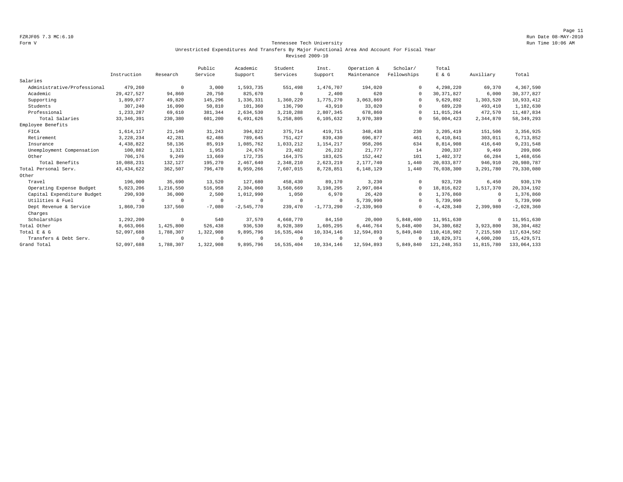Page 11 FZRJF05 7.3 MC:6.10 Run Date 08-MAY-2010

### Form V Tennessee Tech University **Tennessee Tech University** Run Time 10:06 AM Unrestricted Expenditures And Transfers By Major Functional Area And Account For Fiscal Year Revised 2009-10

|                             |              |            | Public    | Academic     | Student    | Inst.        | Operation &    | Scholar/    | Total         |            |              |
|-----------------------------|--------------|------------|-----------|--------------|------------|--------------|----------------|-------------|---------------|------------|--------------|
|                             | Instruction  | Research   | Service   | Support      | Services   | Support      | Maintenance    | Fellowships | E & G         | Auxiliary  | Total        |
| Salaries                    |              |            |           |              |            |              |                |             |               |            |              |
| Administrative/Professional | 479,260      | $^{\circ}$ | 3,000     | 1,593,735    | 551,498    | 1,476,707    | 194,020        | $\cap$      | 4,298,220     | 69,370     | 4,367,590    |
| Academic                    | 29, 427, 527 | 94,860     | 20,750    | 825,670      | $^{\circ}$ | 2,400        | 620            | $\Omega$    | 30, 371, 827  | 6,000      | 30, 377, 827 |
| Supporting                  | 1,899,077    | 49,820     | 145,296   | 1,336,331    | 1,360,229  | 1,775,270    | 3,063,869      | $\Omega$    | 9,629,892     | 1,303,520  | 10,933,412   |
| Students                    | 307,240      | 16,090     | 50,810    | 101,360      | 136,790    | 43,910       | 33,020         | $\cap$      | 689,220       | 493,410    | 1,182,630    |
| Professional                | 1,233,287    | 69,610     | 381,344   | 2,634,530    | 3,210,288  | 2,807,345    | 678,860        | $\cap$      | 11,015,264    | 472,570    | 11, 487, 834 |
| Total Salaries              | 33, 346, 391 | 230,380    | 601,200   | 6,491,626    | 5,258,805  | 6,105,632    | 3,970,389      | $\cap$      | 56,004,423    | 2,344,870  | 58, 349, 293 |
| Employee Benefits           |              |            |           |              |            |              |                |             |               |            |              |
| FICA                        | 1,614,117    | 21,140     | 31,243    | 394,822      | 375,714    | 419,715      | 348,438        | 230         | 3,205,419     | 151,506    | 3,356,925    |
| Retirement                  | 3,228,234    | 42,281     | 62,486    | 789,645      | 751,427    | 839,430      | 696,877        | 461         | 6,410,841     | 303,011    | 6,713,852    |
| Insurance                   | 4,438,822    | 58,136     | 85,919    | 1,085,762    | 1,033,212  | 1,154,217    | 958,206        | 634         | 8,814,908     | 416,640    | 9,231,548    |
| Unemployment Compensation   | 100,882      | 1,321      | 1,953     | 24,676       | 23,482     | 26,232       | 21,777         | 14          | 200,337       | 9,469      | 209,806      |
| Other                       | 706,176      | 9,249      | 13,669    | 172,735      | 164,375    | 183,625      | 152,442        | 101         | 1,402,372     | 66,284     | 1,468,656    |
| Total Benefits              | 10,088,231   | 132,127    | 195,270   | 2,467,640    | 2,348,210  | 2,623,219    | 2,177,740      | 1,440       | 20,033,877    | 946,910    | 20,980,787   |
| Total Personal Serv.        | 43, 434, 622 | 362,507    | 796,470   | 8,959,266    | 7,607,015  | 8,728,851    | 6,148,129      | 1,440       | 76,038,300    | 3,291,780  | 79,330,080   |
| Other                       |              |            |           |              |            |              |                |             |               |            |              |
| Travel                      | 196,000      | 35,690     | 13,520    | 127,680      | 458,430    | 89,170       | 3,230          | $\cap$      | 923,720       | 6,450      | 930,170      |
| Operating Expense Budget    | 5,023,206    | 1,216,550  | 516,958   | 2,304,060    | 3,560,669  | 3,198,295    | 2,997,084      | $\Omega$    | 18,816,822    | 1,517,370  | 20, 334, 192 |
| Capital Expenditure Budget  | 290,930      | 36,000     | 2,500     | 1,012,990    | 1,050      | 6,970        | 26,420         | $\Omega$    | 1,376,860     | $^{\circ}$ | 1,376,860    |
| Utilities & Fuel            | $\Omega$     | $^{\circ}$ | $\Omega$  | $^{\circ}$   | $^{\circ}$ | $\Omega$     | 5,739,990      | $\cap$      | 5,739,990     | $^{\circ}$ | 5,739,990    |
| Dept Revenue & Service      | 1,860,730    | 137,560    | $-7,080$  | $-2,545,770$ | 239,470    | $-1,773,290$ | $-2,339,960$   |             | $-4,428,340$  | 2,399,980  | $-2,028,360$ |
| Charges                     |              |            |           |              |            |              |                |             |               |            |              |
| Scholarships                | 1,292,200    | $\circ$    | 540       | 37,570       | 4,668,770  | 84,150       | 20,000         | 5,848,400   | 11,951,630    | $^{\circ}$ | 11,951,630   |
| Total Other                 | 8,663,066    | 1,425,800  | 526,438   | 936,530      | 8,928,389  | 1,605,295    | 6,446,764      | 5,848,400   | 34,380,682    | 3,923,800  | 38, 304, 482 |
| Total E & G                 | 52,097,688   | 1,788,307  | 1,322,908 | 9,895,796    | 16,535,404 | 10,334,146   | 12,594,893     | 5,849,840   | 110,418,982   | 7,215,580  | 117,634,562  |
| Transfers & Debt Serv.      | $\circ$      | $^{\circ}$ | $\Omega$  | 0            | $^{\circ}$ | $^{\circ}$   | $\overline{0}$ | $\Omega$    | 10,829,371    | 4,600,200  | 15,429,571   |
| Grand Total                 | 52,097,688   | 1,788,307  | 1,322,908 | 9,895,796    | 16,535,404 | 10,334,146   | 12,594,893     | 5,849,840   | 121, 248, 353 | 11,815,780 | 133,064,133  |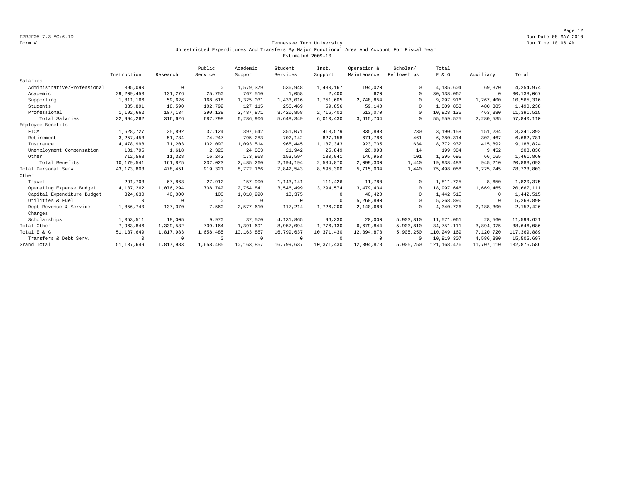Page 12 FZRJF05 7.3 MC:6.10 Run Date 08-MAY-2010

### Form V Tennessee Tech University **Tennessee Tech University** Run Time 10:06 AM Unrestricted Expenditures And Transfers By Major Functional Area And Account For Fiscal Year Estimated 2009-10

|                             |              |            | Public    | Academic     | Student    | Inst.        | Operation &  | Scholar/    | Total          |             |                |
|-----------------------------|--------------|------------|-----------|--------------|------------|--------------|--------------|-------------|----------------|-------------|----------------|
|                             | Instruction  | Research   | Service   | Support      | Services   | Support      | Maintenance  | Fellowships | $E$ & $G$      | Auxiliary   | Total          |
| Salaries                    |              |            |           |              |            |              |              |             |                |             |                |
| Administrative/Professional | 395,090      | $^{\circ}$ | $\Omega$  | 1,579,379    | 536,948    | 1,480,167    | 194,020      |             | 4,185,604      | 69,370      | 4,254,974      |
| Academic                    | 29, 209, 453 | 131,276    | 25,750    | 767,510      | 1,058      | 2,400        | 620          | $\Omega$    | 30,138,067     | $\circ$     | 30,138,067     |
| Supporting                  | 1,811,166    | 59,626     | 168,618   | 1,325,031    | 1,433,016  | 1,751,605    | 2,748,854    | $\cap$      | 9,297,916      | 1,267,400   | 10,565,316     |
| Students                    | 385,891      | 18,590     | 102,792   | 127, 115     | 256,469    | 59,856       | 59,140       |             | 1,009,853      | 480,385     | 1,490,238      |
| Professional                | 1,192,662    | 107,134    | 390,138   | 2,487,871    | 3,420,858  | 2,716,402    | 613,070      |             | 10,928,135     | 463,380     | 11,391,515     |
| Total Salaries              | 32,994,262   | 316,626    | 687,298   | 6,286,906    | 5,648,349  | 6,010,430    | 3,615,704    |             | 55, 559, 575   | 2,280,535   | 57,840,110     |
| Employee Benefits           |              |            |           |              |            |              |              |             |                |             |                |
| FICA                        | 1,628,727    | 25,892     | 37,124    | 397,642      | 351,071    | 413,579      | 335,893      | 230         | 3,190,158      | 151,234     | 3, 341, 392    |
| Retirement                  | 3, 257, 453  | 51,784     | 74,247    | 795,283      | 702,142    | 827,158      | 671,786      | 461         | 6,380,314      | 302,467     | 6,682,781      |
| Insurance                   | 4,478,998    | 71,203     | 102,090   | 1,093,514    | 965,445    | 1,137,343    | 923,705      | 634         | 8,772,932      | 415,892     | 9,188,824      |
| Unemployment Compensation   | 101,795      | 1,618      | 2,320     | 24,853       | 21,942     | 25,849       | 20,993       | 14          | 199,384        | 9,452       | 208,836        |
| Other                       | 712,568      | 11,328     | 16,242    | 173,968      | 153,594    | 180,941      | 146,953      | 101         | 1,395,695      | 66,165      | 1,461,860      |
| Total Benefits              | 10,179,541   | 161,825    | 232,023   | 2,485,260    | 2,194,194  | 2,584,870    | 2,099,330    | 1,440       | 19,938,483     | 945,210     | 20,883,693     |
| Total Personal Serv.        | 43, 173, 803 | 478,451    | 919,321   | 8,772,166    | 7,842,543  | 8,595,300    | 5,715,034    | 1,440       | 75,498,058     | 3, 225, 745 | 78, 723, 803   |
| Other                       |              |            |           |              |            |              |              |             |                |             |                |
| Travel                      | 291,703      | 67,863     | 27,912    | 157,900      | 1,143,141  | 111,426      | 11,780       | $\Omega$    | 1,811,725      | 8,650       | 1,820,375      |
| Operating Expense Budget    | 4,137,262    | 1,076,294  | 708,742   | 2,754,841    | 3,546,499  | 3, 294, 574  | 3,479,434    | $\Omega$    | 18,997,646     | 1,669,465   | 20,667,111     |
| Capital Expenditure Budget  | 324,630      | 40,000     | 100       | 1,018,990    | 18,375     | $\Omega$     | 40,420       | $\Omega$    | 1,442,515      | $\circ$     | 1,442,515      |
| Utilities & Fuel            | $\Omega$     | $\Omega$   | $\Omega$  | $\Omega$     | $\Omega$   | $\Omega$     | 5,268,890    | $\Omega$    | 5,268,890      | $^{\circ}$  | 5,268,890      |
| Dept Revenue & Service      | 1,856,740    | 137,370    | $-7,560$  | $-2,577,610$ | 117,214    | $-1,726,200$ | $-2,140,680$ |             | $-4, 340, 726$ | 2,188,300   | $-2, 152, 426$ |
| Charges                     |              |            |           |              |            |              |              |             |                |             |                |
| Scholarships                | 1,353,511    | 18,005     | 9,970     | 37,570       | 4,131,865  | 96,330       | 20,000       | 5,903,810   | 11,571,061     | 28,560      | 11,599,621     |
| Total Other                 | 7,963,846    | 1,339,532  | 739,164   | 1,391,691    | 8,957,094  | 1,776,130    | 6,679,844    | 5,903,810   | 34, 751, 111   | 3,894,975   | 38,646,086     |
| Total E & G                 | 51, 137, 649 | 1,817,983  | 1,658,485 | 10,163,857   | 16,799,637 | 10,371,430   | 12,394,878   | 5,905,250   | 110,249,169    | 7,120,720   | 117,369,889    |
| Transfers & Debt Serv.      | 0            | $^{\circ}$ | $\Omega$  | $\Omega$     | $\Omega$   | $\Omega$     | $\Omega$     | $\Omega$    | 10,919,307     | 4,586,390   | 15,505,697     |
| Grand Total                 | 51, 137, 649 | 1,817,983  | 1,658,485 | 10,163,857   | 16,799,637 | 10,371,430   | 12,394,878   | 5,905,250   | 121, 168, 476  | 11,707,110  | 132,875,586    |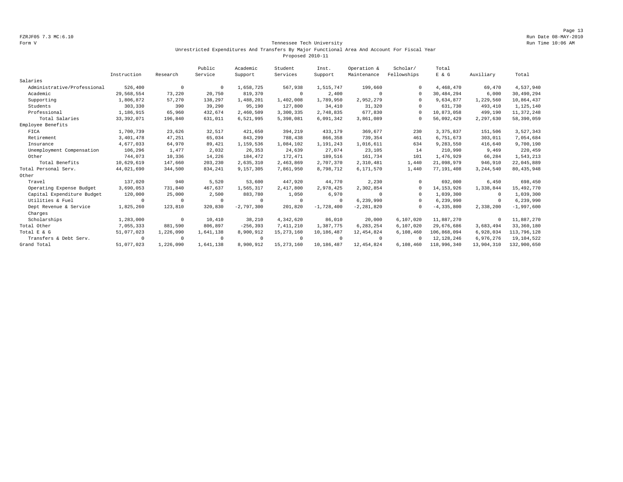Page 13 FZRJF05 7.3 MC:6.10 Run Date 08-MAY-2010

### Form V Tennessee Tech University Run Time 10:06 AM Unrestricted Expenditures And Transfers By Major Functional Area And Account For Fiscal Year Proposed 2010-11

|                             |              |            | Public    | Academic     | Student      | Inst.        | Operation &    | Scholar/    | Total          |            |              |
|-----------------------------|--------------|------------|-----------|--------------|--------------|--------------|----------------|-------------|----------------|------------|--------------|
|                             | Instruction  | Research   | Service   | Support      | Services     | Support      | Maintenance    | Fellowships | E & G          | Auxiliary  | Total        |
| Salaries                    |              |            |           |              |              |              |                |             |                |            |              |
| Administrative/Professional | 526,400      | $^{\circ}$ | $\Omega$  | 1,658,725    | 567,938      | 1,515,747    | 199,660        | $\cap$      | 4,468,470      | 69,470     | 4,537,940    |
| Academic                    | 29,568,554   | 73,220     | 20,750    | 819,370      | $\mathbf{0}$ | 2,400        | $\Omega$       | $\Omega$    | 30,484,294     | 6,000      | 30,490,294   |
| Supporting                  | 1,806,872    | 57,270     | 138,297   | 1,488,201    | 1,402,008    | 1,789,950    | 2,952,279      | $\cap$      | 9,634,877      | 1,229,560  | 10,864,437   |
| Students                    | 303,330      | 390        | 39,290    | 95,190       | 127,800      | 34,410       | 31,320         |             | 631,730        | 493,410    | 1,125,140    |
| Professional                | 1,186,915    | 65,960     | 432,674   | 2,460,509    | 3,300,335    | 2,748,835    | 677.830        | $\cap$      | 10,873,058     | 499,190    | 11, 372, 248 |
| Total Salaries              | 33, 392, 071 | 196,840    | 631,011   | 6,521,995    | 5,398,081    | 6,091,342    | 3,861,089      |             | 56,092,429     | 2,297,630  | 58,390,059   |
| Employee Benefits           |              |            |           |              |              |              |                |             |                |            |              |
| FICA                        | 1,700,739    | 23,626     | 32,517    | 421,650      | 394,219      | 433,179      | 369,677        | 230         | 3, 375, 837    | 151,506    | 3,527,343    |
| Retirement                  | 3,401,478    | 47,251     | 65,034    | 843,299      | 788,438      | 866,358      | 739,354        | 461         | 6,751,673      | 303,011    | 7,054,684    |
| Insurance                   | 4,677,033    | 64,970     | 89,421    | 1,159,536    | 1,084,102    | 1,191,243    | 1,016,611      | 634         | 9,283,550      | 416,640    | 9,700,190    |
| Unemployment Compensation   | 106,296      | 1,477      | 2,032     | 26,353       | 24,639       | 27,074       | 23,105         | 14          | 210,990        | 9,469      | 220,459      |
| Other                       | 744,073      | 10,336     | 14,226    | 184,472      | 172,471      | 189,516      | 161,734        | 101         | 1,476,929      | 66,284     | 1,543,213    |
| Total Benefits              | 10,629,619   | 147,660    | 203,230   | 2,635,310    | 2,463,869    | 2,707,370    | 2,310,481      | 1,440       | 21,098,979     | 946,910    | 22,045,889   |
| Total Personal Serv.        | 44,021,690   | 344,500    | 834,241   | 9,157,305    | 7,861,950    | 8,798,712    | 6,171,570      | 1,440       | 77,191,408     | 3,244,540  | 80, 435, 948 |
| Other                       |              |            |           |              |              |              |                |             |                |            |              |
| Travel                      | 137,020      | 940        | 5,520     | 53,600       | 447,920      | 44,770       | 2,230          | $\cap$      | 692,000        | 6,450      | 698,450      |
| Operating Expense Budget    | 3,690,053    | 731,840    | 467,637   | 1,565,317    | 2,417,800    | 2,978,425    | 2,302,854      | $\cap$      | 14, 153, 926   | 1,338,844  | 15,492,770   |
| Capital Expenditure Budget  | 120,000      | 25,000     | 2,500     | 883,780      | 1,050        | 6,970        | $\Omega$       | $\Omega$    | 1,039,300      | $\Omega$   | 1,039,300    |
| Utilities & Fuel            | $\Omega$     | $\Omega$   | $\Omega$  | $\Omega$     | $\Omega$     | $\Omega$     | 6,239,990      | $\cap$      | 6,239,990      | $^{\circ}$ | 6,239,990    |
| Dept Revenue & Service      | 1,825,260    | 123,810    | 320,830   | $-2,797,300$ | 201,820      | $-1,728,400$ | $-2, 281, 820$ | $\cap$      | $-4, 335, 800$ | 2,338,200  | $-1,997,600$ |
| Charges                     |              |            |           |              |              |              |                |             |                |            |              |
| Scholarships                | 1,283,000    | $^{\circ}$ | 10,410    | 38,210       | 4,342,620    | 86,010       | 20,000         | 6,107,020   | 11,887,270     | $^{\circ}$ | 11,887,270   |
| Total Other                 | 7,055,333    | 881,590    | 806,897   | $-256, 393$  | 7,411,210    | 1,387,775    | 6,283,254      | 6,107,020   | 29,676,686     | 3,683,494  | 33,360,180   |
| Total E & G                 | 51,077,023   | 1,226,090  | 1,641,138 | 8,900,912    | 15, 273, 160 | 10,186,487   | 12,454,824     | 6,108,460   | 106,868,094    | 6,928,034  | 113,796,128  |
| Transfers & Debt Serv.      | $^{\circ}$   | $\Omega$   | $\Omega$  | $\Omega$     | $\Omega$     | $\Omega$     | $\Omega$       | $\cap$      | 12, 128, 246   | 6,976,276  | 19,104,522   |
| Grand Total                 | 51,077,023   | 1,226,090  | 1,641,138 | 8,900,912    | 15, 273, 160 | 10,186,487   | 12, 454, 824   | 6,108,460   | 118,996,340    | 13,904,310 | 132,900,650  |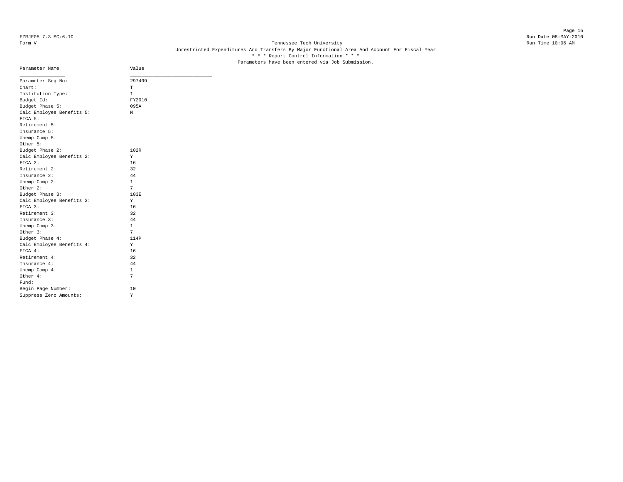### Page 15 FZRJF05 7.3 MC:6.10 Run Date 08-MAY-2010

### Form V Tennessee Tech University **Tennessee Tech University** Run Time 10:06 AM Unrestricted Expenditures And Transfers By Major Functional Area And Account For Fiscal Year \* \* \* Report Control Information \* \* \* Parameters have been entered via Job Submission.

| Parameter Name            | Value        |
|---------------------------|--------------|
| Parameter Seq No:         | 297499       |
| Chart:                    | т            |
| Institution Type:         | 1            |
| Budget Id:                | FY2010       |
| Budget Phase 5:           | 095A         |
| Calc Employee Benefits 5: | N            |
| FICA 5:                   |              |
| Retirement 5:             |              |
| Insurance 5:              |              |
| Unemp Comp 5:             |              |
| Other 5:                  |              |
| Budget Phase 2:           | 102R         |
| Calc Employee Benefits 2: | Y            |
| FICA 2:                   | 16           |
| Retirement 2:             | 32           |
| Insurance 2:              | 44           |
| Unemp Comp 2:             | 1            |
| Other 2:                  | 7            |
| Budget Phase 3:           | 103E         |
| Calc Employee Benefits 3: | Y            |
| $FTCA$ 3:                 | 16           |
| Retirement 3:             | 32           |
| Insurance 3:              | 44           |
| Unemp Comp 3:             | $\mathbf{1}$ |
| Other 3:                  | 7            |
| Budget Phase 4:           | 114P         |
| Calc Employee Benefits 4: | Υ            |
| FICA 4:                   | 16           |
| Retirement 4:             | 32           |
| Insurance 4:              | 44           |
| Unemp Comp 4:             | 1            |
| Other 4:                  | 7            |
| Fund:                     |              |
| Begin Page Number:        | 10           |
| Suppress Zero Amounts:    | Υ            |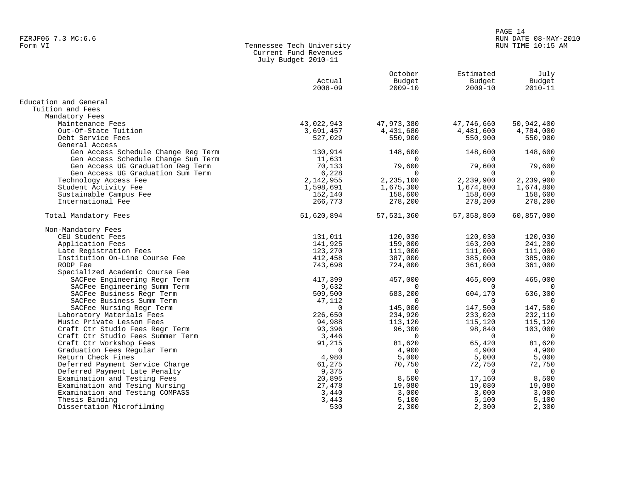# FZRJF06 7.3 MC:6.6<br>Form VI RUN DATE 08-MAY-2010<br>Form VI RUN TIME 10:15 AM

| Form VI | Tennessee Tech University |
|---------|---------------------------|
|         | Current Fund Revenues     |
|         | July Budget 2010-11       |

|                                     | Actual      | October<br>Budget | Estimated<br>Budget | July<br>Budget |
|-------------------------------------|-------------|-------------------|---------------------|----------------|
|                                     | $2008 - 09$ | $2009 - 10$       | $2009 - 10$         | $2010 - 11$    |
| Education and General               |             |                   |                     |                |
| Tuition and Fees                    |             |                   |                     |                |
| Mandatory Fees                      |             |                   |                     |                |
| Maintenance Fees                    | 43,022,943  | 47,973,380        | 47,746,660          | 50,942,400     |
| Out-Of-State Tuition                | 3,691,457   | 4,431,680         | 4,481,600           | 4,784,000      |
| Debt Service Fees                   | 527,029     | 550,900           | 550,900             | 550,900        |
| General Access                      |             |                   |                     |                |
| Gen Access Schedule Change Reg Term | 130,914     | 148,600           | 148,600             | 148,600        |
| Gen Access Schedule Change Sum Term | 11,631      |                   |                     |                |
| Gen Access UG Graduation Reg Term   | 70,133      | 79,600            | 79,600              | 79,600         |
| Gen Access UG Graduation Sum Term   | 6,228       | $\Omega$          | $\Omega$            | $\Omega$       |
| Technology Access Fee               | 2,142,955   | 2,235,100         | 2,239,900           | 2,239,900      |
| Student Activity Fee                | 1,598,691   | 1,675,300         | 1,674,800           | 1,674,800      |
| Sustainable Campus Fee              | 152,140     | 158,600           | 158,600             | 158,600        |
| International Fee                   | 266,773     | 278,200           | 278,200             | 278,200        |
| Total Mandatory Fees                | 51,620,894  | 57,531,360        | 57, 358, 860        | 60,857,000     |
| Non-Mandatory Fees                  |             |                   |                     |                |
| CEU Student Fees                    | 131,011     | 120,030           | 120,030             | 120,030        |
| Application Fees                    | 141,925     | 159,000           | 163,200             | 241,200        |
| Late Registration Fees              | 123,270     | 111,000           | 111,000             | 111,000        |
| Institution On-Line Course Fee      | 412,458     | 387,000           | 385,000             | 385,000        |
| RODP Fee                            | 743,698     | 724,000           | 361,000             | 361,000        |
| Specialized Academic Course Fee     |             |                   |                     |                |
| SACFee Engineering Regr Term        | 417,399     | 457,000           | 465,000             | 465,000        |
| SACFee Engineering Summ Term        | 9,632       | $\Omega$          | $\Omega$            | 0              |
| SACFee Business Regr Term           | 509,500     | 683,200           | 604,170             | 636,300        |
| SACFee Business Summ Term           | 47,112      | $\Omega$          | $\Omega$            | $\Omega$       |
| SACFee Nursing Regr Term            | $\Omega$    | 145,000           | 147,500             | 147,500        |
| Laboratory Materials Fees           | 226,650     | 234,920           | 233,020             | 232,110        |
| Music Private Lesson Fees           | 94,988      | 113,120           | 115,120             | 115,120        |
| Craft Ctr Studio Fees Regr Term     | 93,396      | 96,300            | 98,840              | 103,000        |
| Craft Ctr Studio Fees Summer Term   | 3,446       | $\mathbf 0$       | $\overline{0}$      | $\overline{0}$ |
| Craft Ctr Workshop Fees             | 91,215      | 81,620            | 65,420              | 81,620         |
| Graduation Fees Regular Term        | $\Omega$    | 4,900             | 4,900               | 4,900          |
| Return Check Fines                  | 4,980       | 5,000             | 5,000               | 5,000          |
| Deferred Payment Service Charge     | 61,275      | 70,750            | 72,750              | 72,750         |
| Deferred Payment Late Penalty       | 9,375       | $\Omega$          | $\Omega$            | $\overline{0}$ |
| Examination and Testing Fees        | 20,895      | 8,500             | 17,160              | 8,500          |
| Examination and Tesing Nursing      | 27,478      | 19,080            | 19,080              | 19,080         |
| Examination and Testing COMPASS     | 3,440       | 3,000             | 3,000               | 3,000          |
| Thesis Binding                      | 3,443       | 5,100             | 5,100               | 5,100          |
| Dissertation Microfilming           | 530         | 2,300             | 2,300               | 2,300          |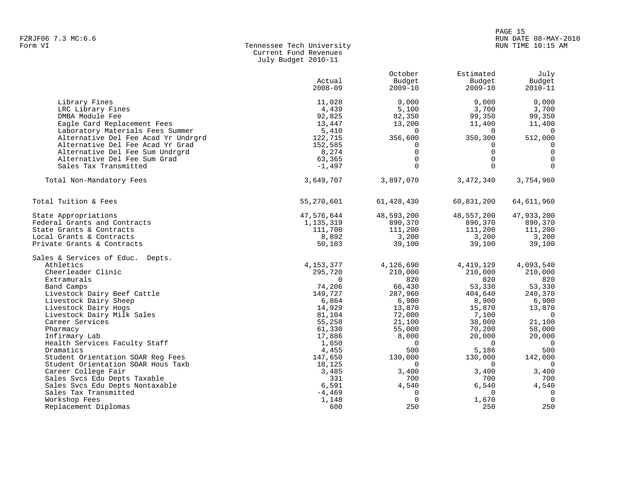## en de la provincia de la provincia de la provincia de la provincia de la provincia de la provincia de la provincia de la provincia de la provincia de la provincia de la provincia de la provincia de la provincia de la provi FZRJF06 7.3 MC:6.6 RUN DATE 08-MAY-2010

### Form VI Tennessee Tech University RUN TIME 10:15 AM Current Fund Revenues July Budget 2010-11

|                                               |             | October     | Estimated   | July           |
|-----------------------------------------------|-------------|-------------|-------------|----------------|
|                                               | Actual      | Budget      | Budget      | Budget         |
|                                               | $2008 - 09$ | $2009 - 10$ | $2009 - 10$ | $2010 - 11$    |
|                                               |             |             |             |                |
| Library Fines                                 | 11,028      | 9,000       | 9,000       | 9,000          |
| LRC Library Fines                             | 4,439       | 5,100       | 3,700       | 3,700          |
| DMBA Module Fee                               | 92,825      | 82,350      | 99,350      | 99,350         |
| Eagle Card Replacement Fees                   | 13,447      | 13,200      | 11,400      | 11,400         |
| Laboratory Materials Fees Summer              | 5,410       | $\Omega$    | $\Omega$    | $\Omega$       |
| Alternative Del Fee Acad Yr Undrgrd           | 122,715     | 356,600     | 350,300     | 512,000        |
| Alternative Del Fee Acad Yr Grad              | 152,585     | 0           | $\Omega$    | $\Omega$       |
| Alternative Del Fee Sum Undrgrd               | 8,274       | $\Omega$    | $\Omega$    | $\mathbf 0$    |
| Alternative Del Fee Sum Grad                  | 63,365      | $\Omega$    | $\Omega$    | $\mathbf 0$    |
| Sales Tax Transmitted                         | $-1,497$    | $\Omega$    | $\Omega$    | $\Omega$       |
| Total Non-Mandatory Fees                      | 3,649,707   | 3,897,070   | 3,472,340   | 3,754,960      |
|                                               |             |             |             |                |
| Total Tuition & Fees                          | 55,270,601  | 61,428,430  | 60,831,200  | 64,611,960     |
| State Appropriations                          | 47,576,644  | 48,593,200  | 48,557,200  | 47,933,200     |
| Federal Grants and Contracts                  | 1,135,319   | 890,370     | 890,370     | 890,370        |
| State Grants & Contracts                      | 111,700     | 111,200     | 111,200     | 111,200        |
| Local Grants & Contracts                      | 8,892       | 3,200       | 3,200       | 3,200          |
| Private Grants & Contracts                    | 50,103      | 39,100      | 39,100      | 39,100         |
| Sales & Services of Educ. Depts.              |             |             |             |                |
| Athletics                                     | 4, 153, 377 | 4,126,690   | 4,419,129   | 4,093,540      |
| Cheerleader Clinic                            | 295,720     | 210,000     | 210,000     | 210,000        |
| Extramurals                                   | $\Omega$    | 820         | 820         | 820            |
| Band Camps                                    | 74,206      | 66,430      | 53,330      | 53,330         |
| Livestock Dairy Beef Cattle                   | 149,727     | 287,960     | 404,640     | 240,370        |
| Livestock Dairy Sheep                         | 6,864       | 6,900       | 8,900       | 6,900          |
| Livestock Dairy Hogs                          | 14,929      | 13,870      | 15,870      | 13,870         |
|                                               |             |             |             | $\overline{0}$ |
| Livestock Dairy Milk Sales<br>Career Services | 81,104      | 72,000      | 7,100       | 21,100         |
|                                               | 55,258      | 21,100      | 38,000      |                |
| Pharmacy                                      | 61,330      | 55,000      | 70,200      | 58,000         |
| Infirmary Lab                                 | 17,886      | 8,000       | 20,000      | 20,000         |
| Health Services Faculty Staff                 | 1,650       | $\Omega$    | $\Omega$    | $\overline{0}$ |
| Dramatics                                     | 4,455       | 500         | 5,186       | 500            |
| Student Orientation SOAR Req Fees             | 147,650     | 130,000     | 130,000     | 142,000        |
| Student Orientation SOAR Hous Taxb            | 18,125      | $\Omega$    | $\Omega$    | $\Omega$       |
| Career College Fair                           | 3,485       | 3,400       | 3,400       | 3,400          |
| Sales Svcs Edu Depts Taxable                  | 331         | 700         | 700         | 700            |
| Sales Svcs Edu Depts Nontaxable               | 6,591       | 4,540       | 6,540       | 4,540          |
| Sales Tax Transmitted                         | $-4,469$    | 0           | $\Omega$    | $\mathbf 0$    |
| Workshop Fees                                 | 1,148       | 0           | 1,670       | $\overline{0}$ |
| Replacement Diplomas                          | 600         | 250         | 250         | 250            |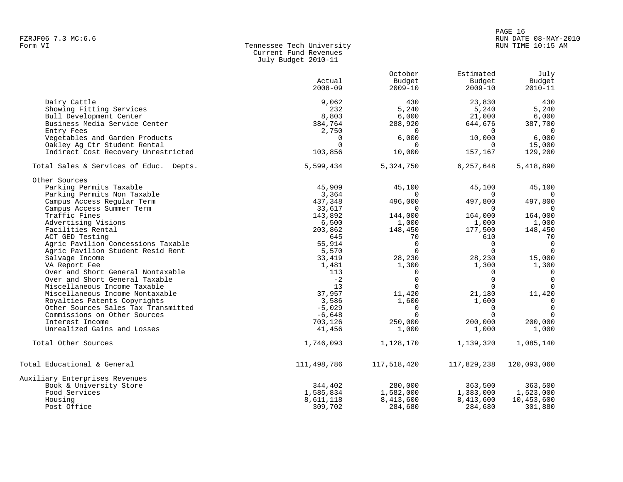### Form VI Tennessee Tech University RUN TIME 10:15 AM Current Fund Revenues July Budget 2010-11

|                                        |             | October     | Estimated   | July           |
|----------------------------------------|-------------|-------------|-------------|----------------|
|                                        | Actual      | Budget      | Budget      | Budget         |
|                                        | $2008 - 09$ | $2009 - 10$ | $2009 - 10$ | $2010 - 11$    |
| Dairy Cattle                           | 9,062       | 430         | 23,830      | 430            |
| Showing Fitting Services               | 232         | 5,240       | 5,240       | 5,240          |
| Bull Development Center                | 8,803       | 6,000       | 21,000      | 6,000          |
| Business Media Service Center          | 384,764     | 288,920     | 644,676     | 387,700        |
| Entry Fees                             | 2,750       | $\Omega$    | $\Omega$    | $\Omega$       |
| Vegetables and Garden Products         | $\Omega$    | 6,000       | 10,000      | 6,000          |
| Oakley Ag Ctr Student Rental           | $\Omega$    | 0           | $\Omega$    | 15,000         |
| Indirect Cost Recovery Unrestricted    | 103,856     | 10,000      | 157,167     | 129,200        |
| Total Sales & Services of Educ. Depts. | 5,599,434   | 5,324,750   | 6,257,648   | 5,418,890      |
| Other Sources                          |             |             |             |                |
| Parking Permits Taxable                | 45,909      | 45,100      | 45,100      | 45,100         |
| Parking Permits Non Taxable            | 3,364       |             |             |                |
| Campus Access Regular Term             | 437,348     | 496,000     | 497,800     | 497,800        |
| Campus Access Summer Term              | 33,617      | $\Omega$    | $\Omega$    | 0              |
| Traffic Fines                          | 143,892     | 144,000     | 164,000     | 164,000        |
| Advertising Visions                    | 6,500       | 1,000       | 1,000       | 1,000          |
| Facilities Rental                      | 203,862     | 148,450     | 177,500     | 148,450        |
| ACT GED Testing                        | 645         | 70          | 610         | 70             |
| Agric Pavilion Concessions Taxable     | 55,914      | $\Omega$    | $\Omega$    | $\overline{0}$ |
| Agric Pavilion Student Resid Rent      | 5,570       | $\Omega$    | $\Omega$    | $\Omega$       |
| Salvage Income                         | 33,419      | 28,230      | 28,230      | 15,000         |
| VA Report Fee                          | 1,481       | 1,300       | 1,300       | 1,300          |
| Over and Short General Nontaxable      | 113         | 0           | $\Omega$    | $\overline{0}$ |
| Over and Short General Taxable         | $-2$        | $\Omega$    | $\Omega$    | $\Omega$       |
| Miscellaneous Income Taxable           | 13          | $\Omega$    | $\Omega$    | $\Omega$       |
| Miscellaneous Income Nontaxable        | 37,957      | 11,420      | 21,180      | 11,420         |
| Royalties Patents Copyrights           | 3,586       | 1,600       | 1,600       | 0              |
| Other Sources Sales Tax Transmitted    | $-5,029$    | $\Omega$    | $\Omega$    | $\Omega$       |
| Commissions on Other Sources           | $-6,648$    | $\Omega$    | $\Omega$    | $\Omega$       |
| Interest Income                        | 703,126     | 250,000     | 200,000     | 200,000        |
| Unrealized Gains and Losses            | 41,456      | 1,000       | 1,000       | 1,000          |
| Total Other Sources                    | 1,746,093   | 1,128,170   | 1,139,320   | 1,085,140      |
| Total Educational & General            | 111,498,786 | 117,518,420 | 117,829,238 | 120,093,060    |
| Auxiliary Enterprises Revenues         |             |             |             |                |
| Book & University Store                | 344,402     | 280,000     | 363,500     | 363,500        |
| Food Services                          | 1,585,834   | 1,582,000   | 1,383,000   | 1,523,000      |
| Housing                                | 8,611,118   | 8,413,600   | 8,413,600   | 10,453,600     |
| Post Office                            | 309,702     | 284,680     | 284,680     | 301,880        |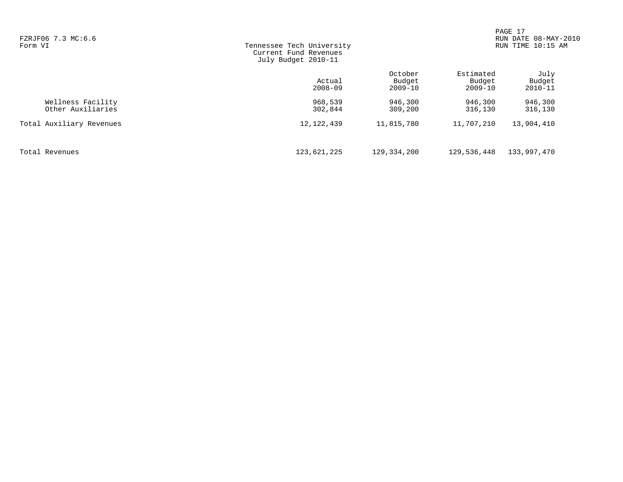| FZRJF06 7.3 MC:6.6<br>Form VI          | Tennessee Tech University<br>Current Fund Revenues<br>July Budget 2010-11 |                                  |                                    | PAGE 17<br>DATE 08-MAY-2010<br><b>RUN</b><br>RUN TIME 10:15 AM |
|----------------------------------------|---------------------------------------------------------------------------|----------------------------------|------------------------------------|----------------------------------------------------------------|
|                                        | Actual<br>$2008 - 09$                                                     | October<br>Budget<br>$2009 - 10$ | Estimated<br>Budget<br>$2009 - 10$ | July<br>Budget<br>$2010 - 11$                                  |
| Wellness Facility<br>Other Auxiliaries | 968,539<br>302,844                                                        | 946,300<br>309,200               | 946,300<br>316,130                 | 946,300<br>316,130                                             |
| Total Auxiliary Revenues               | 12, 122, 439                                                              | 11,815,780                       | 11,707,210                         | 13,904,410                                                     |
| Total Revenues                         | 123,621,225                                                               | 129,334,200                      | 129,536,448                        | 133,997,470                                                    |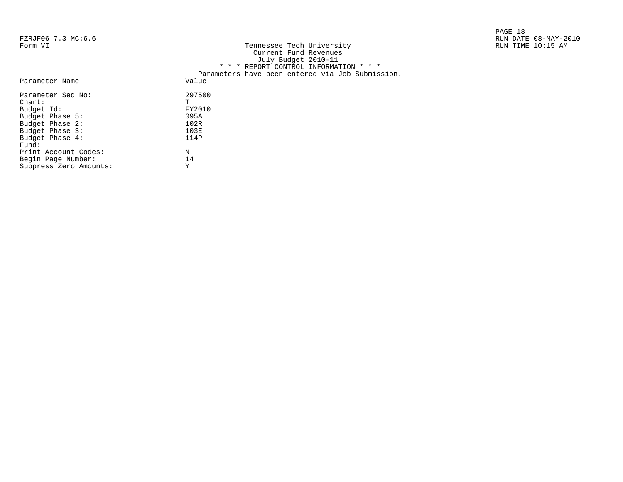# FZRJF06 7.3 MC:6.6<br>Form VI

|                    |                           | PAGE 18              |
|--------------------|---------------------------|----------------------|
| FZRJF06 7.3 MC:6.6 |                           | RUN DATE 08-MAY-2010 |
| Form VI            | Tennessee Tech University | RUN TIME 10:15 AM    |

| L'ANULOU 7.3 MC.U.U |                                                  | NUN DAIL 00-MAI-4 |
|---------------------|--------------------------------------------------|-------------------|
| Form VI             | Tennessee Tech University                        | RUN TIME 10:15 AM |
|                     | Current Fund Revenues                            |                   |
|                     | July Budget 2010-11                              |                   |
|                     | * * * REPORT CONTROL INFORMATION * * *           |                   |
|                     | Parameters have been entered via Job Submission. |                   |
| Parameter Name      | Value                                            |                   |
| Parameter Seq No:   | 297500                                           |                   |
| Chart:              |                                                  |                   |
| Budget Id:          | FY2010                                           |                   |
| Budget Phase 5:     | 095A                                             |                   |
| Budget Phase 2:     | 102R                                             |                   |
| Budget Phase 3:     | 103E                                             |                   |

| Parameter Seg No:      | 2975 |
|------------------------|------|
| $chart$ :              | Ͳ    |
| Budget Id:             | FY20 |
| Budget Phase 5:        | 095A |
| Budget Phase 2:        | 102R |
| Budget Phase 3:        | 103E |
| Budget Phase 4:        | 114P |
| Fund:                  |      |
| Print Account Codes:   | N    |
| Begin Page Number:     | 14   |
| Suppress Zero Amounts: | Y    |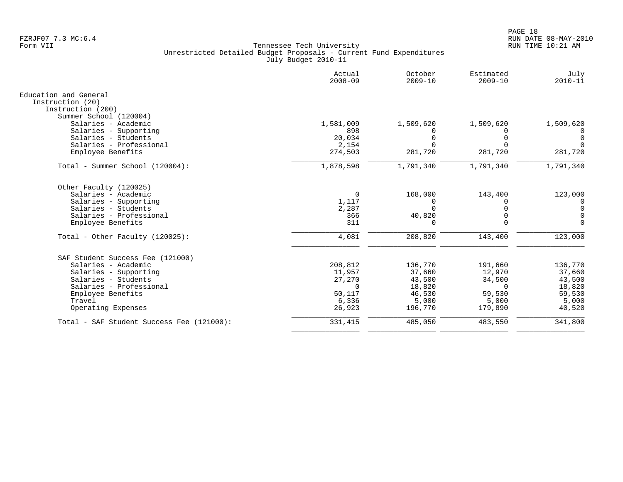|                                                                | Actual<br>$2008 - 09$ | October<br>$2009 - 10$ | Estimated<br>$2009 - 10$ | July<br>$2010 - 11$ |
|----------------------------------------------------------------|-----------------------|------------------------|--------------------------|---------------------|
| Education and General<br>Instruction (20)<br>Instruction (200) |                       |                        |                          |                     |
| Summer School (120004)                                         |                       |                        |                          |                     |
| Salaries - Academic<br>Salaries - Supporting                   | 1,581,009<br>898      | 1,509,620              | 1,509,620<br>0           | 1,509,620           |
| Salaries - Students                                            | 20,034                | 0                      | 0                        | 0<br>0              |
| Salaries - Professional                                        | 2,154                 | $\Omega$               | $\Omega$                 | $\Omega$            |
| Employee Benefits                                              | 274,503               | 281,720                | 281,720                  | 281,720             |
| Total - Summer School (120004):                                | 1,878,598             | 1,791,340              | 1,791,340                | 1,791,340           |
| Other Faculty (120025)                                         |                       |                        |                          |                     |
| Salaries - Academic                                            | 0                     | 168,000                | 143,400                  | 123,000             |
| Salaries - Supporting                                          | 1,117                 | 0                      | $\Omega$                 | $\overline{0}$      |
| Salaries - Students                                            | 2,287                 | $\Omega$               | $\Omega$                 | $\mathbf 0$         |
| Salaries - Professional                                        | 366                   | 40,820                 | $\Omega$                 | $\mathbf 0$         |
| Employee Benefits                                              | 311                   | $\Omega$               | $\Omega$                 | $\Omega$            |
| Total - Other Faculty $(120025)$ :                             | 4,081                 | 208,820                | 143,400                  | 123,000             |
| SAF Student Success Fee (121000)                               |                       |                        |                          |                     |
| Salaries - Academic                                            | 208,812               | 136,770                | 191,660                  | 136,770             |
| Salaries - Supporting                                          | 11,957                | 37,660                 | 12,970                   | 37,660              |
| Salaries - Students                                            | 27,270                | 43,500                 | 34,500                   | 43,500              |
| Salaries - Professional                                        | $\Omega$              | 18,820                 | $\Omega$                 | 18,820              |
| Employee Benefits                                              | 50,117                | 46,530                 | 59,530                   | 59,530              |
| Travel                                                         | 6,336                 | 5,000                  | 5,000                    | 5,000               |
| Operating Expenses                                             | 26,923                | 196,770                | 179,890                  | 40,520              |
| Total - SAF Student Success Fee (121000):                      | 331,415               | 485,050                | 483,550                  | 341,800             |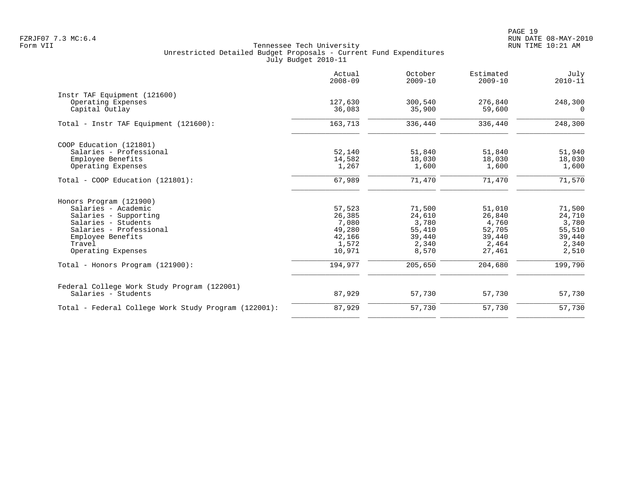|                                                      | Actual<br>$2008 - 09$ | October<br>$2009 - 10$ | Estimated<br>$2009 - 10$ | July<br>$2010 - 11$ |
|------------------------------------------------------|-----------------------|------------------------|--------------------------|---------------------|
| Instr TAF Equipment (121600)                         |                       |                        |                          |                     |
| Operating Expenses<br>Capital Outlay                 | 127,630<br>36,083     | 300,540<br>35,900      | 276,840<br>59,600        | 248,300<br>$\Omega$ |
| Total - Instr TAF Equipment (121600):                | 163,713               | 336,440                | 336,440                  | 248,300             |
| COOP Education (121801)                              |                       |                        |                          |                     |
| Salaries - Professional                              | 52,140                | 51,840                 | 51,840                   | 51,940              |
| Employee Benefits                                    | 14,582                | 18,030                 | 18,030                   | 18,030              |
| Operating Expenses                                   | 1,267                 | 1,600                  | 1,600                    | 1,600               |
| Total - COOP Education (121801):                     | 67,989                | 71,470                 | 71,470                   | 71,570              |
| Honors Program (121900)                              |                       |                        |                          |                     |
| Salaries - Academic                                  | 57,523                | 71,500                 | 51,010                   | 71,500              |
| Salaries - Supporting                                | 26,385                | 24,610                 | 26,840                   | 24,710              |
| Salaries - Students                                  | 7,080                 | 3,780                  | 4,760                    | 3,780               |
| Salaries - Professional                              | 49,280                | 55,410                 | 52,705                   | 55,510              |
| Employee Benefits                                    | 42,166                | 39,440                 | 39,440                   | 39,440              |
| Travel                                               | 1,572                 | 2,340                  | 2,464                    | 2,340               |
| Operating Expenses                                   | 10,971                | 8,570                  | 27,461                   | 2,510               |
| Total - Honors Program (121900):                     | 194,977               | 205,650                | 204,680                  | 199,790             |
| Federal College Work Study Program (122001)          |                       |                        |                          |                     |
| Salaries - Students                                  | 87,929                | 57,730                 | 57,730                   | 57,730              |
| Total - Federal College Work Study Program (122001): | 87,929                | 57,730                 | 57,730                   | 57,730              |
|                                                      |                       |                        |                          |                     |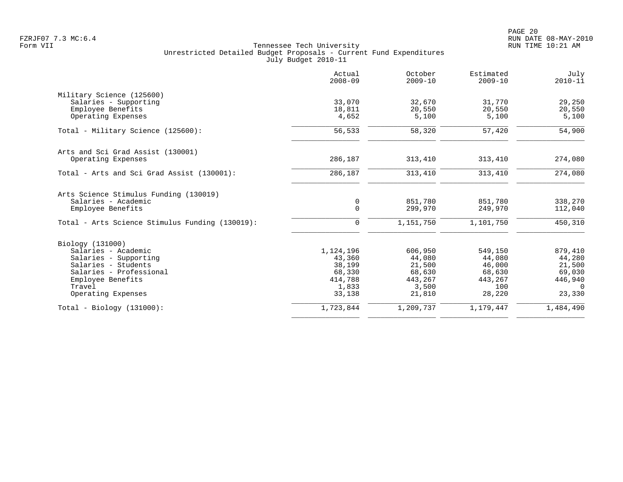|                                                 | Actual<br>$2008 - 09$ | October<br>$2009 - 10$ | Estimated<br>$2009 - 10$ | July<br>$2010 - 11$ |
|-------------------------------------------------|-----------------------|------------------------|--------------------------|---------------------|
| Military Science (125600)                       |                       |                        |                          |                     |
| Salaries - Supporting                           | 33,070                | 32,670                 | 31,770                   | 29,250              |
| Employee Benefits                               | 18,811                | 20,550                 | 20,550                   | 20,550              |
| Operating Expenses                              | 4,652                 | 5,100                  | 5,100                    | 5,100               |
| Total - Military Science (125600):              | 56,533                | 58,320                 | 57,420                   | 54,900              |
| Arts and Sci Grad Assist (130001)               |                       |                        |                          |                     |
| Operating Expenses                              | 286,187               | 313,410                | 313,410                  | 274,080             |
| Total - Arts and Sci Grad Assist (130001):      | 286,187               | 313,410                | 313,410                  | 274,080             |
| Arts Science Stimulus Funding (130019)          |                       |                        |                          |                     |
| Salaries - Academic                             | 0                     | 851,780                | 851,780                  | 338,270             |
| Employee Benefits                               | $\mathsf{O}$          | 299,970                | 249,970                  | 112,040             |
| Total - Arts Science Stimulus Funding (130019): | 0                     | 1,151,750              | 1,101,750                | 450,310             |
| Biology (131000)                                |                       |                        |                          |                     |
| Salaries - Academic                             | 1,124,196             | 606,950                | 549,150                  | 879,410             |
| Salaries - Supporting                           | 43,360                | 44,080                 | 44,080                   | 44,280              |
| Salaries - Students                             | 38,199                | 21,500                 | 46,000                   | 21,500              |
| Salaries - Professional                         | 68,330                | 68,630                 | 68,630                   | 69,030              |
| Employee Benefits                               | 414,788               | 443,267                | 443,267                  | 446,940             |
| Travel                                          | 1,833                 | 3,500                  | 100                      | $\Omega$            |
| Operating Expenses                              | 33,138                | 21,810                 | 28,220                   | 23,330              |
| $Total - Biology (131000):$                     | 1,723,844             | 1,209,737              | 1,179,447                | 1,484,490           |
|                                                 |                       |                        |                          |                     |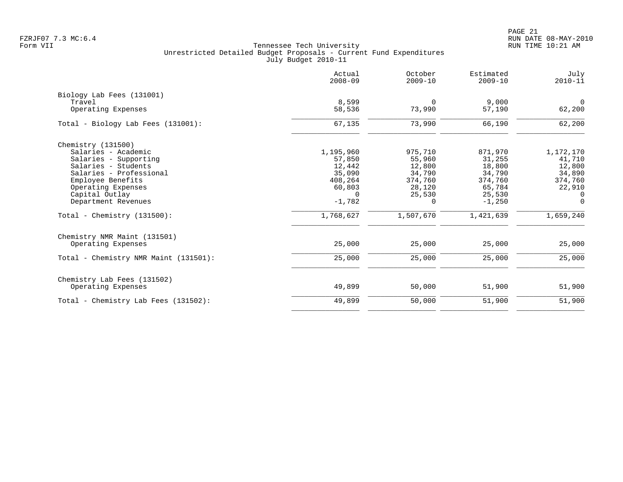PAGE 21 FZRJF07 7.3 MC:6.4 RUN DATE 08-MAY-2010

|                                       | Actual<br>$2008 - 09$ | October<br>$2009 - 10$ | Estimated<br>$2009 - 10$ | July<br>$2010 - 11$      |
|---------------------------------------|-----------------------|------------------------|--------------------------|--------------------------|
| Biology Lab Fees (131001)             |                       |                        |                          |                          |
| Travel<br>Operating Expenses          | 8,599<br>58,536       | $\Omega$<br>73,990     | 9.000<br>57,190          | $\overline{0}$<br>62,200 |
| Total - Biology Lab Fees (131001):    | 67,135                | 73,990                 | 66,190                   | 62,200                   |
| Chemistry (131500)                    |                       |                        |                          |                          |
| Salaries - Academic                   | 1,195,960             | 975,710                | 871,970                  | 1,172,170                |
| Salaries - Supporting                 | 57,850                | 55,960                 | 31,255                   | 41,710                   |
| Salaries - Students                   | 12,442                | 12,800                 | 18,800                   | 12,800                   |
| Salaries - Professional               | 35,090                | 34,790                 | 34,790                   | 34,890                   |
| Employee Benefits                     | 408,264               | 374,760                | 374,760                  | 374,760                  |
| Operating Expenses                    | 60,803                | 28,120                 | 65,784                   | 22,910                   |
| Capital Outlay                        | $\Omega$              | 25,530                 | 25,530                   | $\Omega$                 |
| Department Revenues                   | $-1,782$              | $\Omega$               | $-1,250$                 | $\Omega$                 |
| Total - Chemistry $(131500)$ :        | 1,768,627             | 1,507,670              | 1,421,639                | 1,659,240                |
| Chemistry NMR Maint (131501)          |                       |                        |                          |                          |
| Operating Expenses                    | 25,000                | 25,000                 | 25,000                   | 25,000                   |
| Total - Chemistry NMR Maint (131501): | 25,000                | 25,000                 | 25,000                   | 25,000                   |
| Chemistry Lab Fees (131502)           |                       |                        |                          |                          |
| Operating Expenses                    | 49,899                | 50,000                 | 51,900                   | 51,900                   |
| Total - Chemistry Lab Fees (131502):  | 49,899                | 50,000                 | 51,900                   | 51,900                   |
|                                       |                       |                        |                          |                          |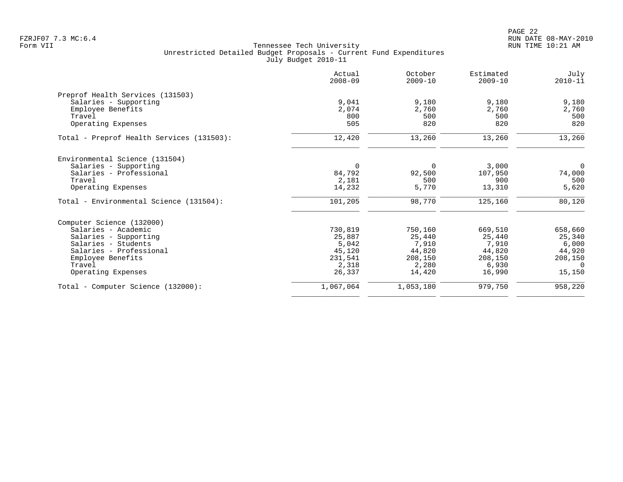|                                           | Actual<br>$2008 - 09$ | October<br>$2009 - 10$ | Estimated<br>$2009 - 10$ | July<br>$2010 - 11$ |
|-------------------------------------------|-----------------------|------------------------|--------------------------|---------------------|
| Preprof Health Services (131503)          |                       |                        |                          |                     |
| Salaries - Supporting                     | 9.041                 | 9,180                  | 9,180                    | 9,180               |
| Employee Benefits                         | 2,074                 | 2,760                  | 2,760                    | 2,760               |
| Travel                                    | 800                   | 500                    | 500                      | 500                 |
| Operating Expenses                        | 505                   | 820                    | 820                      | 820                 |
| Total - Preprof Health Services (131503): | 12,420                | 13,260                 | 13,260                   | 13,260              |
| Environmental Science (131504)            |                       |                        |                          |                     |
| Salaries - Supporting                     | $\mathbf 0$           | $\Omega$               | 3,000                    | $\mathbf 0$         |
| Salaries - Professional                   | 84,792                | 92,500                 | 107,950                  | 74,000              |
| Travel                                    | 2,181                 | 500                    | 900                      | 500                 |
| Operating Expenses                        | 14,232                | 5,770                  | 13,310                   | 5,620               |
| Total - Environmental Science (131504):   | 101,205               | 98,770                 | 125,160                  | 80,120              |
| Computer Science (132000)                 |                       |                        |                          |                     |
| Salaries - Academic                       | 730,819               | 750,160                | 669,510                  | 658,660             |
| Salaries - Supporting                     | 25,887                | 25,440                 | 25,440                   | 25,340              |
| Salaries - Students                       | 5,042                 | 7,910                  | 7,910                    | 6,000               |
| Salaries - Professional                   | 45,120                | 44,820                 | 44,820                   | 44,920              |
| Employee Benefits                         | 231,541               | 208,150                | 208,150                  | 208,150             |
| Travel                                    | 2,318                 | 2,280                  | 6,930                    | $\Omega$            |
| Operating Expenses                        | 26,337                | 14,420                 | 16,990                   | 15,150              |
| Total - Computer Science (132000):        | 1,067,064             | 1,053,180              | 979,750                  | 958,220             |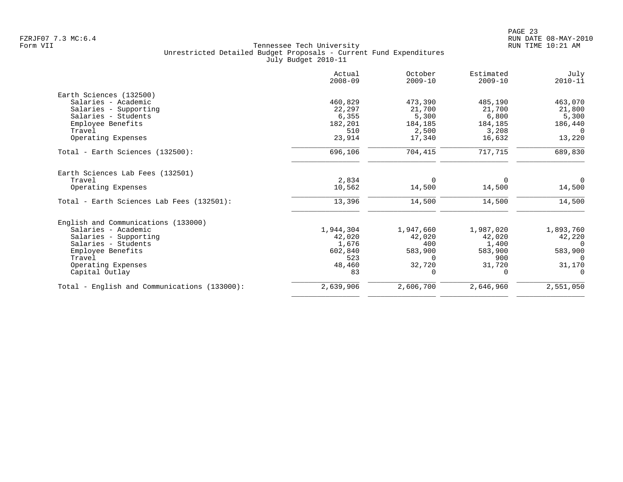|                                              | Actual<br>$2008 - 09$ | October<br>$2009 - 10$ | Estimated<br>$2009 - 10$ | July<br>$2010 - 11$ |
|----------------------------------------------|-----------------------|------------------------|--------------------------|---------------------|
| Earth Sciences (132500)                      |                       |                        |                          |                     |
| Salaries - Academic                          | 460,829               | 473,390                | 485,190                  | 463,070             |
| Salaries - Supporting                        | 22,297                | 21,700                 | 21,700                   | 21,800              |
| Salaries - Students                          | 6,355                 | 5,300                  | 6,800                    | 5,300               |
| Employee Benefits                            | 182,201               | 184,185                | 184,185                  | 186,440             |
| Travel                                       | 510                   | 2,500                  | 3,208                    | $\Omega$            |
| Operating Expenses                           | 23,914                | 17,340                 | 16,632                   | 13,220              |
| Total - Earth Sciences (132500):             | 696,106               | 704,415                | 717,715                  | 689,830             |
| Earth Sciences Lab Fees (132501)             |                       |                        |                          |                     |
| Travel                                       | 2,834                 | $\Omega$               | $\Omega$                 | $\Omega$            |
| Operating Expenses                           | 10,562                | 14,500                 | 14,500                   | 14,500              |
| Total - Earth Sciences Lab Fees (132501):    | 13,396                | 14,500                 | 14,500                   | 14,500              |
| English and Communications (133000)          |                       |                        |                          |                     |
| Salaries - Academic                          | 1,944,304             | 1,947,660              | 1,987,020                | 1,893,760           |
| Salaries - Supporting                        | 42,020                | 42,020                 | 42,020                   | 42,220              |
| Salaries - Students                          | 1,676                 | 400                    | 1,400                    | $\Omega$            |
| Employee Benefits                            | 602,840               | 583,900                | 583,900                  | 583,900             |
| Travel                                       | 523                   | $\Omega$               | 900                      | $\Omega$            |
| Operating Expenses                           | 48,460                | 32,720                 | 31,720                   | 31,170              |
| Capital Outlay                               | 83                    | <sup>0</sup>           | $\Omega$                 | $\Omega$            |
| Total - English and Communications (133000): | 2,639,906             | 2,606,700              | 2,646,960                | 2,551,050           |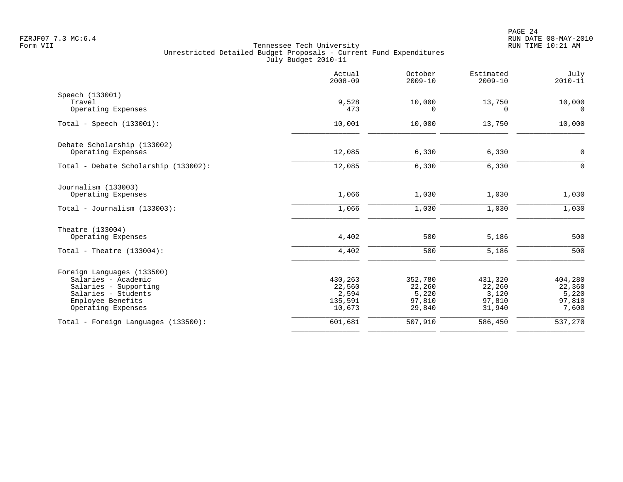|                                              | Actual<br>$2008 - 09$ | October<br>$2009 - 10$ | Estimated<br>$2009 - 10$ | July<br>$2010 - 11$ |
|----------------------------------------------|-----------------------|------------------------|--------------------------|---------------------|
| Speech (133001)<br>Travel                    | 9,528                 | 10,000                 | 13,750                   | 10,000              |
| Operating Expenses                           | 473                   | 0                      | 0                        | 0                   |
| Total - Speech $(133001)$ :                  | 10,001                | 10,000                 | 13,750                   | 10,000              |
| Debate Scholarship (133002)                  |                       |                        |                          |                     |
| Operating Expenses                           | 12,085                | 6,330                  | 6,330                    | $\overline{0}$      |
| Total - Debate Scholarship (133002):         | 12,085                | 6,330                  | 6,330                    | $\mathsf{O}$        |
| Journalism (133003)                          |                       |                        |                          |                     |
| Operating Expenses                           | 1,066                 | 1,030                  | 1,030                    | 1,030               |
| Total - Journalism $(133003)$ :              | 1,066                 | 1,030                  | 1,030                    | 1,030               |
| Theatre (133004)                             |                       |                        |                          |                     |
| Operating Expenses                           | 4,402                 | 500                    | 5,186                    | 500                 |
| Total - Theatre $(133004)$ :                 | 4,402                 | 500                    | 5,186                    | 500                 |
| Foreign Languages (133500)                   |                       |                        |                          |                     |
| Salaries - Academic                          | 430,263               | 352,780                | 431,320                  | 404,280             |
| Salaries - Supporting<br>Salaries - Students | 22,560                | 22,260                 | 22,260<br>3,120          | 22,360              |
| Employee Benefits                            | 2,594<br>135,591      | 5,220<br>97,810        | 97,810                   | 5,220<br>97,810     |
| Operating Expenses                           | 10,673                | 29,840                 | 31,940                   | 7,600               |
| Total - Foreign Languages (133500):          | 601,681               | 507,910                | 586,450                  | 537,270             |
|                                              |                       |                        |                          |                     |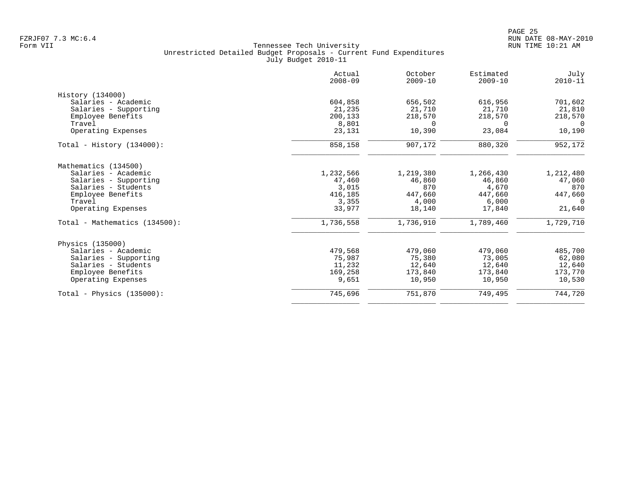| 616,956<br>21,710<br>218,570<br>$\Omega$<br>23,084<br>880,320 | 701,602<br>21,810<br>218,570<br>$\Omega$<br>10,190<br>952,172 |
|---------------------------------------------------------------|---------------------------------------------------------------|
|                                                               |                                                               |
|                                                               |                                                               |
|                                                               |                                                               |
|                                                               |                                                               |
|                                                               |                                                               |
|                                                               |                                                               |
|                                                               |                                                               |
|                                                               |                                                               |
| 1,266,430                                                     | 1,212,480                                                     |
| 46,860                                                        | 47,060                                                        |
| 4,670                                                         | 870                                                           |
| 447,660                                                       | 447,660                                                       |
| 6,000                                                         | $\Omega$                                                      |
| 17,840                                                        | 21,640                                                        |
| 1,789,460                                                     | 1,729,710                                                     |
|                                                               |                                                               |
|                                                               | 485,700                                                       |
|                                                               | 62,080                                                        |
| 12,640                                                        | 12,640                                                        |
| 173,840                                                       | 173,770                                                       |
| 10,950                                                        | 10,530                                                        |
|                                                               | 744,720                                                       |
|                                                               | 479,060<br>73,005<br>749,495                                  |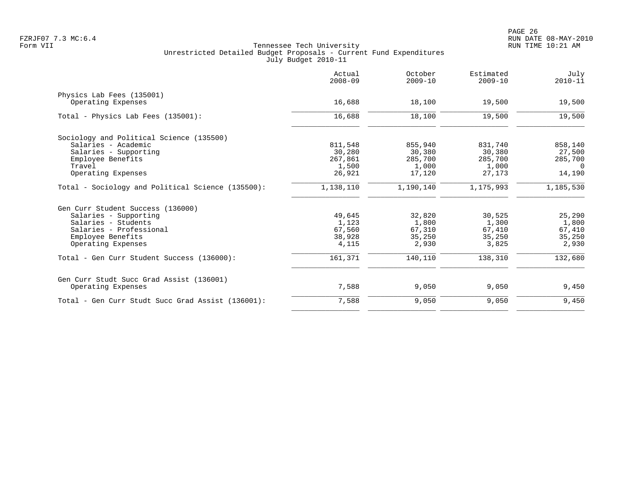| 19,500<br>19,500<br>858,140<br>27,500<br>285,700 |
|--------------------------------------------------|
|                                                  |
|                                                  |
|                                                  |
|                                                  |
|                                                  |
|                                                  |
|                                                  |
| $\Omega$                                         |
| 14,190                                           |
| 1,185,530                                        |
|                                                  |
| 25,290                                           |
| 1,800                                            |
| 67,410                                           |
| 35,250                                           |
| 2,930                                            |
| 132,680                                          |
|                                                  |
| 9,450                                            |
| 9,450                                            |
|                                                  |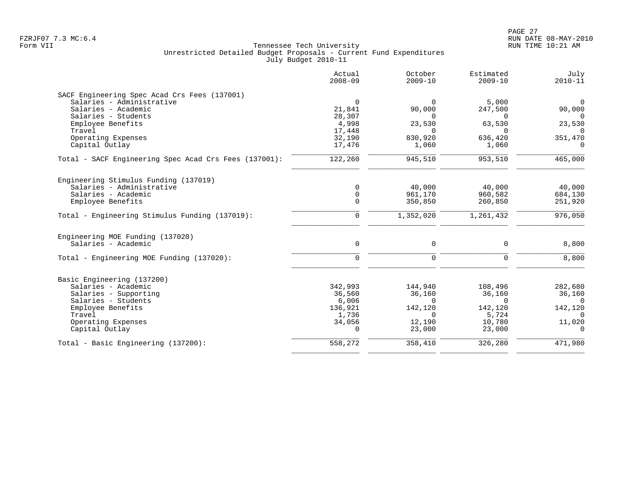|                                                       | Actual<br>$2008 - 09$ | October<br>$2009 - 10$ | Estimated<br>$2009 - 10$ | July<br>$2010 - 11$ |
|-------------------------------------------------------|-----------------------|------------------------|--------------------------|---------------------|
| SACF Engineering Spec Acad Crs Fees (137001)          |                       |                        |                          |                     |
| Salaries - Administrative                             | $\overline{0}$        | $\Omega$               | 5,000                    | $\mathbf 0$         |
| Salaries - Academic                                   | 21,841                | 90,000                 | 247,500                  | 90,000              |
| Salaries - Students                                   | 28,307                | $\Omega$               | $\mathbf 0$              | $\Omega$            |
| Employee Benefits                                     | 4,998                 | 23,530                 | 63,530                   | 23,530              |
| Travel                                                | 17,448                | $\Omega$               | $\Omega$<br>636,420      | $\Omega$            |
| Operating Expenses                                    | 32,190<br>17,476      | 830,920                | 1,060                    | 351,470             |
| Capital Outlay                                        |                       | 1,060                  |                          | $\mathbf 0$         |
| Total - SACF Engineering Spec Acad Crs Fees (137001): | 122,260               | 945,510                | 953,510                  | 465,000             |
| Engineering Stimulus Funding (137019)                 |                       |                        |                          |                     |
| Salaries - Administrative                             | $\mathbf 0$           | 40,000                 | 40,000                   | 40,000              |
| Salaries - Academic                                   | $\mathbf 0$           | 961,170                | 960,582                  | 684,130             |
| Employee Benefits                                     | $\Omega$              | 350,850                | 260,850                  | 251,920             |
| Total - Engineering Stimulus Funding (137019):        | $\Omega$              | 1,352,020              | 1,261,432                | 976,050             |
| Engineering MOE Funding (137020)                      |                       |                        |                          |                     |
| Salaries - Academic                                   | $\mathsf{O}$          | 0                      | 0                        | 8,800               |
| Total - Engineering MOE Funding (137020):             | $\mathbf 0$           | $\mathbf 0$            | $\mathbf 0$              | 8,800               |
| Basic Engineering (137200)                            |                       |                        |                          |                     |
| Salaries - Academic                                   | 342,993               | 144,940                | 108,496                  | 282,680             |
| Salaries - Supporting                                 | 36,560                | 36,160                 | 36,160                   | 36,160              |
| Salaries - Students                                   | 6,006                 | $\Omega$               | $\Omega$                 | $\Omega$            |
| Employee Benefits                                     | 136,921               | 142,120                | 142,120                  | 142,120             |
| Travel                                                | 1,736                 | $\Omega$               | 5,724                    | $\Omega$            |
| Operating Expenses                                    | 34,056                | 12,190                 | 10,780                   | 11,020              |
| Capital Outlay                                        | $\cap$                | 23,000                 | 23,000                   | $\Omega$            |
| Total - Basic Engineering (137200):                   | 558,272               | 358,410                | 326,280                  | 471,980             |
|                                                       |                       |                        |                          |                     |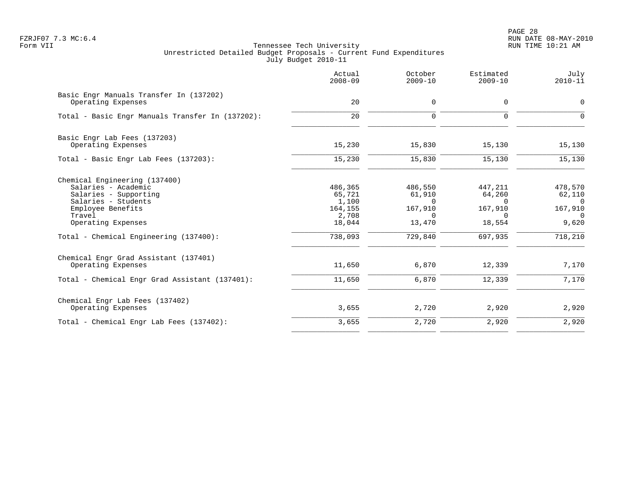PAGE 28 FZRJF07 7.3 MC:6.4 RUN DATE 08-MAY-2010

|                                                                                                                                                                                                     | Actual<br>$2008 - 09$                                               | October<br>$2009 - 10$                                                    | Estimated<br>$2009 - 10$                                                  | July<br>$2010 - 11$                                                      |
|-----------------------------------------------------------------------------------------------------------------------------------------------------------------------------------------------------|---------------------------------------------------------------------|---------------------------------------------------------------------------|---------------------------------------------------------------------------|--------------------------------------------------------------------------|
| Basic Engr Manuals Transfer In (137202)<br>Operating Expenses                                                                                                                                       | 20                                                                  | $\mathbf 0$                                                               | $\mathbf 0$                                                               | $\mathbf 0$                                                              |
| Total - Basic Engr Manuals Transfer In (137202):                                                                                                                                                    | 20                                                                  | $\Omega$                                                                  | $\Omega$                                                                  | $\Omega$                                                                 |
| Basic Engr Lab Fees (137203)<br>Operating Expenses                                                                                                                                                  | 15,230                                                              | 15,830                                                                    | 15,130                                                                    | 15,130                                                                   |
| Total - Basic Engr Lab Fees (137203):                                                                                                                                                               | 15,230                                                              | 15,830                                                                    | 15,130                                                                    | 15,130                                                                   |
| Chemical Engineering (137400)<br>Salaries - Academic<br>Salaries - Supporting<br>Salaries - Students<br>Employee Benefits<br>Travel<br>Operating Expenses<br>Total - Chemical Engineering (137400): | 486,365<br>65,721<br>1,100<br>164,155<br>2,708<br>18,044<br>738,093 | 486,550<br>61,910<br>$\Omega$<br>167,910<br>$\Omega$<br>13,470<br>729,840 | 447,211<br>64,260<br>$\Omega$<br>167,910<br>$\Omega$<br>18,554<br>697,935 | 478,570<br>62,110<br>$\Omega$<br>167,910<br>$\Omega$<br>9,620<br>718,210 |
| Chemical Engr Grad Assistant (137401)<br>Operating Expenses<br>Total - Chemical Engr Grad Assistant (137401):                                                                                       | 11,650<br>11,650                                                    | 6,870<br>6,870                                                            | 12,339<br>12,339                                                          | 7,170<br>7,170                                                           |
| Chemical Engr Lab Fees (137402)<br>Operating Expenses                                                                                                                                               | 3,655                                                               | 2,720                                                                     | 2,920                                                                     | 2,920                                                                    |
| Total - Chemical Engr Lab Fees (137402):                                                                                                                                                            | 3,655                                                               | 2,720                                                                     | 2,920                                                                     | 2,920                                                                    |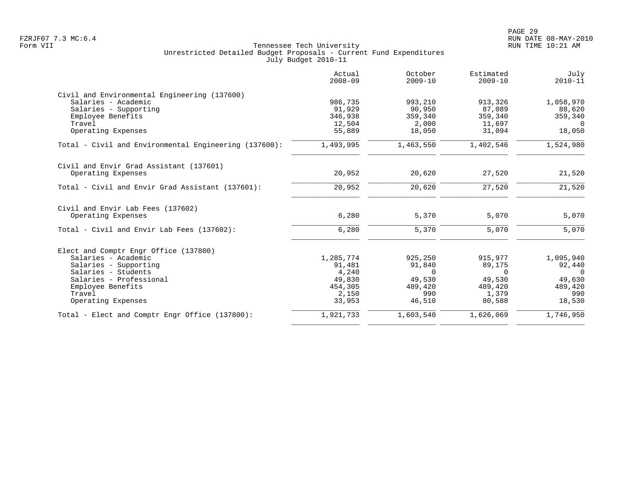|                                                       | Actual<br>$2008 - 09$ | October<br>$2009 - 10$ | Estimated<br>$2009 - 10$ | July<br>$2010 - 11$ |
|-------------------------------------------------------|-----------------------|------------------------|--------------------------|---------------------|
| Civil and Environmental Engineering (137600)          |                       |                        |                          |                     |
| Salaries - Academic                                   | 986,735               | 993,210                | 913,326                  | 1,058,970           |
| Salaries - Supporting                                 | 91,929                | 90,950                 | 87,089                   | 88,620              |
| Employee Benefits                                     | 346,938               | 359,340                | 359,340                  | 359,340             |
| Travel                                                | 12,504                | 2,000                  | 11,697                   | $\overline{0}$      |
| Operating Expenses                                    | 55,889                | 18,050                 | 31,094                   | 18,050              |
| Total - Civil and Environmental Engineering (137600): | 1,493,995             | 1,463,550              | 1,402,546                | 1,524,980           |
| Civil and Envir Grad Assistant (137601)               |                       |                        |                          |                     |
| Operating Expenses                                    | 20,952                | 20,620                 | 27,520                   | 21,520              |
| Total - Civil and Envir Grad Assistant (137601):      | 20,952                | 20,620                 | 27,520                   | 21,520              |
| Civil and Envir Lab Fees (137602)                     |                       |                        |                          |                     |
| Operating Expenses                                    | 6,280                 | 5,370                  | 5,070                    | 5,070               |
| Total - Civil and Envir Lab Fees (137602):            | 6,280                 | 5,370                  | 5,070                    | 5,070               |
| Elect and Comptr Engr Office (137800)                 |                       |                        |                          |                     |
| Salaries - Academic                                   | 1,285,774             | 925,250                | 915,977                  | 1,095,940           |
| Salaries - Supporting                                 | 91,481                | 91,840                 | 89,175                   | 92,440              |
| Salaries - Students                                   | 4,240                 | $\Omega$               | $\Omega$                 | $\Omega$            |
| Salaries - Professional                               | 49,830                | 49,530                 | 49,530                   | 49,630              |
| Employee Benefits                                     | 454,305               | 489,420                | 489,420                  | 489,420             |
| Travel                                                | 2,150                 | 990                    | 1,379                    | 990                 |
| Operating Expenses                                    | 33,953                | 46,510                 | 80,588                   | 18,530              |
| Total - Elect and Comptr Engr Office (137800):        | 1,921,733             | 1,603,540              | 1,626,069                | 1,746,950           |
|                                                       |                       |                        |                          |                     |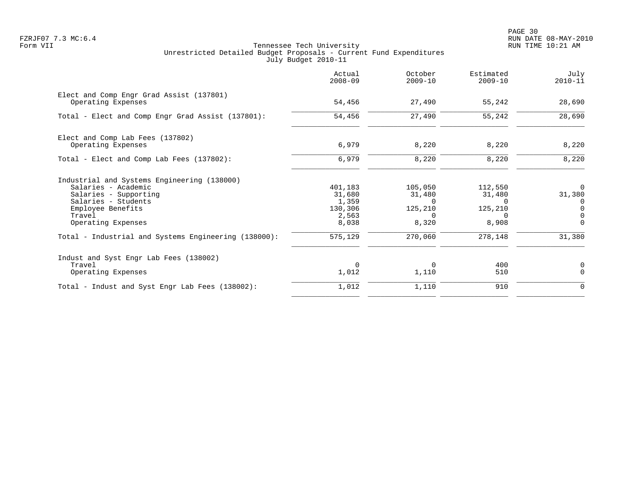PAGE 30 FZRJF07 7.3 MC:6.4 RUN DATE 08-MAY-2010

|                                                                | Actual<br>$2008 - 09$ | October<br>$2009 - 10$ | Estimated<br>$2009 - 10$ | July<br>$2010 - 11$ |
|----------------------------------------------------------------|-----------------------|------------------------|--------------------------|---------------------|
| Elect and Comp Engr Grad Assist (137801)<br>Operating Expenses | 54,456                | 27,490                 | 55,242                   | 28,690              |
| Total - Elect and Comp Engr Grad Assist (137801):              | 54,456                | 27,490                 | 55,242                   | 28,690              |
| Elect and Comp Lab Fees (137802)                               |                       |                        |                          |                     |
| Operating Expenses                                             | 6,979                 | 8,220                  | 8,220                    | 8,220               |
| Total - Elect and Comp Lab Fees (137802):                      | 6,979                 | 8,220                  | 8,220                    | 8,220               |
| Industrial and Systems Engineering (138000)                    |                       |                        |                          |                     |
| Salaries - Academic                                            | 401,183               | 105,050                | 112,550                  | $\Omega$            |
| Salaries - Supporting                                          | 31,680                | 31,480                 | 31,480                   | 31,380              |
| Salaries - Students<br>Employee Benefits                       | 1,359<br>130,306      | $\Omega$<br>125,210    | $\Omega$<br>125,210      | 0<br>$\mathbf 0$    |
| Travel                                                         | 2,563                 | $\Omega$               | $\Omega$                 | $\Omega$            |
| Operating Expenses                                             | 8,038                 | 8,320                  | 8,908                    | $\Omega$            |
| Total - Industrial and Systems Engineering (138000):           | 575,129               | 270,060                | 278,148                  | 31,380              |
| Indust and Syst Engr Lab Fees (138002)                         |                       |                        |                          |                     |
| Travel                                                         | $\Omega$              | 0                      | 400                      | 0                   |
| Operating Expenses                                             | 1,012                 | 1,110                  | 510                      | $\Omega$            |
| Total - Indust and Syst Engr Lab Fees (138002):                | 1,012                 | 1,110                  | 910                      | $\Omega$            |
|                                                                |                       |                        |                          |                     |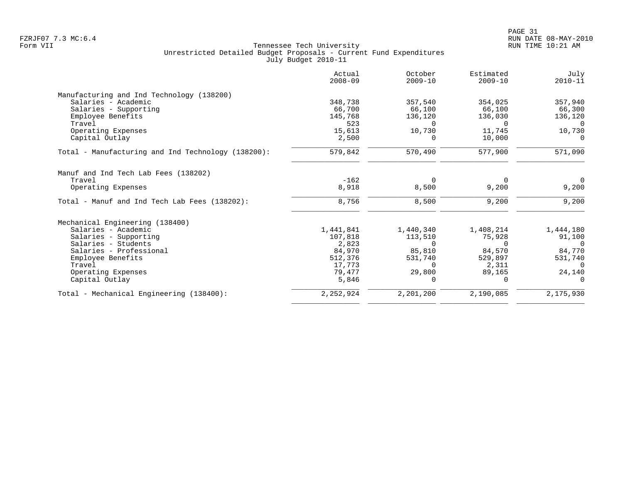| Actual<br>$2008 - 09$ | October<br>$2009 - 10$            | Estimated<br>$2009 - 10$ | July<br>$2010 - 11$ |
|-----------------------|-----------------------------------|--------------------------|---------------------|
|                       |                                   |                          |                     |
| 348,738               | 357,540                           | 354,025                  | 357,940             |
| 66,700                | 66,100                            | 66,100                   | 66,300              |
| 145,768               | 136,120                           | 136,030                  | 136,120             |
| 523                   | $\Omega$                          | $\Omega$                 | $\Omega$            |
| 15,613                | 10,730                            | 11,745                   | 10,730              |
| 2,500                 | 0                                 | 10,000                   | $\Omega$            |
| 579,842               | 570,490                           | 577,900                  | 571,090             |
|                       |                                   |                          |                     |
| $-162$                | $\Omega$                          | $\Omega$                 | $\mathbf 0$         |
| 8,918                 | 8,500                             | 9,200                    | 9,200               |
| 8,756                 | 8,500                             | 9,200                    | 9,200               |
|                       |                                   |                          |                     |
|                       |                                   |                          | 1,444,180           |
|                       |                                   |                          | 91,100              |
| 2,823                 | $\Omega$                          | $\Omega$                 | $\Omega$            |
| 84,970                | 85,810                            | 84,570                   | 84,770              |
| 512,376               | 531,740                           | 529,897                  | 531,740             |
| 17,773                | $\Omega$                          | 2,311                    | $\Omega$            |
| 79,477                | 29,800                            | 89,165                   | 24,140              |
| 5,846                 | $\Omega$                          | $\Omega$                 |                     |
|                       | 2,201,200                         | 2,190,085                | 2,175,930           |
|                       | 1,441,841<br>107,818<br>2,252,924 | 1,440,340<br>113,510     | 1,408,214<br>75,928 |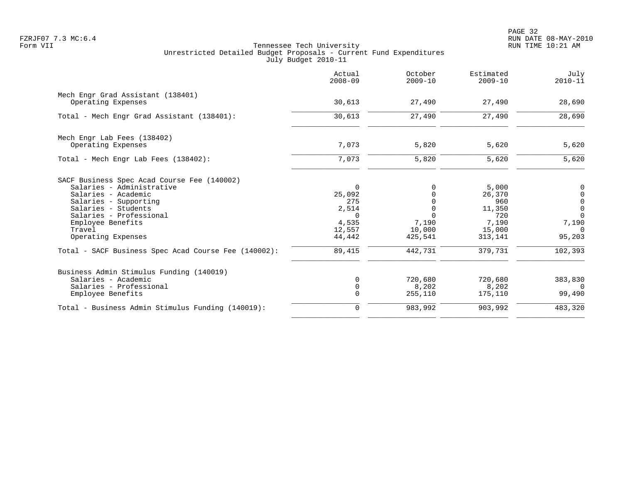PAGE 32 FZRJF07 7.3 MC:6.4 RUN DATE 08-MAY-2010

|                                                         | Actual<br>$2008 - 09$ | October<br>$2009 - 10$ | Estimated<br>$2009 - 10$ | July<br>$2010 - 11$ |
|---------------------------------------------------------|-----------------------|------------------------|--------------------------|---------------------|
| Mech Engr Grad Assistant (138401)<br>Operating Expenses | 30,613                | 27,490                 | 27,490                   | 28,690              |
|                                                         |                       |                        |                          |                     |
| Total - Mech Engr Grad Assistant (138401):              | 30,613                | 27,490                 | 27,490                   | 28,690              |
| Mech Engr Lab Fees (138402)                             |                       |                        |                          |                     |
| Operating Expenses                                      | 7,073                 | 5,820                  | 5,620                    | 5,620               |
| Total - Mech Engr Lab Fees (138402):                    | 7,073                 | 5,820                  | 5,620                    | 5,620               |
| SACF Business Spec Acad Course Fee (140002)             |                       |                        |                          |                     |
| Salaries - Administrative                               | $\Omega$              |                        | 5,000                    | 0                   |
| Salaries - Academic                                     | 25,092                |                        | 26,370                   | $\overline{0}$      |
| Salaries - Supporting                                   | 275                   |                        | 960                      | $\mathsf 0$         |
| Salaries - Students                                     | 2,514                 |                        | 11,350                   | $\overline{0}$      |
| Salaries - Professional                                 | $\Omega$              | $\Omega$               | 720                      | $\Omega$            |
| Employee Benefits                                       | 4,535                 | 7,190                  | 7,190                    | 7,190               |
| Travel                                                  | 12,557                | 10,000                 | 15,000                   | $\Omega$            |
| Operating Expenses                                      | 44,442                | 425,541                | 313,141                  | 95,203              |
| Total - SACF Business Spec Acad Course Fee (140002):    | 89,415                | 442,731                | 379,731                  | 102,393             |
| Business Admin Stimulus Funding (140019)                |                       |                        |                          |                     |
| Salaries - Academic                                     | $\Omega$              | 720,680                | 720,680                  | 383,830             |
| Salaries - Professional                                 | $\mathbf 0$           | 8,202                  | 8,202                    | $\Omega$            |
| Employee Benefits                                       | $\Omega$              | 255,110                | 175,110                  | 99,490              |
| Total - Business Admin Stimulus Funding (140019):       | 0                     | 983,992                | 903,992                  | 483,320             |
|                                                         |                       |                        |                          |                     |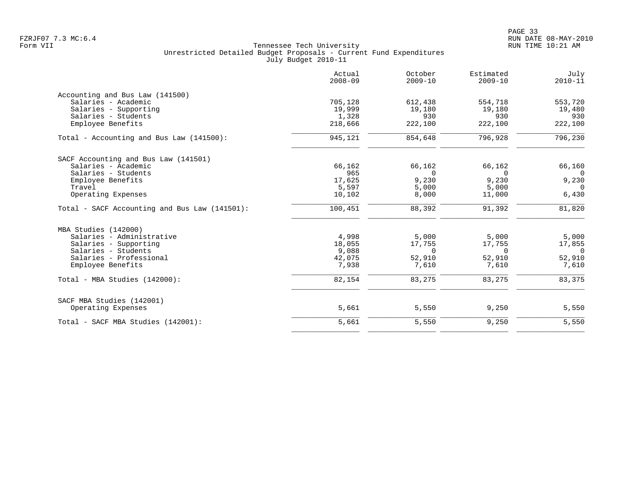|                                               | Actual<br>$2008 - 09$ | October<br>$2009 - 10$ | Estimated<br>$2009 - 10$ | July<br>$2010 - 11$ |
|-----------------------------------------------|-----------------------|------------------------|--------------------------|---------------------|
| Accounting and Bus Law (141500)               |                       |                        |                          |                     |
| Salaries - Academic                           | 705,128               | 612,438                | 554,718                  | 553,720             |
| Salaries - Supporting                         | 19,999                | 19,180                 | 19,180                   | 19,480              |
| Salaries - Students                           | 1,328                 | 930                    | 930                      | 930                 |
| Employee Benefits                             | 218,666               | 222,100                | 222,100                  | 222,100             |
| Total - Accounting and Bus Law $(141500)$ :   | 945,121               | 854,648                | 796,928                  | 796,230             |
| SACF Accounting and Bus Law (141501)          |                       |                        |                          |                     |
| Salaries - Academic                           | 66,162                | 66,162                 | 66,162                   | 66,160              |
| Salaries - Students                           | 965                   | $\Omega$               | $\mathbf 0$              | $\overline{0}$      |
| Employee Benefits                             | 17,625                | 9,230                  | 9,230                    | 9,230               |
| Travel                                        | 5,597                 | 5,000                  | 5,000                    | $\Omega$            |
| Operating Expenses                            | 10,102                | 8,000                  | 11,000                   | 6,430               |
| Total - SACF Accounting and Bus Law (141501): | 100,451               | 88,392                 | 91,392                   | 81,820              |
| MBA Studies (142000)                          |                       |                        |                          |                     |
| Salaries - Administrative                     | 4,998                 | 5,000                  | 5,000                    | 5,000               |
| Salaries - Supporting                         | 18,055                | 17,755                 | 17,755                   | 17,855              |
| Salaries - Students                           | 9,088                 | $\Omega$               | $\mathbf 0$              | $\overline{0}$      |
| Salaries - Professional                       | 42,075                | 52,910                 | 52,910                   | 52,910              |
| Employee Benefits                             | 7,938                 | 7,610                  | 7,610                    | 7,610               |
| Total - MBA Studies (142000):                 | 82,154                | 83,275                 | 83,275                   | 83,375              |
| SACF MBA Studies (142001)                     |                       |                        |                          |                     |
| Operating Expenses                            | 5,661                 | 5,550                  | 9,250                    | 5,550               |
| Total - SACF MBA Studies (142001):            | 5,661                 | 5,550                  | 9,250                    | 5,550               |
|                                               |                       |                        |                          |                     |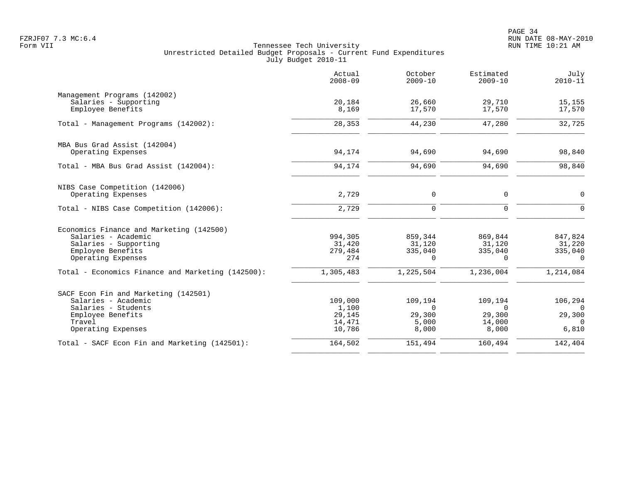PAGE 34 FZRJF07 7.3 MC:6.4 RUN DATE 08-MAY-2010

|                                                   | Actual<br>$2008 - 09$ | October<br>$2009 - 10$ | Estimated<br>$2009 - 10$ | July<br>$2010 - 11$ |
|---------------------------------------------------|-----------------------|------------------------|--------------------------|---------------------|
| Management Programs (142002)                      |                       |                        |                          |                     |
| Salaries - Supporting                             | 20,184                | 26,660                 | 29,710                   | 15,155              |
| Employee Benefits                                 | 8,169                 | 17,570                 | 17,570                   | 17,570              |
| Total - Management Programs (142002):             | 28,353                | 44,230                 | 47,280                   | 32,725              |
| MBA Bus Grad Assist (142004)                      |                       |                        |                          |                     |
| Operating Expenses                                | 94,174                | 94,690                 | 94,690                   | 98,840              |
| Total - MBA Bus Grad Assist (142004):             | 94,174                | 94,690                 | 94,690                   | 98,840              |
| NIBS Case Competition (142006)                    |                       |                        |                          |                     |
| Operating Expenses                                | 2,729                 | $\mathbf 0$            | 0                        | $\Omega$            |
| Total - NIBS Case Competition (142006):           | 2,729                 | $\Omega$               | $\mathbf 0$              | $\Omega$            |
| Economics Finance and Marketing (142500)          |                       |                        |                          |                     |
| Salaries - Academic                               | 994,305               | 859,344                | 869,844                  | 847,824             |
| Salaries - Supporting                             | 31,420                | 31,120                 | 31,120                   | 31,220              |
| Employee Benefits                                 | 279,484               | 335,040                | 335,040                  | 335,040             |
| Operating Expenses                                | 274                   | $\Omega$               | $\Omega$                 | $\Omega$            |
| Total - Economics Finance and Marketing (142500): | 1,305,483             | 1,225,504              | 1,236,004                | 1,214,084           |
| SACF Econ Fin and Marketing (142501)              |                       |                        |                          |                     |
| Salaries - Academic                               | 109,000               | 109,194                | 109,194                  | 106,294             |
| Salaries - Students                               | 1,100                 | $\Omega$               | $\Omega$                 | $\Omega$            |
| Employee Benefits                                 | 29,145                | 29,300                 | 29,300                   | 29,300              |
| Travel                                            | 14,471                | 5,000                  | 14,000                   | $\Omega$            |
| Operating Expenses                                | 10,786                | 8,000                  | 8,000                    | 6,810               |
| Total - SACF Econ Fin and Marketing (142501):     | 164,502               | 151,494                | 160,494                  | 142,404             |
|                                                   |                       |                        |                          |                     |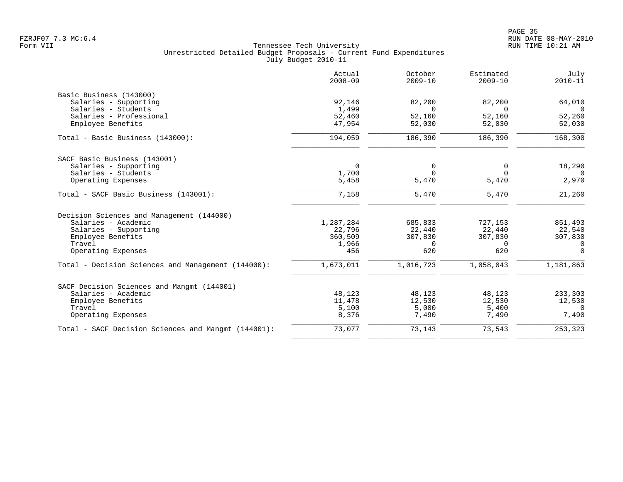|                                                     | Actual<br>$2008 - 09$ | October<br>$2009 - 10$ | Estimated<br>$2009 - 10$ | July<br>$2010 - 11$ |
|-----------------------------------------------------|-----------------------|------------------------|--------------------------|---------------------|
| Basic Business (143000)                             |                       |                        |                          |                     |
| Salaries - Supporting                               | 92,146                | 82,200                 | 82,200                   | 64,010              |
| Salaries - Students                                 | 1,499                 | $\Omega$               | $\cap$                   | $\Omega$            |
| Salaries - Professional                             | 52,460                | 52,160                 | 52,160                   | 52,260              |
| Employee Benefits                                   | 47,954                | 52,030                 | 52,030                   | 52,030              |
| Total - Basic Business (143000):                    | 194,059               | 186,390                | 186,390                  | 168,300             |
| SACF Basic Business (143001)                        |                       |                        |                          |                     |
| Salaries - Supporting                               | $\overline{0}$        | $\mathbf 0$            | $\mathbf 0$              | 18,290              |
| Salaries - Students                                 | 1,700                 | $\Omega$               | $\Omega$                 | $\Omega$            |
| Operating Expenses                                  | 5,458                 | 5,470                  | 5,470                    | 2,970               |
| Total - SACF Basic Business (143001):               | 7,158                 | 5,470                  | 5,470                    | 21,260              |
| Decision Sciences and Management (144000)           |                       |                        |                          |                     |
| Salaries - Academic                                 | 1,287,284             | 685,833                | 727,153                  | 851,493             |
| Salaries - Supporting                               | 22,796                | 22,440                 | 22,440                   | 22,540              |
| Employee Benefits                                   | 360,509               | 307,830                | 307,830                  | 307,830             |
| Travel                                              | 1,966                 | $\Omega$               | $\Omega$                 | $\overline{0}$      |
| Operating Expenses                                  | 456                   | 620                    | 620                      | $\Omega$            |
| Total - Decision Sciences and Management (144000):  | 1,673,011             | 1,016,723              | 1,058,043                | 1,181,863           |
| SACF Decision Sciences and Mangmt (144001)          |                       |                        |                          |                     |
| Salaries - Academic                                 | 48,123                | 48,123                 | 48,123                   | 233,303             |
| Employee Benefits                                   | 11,478                | 12,530                 | 12,530                   | 12,530              |
| Travel                                              | 5,100                 | 5,000                  | 5,400                    | $\Omega$            |
| Operating Expenses                                  | 8,376                 | 7,490                  | 7,490                    | 7,490               |
| Total - SACF Decision Sciences and Mangmt (144001): | 73,077                | 73,143                 | 73,543                   | 253,323             |
|                                                     |                       |                        |                          |                     |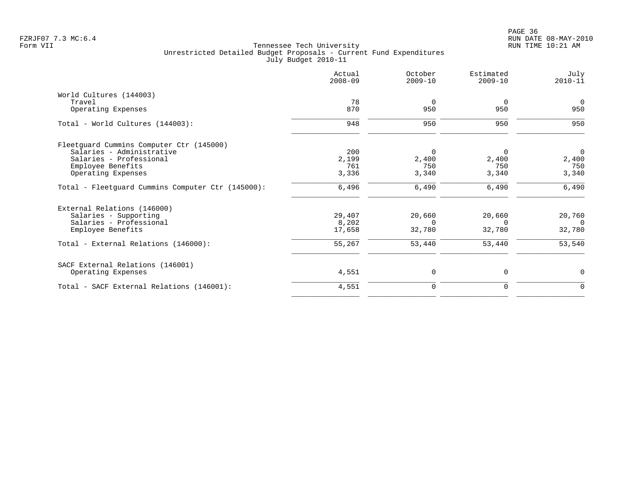| Actual<br>$2008 - 09$ | October<br>$2009 - 10$ | Estimated<br>$2009 - 10$ | July<br>$2010 - 11$ |
|-----------------------|------------------------|--------------------------|---------------------|
|                       |                        |                          |                     |
| 78                    | $\mathbf 0$            | $\overline{0}$           | $\overline{0}$      |
| 870                   | 950                    | 950                      | 950                 |
| 948                   | 950                    | 950                      | 950                 |
|                       |                        |                          |                     |
| 200                   | $\overline{0}$         | 0                        | $\overline{0}$      |
| 2,199                 | 2,400                  | 2,400                    | 2,400               |
| 761                   | 750                    | 750                      | 750                 |
| 3,336                 | 3,340                  | 3,340                    | 3,340               |
| 6,496                 | 6,490                  | 6,490                    | 6,490               |
|                       |                        |                          |                     |
| 29,407                | 20,660                 | 20,660                   | 20,760              |
| 8,202                 | $\Omega$               | $\Omega$                 | $\Omega$            |
| 17,658                | 32,780                 | 32,780                   | 32,780              |
| 55,267                | 53,440                 | 53,440                   | 53,540              |
|                       |                        |                          |                     |
| 4,551                 | 0                      | 0                        | $\mathbf 0$         |
| 4,551                 | $\mathbf 0$            | 0                        | $\mathbf 0$         |
|                       |                        |                          |                     |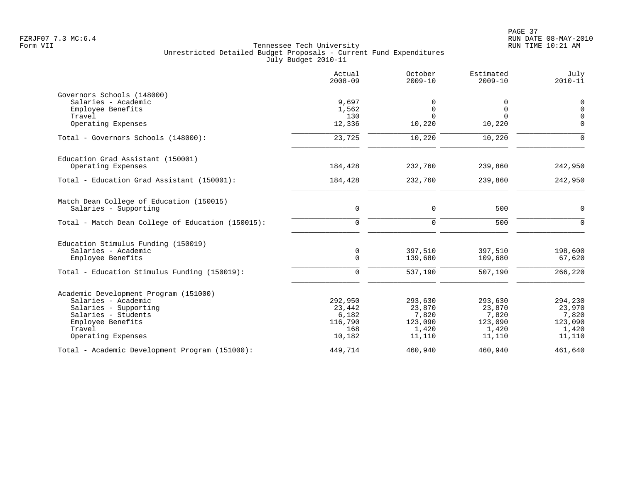|                                                   | Actual<br>$2008 - 09$ | October<br>$2009 - 10$ | Estimated<br>$2009 - 10$ | July<br>$2010 - 11$ |
|---------------------------------------------------|-----------------------|------------------------|--------------------------|---------------------|
| Governors Schools (148000)                        |                       |                        |                          |                     |
| Salaries - Academic                               | 9,697                 | 0                      | 0                        | $\mathbf 0$         |
| Employee Benefits                                 | 1,562                 | $\mathbf 0$            | $\Omega$                 | $\mathbf 0$         |
| Travel                                            | 130                   | $\Omega$               | $\cap$                   | $\overline{0}$      |
| Operating Expenses                                | 12,336                | 10,220                 | 10,220                   | $\mathbf 0$         |
| Total - Governors Schools (148000):               | 23,725                | 10,220                 | 10,220                   | $\mathbf 0$         |
| Education Grad Assistant (150001)                 |                       |                        |                          |                     |
| Operating Expenses                                | 184,428               | 232,760                | 239,860                  | 242,950             |
| Total - Education Grad Assistant (150001):        | 184,428               | 232,760                | 239,860                  | 242,950             |
| Match Dean College of Education (150015)          |                       |                        |                          |                     |
| Salaries - Supporting                             | $\mathbf 0$           | $\mathbf 0$            | 500                      | $\mathbf 0$         |
| Total - Match Dean College of Education (150015): | $\mathbf 0$           | $\mathbf 0$            | 500                      | $\mathbf 0$         |
| Education Stimulus Funding (150019)               |                       |                        |                          |                     |
| Salaries - Academic                               | 0                     | 397,510                | 397,510                  | 198,600             |
| Employee Benefits                                 | $\mathbf 0$           | 139,680                | 109,680                  | 67,620              |
| Total - Education Stimulus Funding (150019):      | $\mathbf 0$           | 537,190                | 507,190                  | 266, 220            |
| Academic Development Program (151000)             |                       |                        |                          |                     |
| Salaries - Academic                               | 292,950               | 293,630                | 293,630                  | 294,230             |
| Salaries - Supporting                             | 23,442                | 23,870                 | 23,870                   | 23,970              |
| Salaries - Students                               | 6,182                 | 7,820                  | 7,820                    | 7,820               |
| Employee Benefits                                 | 116,790               | 123,090                | 123,090                  | 123,090             |
| Travel                                            | 168                   | 1,420                  | 1,420                    | 1,420               |
| Operating Expenses                                | 10,182                | 11,110                 | 11,110                   | 11,110              |
| Total - Academic Development Program (151000):    | 449,714               | 460,940                | 460,940                  | 461,640             |
|                                                   |                       |                        |                          |                     |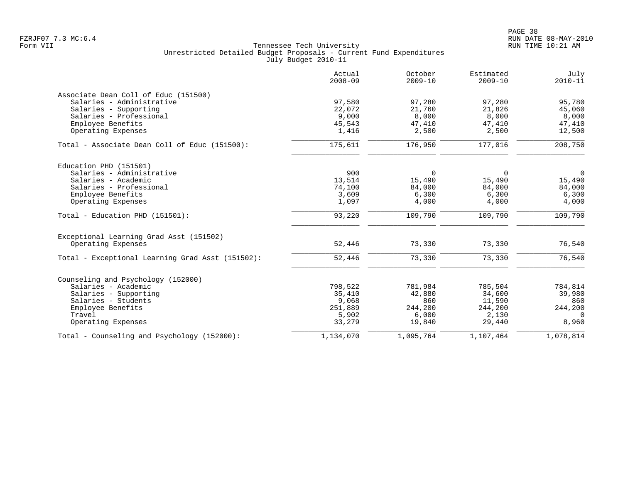|                                                  | Actual<br>$2008 - 09$ | October<br>$2009 - 10$ | Estimated<br>$2009 - 10$ | July<br>$2010 - 11$ |
|--------------------------------------------------|-----------------------|------------------------|--------------------------|---------------------|
| Associate Dean Coll of Educ (151500)             |                       |                        |                          |                     |
| Salaries - Administrative                        | 97,580                | 97,280                 | 97,280                   | 95,780              |
| Salaries - Supporting                            | 22,072                | 21,760                 | 21,826                   | 45,060              |
| Salaries - Professional                          | 9,000                 | 8,000                  | 8,000                    | 8,000               |
| Employee Benefits                                | 45,543                | 47,410                 | 47,410                   | 47,410              |
| Operating Expenses                               | 1,416                 | 2,500                  | 2,500                    | 12,500              |
| Total - Associate Dean Coll of Educ (151500):    | 175,611               | 176,950                | 177,016                  | 208,750             |
| Education PHD (151501)                           |                       |                        |                          |                     |
| Salaries - Administrative                        | 900                   | $\Omega$               | $\Omega$                 | 0                   |
| Salaries - Academic                              | 13,514                | 15,490                 | 15,490                   | 15,490              |
| Salaries - Professional                          | 74,100                | 84,000                 | 84,000                   | 84,000              |
| Employee Benefits                                | 3,609                 | 6,300                  | 6,300                    | 6,300               |
| Operating Expenses                               | 1,097                 | 4,000                  | 4,000                    | 4,000               |
| Total - Education PHD (151501):                  | 93,220                | 109,790                | 109,790                  | 109,790             |
| Exceptional Learning Grad Asst (151502)          |                       |                        |                          |                     |
| Operating Expenses                               | 52,446                | 73,330                 | 73,330                   | 76,540              |
| Total - Exceptional Learning Grad Asst (151502): | 52,446                | 73,330                 | 73,330                   | 76,540              |
| Counseling and Psychology (152000)               |                       |                        |                          |                     |
| Salaries - Academic                              | 798,522               | 781,984                | 785,504                  | 784,814             |
| Salaries - Supporting                            | 35,410                | 42,880                 | 34,600                   | 39,980              |
| Salaries - Students                              | 9,068                 | 860                    | 11,590                   | 860                 |
| Employee Benefits                                | 251,889               | 244,200                | 244,200                  | 244,200             |
| Travel                                           | 5,902                 | 6,000                  | 2,130                    | $\Omega$            |
| Operating Expenses                               | 33,279                | 19,840                 | 29,440                   | 8,960               |
| Total - Counseling and Psychology (152000):      | 1,134,070             | 1,095,764              | 1,107,464                | 1,078,814           |
|                                                  |                       |                        |                          |                     |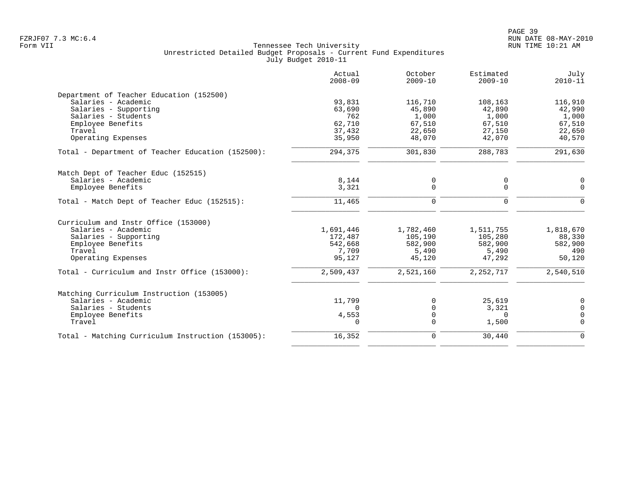| $2008 - 09$ | October<br>$2009 - 10$                                                                                              | Estimated<br>$2009 - 10$                                                                                     | July<br>$2010 - 11$                                                                                               |
|-------------|---------------------------------------------------------------------------------------------------------------------|--------------------------------------------------------------------------------------------------------------|-------------------------------------------------------------------------------------------------------------------|
|             |                                                                                                                     |                                                                                                              |                                                                                                                   |
| 93,831      | 116,710                                                                                                             | 108,163                                                                                                      | 116,910                                                                                                           |
|             | 45,890                                                                                                              |                                                                                                              | 42,990                                                                                                            |
|             |                                                                                                                     |                                                                                                              | 1,000                                                                                                             |
|             |                                                                                                                     |                                                                                                              | 67,510                                                                                                            |
|             |                                                                                                                     |                                                                                                              | 22,650                                                                                                            |
|             |                                                                                                                     |                                                                                                              | 40,570                                                                                                            |
| 294,375     | 301,830                                                                                                             | 288,783                                                                                                      | 291,630                                                                                                           |
|             |                                                                                                                     |                                                                                                              |                                                                                                                   |
|             |                                                                                                                     |                                                                                                              | $\mathbf 0$                                                                                                       |
| 3,321       | 0                                                                                                                   | $\mathbf 0$                                                                                                  | $\Omega$                                                                                                          |
| 11,465      | 0                                                                                                                   | $\mathbf 0$                                                                                                  | $\Omega$                                                                                                          |
|             |                                                                                                                     |                                                                                                              |                                                                                                                   |
|             |                                                                                                                     |                                                                                                              | 1,818,670                                                                                                         |
|             |                                                                                                                     |                                                                                                              | 88,330                                                                                                            |
|             |                                                                                                                     |                                                                                                              | 582,900                                                                                                           |
|             |                                                                                                                     |                                                                                                              | 490                                                                                                               |
| 95,127      | 45,120                                                                                                              | 47,292                                                                                                       | 50,120                                                                                                            |
| 2,509,437   | 2,521,160                                                                                                           | 2, 252, 717                                                                                                  | 2,540,510                                                                                                         |
|             |                                                                                                                     |                                                                                                              |                                                                                                                   |
|             |                                                                                                                     |                                                                                                              | 0                                                                                                                 |
| $\Omega$    |                                                                                                                     |                                                                                                              | $\Omega$                                                                                                          |
|             | $\Omega$                                                                                                            | $\Omega$                                                                                                     | 0                                                                                                                 |
| $\Omega$    | $\Omega$                                                                                                            | 1,500                                                                                                        | $\Omega$                                                                                                          |
| 16,352      | 0                                                                                                                   | 30,440                                                                                                       | $\Omega$                                                                                                          |
|             | 63,690<br>762<br>62,710<br>37,432<br>35,950<br>8,144<br>1,691,446<br>172,487<br>542,668<br>7,709<br>11,799<br>4,553 | 1,000<br>67,510<br>22,650<br>48,070<br>0<br>1,782,460<br>105,190<br>582,900<br>5,490<br>$\Omega$<br>$\Omega$ | 42,890<br>1,000<br>67,510<br>27,150<br>42,070<br>0<br>1,511,755<br>105,280<br>582,900<br>5,490<br>25,619<br>3,321 |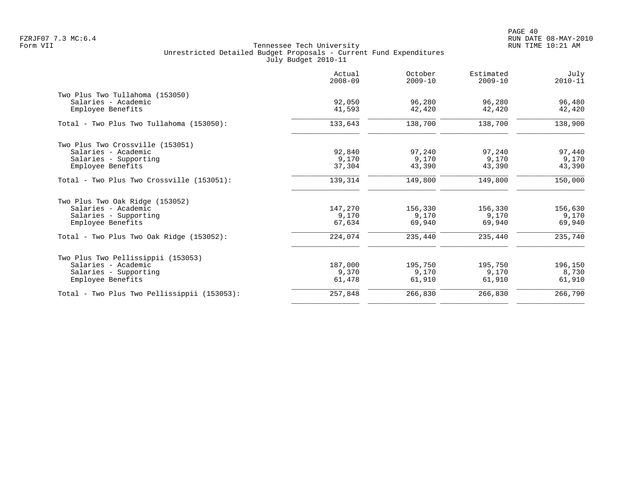|                                             | Actual<br>$2008 - 09$ | October<br>$2009 - 10$ | Estimated<br>$2009 - 10$ | July<br>$2010 - 11$ |
|---------------------------------------------|-----------------------|------------------------|--------------------------|---------------------|
| Two Plus Two Tullahoma (153050)             |                       |                        |                          |                     |
| Salaries - Academic                         | 92,050                | 96,280                 | 96,280                   | 96,480              |
| Employee Benefits                           | 41,593                | 42,420                 | 42,420                   | 42,420              |
| Total - Two Plus Two Tullahoma (153050):    | 133,643               | 138,700                | 138,700                  | 138,900             |
| Two Plus Two Crossville (153051)            |                       |                        |                          |                     |
| Salaries - Academic                         | 92,840                | 97,240                 | 97,240                   | 97,440              |
| Salaries - Supporting                       | 9,170                 | 9,170                  | 9,170                    | 9,170               |
| Employee Benefits                           | 37,304                | 43,390                 | 43,390                   | 43,390              |
| Total - Two Plus Two Crossville (153051):   | 139,314               | 149,800                | 149,800                  | 150,000             |
| Two Plus Two Oak Ridge (153052)             |                       |                        |                          |                     |
| Salaries - Academic                         | 147,270               | 156,330                | 156,330                  | 156,630             |
| Salaries - Supporting                       | 9,170                 | 9,170                  | 9,170                    | 9,170               |
| Employee Benefits                           | 67,634                | 69,940                 | 69,940                   | 69,940              |
| Total - Two Plus Two Oak Ridge (153052):    | 224,074               | 235,440                | 235,440                  | 235,740             |
| Two Plus Two Pellissippii (153053)          |                       |                        |                          |                     |
| Salaries - Academic                         | 187,000               | 195,750                | 195,750                  | 196,150             |
| Salaries - Supporting                       | 9,370                 | 9,170                  | 9,170                    | 8,730               |
| Employee Benefits                           | 61,478                | 61,910                 | 61,910                   | 61,910              |
| Total - Two Plus Two Pellissippii (153053): | 257,848               | 266,830                | 266,830                  | 266,790             |
|                                             |                       |                        |                          |                     |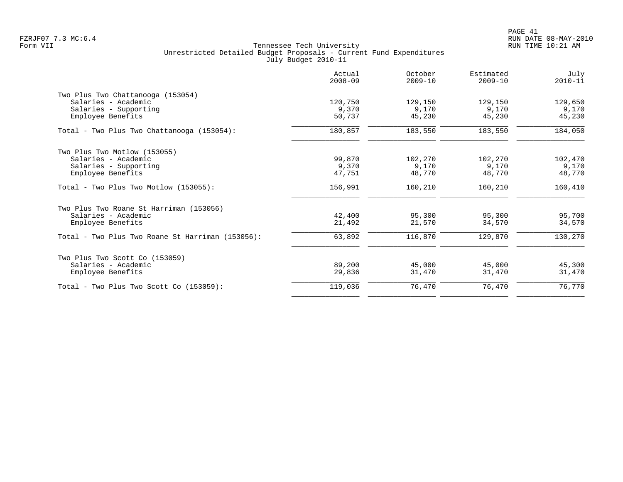|                                                  | Actual<br>$2008 - 09$ | October<br>$2009 - 10$ | Estimated<br>$2009 - 10$ | July<br>$2010 - 11$ |
|--------------------------------------------------|-----------------------|------------------------|--------------------------|---------------------|
| Two Plus Two Chattanooga (153054)                |                       |                        |                          |                     |
| Salaries - Academic                              | 120,750               | 129,150                | 129,150                  | 129,650             |
| Salaries - Supporting                            | 9,370                 | 9,170                  | 9,170                    | 9,170               |
| Employee Benefits                                | 50,737                | 45,230                 | 45,230                   | 45,230              |
| Total - Two Plus Two Chattanooga (153054):       | 180,857               | 183,550                | 183,550                  | 184,050             |
| Two Plus Two Motlow (153055)                     |                       |                        |                          |                     |
| Salaries - Academic                              | 99,870                | 102,270                | 102,270                  | 102,470             |
| Salaries - Supporting                            | 9,370                 | 9,170                  | 9,170                    | 9,170               |
| Employee Benefits                                | 47,751                | 48,770                 | 48,770                   | 48,770              |
| $Total - Two Plus Two Motion (153055):$          | 156,991               | 160,210                | 160,210                  | 160,410             |
| Two Plus Two Roane St Harriman (153056)          |                       |                        |                          |                     |
| Salaries - Academic                              | 42,400                | 95,300                 | 95,300                   | 95,700              |
| Employee Benefits                                | 21,492                | 21,570                 | 34,570                   | 34,570              |
| Total - Two Plus Two Roane St Harriman (153056): | 63,892                | 116,870                | 129,870                  | 130,270             |
| Two Plus Two Scott Co (153059)                   |                       |                        |                          |                     |
| Salaries - Academic                              | 89,200                | 45,000                 | 45,000                   | 45,300              |
| Employee Benefits                                | 29,836                | 31,470                 | 31,470                   | 31,470              |
| $Total - Two Plus Two Scott Co (153059):$        | 119,036               | 76,470                 | 76,470                   | 76,770              |
|                                                  |                       |                        |                          |                     |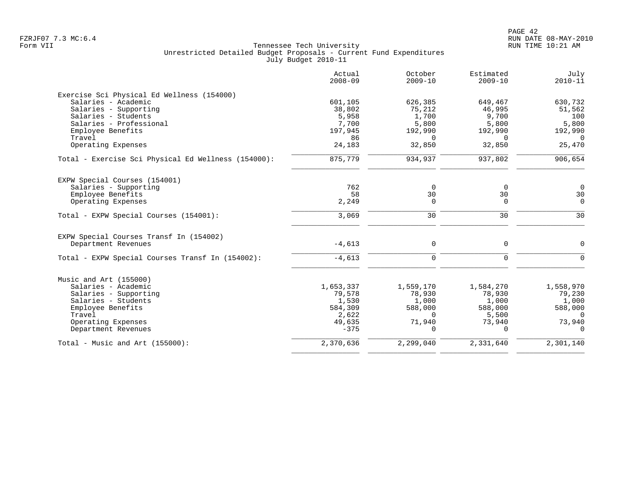|                                                     | Actual<br>$2008 - 09$ | October<br>$2009 - 10$ | Estimated<br>$2009 - 10$ | July<br>$2010 - 11$ |
|-----------------------------------------------------|-----------------------|------------------------|--------------------------|---------------------|
| Exercise Sci Physical Ed Wellness (154000)          |                       |                        |                          |                     |
| Salaries - Academic                                 | 601,105               | 626,385                | 649,467                  | 630,732             |
| Salaries - Supporting                               | 38,802                | 75,212                 | 46,995                   | 51,562              |
| Salaries - Students                                 | 5,958                 | 1,700                  | 9,700                    | 100                 |
| Salaries - Professional                             | 7,700                 | 5,800                  | 5,800                    | 5,800               |
| Employee Benefits                                   | 197,945               | 192,990                | 192,990                  | 192,990             |
| Travel                                              | 86                    | $\Omega$               | $\Omega$                 | $\Omega$            |
| Operating Expenses                                  | 24,183                | 32,850                 | 32,850                   | 25,470              |
| Total - Exercise Sci Physical Ed Wellness (154000): | 875,779               | 934,937                | 937,802                  | 906,654             |
| EXPW Special Courses (154001)                       |                       |                        |                          |                     |
| Salaries - Supporting                               | 762                   | 0                      | $\Omega$                 | $\Omega$            |
| Employee Benefits                                   | 58                    | 30                     | 30                       | 30                  |
| Operating Expenses                                  | 2,249                 | 0                      | $\mathbf 0$              | $\Omega$            |
| Total - EXPW Special Courses (154001):              | 3,069                 | 30                     | 30                       | 30                  |
| EXPW Special Courses Transf In (154002)             |                       |                        |                          |                     |
| Department Revenues                                 | $-4,613$              | 0                      | 0                        | $\mathbf 0$         |
| Total - EXPW Special Courses Transf In (154002):    | $-4,613$              | 0                      | $\mathbf 0$              | $\mathbf 0$         |
| Music and Art (155000)                              |                       |                        |                          |                     |
| Salaries - Academic                                 | 1,653,337             | 1,559,170              | 1,584,270                | 1,558,970           |
| Salaries - Supporting                               | 79,578                | 78,930                 | 78,930                   | 79,230              |
| Salaries - Students                                 | 1,530                 | 1,000                  | 1,000                    | 1,000               |
| Employee Benefits                                   | 584,309               | 588,000                | 588,000                  | 588,000             |
| Travel                                              | 2,622                 | $\Omega$               | 5,500                    | $\Omega$            |
| Operating Expenses                                  | 49,635                | 71,940                 | 73,940                   | 73,940              |
| Department Revenues                                 | $-375$                | $\cap$                 | $\cap$                   | $\Omega$            |
| Total - Music and Art $(155000)$ :                  | 2,370,636             | 2,299,040              | 2,331,640                | 2,301,140           |
|                                                     |                       |                        |                          |                     |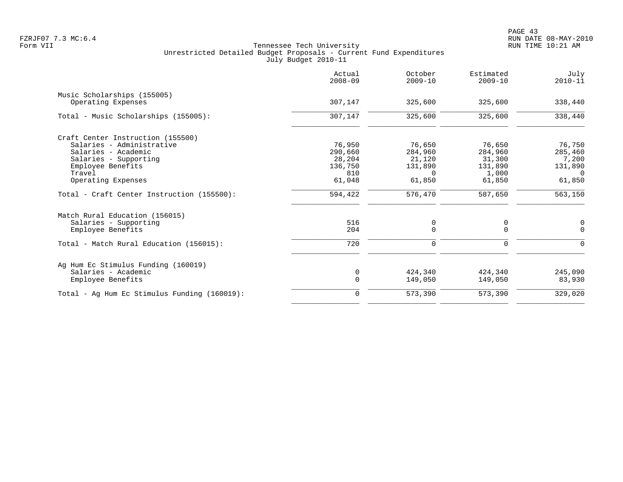|                                              | Actual<br>$2008 - 09$ | October<br>$2009 - 10$ | Estimated<br>$2009 - 10$ | July<br>$2010 - 11$ |
|----------------------------------------------|-----------------------|------------------------|--------------------------|---------------------|
| Music Scholarships (155005)                  |                       |                        |                          |                     |
| Operating Expenses                           | 307,147               | 325,600                | 325,600                  | 338,440             |
| Total - Music Scholarships (155005):         | 307,147               | 325,600                | 325,600                  | 338,440             |
| Craft Center Instruction (155500)            |                       |                        |                          |                     |
| Salaries - Administrative                    | 76,950                | 76,650                 | 76,650                   | 76,750              |
| Salaries - Academic                          | 290,660               | 284,960                | 284,960                  | 285,460             |
| Salaries - Supporting                        | 28,204                | 21,120                 | 31,300                   | 7,200               |
| Employee Benefits                            | 136,750               | 131,890                | 131,890                  | 131,890             |
| Travel                                       | 810                   | $\Omega$               | 1,000                    | $\Omega$            |
| Operating Expenses                           | 61,048                | 61,850                 | 61,850                   | 61,850              |
| Total - Craft Center Instruction (155500):   | 594,422               | 576,470                | 587,650                  | 563,150             |
| Match Rural Education (156015)               |                       |                        |                          |                     |
| Salaries - Supporting                        | 516                   | 0                      | 0                        | $\mathbf 0$         |
| Employee Benefits                            | 204                   | $\Omega$               | $\Omega$                 | $\Omega$            |
| Total - Match Rural Education (156015):      | 720                   | 0                      | $\mathbf 0$              | $\mathbf 0$         |
| Ag Hum Ec Stimulus Funding (160019)          |                       |                        |                          |                     |
| Salaries - Academic                          | 0                     | 424,340                | 424,340                  | 245,090             |
| Employee Benefits                            | $\mathbf 0$           | 149,050                | 149,050                  | 83,930              |
| Total - Aq Hum Ec Stimulus Funding (160019): | $\mathbf 0$           | 573,390                | 573,390                  | 329,020             |
|                                              |                       |                        |                          |                     |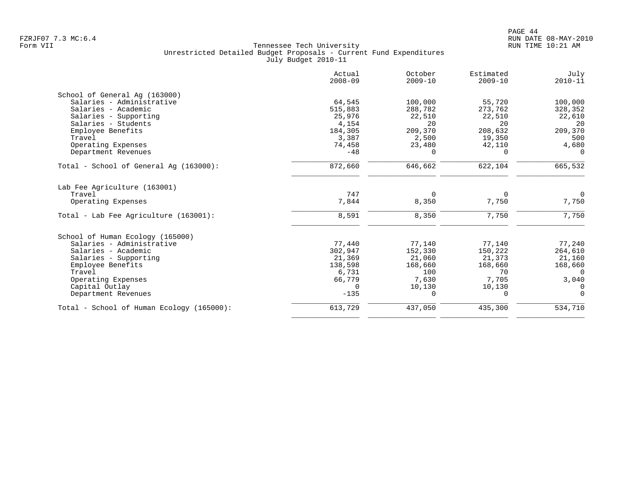|                                           | Actual<br>$2008 - 09$ | October<br>$2009 - 10$ | Estimated<br>$2009 - 10$ | July<br>$2010 - 11$ |
|-------------------------------------------|-----------------------|------------------------|--------------------------|---------------------|
| School of General Ag (163000)             |                       |                        |                          |                     |
| Salaries - Administrative                 | 64,545                | 100,000                | 55,720                   | 100,000             |
| Salaries - Academic                       | 515,883               | 288,782                | 273,762                  | 328,352             |
| Salaries - Supporting                     | 25,976                | 22,510                 | 22,510                   | 22,610              |
| Salaries - Students                       | 4,154                 | 20                     | 20                       | 20                  |
| Employee Benefits                         | 184,305               | 209,370                | 208,632                  | 209,370             |
| Travel                                    | 3,387                 | 2,500                  | 19,350                   | 500                 |
| Operating Expenses                        | 74,458                | 23,480                 | 42,110                   | 4,680               |
| Department Revenues                       | $-48$                 | $\Omega$               | $\Omega$                 | $\Omega$            |
| Total - School of General Aq (163000):    | 872,660               | 646,662                | 622,104                  | 665,532             |
| Lab Fee Agriculture (163001)              |                       |                        |                          |                     |
| Travel                                    | 747                   | $\Omega$               | $\Omega$                 | $\Omega$            |
| Operating Expenses                        | 7,844                 | 8,350                  | 7,750                    | 7,750               |
| Total - Lab Fee Agriculture (163001):     | 8,591                 | 8,350                  | 7,750                    | 7,750               |
| School of Human Ecology (165000)          |                       |                        |                          |                     |
| Salaries - Administrative                 | 77,440                | 77,140                 | 77,140                   | 77,240              |
| Salaries - Academic                       | 302,947               | 152,330                | 150,222                  | 264,610             |
| Salaries - Supporting                     | 21,369                | 21,060                 | 21,373                   | 21,160              |
| Employee Benefits                         | 138,598               | 168,660                | 168,660                  | 168,660             |
| Travel                                    | 6,731                 | 100                    | 70                       | $\Omega$            |
| Operating Expenses                        | 66,779                | 7,630                  | 7,705                    | 3,040               |
| Capital Outlay                            | $\Omega$              | 10,130                 | 10,130                   | $\Omega$            |
| Department Revenues                       | $-135$                | 0                      | 0                        | $\Omega$            |
| Total - School of Human Ecology (165000): | 613,729               | 437,050                | 435,300                  | 534,710             |
|                                           |                       |                        |                          |                     |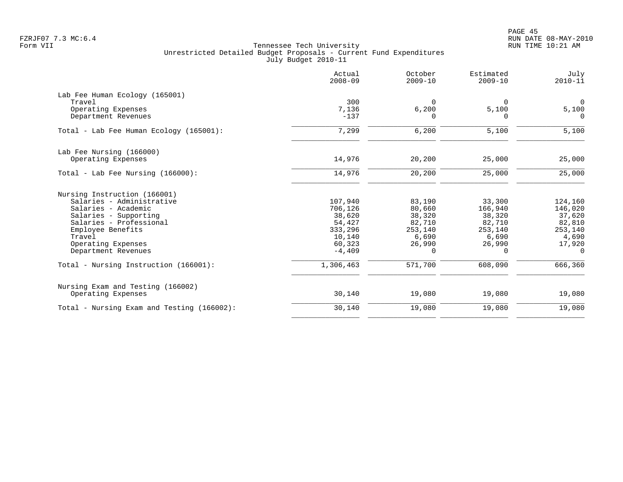| Actual<br>$2008 - 09$ | October<br>$2009 - 10$ | Estimated<br>$2009 - 10$ | July<br>$2010 - 11$ |
|-----------------------|------------------------|--------------------------|---------------------|
|                       |                        |                          |                     |
| 300                   | $\Omega$               | $\Omega$                 | $\Omega$            |
| 7,136                 | 6,200                  | 5,100                    | 5,100               |
| $-137$                | $\Omega$               | $\Omega$                 | $\Omega$            |
| 7,299                 | 6,200                  | 5,100                    | 5,100               |
|                       |                        |                          |                     |
| 14,976                | 20,200                 | 25,000                   | 25,000              |
| 14,976                | 20,200                 | 25,000                   | 25,000              |
|                       |                        |                          |                     |
| 107,940               | 83,190                 | 33,300                   | 124,160             |
| 706,126               | 80,660                 | 166,940                  | 146,020             |
| 38,620                | 38,320                 | 38,320                   | 37,620              |
| 54,427                | 82,710                 | 82,710                   | 82,810              |
| 333,296               | 253,140                | 253,140                  | 253,140             |
| 10,140                | 6,690                  | 6,690                    | 4,690               |
| 60,323                | 26,990                 | 26,990                   | 17,920              |
| $-4,409$              | 0                      | $\Omega$                 | $\Omega$            |
| 1,306,463             | 571,700                | 608,090                  | 666,360             |
|                       |                        |                          |                     |
| 30,140                | 19,080                 | 19,080                   | 19,080              |
| 30,140                | 19,080                 | 19,080                   | 19,080              |
|                       |                        |                          |                     |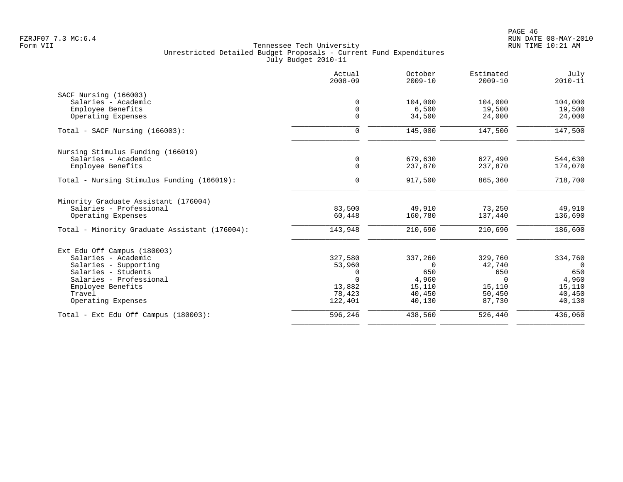|                                               | Actual<br>$2008 - 09$ | October<br>$2009 - 10$ | Estimated<br>$2009 - 10$ | July<br>$2010 - 11$ |
|-----------------------------------------------|-----------------------|------------------------|--------------------------|---------------------|
| SACF Nursing (166003)                         |                       |                        |                          |                     |
| Salaries - Academic                           | $\mathbf 0$           | 104,000                | 104,000                  | 104,000             |
| Employee Benefits                             | $\mathbf 0$           | 6,500                  | 19,500                   | 19,500              |
| Operating Expenses                            | $\mathbf 0$           | 34,500                 | 24,000                   | 24,000              |
| Total - SACF Nursing (166003):                | 0                     | 145,000                | 147,500                  | 147,500             |
| Nursing Stimulus Funding (166019)             |                       |                        |                          |                     |
| Salaries - Academic                           | 0                     | 679,630                | 627,490                  | 544,630             |
| Employee Benefits                             | $\mathbf 0$           | 237,870                | 237,870                  | 174,070             |
| Total - Nursing Stimulus Funding (166019):    | 0                     | 917,500                | 865,360                  | 718,700             |
| Minority Graduate Assistant (176004)          |                       |                        |                          |                     |
| Salaries - Professional                       | 83,500                | 49,910                 | 73,250                   | 49,910              |
| Operating Expenses                            | 60,448                | 160,780                | 137,440                  | 136,690             |
| Total - Minority Graduate Assistant (176004): | 143,948               | 210,690                | 210,690                  | 186,600             |
| Ext Edu Off Campus (180003)                   |                       |                        |                          |                     |
| Salaries - Academic                           | 327,580               | 337,260                | 329,760                  | 334,760             |
| Salaries - Supporting                         | 53,960                | $\Omega$               | 42,740                   | $\overline{0}$      |
| Salaries - Students                           | 0                     | 650                    | 650                      | 650                 |
| Salaries - Professional                       | $\Omega$              | 4,960                  | $\Omega$                 | 4,960               |
| Employee Benefits                             | 13,882                | 15,110                 | 15,110                   | 15,110              |
| Travel                                        | 78,423                | 40,450                 | 50,450                   | 40,450              |
| Operating Expenses                            | 122,401               | 40,130                 | 87,730                   | 40,130              |
| Total - Ext Edu Off Campus (180003):          | 596,246               | 438,560                | 526,440                  | 436,060             |
|                                               |                       |                        |                          |                     |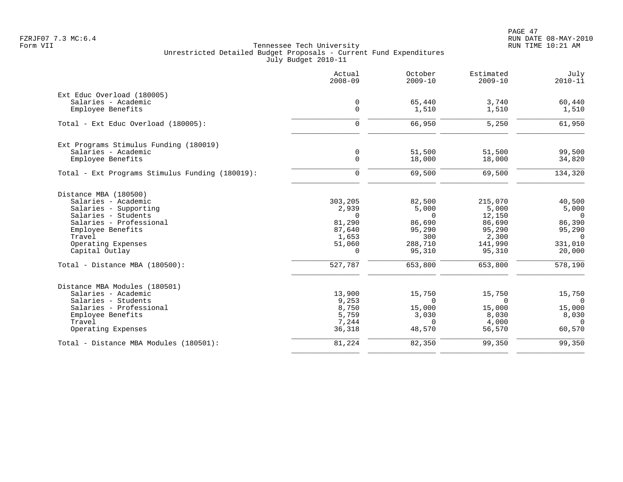PAGE 47 FZRJF07 7.3 MC:6.4 RUN DATE 08-MAY-2010

|                                                 | Actual<br>$2008 - 09$ | October<br>$2009 - 10$ | Estimated<br>$2009 - 10$ | July<br>$2010 - 11$ |
|-------------------------------------------------|-----------------------|------------------------|--------------------------|---------------------|
| Ext Educ Overload (180005)                      |                       |                        |                          |                     |
| Salaries - Academic                             | $\mathbf 0$           | 65,440                 | 3,740                    | 60,440              |
| Employee Benefits                               | $\mathsf{O}$          | 1,510                  | 1,510                    | 1,510               |
| Total - Ext Educ Overload (180005):             | $\mathbf 0$           | 66,950                 | 5,250                    | 61,950              |
| Ext Programs Stimulus Funding (180019)          |                       |                        |                          |                     |
| Salaries - Academic                             | $\mathbf 0$           | 51,500                 | 51,500                   | 99,500              |
| Employee Benefits                               | $\mathsf{O}$          | 18,000                 | 18,000                   | 34,820              |
| Total - Ext Programs Stimulus Funding (180019): | $\mathbf 0$           | 69,500                 | 69,500                   | 134,320             |
| Distance MBA (180500)                           |                       |                        |                          |                     |
| Salaries - Academic                             | 303,205               | 82,500                 | 215,070                  | 40,500              |
| Salaries - Supporting                           | 2,939                 | 5,000                  | 5,000                    | 5,000               |
| Salaries - Students                             | $\Omega$              | $\Omega$               | 12,150                   | $\overline{0}$      |
| Salaries - Professional                         | 81,290                | 86,690                 | 86,690                   | 86,390              |
| Employee Benefits                               | 87,640                | 95,290                 | 95,290                   | 95,290              |
| Travel                                          | 1,653                 | 300                    | 2,300                    | $\Omega$            |
| Operating Expenses                              | 51,060                | 288,710                | 141,990                  | 331,010             |
| Capital Outlay                                  | 0                     | 95,310                 | 95,310                   | 20,000              |
| Total - Distance MBA (180500):                  | 527,787               | 653,800                | 653,800                  | 578,190             |
| Distance MBA Modules (180501)                   |                       |                        |                          |                     |
| Salaries - Academic                             | 13,900                | 15,750                 | 15,750                   | 15,750              |
| Salaries - Students                             | 9,253                 | $\Omega$               | $\mathbf 0$              | $\Omega$            |
| Salaries - Professional                         | 8,750                 | 15,000                 | 15,000                   | 15,000              |
| Employee Benefits                               | 5,759                 | 3,030                  | 8,030                    | 8,030               |
| Travel                                          | 7,244                 | $\Omega$               | 4,000                    | $\Omega$            |
| Operating Expenses                              | 36,318                | 48,570                 | 56,570                   | 60,570              |
| Total - Distance MBA Modules (180501):          | 81,224                | 82,350                 | 99,350                   | 99,350              |
|                                                 |                       |                        |                          |                     |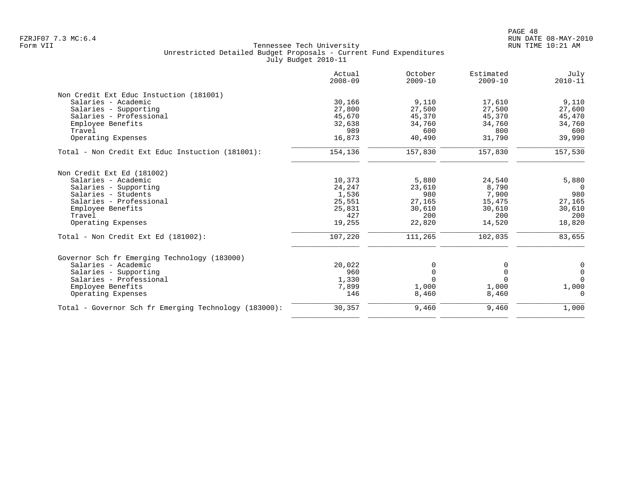|                                                       | Actual<br>$2008 - 09$ | October<br>$2009 - 10$ | Estimated<br>$2009 - 10$ | July<br>$2010 - 11$ |
|-------------------------------------------------------|-----------------------|------------------------|--------------------------|---------------------|
| Non Credit Ext Educ Instuction (181001)               |                       |                        |                          |                     |
| Salaries - Academic                                   | 30,166                | 9,110                  | 17,610                   | 9,110               |
| Salaries - Supporting                                 | 27,800                | 27,500                 | 27,500                   | 27,600              |
| Salaries - Professional                               | 45,670                | 45,370                 | 45,370                   | 45,470              |
| Employee Benefits                                     | 32,638                | 34,760                 | 34,760                   | 34,760              |
| Travel                                                | 989                   | 600                    | 800                      | 600                 |
| Operating Expenses                                    | 16,873                | 40,490                 | 31,790                   | 39,990              |
| Total - Non Credit Ext Educ Instuction (181001):      | 154,136               | 157,830                | 157,830                  | 157,530             |
| Non Credit Ext Ed (181002)                            |                       |                        |                          |                     |
| Salaries - Academic                                   | 10,373                | 5,880                  | 24,540                   | 5,880               |
| Salaries - Supporting                                 | 24,247                | 23,610                 | 8,790                    | $\Omega$            |
| Salaries - Students                                   | 1,536                 | 980                    | 7,900                    | 980                 |
| Salaries - Professional                               | 25,551                | 27,165                 | 15,475                   | 27,165              |
| Employee Benefits                                     | 25,831                | 30,610                 | 30,610                   | 30,610              |
| Travel                                                | 427                   | 200                    | 200                      | 200                 |
| Operating Expenses                                    | 19,255                | 22,820                 | 14,520                   | 18,820              |
| Total - Non Credit Ext Ed (181002):                   | 107,220               | 111,265                | 102,035                  | 83,655              |
| Governor Sch fr Emerging Technology (183000)          |                       |                        |                          |                     |
| Salaries - Academic                                   | 20,022                | 0                      | 0                        | 0                   |
| Salaries - Supporting                                 | 960                   | $\Omega$               | 0                        | $\mathbf 0$         |
| Salaries - Professional                               | 1,330                 | $\Omega$               | $\Omega$                 | $\Omega$            |
| Employee Benefits                                     | 7,899                 | 1,000                  | 1,000                    | 1,000               |
| Operating Expenses                                    | 146                   | 8,460                  | 8,460                    | $\Omega$            |
| Total - Governor Sch fr Emerging Technology (183000): | 30,357                | 9,460                  | 9,460                    | 1,000               |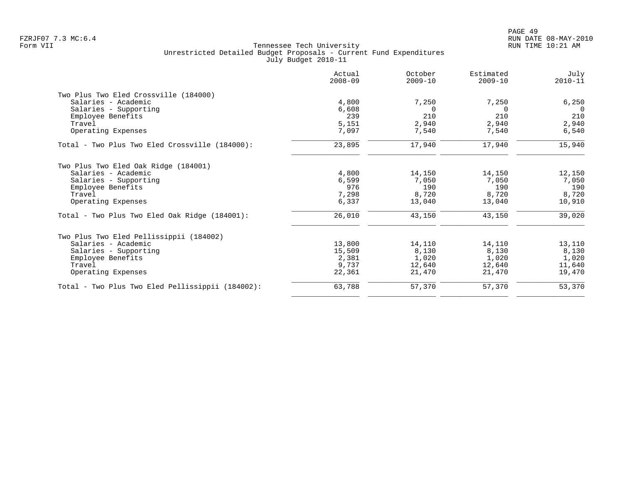|                                                  | Actual<br>$2008 - 09$ | October<br>$2009 - 10$ | Estimated<br>$2009 - 10$ | July<br>$2010 - 11$ |
|--------------------------------------------------|-----------------------|------------------------|--------------------------|---------------------|
| Two Plus Two Eled Crossville (184000)            |                       |                        |                          |                     |
| Salaries - Academic                              | 4,800                 | 7,250                  | 7,250                    | 6,250               |
| Salaries - Supporting                            | 6,608                 | $\Omega$               | $\Omega$                 | $\Omega$            |
| Employee Benefits                                | 239                   | 210                    | 210                      | 210                 |
| Travel                                           | 5,151                 | 2,940                  | 2,940                    | 2,940               |
| Operating Expenses                               | 7,097                 | 7,540                  | 7,540                    | 6,540               |
| Total - Two Plus Two Eled Crossville (184000):   | 23,895                | 17,940                 | 17,940                   | 15,940              |
| Two Plus Two Eled Oak Ridge (184001)             |                       |                        |                          |                     |
| Salaries - Academic                              | 4,800                 | 14,150                 | 14,150                   | 12,150              |
| Salaries - Supporting                            | 6,599                 | 7,050                  | 7,050                    | 7,050               |
| Employee Benefits                                | 976                   | 190                    | 190                      | 190                 |
| Travel                                           | 7,298                 | 8,720                  | 8,720                    | 8,720               |
| Operating Expenses                               | 6,337                 | 13,040                 | 13,040                   | 10,910              |
| Total - Two Plus Two Eled Oak Ridge (184001):    | 26,010                | 43,150                 | 43,150                   | 39,020              |
| Two Plus Two Eled Pellissippii (184002)          |                       |                        |                          |                     |
| Salaries - Academic                              | 13,800                | 14,110                 | 14,110                   | 13,110              |
| Salaries - Supporting                            | 15,509                | 8,130                  | 8,130                    | 8,130               |
| Employee Benefits                                | 2,381                 | 1,020                  | 1,020                    | 1,020               |
| Travel                                           | 9,737                 | 12,640                 | 12,640                   | 11,640              |
| Operating Expenses                               | 22,361                | 21,470                 | 21,470                   | 19,470              |
| Total - Two Plus Two Eled Pellissippii (184002): | 63,788                | 57,370                 | 57,370                   | 53,370              |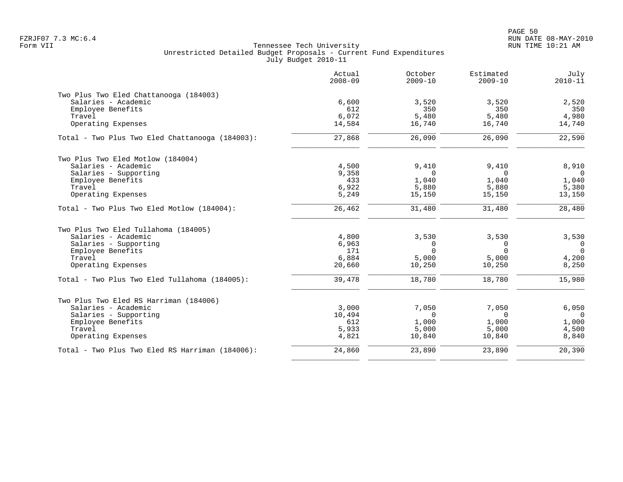|                                                 | Actual<br>$2008 - 09$ | October<br>$2009 - 10$ | Estimated<br>$2009 - 10$ | July<br>$2010 - 11$ |
|-------------------------------------------------|-----------------------|------------------------|--------------------------|---------------------|
| Two Plus Two Eled Chattanooga (184003)          |                       |                        |                          |                     |
| Salaries - Academic                             | 6,600                 | 3,520                  | 3,520                    | 2,520               |
| Employee Benefits                               | 612                   | 350                    | 350                      | 350                 |
| Travel                                          | 6,072                 | 5,480                  | 5,480                    | 4,980               |
| Operating Expenses                              | 14,584                | 16,740                 | 16,740                   | 14,740              |
| Total - Two Plus Two Eled Chattanooga (184003): | 27,868                | 26,090                 | 26,090                   | 22,590              |
| Two Plus Two Eled Motlow (184004)               |                       |                        |                          |                     |
| Salaries - Academic                             | 4,500                 | 9,410                  | 9,410                    | 8,910               |
| Salaries - Supporting                           | 9,358                 | $\Omega$               | $\Omega$                 | $\Omega$            |
| Employee Benefits                               | 433                   | 1,040                  | 1,040                    | 1,040               |
| Travel                                          | 6,922                 | 5,880                  | 5,880                    | 5,380               |
| Operating Expenses                              | 5,249                 | 15,150                 | 15,150                   | 13,150              |
| Total - Two Plus Two Eled Motlow (184004):      | 26,462                | 31,480                 | 31,480                   | 28,480              |
| Two Plus Two Eled Tullahoma (184005)            |                       |                        |                          |                     |
| Salaries - Academic                             | 4,800                 | 3,530                  | 3,530                    | 3,530               |
| Salaries - Supporting                           | 6,963                 | 0                      | $\mathbf 0$              | $\overline{0}$      |
| Employee Benefits                               | 171                   | $\Omega$               | $\Omega$                 | $\Omega$            |
| Travel                                          | 6,884                 | 5,000                  | 5,000                    | 4,200               |
| Operating Expenses                              | 20,660                | 10,250                 | 10,250                   | 8,250               |
| Total - Two Plus Two Eled Tullahoma (184005):   | 39,478                | 18,780                 | 18,780                   | 15,980              |
| Two Plus Two Eled RS Harriman (184006)          |                       |                        |                          |                     |
| Salaries - Academic                             | 3,000                 | 7,050                  | 7,050                    | 6,050               |
| Salaries - Supporting                           | 10,494                | $\Omega$               | $\Omega$                 | $\Omega$            |
| Employee Benefits                               | 612                   | 1,000                  | 1,000                    | 1,000               |
| Travel                                          | 5,933                 | 5,000                  | 5,000                    | 4,500               |
| Operating Expenses                              | 4,821                 | 10,840                 | 10,840                   | 8,840               |
| Total - Two Plus Two Eled RS Harriman (184006): | 24,860                | 23,890                 | 23,890                   | 20,390              |
|                                                 |                       |                        |                          |                     |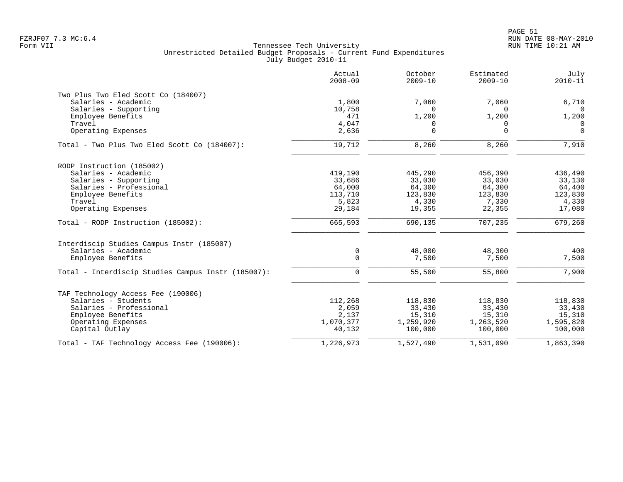|                                                    | Actual<br>$2008 - 09$ | October<br>$2009 - 10$ | Estimated<br>$2009 - 10$ | July<br>$2010 - 11$     |
|----------------------------------------------------|-----------------------|------------------------|--------------------------|-------------------------|
| Two Plus Two Eled Scott Co (184007)                |                       |                        |                          |                         |
| Salaries - Academic                                | 1,800                 | 7,060                  | 7,060                    | 6,710                   |
| Salaries - Supporting                              | 10,758                | $\Omega$               | $\Omega$                 | $\Omega$                |
| Employee Benefits                                  | 471<br>4,047          | 1,200                  | 1,200                    | 1,200<br>$\overline{0}$ |
| Travel<br>Operating Expenses                       | 2,636                 | 0<br>$\Omega$          | $\Omega$<br>$\Omega$     | $\Omega$                |
|                                                    |                       |                        |                          |                         |
| Total - Two Plus Two Eled Scott Co (184007):       | 19,712                | 8,260                  | 8,260                    | 7,910                   |
| RODP Instruction (185002)                          |                       |                        |                          |                         |
| Salaries - Academic                                | 419,190               | 445,290                | 456,390                  | 436,490                 |
| Salaries - Supporting                              | 33,686                | 33,030                 | 33,030                   | 33,130                  |
| Salaries - Professional                            | 64,000                | 64,300                 | 64,300                   | 64,400                  |
| Employee Benefits                                  | 113,710               | 123,830                | 123,830                  | 123,830                 |
| Travel                                             | 5,823                 | 4,330                  | 7,330                    | 4,330                   |
| Operating Expenses                                 | 29,184                | 19,355                 | 22,355                   | 17,080                  |
| Total - RODP Instruction (185002):                 | 665,593               | 690,135                | 707,235                  | 679,260                 |
| Interdiscip Studies Campus Instr (185007)          |                       |                        |                          |                         |
| Salaries - Academic                                | 0                     | 48,000                 | 48,300                   | 400                     |
| Employee Benefits                                  | $\mathbf 0$           | 7,500                  | 7,500                    | 7,500                   |
| Total - Interdiscip Studies Campus Instr (185007): | $\mathbf 0$           | 55,500                 | 55,800                   | 7,900                   |
| TAF Technology Access Fee (190006)                 |                       |                        |                          |                         |
| Salaries - Students                                | 112,268               | 118,830                | 118,830                  | 118,830                 |
| Salaries - Professional                            | 2,059                 | 33,430                 | 33,430                   | 33,430                  |
| Employee Benefits                                  | 2,137                 | 15,310                 | 15,310                   | 15,310                  |
| Operating Expenses                                 | 1,070,377             | 1,259,920              | 1,263,520                | 1,595,820               |
| Capital Outlay                                     | 40,132                | 100,000                | 100,000                  | 100,000                 |
| Total - TAF Technology Access Fee (190006):        | 1,226,973             | 1,527,490              | 1,531,090                | 1,863,390               |
|                                                    |                       |                        |                          |                         |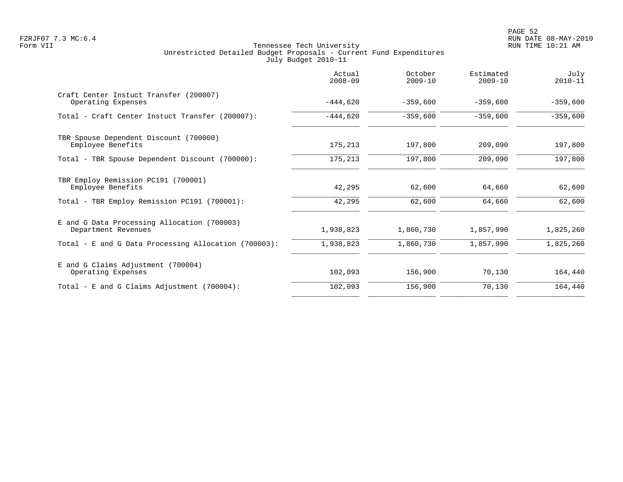|                                                                    | Actual<br>$2008 - 09$ | October<br>$2009 - 10$ | Estimated<br>$2009 - 10$ | July<br>$2010 - 11$ |
|--------------------------------------------------------------------|-----------------------|------------------------|--------------------------|---------------------|
| Craft Center Instuct Transfer (200007)<br>Operating Expenses       | $-444,620$            | $-359,600$             | $-359,600$               | $-359,600$          |
| Total - Craft Center Instuct Transfer (200007):                    | $-444,620$            | $-359,600$             | $-359,600$               | $-359,600$          |
| TBR Spouse Dependent Discount (700000)<br>Employee Benefits        | 175,213               | 197,800                | 209,090                  | 197,800             |
| Total - TBR Spouse Dependent Discount (700000):                    | 175,213               | 197,800                | 209,090                  | 197,800             |
| TBR Employ Remission PC191 (700001)<br>Employee Benefits           | 42,295                | 62,600                 | 64,660                   | 62,600              |
| Total - TBR Employ Remission PC191 (700001):                       | 42,295                | 62,600                 | 64,660                   | 62,600              |
| E and G Data Processing Allocation (700003)<br>Department Revenues | 1,938,823             | 1,860,730              | 1,857,990                | 1,825,260           |
| Total - E and G Data Processing Allocation (700003):               | 1,938,823             | 1,860,730              | 1,857,990                | 1,825,260           |
| E and G Claims Adjustment (700004)<br>Operating Expenses           | 102,093               | 156,900                | 70,130                   | 164,440             |
| Total - E and G Claims Adjustment $(700004)$ :                     | 102,093               | 156,900                | 70,130                   | 164,440             |
|                                                                    |                       |                        |                          |                     |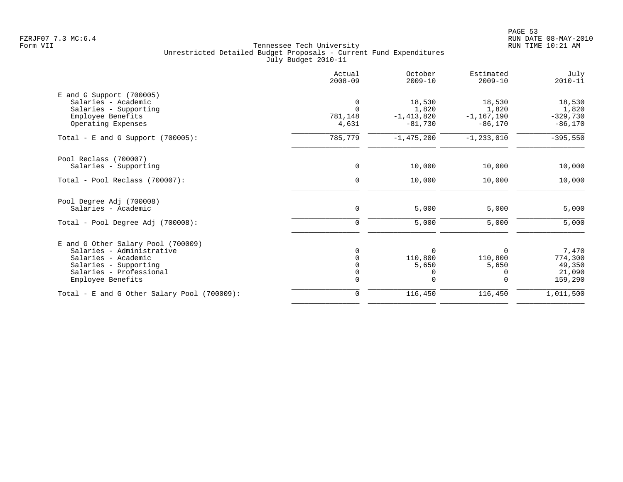| Actual<br>$2008 - 09$ | October<br>$2009 - 10$ | Estimated<br>$2009 - 10$          | July<br>$2010 - 11$               |
|-----------------------|------------------------|-----------------------------------|-----------------------------------|
|                       |                        |                                   |                                   |
| $\overline{0}$        | 18,530                 | 18,530                            | 18,530                            |
| $\Omega$              | 1,820                  | 1,820                             | 1,820                             |
| 781,148               | $-1, 413, 820$         | $-1, 167, 190$                    | $-329,730$                        |
| 4,631                 | $-81,730$              | $-86,170$                         | $-86,170$                         |
| 785,779               | $-1,475,200$           | $-1, 233, 010$                    | $-395,550$                        |
|                       |                        |                                   |                                   |
| 0                     | 10,000                 | 10,000                            | 10,000                            |
| 0                     | 10,000                 | 10,000                            | 10,000                            |
|                       |                        |                                   |                                   |
| 0                     | 5,000                  | 5,000                             | 5,000                             |
| 0                     | 5,000                  | 5,000                             | 5,000                             |
|                       |                        |                                   |                                   |
|                       |                        |                                   | 7,470                             |
|                       |                        |                                   | 774,300                           |
|                       |                        |                                   | 49,350                            |
|                       |                        |                                   | 21,090                            |
| $\Omega$              | $\Omega$               | $\Omega$                          | 159,290                           |
| 0                     | 116,450                | 116,450                           | 1,011,500                         |
|                       | 0<br>$\Omega$<br>0     | $\Omega$<br>110,800<br>5,650<br>0 | $\Omega$<br>110,800<br>5,650<br>0 |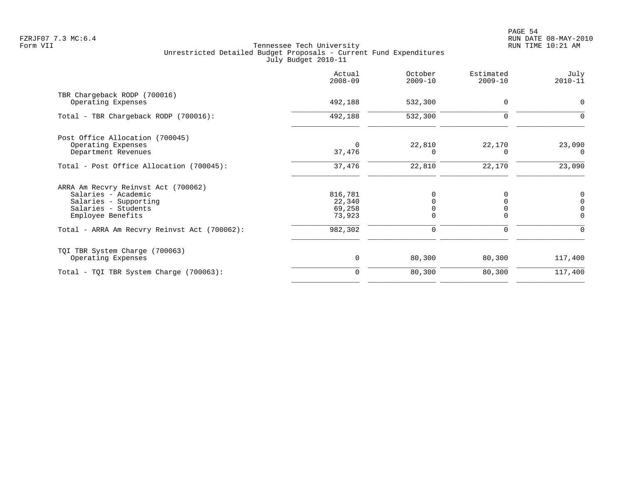|                                              | Actual<br>$2008 - 09$ | October<br>$2009 - 10$ | Estimated<br>$2009 - 10$ | July<br>$2010 - 11$ |
|----------------------------------------------|-----------------------|------------------------|--------------------------|---------------------|
| TBR Chargeback RODP (700016)                 |                       |                        |                          |                     |
| Operating Expenses                           | 492,188               | 532,300                | $\mathbf 0$              | 0                   |
| Total - TBR Chargeback RODP (700016):        | 492,188               | 532,300                | $\Omega$                 |                     |
| Post Office Allocation (700045)              |                       |                        |                          |                     |
| Operating Expenses                           |                       | 22,810                 | 22,170                   | 23,090              |
| Department Revenues                          | 37,476                | $\Omega$               |                          | - 0                 |
| Total - Post Office Allocation (700045):     | 37,476                | 22,810                 | 22,170                   | 23,090              |
| ARRA Am Recvry Reinvst Act (700062)          |                       |                        |                          |                     |
| Salaries - Academic                          | 816,781               | $\Omega$               | 0                        | 0                   |
| Salaries - Supporting                        | 22,340                |                        |                          | $\mathbf 0$         |
| Salaries - Students                          | 69,258                |                        |                          | $\mathbf 0$         |
| Employee Benefits                            | 73,923                | $\Omega$               |                          | $\Omega$            |
| Total - ARRA Am Recvry Reinvst Act (700062): | 982,302               | $\mathbf 0$            | 0                        | $\Omega$            |
| TQI TBR System Charge (700063)               |                       |                        |                          |                     |
| Operating Expenses                           | $\mathbf 0$           | 80,300                 | 80,300                   | 117,400             |
| Total - TQI TBR System Charge (700063):      | $\Omega$              | 80,300                 | 80,300                   | 117,400             |
|                                              |                       |                        |                          |                     |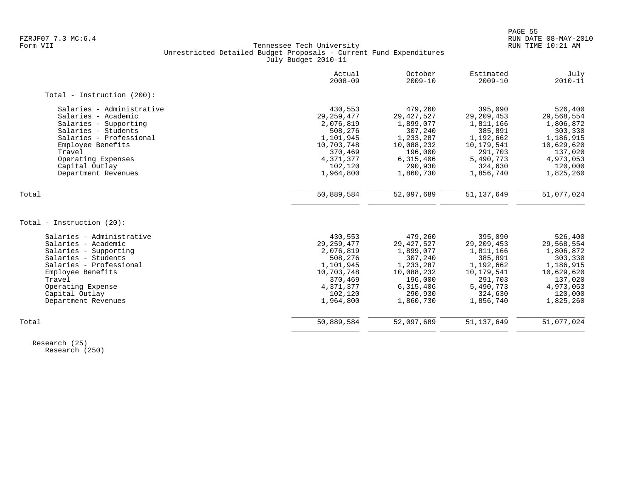|                            | Actual<br>$2008 - 09$ | October<br>$2009 - 10$ | Estimated<br>$2009 - 10$ | July<br>$2010 - 11$ |
|----------------------------|-----------------------|------------------------|--------------------------|---------------------|
| Total - Instruction (200): |                       |                        |                          |                     |
| Salaries - Administrative  | 430,553               | 479,260                | 395,090                  | 526,400             |
| Salaries - Academic        | 29, 259, 477          | 29, 427, 527           | 29, 209, 453             | 29,568,554          |
| Salaries - Supporting      | 2,076,819             | 1,899,077              | 1,811,166                | 1,806,872           |
| Salaries - Students        | 508,276               | 307,240                | 385,891                  | 303,330             |
| Salaries - Professional    | 1,101,945             | 1,233,287              | 1,192,662                | 1,186,915           |
| Employee Benefits          | 10,703,748            | 10,088,232             | 10,179,541               | 10,629,620          |
| Travel                     | 370,469               | 196,000                | 291,703                  | 137,020             |
| Operating Expenses         | 4,371,377             | 6,315,406              | 5,490,773                | 4,973,053           |
| Capital Outlay             | 102,120               | 290,930                | 324,630                  | 120,000             |
| Department Revenues        | 1,964,800             | 1,860,730              | 1,856,740                | 1,825,260           |
| Total                      | 50,889,584            | 52,097,689             | 51, 137, 649             | 51,077,024          |
|                            |                       |                        |                          |                     |
| Total - Instruction (20):  |                       |                        |                          |                     |
| Salaries - Administrative  | 430,553               | 479,260                | 395,090                  | 526,400             |
| Salaries - Academic        | 29, 259, 477          | 29, 427, 527           | 29, 209, 453             | 29,568,554          |
| Salaries - Supporting      | 2,076,819             | 1,899,077              | 1,811,166                | 1,806,872           |
| Salaries - Students        | 508,276               | 307,240                | 385,891                  | 303,330             |
| Salaries - Professional    | 1,101,945             | 1,233,287              | 1,192,662                | 1,186,915           |
| Employee Benefits          | 10,703,748            | 10,088,232             | 10,179,541               | 10,629,620          |
| Travel                     | 370,469               | 196,000                | 291,703                  | 137,020             |
| Operating Expense          | 4,371,377             | 6,315,406              | 5,490,773                | 4,973,053           |
| Capital Outlay             | 102,120               | 290,930                | 324,630                  | 120,000             |
| Department Revenues        | 1,964,800             | 1,860,730              | 1,856,740                | 1,825,260           |
| Total                      | 50,889,584            | 52,097,689             | 51, 137, 649             | 51,077,024          |
|                            |                       |                        |                          |                     |

 Research (25) Research (250)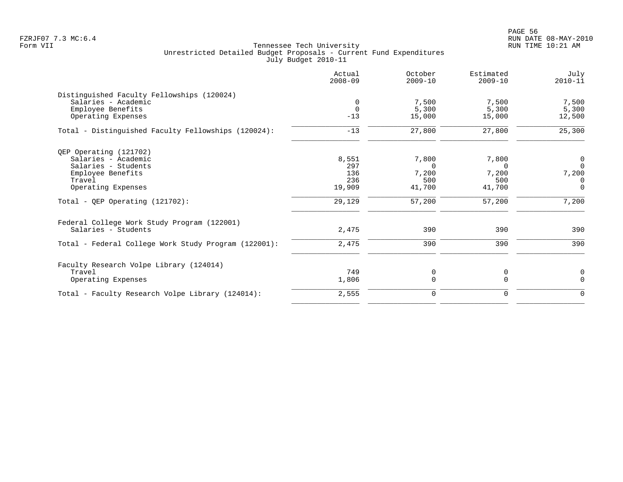en and the state of the state of the state of the state of the state of the state of the state of the state of the state of the state of the state of the state of the state of the state of the state of the state of the sta FZRJF07 7.3 MC:6.4 RUN DATE 08-MAY-2010

| Actual<br>$2008 - 09$ | October<br>$2009 - 10$ | Estimated<br>$2009 - 10$ | July<br>$2010 - 11$ |
|-----------------------|------------------------|--------------------------|---------------------|
|                       |                        |                          |                     |
| $\mathbf 0$           | 7,500                  | 7,500                    | 7,500               |
| $\Omega$              | 5,300                  | 5,300                    | 5,300               |
| $-13$                 | 15,000                 | 15,000                   | 12,500              |
| $-13$                 | 27,800                 | 27,800                   | 25,300              |
|                       |                        |                          |                     |
| 8,551                 | 7,800                  | 7,800                    | $\overline{0}$      |
| 297                   | $\Omega$               | $\cap$                   | $\Omega$            |
| 136                   | 7,200                  | 7,200                    | 7,200               |
| 236                   | 500                    | 500                      | $\Omega$            |
| 19,909                | 41,700                 | 41,700                   | $\overline{0}$      |
| 29,129                | 57,200                 | 57,200                   | 7,200               |
|                       |                        |                          |                     |
| 2,475                 | 390                    | 390                      | 390                 |
| 2,475                 | 390                    | 390                      | 390                 |
|                       |                        |                          |                     |
| 749                   | 0                      | 0                        | 0                   |
| 1,806                 | $\mathbf 0$            | 0                        | $\mathbf 0$         |
| 2,555                 | $\mathbf 0$            | 0                        | $\mathbf 0$         |
|                       |                        |                          |                     |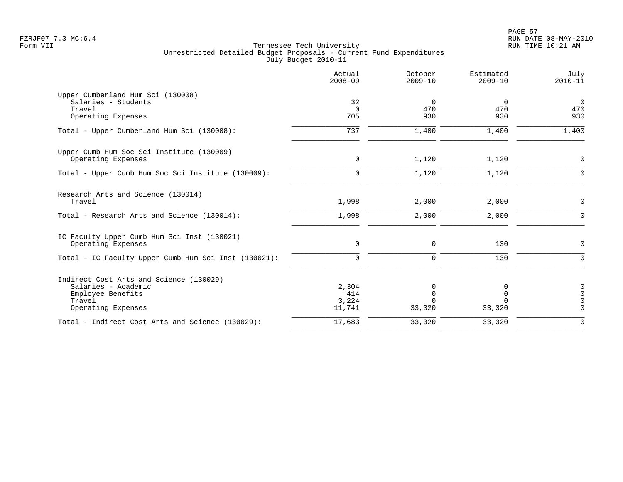|                                                                                                                     | Actual<br>$2008 - 09$           | October<br>$2009 - 10$ | Estimated<br>$2009 - 10$     | July<br>$2010 - 11$                                         |
|---------------------------------------------------------------------------------------------------------------------|---------------------------------|------------------------|------------------------------|-------------------------------------------------------------|
| Upper Cumberland Hum Sci (130008)<br>Salaries - Students<br>Travel<br>Operating Expenses                            | 32<br>$\Omega$<br>705           | 0<br>470<br>930        | $\Omega$<br>470<br>930       | $\overline{0}$<br>470<br>930                                |
| Total - Upper Cumberland Hum Sci (130008):                                                                          | 737                             | 1,400                  | 1,400                        | 1,400                                                       |
| Upper Cumb Hum Soc Sci Institute (130009)<br>Operating Expenses                                                     | 0                               | 1,120                  | 1,120                        | 0                                                           |
| Total - Upper Cumb Hum Soc Sci Institute (130009):                                                                  | $\mathbf 0$                     | 1,120                  | 1,120                        | $\mathbf 0$                                                 |
| Research Arts and Science (130014)<br>Travel                                                                        | 1,998                           | 2,000                  | 2,000                        | 0                                                           |
| Total - Research Arts and Science (130014):                                                                         | 1,998                           | 2,000                  | 2,000                        | $\mathbf 0$                                                 |
| IC Faculty Upper Cumb Hum Sci Inst (130021)<br>Operating Expenses                                                   | $\mathsf{O}$                    | 0                      | 130                          | $\mathbf 0$                                                 |
| Total - IC Faculty Upper Cumb Hum Sci Inst (130021):                                                                | $\mathbf 0$                     | 0                      | 130                          | $\mathbf 0$                                                 |
| Indirect Cost Arts and Science (130029)<br>Salaries - Academic<br>Employee Benefits<br>Travel<br>Operating Expenses | 2,304<br>414<br>3,224<br>11,741 | 0<br>0<br>33,320       | 0<br>0<br>$\Omega$<br>33,320 | $\mathbf 0$<br>$\overline{0}$<br>$\mathbf 0$<br>$\mathbf 0$ |
| Total - Indirect Cost Arts and Science (130029):                                                                    | 17,683                          | 33,320                 | 33,320                       | $\mathbf 0$                                                 |
|                                                                                                                     |                                 |                        |                              |                                                             |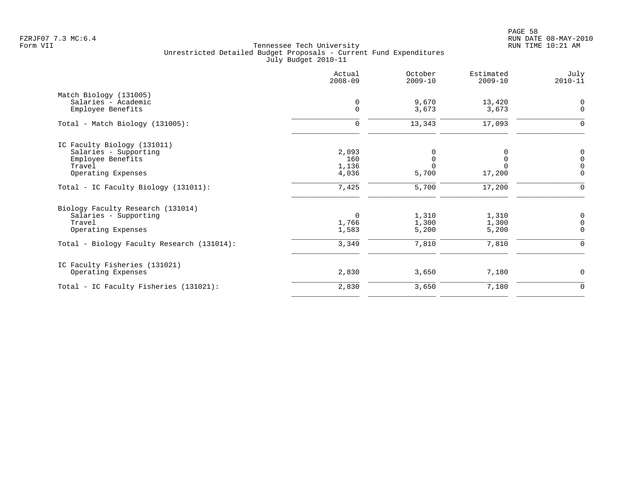PAGE 58 FZRJF07 7.3 MC:6.4 RUN DATE 08-MAY-2010

|                                            | Actual<br>$2008 - 09$ | October<br>$2009 - 10$ | Estimated<br>$2009 - 10$ | July<br>$2010 - 11$ |
|--------------------------------------------|-----------------------|------------------------|--------------------------|---------------------|
| Match Biology (131005)                     |                       |                        |                          |                     |
| Salaries - Academic                        | 0                     | 9,670                  | 13,420                   | $\mathbf 0$         |
| Employee Benefits                          | $\mathbf 0$           | 3,673                  | 3,673                    | $\mathbf 0$         |
| $Total - Match Biology (131005):$          | $\mathbf 0$           | 13,343                 | 17,093                   | 0                   |
| IC Faculty Biology (131011)                |                       |                        |                          |                     |
| Salaries - Supporting                      | 2,093                 |                        | 0                        | 0                   |
| Employee Benefits                          | 160                   | 0                      | 0                        | $\mathbf 0$         |
| Travel                                     | 1,136                 |                        | $\Omega$                 | $\overline{0}$      |
| Operating Expenses                         | 4,036                 | 5,700                  | 17,200                   | $\mathbf 0$         |
| Total - IC Faculty Biology (131011):       | 7,425                 | 5,700                  | 17,200                   | $\Omega$            |
| Biology Faculty Research (131014)          |                       |                        |                          |                     |
| Salaries - Supporting                      | 0                     | 1,310                  | 1,310                    | 0                   |
| Travel                                     | 1,766                 | 1,300                  | 1,300                    | $\mathbf 0$         |
| Operating Expenses                         | 1,583                 | 5,200                  | 5,200                    | $\Omega$            |
| Total - Biology Faculty Research (131014): | 3,349                 | 7,810                  | 7,810                    | $\mathbf 0$         |
| IC Faculty Fisheries (131021)              |                       |                        |                          |                     |
| Operating Expenses                         | 2,830                 | 3,650                  | 7,180                    | $\mathbf 0$         |
| Total - IC Faculty Fisheries (131021):     | 2,830                 | 3,650                  | 7,180                    | $\mathbf 0$         |
|                                            |                       |                        |                          |                     |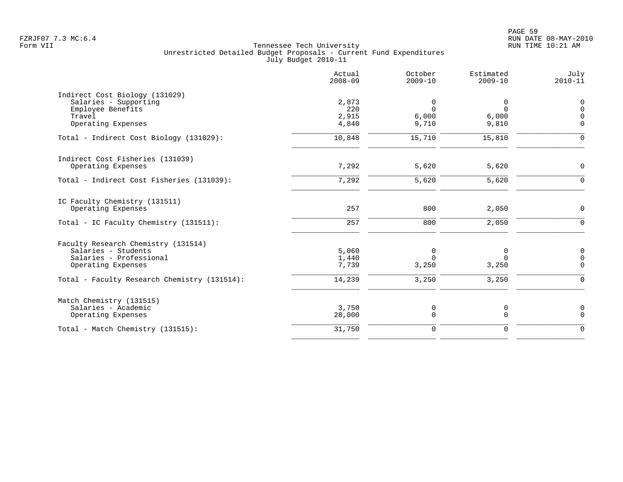|                                              | Actual<br>$2008 - 09$ | October<br>$2009 - 10$ | Estimated<br>$2009 - 10$ | July<br>$2010 - 11$ |
|----------------------------------------------|-----------------------|------------------------|--------------------------|---------------------|
| Indirect Cost Biology (131029)               |                       |                        |                          |                     |
| Salaries - Supporting                        | 2,873                 | 0                      | 0                        | 0                   |
| Employee Benefits                            | 220                   | $\Omega$               | $\Omega$                 | $\Omega$            |
| Travel                                       | 2,915                 | 6,000                  | 6,000                    | $\Omega$            |
| Operating Expenses                           | 4,840                 | 9,710                  | 9,810                    | $\Omega$            |
| Total - Indirect Cost Biology (131029):      | 10,848                | 15,710                 | 15,810                   | $\Omega$            |
| Indirect Cost Fisheries (131039)             |                       |                        |                          |                     |
| Operating Expenses                           | 7,292                 | 5,620                  | 5,620                    | $\Omega$            |
| Total - Indirect Cost Fisheries (131039):    | 7,292                 | 5,620                  | 5,620                    | $\Omega$            |
| IC Faculty Chemistry (131511)                |                       |                        |                          |                     |
| Operating Expenses                           | 257                   | 800                    | 2,050                    | $\mathbf 0$         |
| Total - IC Faculty Chemistry (131511):       | 257                   | 800                    | 2,050                    | $\Omega$            |
| Faculty Research Chemistry (131514)          |                       |                        |                          |                     |
| Salaries - Students                          | 5,060                 | 0                      | 0                        | 0                   |
| Salaries - Professional                      | 1,440                 | $\Omega$               | $\Omega$                 | $\mathbf 0$         |
| Operating Expenses                           | 7,739                 | 3,250                  | 3,250                    | $\Omega$            |
| Total - Faculty Research Chemistry (131514): | 14,239                | 3,250                  | 3,250                    | $\Omega$            |
| Match Chemistry (131515)                     |                       |                        |                          |                     |
| Salaries - Academic                          | 3,750                 | 0                      | 0                        | $\mathbf 0$         |
| Operating Expenses                           | 28,000                | 0                      | $\mathbf 0$              | $\Omega$            |
| Total - Match Chemistry (131515):            | 31,750                | $\mathbf 0$            | $\mathbf 0$              | $\Omega$            |
|                                              |                       |                        |                          |                     |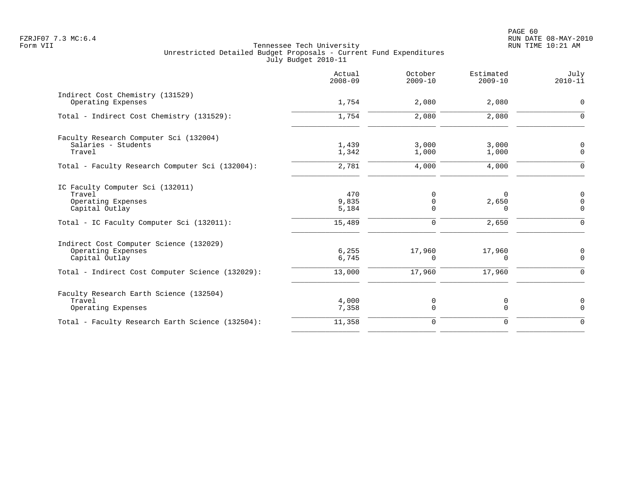|                                                                                                                                     | Actual<br>$2008 - 09$           | October<br>$2009 - 10$ | Estimated<br>$2009 - 10$               | July<br>$2010 - 11$                            |
|-------------------------------------------------------------------------------------------------------------------------------------|---------------------------------|------------------------|----------------------------------------|------------------------------------------------|
| Indirect Cost Chemistry (131529)<br>Operating Expenses                                                                              | 1,754                           | 2,080                  | 2,080                                  | 0                                              |
| Total - Indirect Cost Chemistry (131529):                                                                                           | 1,754                           | 2,080                  | 2,080                                  | $\Omega$                                       |
| Faculty Research Computer Sci (132004)<br>Salaries - Students<br>Travel                                                             | 1,439<br>1,342                  | 3,000<br>1,000         | 3,000<br>1,000                         | 0<br>$\mathbf 0$                               |
| Total - Faculty Research Computer Sci (132004):                                                                                     | 2,781                           | 4,000                  | 4,000                                  | $\mathbf 0$                                    |
| IC Faculty Computer Sci (132011)<br>Travel<br>Operating Expenses<br>Capital Outlay<br>Total - IC Faculty Computer Sci (132011):     | 470<br>9,835<br>5,184<br>15,489 | 0<br>0<br>0<br>0       | $\Omega$<br>2,650<br>$\Omega$<br>2,650 | 0<br>$\mathbf 0$<br>$\mathbf 0$<br>$\mathbf 0$ |
| Indirect Cost Computer Science (132029)<br>Operating Expenses<br>Capital Outlay<br>Total - Indirect Cost Computer Science (132029): | 6, 255<br>6,745<br>13,000       | 17,960<br>0<br>17,960  | 17,960<br>0<br>17,960                  | 0<br>$\mathbf 0$<br>$\mathbf 0$                |
| Faculty Research Earth Science (132504)<br>Travel<br>Operating Expenses                                                             | 4,000<br>7,358                  | 0<br>$\mathbf 0$       | 0<br>$\mathbf 0$                       | 0<br>$\mathbf 0$                               |
| Total - Faculty Research Earth Science (132504):                                                                                    | 11,358                          | 0                      | $\mathbf 0$                            | $\Omega$                                       |
|                                                                                                                                     |                                 |                        |                                        |                                                |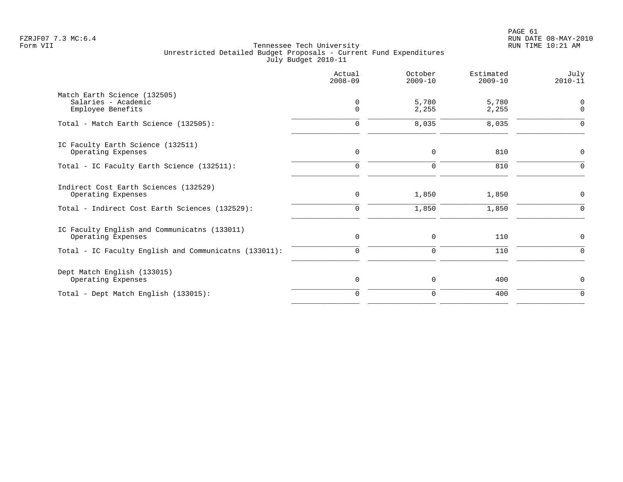|                                                                          | Actual<br>$2008 - 09$   | October<br>$2009 - 10$ | Estimated<br>$2009 - 10$ | July<br>$2010 - 11$        |
|--------------------------------------------------------------------------|-------------------------|------------------------|--------------------------|----------------------------|
| Match Earth Science (132505)<br>Salaries - Academic<br>Employee Benefits | $\mathbf 0$<br>$\Omega$ | 5,780<br>2,255         | 5,780<br>2,255           | $\mathbf 0$<br>$\mathbf 0$ |
| Total - Match Earth Science (132505):                                    | 0                       | 8,035                  | 8,035                    | $\mathbf 0$                |
| IC Faculty Earth Science (132511)<br>Operating Expenses                  | $\mathbf 0$             | 0                      | 810                      | 0                          |
| Total - IC Faculty Earth Science (132511):                               | $\Omega$                | $\Omega$               | 810                      | $\Omega$                   |
| Indirect Cost Earth Sciences (132529)<br>Operating Expenses              | 0                       | 1,850                  | 1,850                    | $\mathbf 0$                |
| Total - Indirect Cost Earth Sciences (132529):                           | $\mathbf 0$             | 1,850                  | 1,850                    | $\Omega$                   |
| IC Faculty English and Communicatns (133011)<br>Operating Expenses       | 0                       | 0                      | 110                      | 0                          |
| Total - IC Faculty English and Communicatns (133011):                    | $\mathbf 0$             | $\mathbf 0$            | 110                      | $\Omega$                   |
| Dept Match English (133015)<br>Operating Expenses                        | $\mathbf 0$             | $\mathbf 0$            | 400                      | $\mathbf 0$                |
| Total - Dept Match English (133015):                                     | $\mathbf 0$             | $\mathbf 0$            | 400                      | $\mathbf 0$                |
|                                                                          |                         |                        |                          |                            |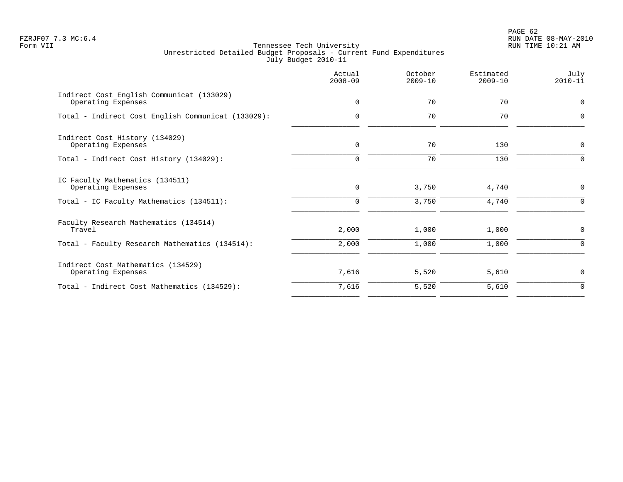# PAGE 62 FZRJF07 7.3 MC:6.4 RUN DATE 08-MAY-2010

|                                                                 | Actual<br>$2008 - 09$ | October<br>$2009 - 10$ | Estimated<br>$2009 - 10$ | July<br>$2010 - 11$ |
|-----------------------------------------------------------------|-----------------------|------------------------|--------------------------|---------------------|
| Indirect Cost English Communicat (133029)<br>Operating Expenses | $\mathbf 0$           | 70                     | 70                       | $\mathbf 0$         |
| Total - Indirect Cost English Communicat (133029):              | $\Omega$              | 70                     | 70                       | $\Omega$            |
| Indirect Cost History (134029)<br>Operating Expenses            | $\mathbf 0$           | 70                     | 130                      | $\mathbf 0$         |
| Total - Indirect Cost History (134029):                         |                       | 70                     | 130                      | $\Omega$            |
| IC Faculty Mathematics (134511)<br>Operating Expenses           | $\mathbf 0$           | 3,750                  | 4,740                    | $\mathbf 0$         |
| Total - IC Faculty Mathematics (134511):                        | $\Omega$              | 3,750                  | 4,740                    | 0                   |
| Faculty Research Mathematics (134514)<br>Travel                 | 2,000                 | 1,000                  | 1,000                    | $\mathbf 0$         |
| Total - Faculty Research Mathematics (134514):                  | 2,000                 | 1,000                  | 1,000                    | $\mathbf 0$         |
| Indirect Cost Mathematics (134529)<br>Operating Expenses        | 7,616                 | 5,520                  | 5,610                    | $\mathbf 0$         |
| Total - Indirect Cost Mathematics (134529):                     | 7,616                 | 5,520                  | 5,610                    | $\Omega$            |
|                                                                 |                       |                        |                          |                     |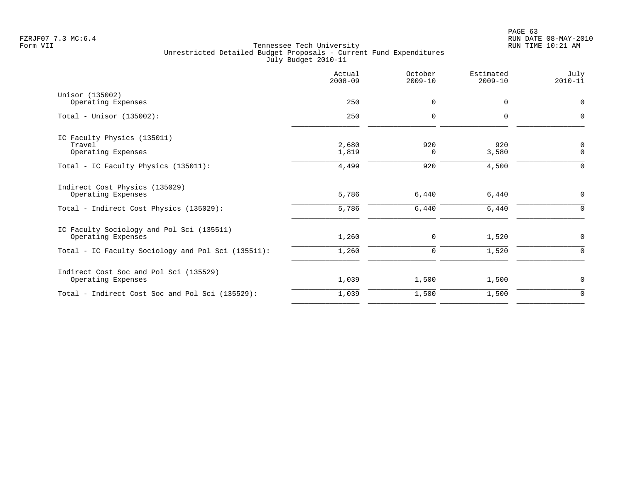|                                                    | Actual<br>$2008 - 09$ | October<br>$2009 - 10$ | Estimated<br>$2009 - 10$ | July<br>$2010 - 11$ |
|----------------------------------------------------|-----------------------|------------------------|--------------------------|---------------------|
| Unisor (135002)                                    |                       |                        |                          |                     |
| Operating Expenses                                 | 250                   | 0                      | $\mathbf 0$              | $\mathbf 0$         |
| Total - Unisor $(135002)$ :                        | 250                   | 0                      | 0                        | $\Omega$            |
| IC Faculty Physics (135011)                        |                       |                        |                          |                     |
| Travel                                             | 2,680                 | 920                    | 920                      | $\mathbf 0$         |
| Operating Expenses                                 | 1,819                 | $\Omega$               | 3,580                    | $\mathbf 0$         |
| Total - IC Faculty Physics (135011):               | 4,499                 | 920                    | 4,500                    | $\Omega$            |
| Indirect Cost Physics (135029)                     |                       |                        |                          |                     |
| Operating Expenses                                 | 5,786                 | 6,440                  | 6,440                    | 0                   |
| Total - Indirect Cost Physics (135029):            | 5,786                 | 6,440                  | 6,440                    | $\Omega$            |
| IC Faculty Sociology and Pol Sci (135511)          |                       |                        |                          |                     |
| Operating Expenses                                 | 1,260                 | 0                      | 1,520                    | 0                   |
| Total - IC Faculty Sociology and Pol Sci (135511): | 1,260                 | $\mathbf 0$            | 1,520                    | $\Omega$            |
| Indirect Cost Soc and Pol Sci (135529)             |                       |                        |                          |                     |
| Operating Expenses                                 | 1,039                 | 1,500                  | 1,500                    | $\mathbf 0$         |
| Total - Indirect Cost Soc and Pol Sci (135529):    | 1,039                 | 1,500                  | 1,500                    | $\mathbf 0$         |
|                                                    |                       |                        |                          |                     |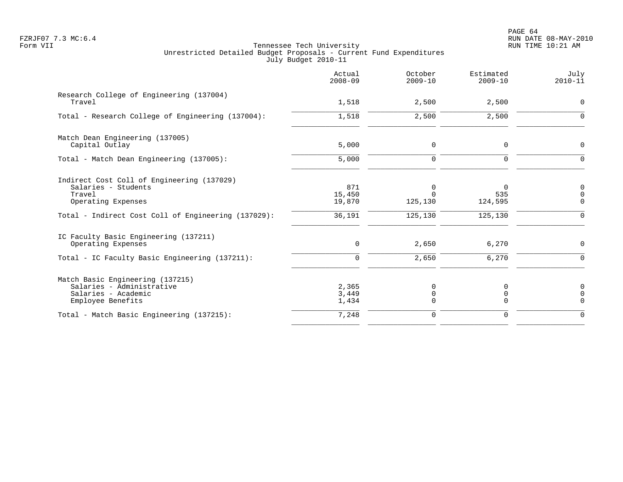PAGE 64 FZRJF07 7.3 MC:6.4 RUN DATE 08-MAY-2010

|                                                                                                               | Actual<br>$2008 - 09$   | October<br>$2009 - 10$             | Estimated<br>$2009 - 10$   | July<br>$2010 - 11$             |
|---------------------------------------------------------------------------------------------------------------|-------------------------|------------------------------------|----------------------------|---------------------------------|
| Research College of Engineering (137004)<br>Travel                                                            | 1,518                   | 2,500                              | 2,500                      | 0                               |
| Total - Research College of Engineering (137004):                                                             | 1,518                   | 2,500                              | 2,500                      | 0                               |
| Match Dean Engineering (137005)<br>Capital Outlay                                                             | 5,000                   | $\mathbf 0$                        | $\Omega$                   | 0                               |
| Total - Match Dean Engineering (137005):                                                                      | 5,000                   | $\mathbf 0$                        | 0                          | $\Omega$                        |
| Indirect Cost Coll of Engineering (137029)<br>Salaries - Students<br>Travel<br>Operating Expenses             | 871<br>15,450<br>19,870 | $\mathbf 0$<br>$\Omega$<br>125,130 | $\Omega$<br>535<br>124,595 | 0<br>$\mathbf 0$<br>$\mathbf 0$ |
| Total - Indirect Cost Coll of Engineering (137029):                                                           | 36,191                  | 125,130                            | 125, 130                   | $\overline{0}$                  |
| IC Faculty Basic Engineering (137211)<br>Operating Expenses<br>Total - IC Faculty Basic Engineering (137211): | $\mathbf 0$<br>0        | 2,650<br>2,650                     | 6,270<br>6,270             | 0<br>0                          |
| Match Basic Engineering (137215)<br>Salaries - Administrative<br>Salaries - Academic<br>Employee Benefits     | 2,365<br>3,449<br>1,434 | 0<br>0<br>$\mathbf 0$              | 0<br>0<br>$\Omega$         | 0<br>$\mathsf 0$<br>$\Omega$    |
| Total - Match Basic Engineering (137215):                                                                     | 7,248                   | $\mathbf 0$                        | $\Omega$                   | $\Omega$                        |
|                                                                                                               |                         |                                    |                            |                                 |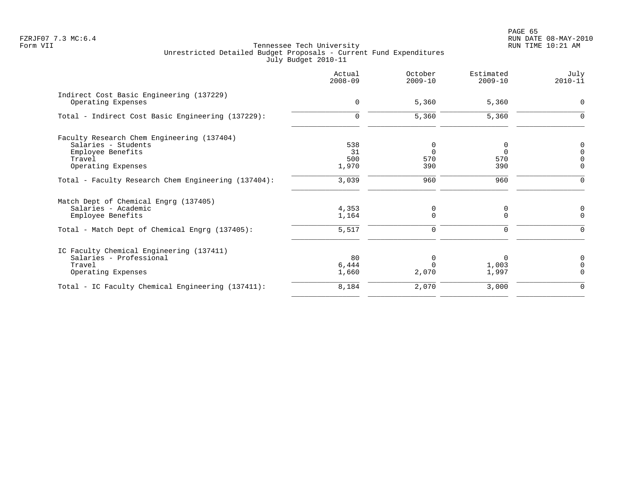|                                                                                                                                     | Actual<br>$2008 - 09$     | October<br>$2009 - 10$       | Estimated<br>$2009 - 10$ | July<br>$2010 - 11$                      |
|-------------------------------------------------------------------------------------------------------------------------------------|---------------------------|------------------------------|--------------------------|------------------------------------------|
| Indirect Cost Basic Engineering (137229)<br>Operating Expenses                                                                      | $\mathbf 0$               | 5,360                        | 5,360                    | 0                                        |
| Total - Indirect Cost Basic Engineering (137229):                                                                                   | $\mathbf 0$               | 5,360                        | 5,360                    | $\mathbf 0$                              |
| Faculty Research Chem Engineering (137404)<br>Salaries - Students<br>Employee Benefits<br>Travel<br>Operating Expenses              | 538<br>31<br>500<br>1,970 | 0<br>$\Omega$<br>570<br>390  | $\Omega$<br>570<br>390   | 0<br>$\mathbf 0$<br>$\Omega$<br>$\Omega$ |
| Total - Faculty Research Chem Engineering (137404):                                                                                 | 3,039                     | 960                          | 960                      | $\Omega$                                 |
| Match Dept of Chemical Engrg (137405)<br>Salaries - Academic<br>Employee Benefits<br>Total - Match Dept of Chemical Engrg (137405): | 4,353<br>1,164<br>5,517   | 0<br>$\Omega$<br>$\mathbf 0$ | 0<br>$\Omega$<br>0       | 0<br>$\Omega$<br>$\Omega$                |
| IC Faculty Chemical Engineering (137411)<br>Salaries - Professional<br>Travel<br>Operating Expenses                                 | 80<br>6,444<br>1,660      | $\Omega$<br>2,070            | 0<br>1,003<br>1,997      | 0<br>$\Omega$<br>$\Omega$                |
| Total - IC Faculty Chemical Engineering (137411):                                                                                   | 8,184                     | 2,070                        | 3,000                    | $\Omega$                                 |
|                                                                                                                                     |                           |                              |                          |                                          |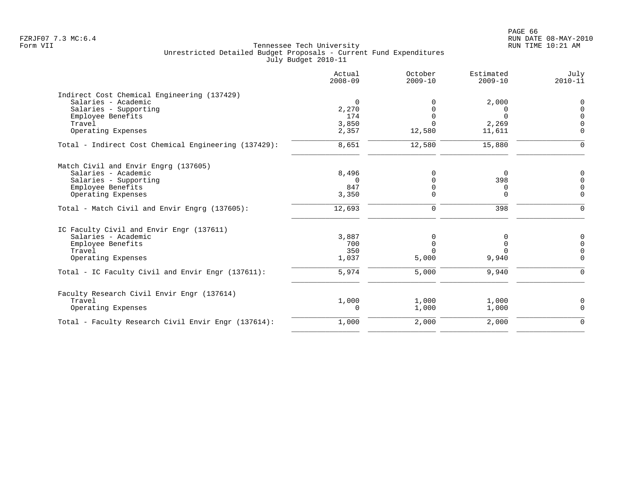| Actual<br>$2008 - 09$ | October<br>$2009 - 10$                         | Estimated<br>$2009 - 10$ | July<br>$2010 - 11$                    |
|-----------------------|------------------------------------------------|--------------------------|----------------------------------------|
|                       |                                                |                          |                                        |
| $\mathbf 0$           |                                                | 2,000                    | 0                                      |
| 2,270                 |                                                | 0                        | 0                                      |
| 174                   |                                                | $\Omega$                 | $\Omega$                               |
|                       |                                                |                          | $\Omega$                               |
| 2,357                 | 12,580                                         | 11,611                   | $\Omega$                               |
| 8,651                 | 12,580                                         | 15,880                   | $\Omega$                               |
|                       |                                                |                          |                                        |
|                       |                                                |                          | $\mathbf 0$                            |
|                       |                                                |                          | $\Omega$                               |
|                       |                                                |                          | $\Omega$                               |
| 3,350                 | $\Omega$                                       | 0                        | $\mathbf 0$                            |
| 12,693                | 0                                              | 398                      | $\mathbf 0$                            |
|                       |                                                |                          |                                        |
|                       |                                                | 0                        | $\mathbf 0$                            |
| 700                   | $\Omega$                                       | 0                        | $\Omega$                               |
| 350                   |                                                |                          | $\mathbf 0$                            |
| 1,037                 | 5,000                                          | 9,940                    | $\overline{0}$                         |
| 5,974                 | 5,000                                          | 9,940                    | $\mathbf 0$                            |
|                       |                                                |                          |                                        |
|                       |                                                |                          | $\mathbf 0$                            |
| 0                     | 1,000                                          | 1,000                    | $\mathbf 0$                            |
| 1,000                 | 2,000                                          | 2,000                    | $\Omega$                               |
|                       | 3,850<br>8,496<br>- 0<br>847<br>3,887<br>1,000 | O<br>0<br>1,000          | 2,269<br>$\Omega$<br>398<br>0<br>1,000 |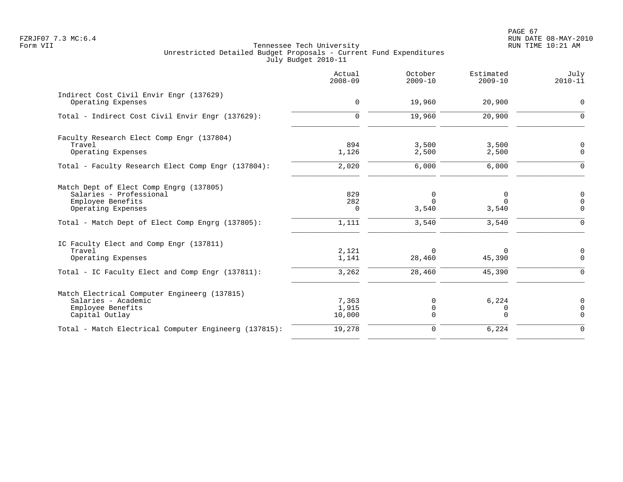PAGE 67 FZRJF07 7.3 MC:6.4 RUN DATE 08-MAY-2010

|                                                               | Actual<br>$2008 - 09$ | October<br>$2009 - 10$ | Estimated<br>$2009 - 10$ | July<br>$2010 - 11$        |
|---------------------------------------------------------------|-----------------------|------------------------|--------------------------|----------------------------|
| Indirect Cost Civil Envir Engr (137629)<br>Operating Expenses | 0                     | 19,960                 | 20,900                   | $\mathbf 0$                |
| Total - Indirect Cost Civil Envir Engr (137629):              | $\Omega$              | 19,960                 | 20,900                   | $\Omega$                   |
| Faculty Research Elect Comp Engr (137804)                     |                       |                        |                          |                            |
| Travel<br>Operating Expenses                                  | 894<br>1,126          | 3,500<br>2,500         | 3,500<br>2,500           | $\Omega$<br>$\Omega$       |
|                                                               |                       |                        |                          |                            |
| Total - Faculty Research Elect Comp Engr (137804):            | 2,020                 | 6,000                  | 6,000                    | $\Omega$                   |
| Match Dept of Elect Comp Engrg (137805)                       |                       |                        |                          |                            |
| Salaries - Professional                                       | 829<br>282            | 0<br>$\Omega$          | 0<br>$\Omega$            | $\overline{0}$<br>$\Omega$ |
| Employee Benefits<br>Operating Expenses                       | $\Omega$              | 3,540                  | 3,540                    | $\Omega$                   |
| Total - Match Dept of Elect Comp Engrg (137805):              | 1,111                 | 3,540                  | 3,540                    | $\Omega$                   |
| IC Faculty Elect and Comp Engr (137811)                       |                       |                        |                          |                            |
| Travel                                                        | 2,121                 | $\Omega$               | 0                        | 0                          |
| Operating Expenses                                            | 1,141                 | 28,460                 | 45,390                   | $\Omega$                   |
| Total - IC Faculty Elect and Comp Engr (137811):              | 3,262                 | 28,460                 | 45,390                   | $\Omega$                   |
| Match Electrical Computer Engineerg (137815)                  |                       |                        |                          |                            |
| Salaries - Academic                                           | 7,363                 | $\Omega$               | 6,224                    | $\Omega$                   |
| Employee Benefits<br>Capital Outlay                           | 1,915<br>10,000       | 0<br>$\Omega$          | 0<br>$\Omega$            | $\Omega$<br>$\Omega$       |
| Total - Match Electrical Computer Engineerg (137815):         | 19,278                | $\mathbf 0$            | 6,224                    | $\Omega$                   |
|                                                               |                       |                        |                          |                            |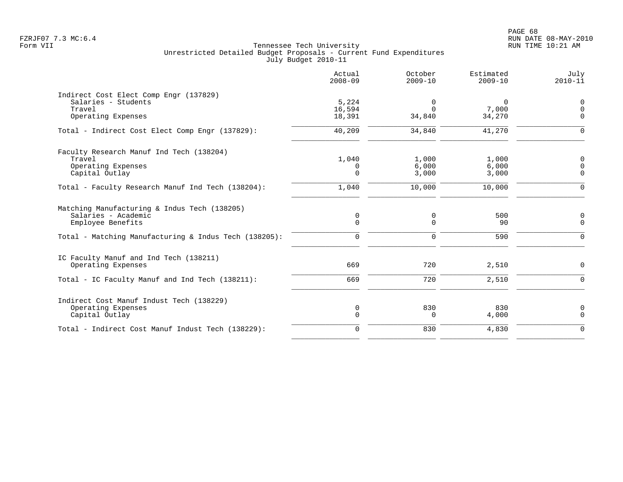|                                                                                                                                                   | Actual<br>$2008 - 09$        | October<br>$2009 - 10$       | Estimated<br>$2009 - 10$    | July<br>$2010 - 11$                    |
|---------------------------------------------------------------------------------------------------------------------------------------------------|------------------------------|------------------------------|-----------------------------|----------------------------------------|
| Indirect Cost Elect Comp Engr (137829)<br>Salaries - Students<br>Travel<br>Operating Expenses                                                     | 5,224<br>16,594<br>18,391    | 0<br>$\Omega$<br>34,840      | $\Omega$<br>7,000<br>34,270 | $\mathbf 0$<br>$\mathbf 0$<br>$\Omega$ |
| Total - Indirect Cost Elect Comp Engr (137829):                                                                                                   | 40,209                       | 34,840                       | 41,270                      | $\Omega$                               |
| Faculty Research Manuf Ind Tech (138204)<br>Travel<br>Operating Expenses<br>Capital Outlay                                                        | 1,040<br>0<br>$\Omega$       | 1,000<br>6,000<br>3,000      | 1,000<br>6,000<br>3,000     | $\mathbf 0$<br>$\Omega$<br>$\Omega$    |
| Total - Faculty Research Manuf Ind Tech (138204):                                                                                                 | 1,040                        | 10,000                       | 10,000                      | $\Omega$                               |
| Matching Manufacturing & Indus Tech (138205)<br>Salaries - Academic<br>Employee Benefits<br>Total - Matching Manufacturing & Indus Tech (138205): | 0<br>$\Omega$<br>$\mathbf 0$ | 0<br>$\Omega$<br>$\mathbf 0$ | 500<br>90<br>590            | 0<br>$\Omega$<br>$\Omega$              |
| IC Faculty Manuf and Ind Tech (138211)<br>Operating Expenses<br>Total - IC Faculty Manuf and Ind Tech (138211):                                   | 669<br>669                   | 720<br>720                   | 2,510<br>2,510              | $\mathbf 0$<br>$\Omega$                |
| Indirect Cost Manuf Indust Tech (138229)<br>Operating Expenses<br>Capital Outlay                                                                  | 0<br>$\Omega$                | 830<br>$\Omega$              | 830<br>4,000                | 0<br>$\Omega$                          |
| Total - Indirect Cost Manuf Indust Tech (138229):                                                                                                 | $\Omega$                     | 830                          | 4,830                       | $\Omega$                               |
|                                                                                                                                                   |                              |                              |                             |                                        |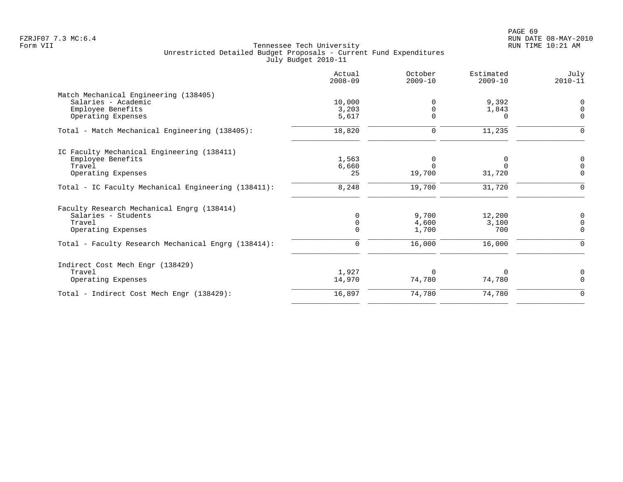|                                                     | Actual<br>$2008 - 09$ | October<br>$2009 - 10$ | Estimated<br>$2009 - 10$ | July<br>$2010 - 11$ |
|-----------------------------------------------------|-----------------------|------------------------|--------------------------|---------------------|
| Match Mechanical Engineering (138405)               |                       |                        |                          |                     |
| Salaries - Academic                                 | 10,000                | $\Omega$               | 9,392                    | 0                   |
| Employee Benefits                                   | 3,203                 | $\Omega$               | 1,843                    | $\Omega$            |
| Operating Expenses                                  | 5,617                 | $\Omega$               |                          | $\Omega$            |
| Total - Match Mechanical Engineering (138405):      | 18,820                | 0                      | 11,235                   | $\mathbf 0$         |
| IC Faculty Mechanical Engineering (138411)          |                       |                        |                          |                     |
| Employee Benefits                                   | 1,563                 | $\Omega$               |                          | 0                   |
| Travel                                              | 6,660                 | $\Omega$               | <sup>n</sup>             | $\overline{0}$      |
| Operating Expenses                                  | 25                    | 19,700                 | 31,720                   | $\mathbf 0$         |
| Total - IC Faculty Mechanical Engineering (138411): | 8,248                 | 19,700                 | 31,720                   | $\mathbf 0$         |
| Faculty Research Mechanical Engrg (138414)          |                       |                        |                          |                     |
| Salaries - Students                                 | $\Omega$              | 9,700                  | 12,200                   | $\mathbf 0$         |
| Travel                                              |                       | 4,600                  | 3,100                    | $\mathbf 0$         |
| Operating Expenses                                  |                       | 1,700                  | 700                      | $\mathbf 0$         |
| Total - Faculty Research Mechanical Engrg (138414): | 0                     | 16,000                 | 16,000                   | $\mathbf 0$         |
| Indirect Cost Mech Engr (138429)                    |                       |                        |                          |                     |
| Travel                                              | 1,927                 | $\Omega$               | $\Omega$                 | 0                   |
| Operating Expenses                                  | 14,970                | 74,780                 | 74,780                   | $\Omega$            |
| Total - Indirect Cost Mech Engr (138429):           | 16,897                | 74,780                 | 74,780                   | $\mathbf 0$         |
|                                                     |                       |                        |                          |                     |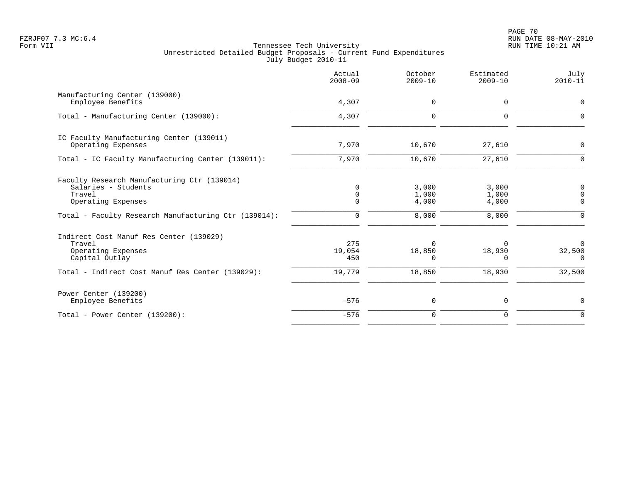|                                                                                                    | Actual<br>$2008 - 09$               | October<br>$2009 - 10$         | Estimated<br>$2009 - 10$ | July<br>$2010 - 11$            |
|----------------------------------------------------------------------------------------------------|-------------------------------------|--------------------------------|--------------------------|--------------------------------|
| Manufacturing Center (139000)<br>Employee Benefits                                                 | 4,307                               | $\mathbf 0$                    | 0                        | 0                              |
| Total - Manufacturing Center (139000):                                                             | 4,307                               | $\mathbf 0$                    | $\mathbf 0$              | $\mathbf 0$                    |
| IC Faculty Manufacturing Center (139011)<br>Operating Expenses                                     | 7,970                               | 10,670                         | 27,610                   | 0                              |
| Total - IC Faculty Manufacturing Center (139011):                                                  | 7,970                               | 10,670                         | 27,610                   | $\Omega$                       |
| Faculty Research Manufacturing Ctr (139014)<br>Salaries - Students<br>Travel<br>Operating Expenses | $\Omega$<br>$\mathbf 0$<br>$\Omega$ | 3,000<br>1,000<br>4,000        | 3,000<br>1,000<br>4,000  | 0<br>$\mathbf 0$<br>$\Omega$   |
| Total - Faculty Research Manufacturing Ctr (139014):                                               | $\mathbf 0$                         | 8,000                          | 8,000                    | $\Omega$                       |
| Indirect Cost Manuf Res Center (139029)<br>Travel<br>Operating Expenses<br>Capital Outlay          | 275<br>19,054<br>450                | $\Omega$<br>18,850<br>$\Omega$ | 18,930<br>$\Omega$       | $\Omega$<br>32,500<br>$\Omega$ |
| Total - Indirect Cost Manuf Res Center (139029):                                                   | 19,779                              | 18,850                         | 18,930                   | 32,500                         |
| Power Center (139200)<br>Employee Benefits                                                         | $-576$                              | $\mathbf 0$                    | $\mathbf 0$              | 0                              |
| Total - Power Center (139200):                                                                     | $-576$                              | $\mathbf 0$                    | $\Omega$                 | $\Omega$                       |
|                                                                                                    |                                     |                                |                          |                                |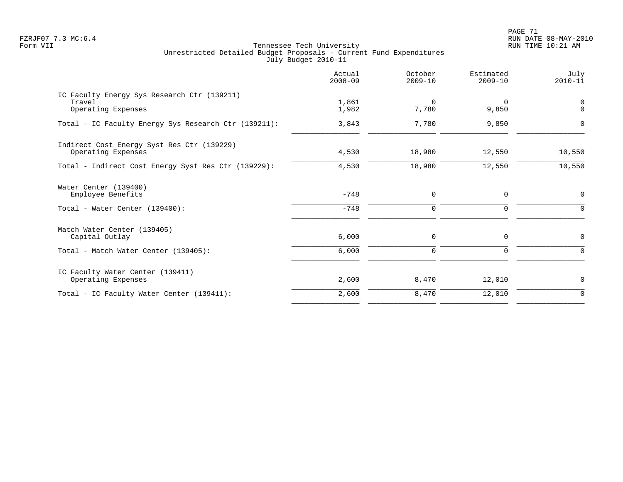|                                                                             | Actual<br>$2008 - 09$ | October<br>$2009 - 10$ | Estimated<br>$2009 - 10$ | July<br>$2010 - 11$ |
|-----------------------------------------------------------------------------|-----------------------|------------------------|--------------------------|---------------------|
| IC Faculty Energy Sys Research Ctr (139211)<br>Travel<br>Operating Expenses | 1,861<br>1,982        | $\Omega$<br>7,780      | $\Omega$<br>9,850        | 0<br>$\Omega$       |
| Total - IC Faculty Energy Sys Research Ctr (139211):                        | 3,843                 | 7,780                  | 9,850                    | $\Omega$            |
| Indirect Cost Energy Syst Res Ctr (139229)<br>Operating Expenses            | 4,530                 | 18,980                 | 12,550                   | 10,550              |
| Total - Indirect Cost Energy Syst Res Ctr (139229):                         | 4,530                 | 18,980                 | 12,550                   | 10,550              |
| Water Center (139400)<br>Employee Benefits                                  | $-748$                | 0                      | 0                        | $\mathbf 0$         |
| Total - Water Center (139400):                                              | $-748$                | $\mathbf 0$            | 0                        | $\Omega$            |
| Match Water Center (139405)<br>Capital Outlay                               | 6,000                 | 0                      | 0                        | 0                   |
| Total - Match Water Center (139405):                                        | 6,000                 | $\mathbf 0$            | 0                        | $\Omega$            |
| IC Faculty Water Center (139411)<br>Operating Expenses                      | 2,600                 | 8,470                  | 12,010                   | $\mathbf 0$         |
| Total - IC Faculty Water Center (139411):                                   | 2,600                 | 8,470                  | 12,010                   | $\mathbf 0$         |
|                                                                             |                       |                        |                          |                     |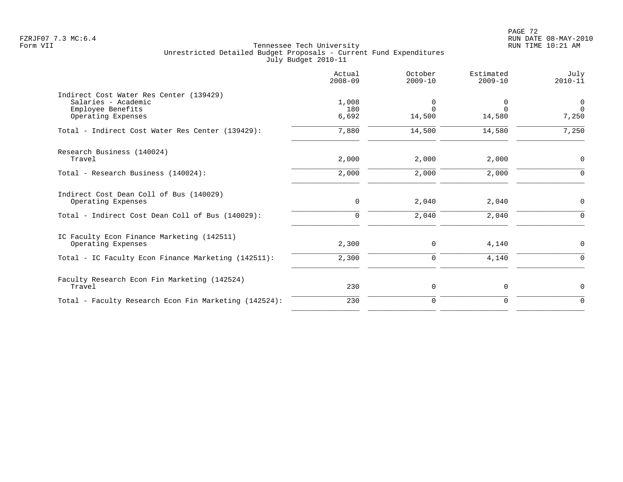PAGE 72 FZRJF07 7.3 MC:6.4 RUN DATE 08-MAY-2010

|                                                                                                           | Actual<br>$2008 - 09$ | October<br>$2009 - 10$  | Estimated<br>$2009 - 10$       | July<br>$2010 - 11$                 |
|-----------------------------------------------------------------------------------------------------------|-----------------------|-------------------------|--------------------------------|-------------------------------------|
| Indirect Cost Water Res Center (139429)<br>Salaries - Academic<br>Employee Benefits<br>Operating Expenses | 1,008<br>180<br>6,692 | 0<br>$\Omega$<br>14,500 | $\Omega$<br>$\Omega$<br>14,580 | $\overline{0}$<br>$\Omega$<br>7,250 |
| Total - Indirect Cost Water Res Center (139429):                                                          | 7,880                 | 14,500                  | 14,580                         | 7,250                               |
| Research Business (140024)<br>Travel                                                                      | 2,000                 | 2,000                   | 2,000                          | 0                                   |
| Total - Research Business (140024):                                                                       | 2,000                 | 2,000                   | 2,000                          | $\Omega$                            |
| Indirect Cost Dean Coll of Bus (140029)<br>Operating Expenses                                             | $\mathbf 0$           | 2,040                   | 2,040                          | 0                                   |
| Total - Indirect Cost Dean Coll of Bus (140029):                                                          | $\Omega$              | 2,040                   | 2,040                          | $\Omega$                            |
| IC Faculty Econ Finance Marketing (142511)<br>Operating Expenses                                          | 2,300                 | $\mathbf 0$             | 4,140                          | 0                                   |
| Total - IC Faculty Econ Finance Marketing (142511):                                                       | 2,300                 | $\mathbf 0$             | 4,140                          | $\Omega$                            |
| Faculty Research Econ Fin Marketing (142524)<br>Travel                                                    | 230                   | 0                       | $\mathbf 0$                    | 0                                   |
| Total - Faculty Research Econ Fin Marketing (142524):                                                     | 230                   | $\mathbf 0$             | $\mathbf 0$                    | $\mathbf 0$                         |
|                                                                                                           |                       |                         |                                |                                     |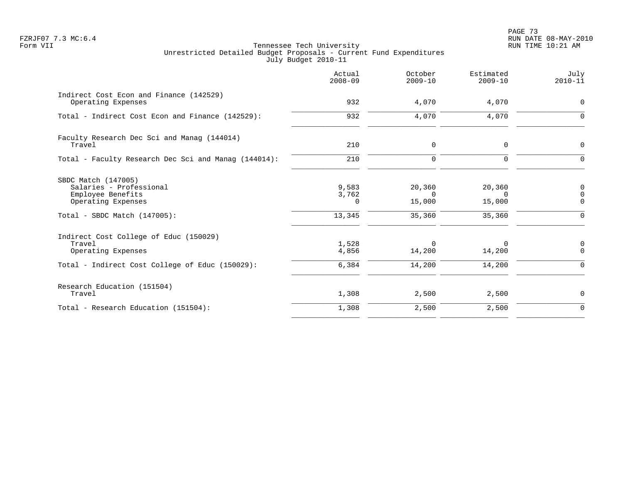PAGE 73 FZRJF07 7.3 MC:6.4 RUN DATE 08-MAY-2010

|                                                                                                                              | Actual<br>$2008 - 09$         | October<br>$2009 - 10$                 | Estimated<br>$2009 - 10$               | July<br>$2010 - 11$                            |
|------------------------------------------------------------------------------------------------------------------------------|-------------------------------|----------------------------------------|----------------------------------------|------------------------------------------------|
| Indirect Cost Econ and Finance (142529)<br>Operating Expenses                                                                | 932                           | 4,070                                  | 4,070                                  | $\mathbf 0$                                    |
| Total - Indirect Cost Econ and Finance (142529):                                                                             | 932                           | 4,070                                  | 4,070                                  | 0                                              |
| Faculty Research Dec Sci and Manag (144014)<br>Travel                                                                        | 210                           | $\mathsf{O}$                           | $\mathbf 0$                            | 0                                              |
| Total - Faculty Research Dec Sci and Manaq (144014):                                                                         | 210                           | $\mathbf 0$                            | $\Omega$                               | $\Omega$                                       |
| SBDC Match (147005)<br>Salaries - Professional<br>Employee Benefits<br>Operating Expenses<br>Total - SBDC Match $(147005)$ : | 9,583<br>3,762<br>0<br>13,345 | 20,360<br>$\Omega$<br>15,000<br>35,360 | 20,360<br>$\Omega$<br>15,000<br>35,360 | 0<br>$\mathsf 0$<br>$\mathbf 0$<br>$\mathbf 0$ |
| Indirect Cost College of Educ (150029)<br>Travel<br>Operating Expenses<br>Total - Indirect Cost College of Educ (150029):    | 1,528<br>4,856<br>6,384       | $\Omega$<br>14,200<br>14,200           | $\Omega$<br>14,200<br>14,200           | 0<br>$\Omega$<br>$\mathbf 0$                   |
| Research Education (151504)<br>Travel                                                                                        | 1,308                         | 2,500                                  | 2,500                                  | 0                                              |
| Total - Research Education (151504):                                                                                         | 1,308                         | 2,500                                  | 2,500                                  | $\mathbf 0$                                    |
|                                                                                                                              |                               |                                        |                                        |                                                |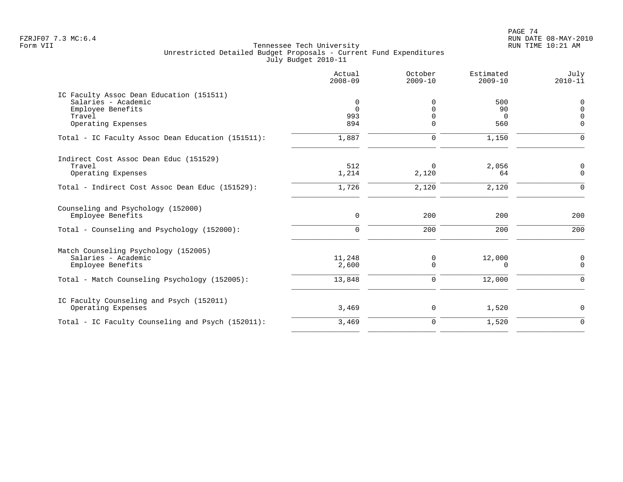|                                                         | Actual<br>$2008 - 09$ | October<br>$2009 - 10$ | Estimated<br>$2009 - 10$ | July<br>$2010 - 11$ |
|---------------------------------------------------------|-----------------------|------------------------|--------------------------|---------------------|
| IC Faculty Assoc Dean Education (151511)                |                       |                        |                          |                     |
| Salaries - Academic                                     | 0                     | U                      | 500                      | $\mathbf 0$         |
| Employee Benefits                                       | $\Omega$              |                        | 90                       | $\Omega$            |
| Travel                                                  | 993                   |                        | $\Omega$                 | $\Omega$            |
| Operating Expenses                                      | 894                   |                        | 560                      | $\Omega$            |
| Total - IC Faculty Assoc Dean Education (151511):       | 1,887                 | 0                      | 1,150                    | $\Omega$            |
| Indirect Cost Assoc Dean Educ (151529)                  |                       |                        |                          |                     |
| Travel                                                  | 512                   | $\Omega$               | 2,056                    | 0                   |
| Operating Expenses                                      | 1,214                 | 2,120                  | 64                       | $\mathbf 0$         |
| Total - Indirect Cost Assoc Dean Educ (151529):         | 1,726                 | 2,120                  | 2,120                    | $\mathbf 0$         |
| Counseling and Psychology (152000)<br>Employee Benefits | 0                     | 200                    | 200                      | 200                 |
|                                                         |                       |                        |                          |                     |
| Total - Counseling and Psychology (152000):             | $\mathbf 0$           | 200                    | 200                      | 200                 |
| Match Counseling Psychology (152005)                    |                       |                        |                          |                     |
| Salaries - Academic                                     | 11,248                | 0                      | 12,000                   | 0                   |
| Employee Benefits                                       | 2,600                 | 0                      | 0                        | $\mathbf 0$         |
| Total - Match Counseling Psychology (152005):           | 13,848                | 0                      | 12,000                   | $\mathbf 0$         |
| IC Faculty Counseling and Psych (152011)                |                       |                        |                          |                     |
| Operating Expenses                                      | 3,469                 | 0                      | 1,520                    | $\mathbf 0$         |
| Total - IC Faculty Counseling and Psych (152011):       | 3,469                 | $\mathbf 0$            | 1,520                    | $\mathbf 0$         |
|                                                         |                       |                        |                          |                     |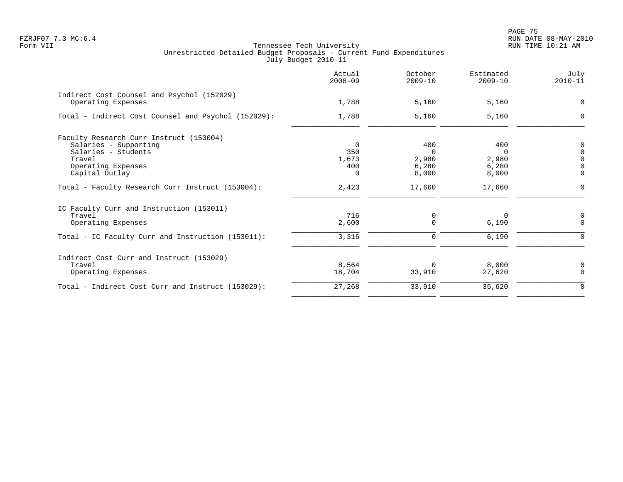PAGE 75 FZRJF07 7.3 MC:6.4 RUN DATE 08-MAY-2010

|                                                                  | Actual<br>$2008 - 09$ | October<br>$2009 - 10$ | Estimated<br>$2009 - 10$ | July<br>$2010 - 11$ |
|------------------------------------------------------------------|-----------------------|------------------------|--------------------------|---------------------|
| Indirect Cost Counsel and Psychol (152029)<br>Operating Expenses | 1,788                 | 5,160                  | 5,160                    | $\Omega$            |
| Total - Indirect Cost Counsel and Psychol (152029):              | 1,788                 | 5,160                  | 5,160                    | 0                   |
| Faculty Research Curr Instruct (153004)<br>Salaries - Supporting | 0                     | 400                    | 400                      | 0                   |
| Salaries - Students                                              | 350                   | $\Omega$               | $\Omega$                 | $\Omega$            |
| Travel<br>Operating Expenses                                     | 1,673<br>400          | 2,980<br>6,280         | 2,980<br>6,280           | $\Omega$            |
| Capital Outlay                                                   | $\Omega$              | 8,000                  | 8,000                    | $\Omega$            |
| Total - Faculty Research Curr Instruct (153004):                 | 2,423                 | 17,660                 | 17,660                   |                     |
| IC Faculty Curr and Instruction (153011)                         |                       |                        |                          |                     |
| Travel                                                           | 716                   | 0                      | 0                        | 0                   |
| Operating Expenses                                               | 2,600                 | $\Omega$               | 6,190                    | $\Omega$            |
| Total - IC Faculty Curr and Instruction (153011):                | 3,316                 | 0                      | 6,190                    |                     |
| Indirect Cost Curr and Instruct (153029)                         |                       |                        |                          |                     |
| Travel                                                           | 8,564                 | $\Omega$               | 8,000                    | 0                   |
| Operating Expenses                                               | 18,704                | 33,910                 | 27,620                   | $\Omega$            |
| Total - Indirect Cost Curr and Instruct (153029):                | 27,268                | 33,910                 | 35,620                   | $\Omega$            |
|                                                                  |                       |                        |                          |                     |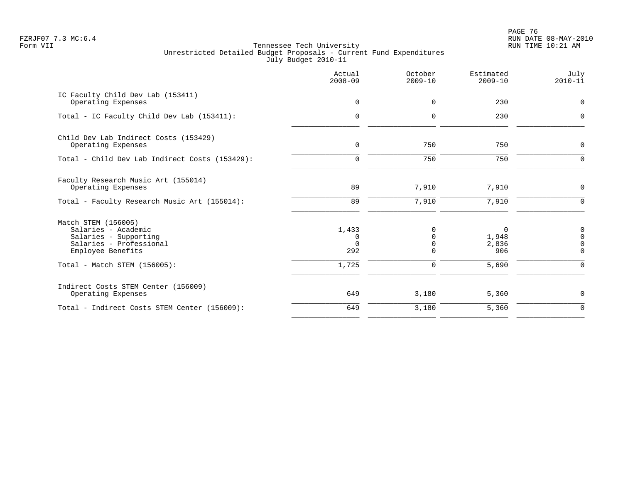en and the set of the set of the set of the set of the set of the set of the set of the set of the set of the set of the set of the set of the set of the set of the set of the set of the set of the set of the set of the se FZRJF07 7.3 MC:6.4 RUN DATE 08-MAY-2010

|                                                                                                                     | Actual<br>$2008 - 09$                | October<br>$2009 - 10$ | Estimated<br>$2009 - 10$   | July<br>$2010 - 11$                 |
|---------------------------------------------------------------------------------------------------------------------|--------------------------------------|------------------------|----------------------------|-------------------------------------|
| IC Faculty Child Dev Lab (153411)<br>Operating Expenses                                                             | $\mathbf 0$                          | 0                      | 230                        | $\mathbf 0$                         |
| Total - IC Faculty Child Dev Lab (153411):                                                                          | $\mathbf 0$                          | $\mathbf 0$            | 230                        | $\Omega$                            |
| Child Dev Lab Indirect Costs (153429)<br>Operating Expenses                                                         | $\mathbf 0$                          | 750                    | 750                        | $\mathbf 0$                         |
| Total - Child Dev Lab Indirect Costs (153429):                                                                      | $\mathbf 0$                          | 750                    | 750                        | $\Omega$                            |
| Faculty Research Music Art (155014)<br>Operating Expenses                                                           | 89                                   | 7,910                  | 7,910                      | $\mathbf 0$                         |
| Total - Faculty Research Music Art (155014):                                                                        | 89                                   | 7,910                  | 7,910                      | $\mathbf 0$                         |
| Match STEM (156005)<br>Salaries - Academic<br>Salaries - Supporting<br>Salaries - Professional<br>Employee Benefits | 1,433<br>$\Omega$<br>$\Omega$<br>292 | $\Omega$<br>$\Omega$   | 0<br>1,948<br>2,836<br>906 | $\mathbf 0$<br>$\Omega$<br>$\Omega$ |
| Total - Match STEM (156005):                                                                                        | 1,725                                | 0                      | 5,690                      | $\Omega$                            |
| Indirect Costs STEM Center (156009)<br>Operating Expenses                                                           | 649                                  | 3,180                  | 5,360                      | 0                                   |
| Total - Indirect Costs STEM Center (156009):                                                                        | 649                                  | 3,180                  | 5,360                      | $\mathbf 0$                         |
|                                                                                                                     |                                      |                        |                            |                                     |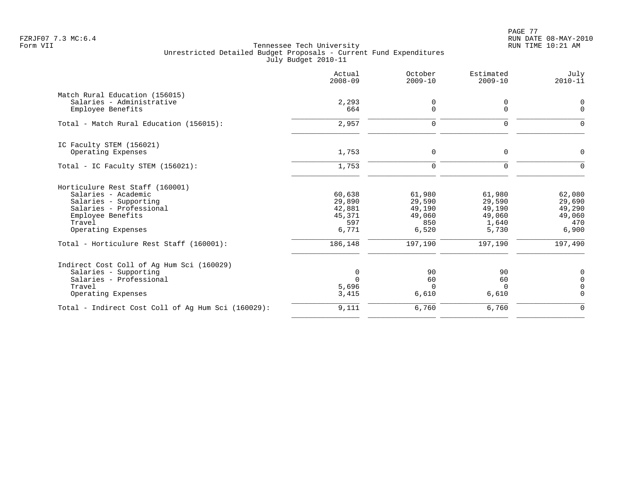PAGE 77 FZRJF07 7.3 MC:6.4 RUN DATE 08-MAY-2010

|                                                    | Actual<br>$2008 - 09$ | October<br>$2009 - 10$ | Estimated<br>$2009 - 10$ | July<br>$2010 - 11$ |
|----------------------------------------------------|-----------------------|------------------------|--------------------------|---------------------|
| Match Rural Education (156015)                     |                       |                        |                          |                     |
| Salaries - Administrative<br>Employee Benefits     | 2,293<br>664          | 0<br>$\mathbf 0$       | 0<br>$\Omega$            | 0<br>0              |
| Total - Match Rural Education (156015):            | 2,957                 | $\mathbf 0$            | $\mathbf 0$              | $\Omega$            |
| IC Faculty STEM (156021)                           |                       |                        |                          |                     |
| Operating Expenses                                 | 1,753                 | 0                      | $\mathbf 0$              | 0                   |
| Total - IC Faculty STEM (156021):                  | 1,753                 | $\mathbf 0$            | $\Omega$                 | $\Omega$            |
| Horticulure Rest Staff (160001)                    |                       |                        |                          |                     |
| Salaries - Academic                                | 60,638                | 61,980                 | 61,980                   | 62,080              |
| Salaries - Supporting<br>Salaries - Professional   | 29,890<br>42,881      | 29,590<br>49,190       | 29,590<br>49,190         | 29,690<br>49,290    |
| Employee Benefits                                  | 45,371                | 49,060                 | 49,060                   | 49,060              |
| Travel                                             | 597                   | 850                    | 1,640                    | 470                 |
| Operating Expenses                                 | 6,771                 | 6,520                  | 5,730                    | 6,900               |
| Total - Horticulure Rest Staff (160001):           | 186,148               | 197,190                | 197,190                  | 197,490             |
| Indirect Cost Coll of Aq Hum Sci (160029)          |                       |                        |                          |                     |
| Salaries - Supporting                              | 0                     | 90                     | 90                       | 0                   |
| Salaries - Professional                            | $\Omega$              | 60                     | 60                       | $\mathbf 0$         |
| Travel                                             | 5,696                 | $\Omega$               | $\Omega$                 | 0                   |
| Operating Expenses                                 | 3,415                 | 6,610                  | 6,610                    | $\Omega$            |
| Total - Indirect Cost Coll of Aq Hum Sci (160029): | 9,111                 | 6,760                  | 6,760                    | $\Omega$            |
|                                                    |                       |                        |                          |                     |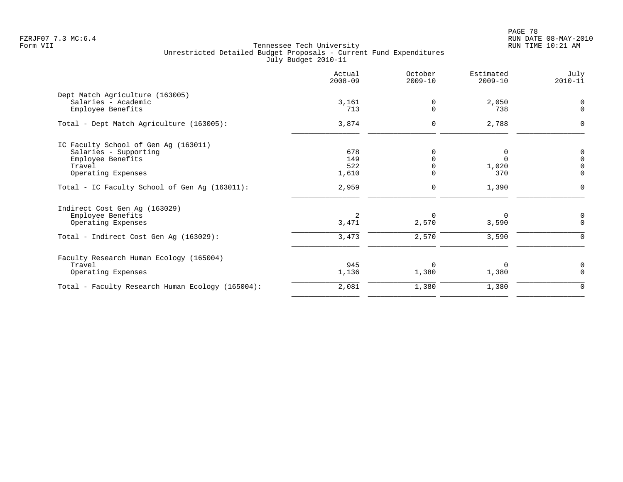PAGE 78 FZRJF07 7.3 MC:6.4 RUN DATE 08-MAY-2010

|                                                  | Actual<br>$2008 - 09$ | October<br>$2009 - 10$ | Estimated<br>$2009 - 10$ | July<br>$2010 - 11$ |
|--------------------------------------------------|-----------------------|------------------------|--------------------------|---------------------|
| Dept Match Agriculture (163005)                  |                       |                        |                          |                     |
| Salaries - Academic<br>Employee Benefits         | 3,161<br>713          | 0<br>0                 | 2,050<br>738             | 0<br>$\mathbf 0$    |
| Total - Dept Match Agriculture (163005):         | 3,874                 | 0                      | 2,788                    | $\Omega$            |
| IC Faculty School of Gen Ag (163011)             |                       |                        |                          |                     |
| Salaries - Supporting                            | 678                   |                        | 0                        | 0                   |
| Employee Benefits                                | 149                   |                        | $\Omega$                 | $\Omega$            |
| Travel                                           | 522                   |                        | 1,020                    |                     |
| Operating Expenses                               | 1,610                 | $\Omega$               | 370                      | $\Omega$            |
| Total - IC Faculty School of Gen Ag (163011):    | 2,959                 | 0                      | 1,390                    |                     |
| Indirect Cost Gen Ag (163029)                    |                       |                        |                          |                     |
| Employee Benefits                                | 2                     | 0                      | 0                        |                     |
| Operating Expenses                               | 3,471                 | 2,570                  | 3,590                    | $\Omega$            |
| Total - Indirect Cost Gen Ag (163029):           | 3,473                 | 2,570                  | 3,590                    | ∩                   |
| Faculty Research Human Ecology (165004)          |                       |                        |                          |                     |
| Travel                                           | 945                   | $\Omega$               | $\Omega$                 | 0                   |
| Operating Expenses                               | 1,136                 | 1,380                  | 1,380                    | $\Omega$            |
| Total - Faculty Research Human Ecology (165004): | 2,081                 | 1,380                  | 1,380                    | 0                   |
|                                                  |                       |                        |                          |                     |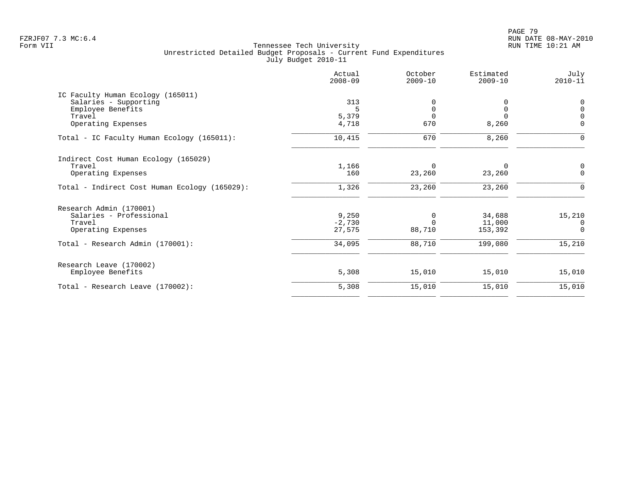|                                               | Actual<br>$2008 - 09$ | October<br>$2009 - 10$ | Estimated<br>$2009 - 10$ | July<br>$2010 - 11$ |
|-----------------------------------------------|-----------------------|------------------------|--------------------------|---------------------|
| IC Faculty Human Ecology (165011)             |                       |                        |                          |                     |
| Salaries - Supporting                         | 313                   |                        |                          | 0                   |
| Employee Benefits                             | 5                     | 0                      | 0                        | $\Omega$            |
| Travel                                        | 5,379                 | $\Omega$               | $\Omega$                 |                     |
| Operating Expenses                            | 4,718                 | 670                    | 8,260                    | $\Omega$            |
| Total - IC Faculty Human Ecology (165011):    | 10,415                | 670                    | 8,260                    | $\Omega$            |
| Indirect Cost Human Ecology (165029)          |                       |                        |                          |                     |
| Travel                                        | 1,166                 | 0                      | $\Omega$                 | 0                   |
| Operating Expenses                            | 160                   | 23,260                 | 23,260                   | $\Omega$            |
| Total - Indirect Cost Human Ecology (165029): | 1,326                 | 23,260                 | 23,260                   |                     |
| Research Admin (170001)                       |                       |                        |                          |                     |
| Salaries - Professional                       | 9,250                 | 0                      | 34,688                   | 15,210              |
| Travel                                        | $-2,730$              | $\Omega$               | 11,000                   | $\Omega$            |
| Operating Expenses                            | 27,575                | 88,710                 | 153,392                  | $\Omega$            |
| Total - Research Admin (170001):              | 34,095                | 88,710                 | 199,080                  | 15,210              |
| Research Leave (170002)                       |                       |                        |                          |                     |
| Employee Benefits                             | 5,308                 | 15,010                 | 15,010                   | 15,010              |
| Total - Research Leave (170002):              | 5,308                 | 15,010                 | 15,010                   | 15,010              |
|                                               |                       |                        |                          |                     |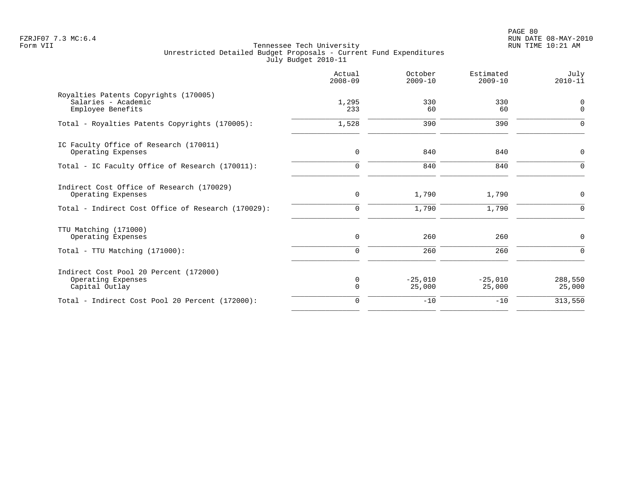PAGE 80 FZRJF07 7.3 MC:6.4 RUN DATE 08-MAY-2010

|                                                                                                                       | Actual<br>$2008 - 09$   | October<br>$2009 - 10$ | Estimated<br>$2009 - 10$ | July<br>$2010 - 11$     |
|-----------------------------------------------------------------------------------------------------------------------|-------------------------|------------------------|--------------------------|-------------------------|
| Royalties Patents Copyrights (170005)<br>Salaries - Academic<br>Employee Benefits                                     | 1,295<br>233            | 330<br>60              | 330<br>60                | 0<br>$\mathbf 0$        |
| Total - Royalties Patents Copyrights (170005):                                                                        | 1,528                   | 390                    | 390                      | ∩                       |
| IC Faculty Office of Research (170011)<br>Operating Expenses                                                          | $\mathbf 0$             | 840                    | 840                      | $\mathbf 0$             |
| Total - IC Faculty Office of Research (170011):                                                                       | $\mathbf 0$             | 840                    | 840                      | $\Omega$                |
| Indirect Cost Office of Research (170029)<br>Operating Expenses<br>Total - Indirect Cost Office of Research (170029): | $\mathbf 0$<br>$\Omega$ | 1,790<br>1,790         | 1,790<br>1,790           | $\mathbf 0$<br>$\Omega$ |
| TTU Matching (171000)<br>Operating Expenses                                                                           | $\mathsf{O}$            | 260                    | 260                      | 0                       |
| Total - TTU Matching (171000):                                                                                        | $\mathbf 0$             | 260                    | 260                      | $\Omega$                |
| Indirect Cost Pool 20 Percent (172000)<br>Operating Expenses<br>Capital Outlay                                        | $\mathbf 0$<br>$\Omega$ | $-25,010$<br>25,000    | $-25,010$<br>25,000      | 288,550<br>25,000       |
| Total - Indirect Cost Pool 20 Percent (172000):                                                                       | $\mathbf 0$             | $-10$                  | $-10$                    | 313,550                 |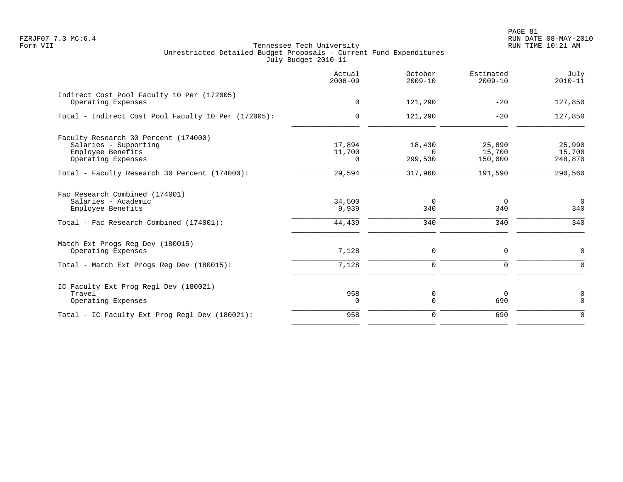PAGE 81 FZRJF07 7.3 MC:6.4 RUN DATE 08-MAY-2010

|                                                                                                          | Actual<br>$2008 - 09$        | October<br>$2009 - 10$        | Estimated<br>$2009 - 10$    | July<br>$2010 - 11$         |
|----------------------------------------------------------------------------------------------------------|------------------------------|-------------------------------|-----------------------------|-----------------------------|
| Indirect Cost Pool Faculty 10 Per (172005)<br>Operating Expenses                                         | 0                            | 121,290                       | $-20$                       | 127,850                     |
| Total - Indirect Cost Pool Faculty 10 Per (172005):                                                      | 0                            | 121,290                       | $-20$                       | 127,850                     |
| Faculty Research 30 Percent (174000)<br>Salaries - Supporting<br>Employee Benefits<br>Operating Expenses | 17,894<br>11,700<br>$\Omega$ | 18,430<br>$\Omega$<br>299,530 | 25,890<br>15,700<br>150,000 | 25,990<br>15,700<br>248,870 |
| Total - Faculty Research 30 Percent (174000):                                                            | 29,594                       | 317,960                       | 191,590                     | 290,560                     |
| Fac Research Combined (174001)<br>Salaries - Academic<br>Employee Benefits                               | 34,500<br>9,939              | $\Omega$<br>340               | $\overline{0}$<br>340       | $\overline{0}$<br>340       |
| Total - Fac Research Combined (174001):                                                                  | 44,439                       | 340                           | 340                         | 340                         |
| Match Ext Progs Reg Dev (180015)<br>Operating Expenses                                                   | 7,128                        | 0                             | 0                           | $\mathbf 0$                 |
| Total - Match Ext Progs Reg Dev (180015):                                                                | 7,128                        | 0                             | 0                           | $\Omega$                    |
| IC Faculty Ext Prog Regl Dev (180021)<br>Travel<br>Operating Expenses                                    | 958<br>$\Omega$              | 0<br>$\Omega$                 | $\overline{0}$<br>690       | 0<br>$\Omega$               |
| Total - IC Faculty Ext Prog Regl Dev (180021):                                                           | 958                          | 0                             | 690                         | $\Omega$                    |
|                                                                                                          |                              |                               |                             |                             |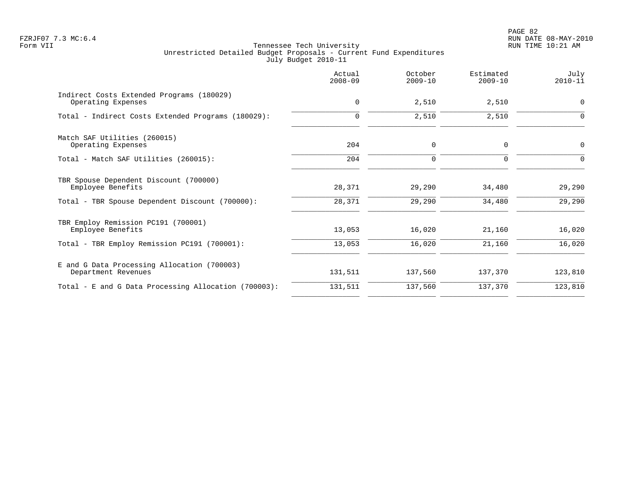PAGE 82 FZRJF07 7.3 MC:6.4 RUN DATE 08-MAY-2010

|                                                                    | Actual<br>$2008 - 09$ | October<br>$2009 - 10$ | Estimated<br>$2009 - 10$ | July<br>$2010 - 11$ |
|--------------------------------------------------------------------|-----------------------|------------------------|--------------------------|---------------------|
| Indirect Costs Extended Programs (180029)<br>Operating Expenses    | $\mathbf 0$           | 2,510                  | 2,510                    | 0                   |
| Total - Indirect Costs Extended Programs (180029):                 | 0                     | 2,510                  | 2,510                    | $\Omega$            |
| Match SAF Utilities (260015)<br>Operating Expenses                 | 204                   | 0                      | 0                        | 0                   |
| Total - Match SAF Utilities (260015):                              | 204                   | $\mathbf 0$            | $\Omega$                 | $\Omega$            |
| TBR Spouse Dependent Discount (700000)<br>Employee Benefits        | 28,371                | 29,290                 | 34,480                   | 29,290              |
| Total - TBR Spouse Dependent Discount (700000):                    | 28,371                | 29,290                 | 34,480                   | 29,290              |
| TBR Employ Remission PC191 (700001)<br>Employee Benefits           | 13,053                | 16,020                 | 21,160                   | 16,020              |
| Total - TBR Employ Remission PC191 (700001):                       | 13,053                | 16,020                 | 21,160                   | 16,020              |
| E and G Data Processing Allocation (700003)<br>Department Revenues | 131,511               | 137,560                | 137,370                  | 123,810             |
| Total - E and G Data Processing Allocation (700003):               | 131,511               | 137,560                | 137,370                  | 123,810             |
|                                                                    |                       |                        |                          |                     |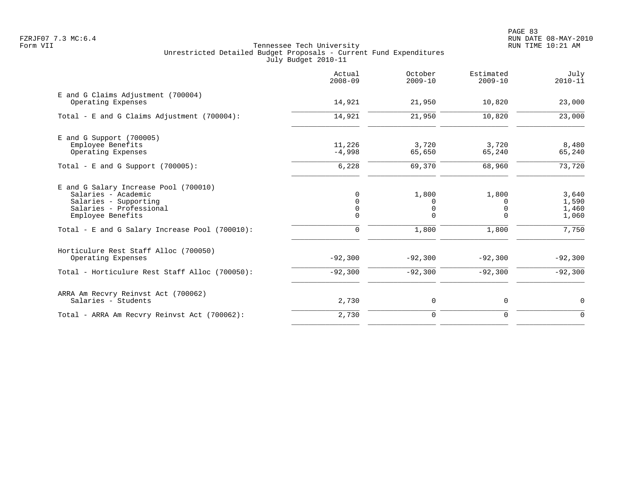PAGE 83 FZRJF07 7.3 MC:6.4 RUN DATE 08-MAY-2010

|                                                                                                                                       | Actual<br>$2008 - 09$                 | October<br>$2009 - 10$      | Estimated<br>$2009 - 10$           | July<br>$2010 - 11$              |
|---------------------------------------------------------------------------------------------------------------------------------------|---------------------------------------|-----------------------------|------------------------------------|----------------------------------|
| E and G Claims Adjustment (700004)<br>Operating Expenses                                                                              | 14,921                                | 21,950                      | 10,820                             | 23,000                           |
| Total - E and G Claims Adjustment $(700004)$ :                                                                                        | 14,921                                | 21,950                      | 10,820                             | 23,000                           |
| $E$ and G Support (700005)<br>Employee Benefits<br>Operating Expenses                                                                 | 11,226<br>$-4,998$                    | 3,720<br>65,650             | 3,720<br>65,240                    | 8,480<br>65,240                  |
| Total - E and G Support $(700005)$ :                                                                                                  | 6,228                                 | 69,370                      | 68,960                             | 73,720                           |
| E and G Salary Increase Pool (700010)<br>Salaries - Academic<br>Salaries - Supporting<br>Salaries - Professional<br>Employee Benefits | $\Omega$<br>$\Omega$<br>0<br>$\Omega$ | 1,800<br>0<br>0<br>$\Omega$ | 1,800<br>$\Omega$<br>0<br>$\Omega$ | 3,640<br>1,590<br>1,460<br>1,060 |
| Total - E and G Salary Increase Pool (700010):                                                                                        | $\mathbf 0$                           | 1,800                       | 1,800                              | 7,750                            |
| Horticulure Rest Staff Alloc (700050)<br>Operating Expenses                                                                           | $-92,300$                             | $-92,300$                   | $-92,300$                          | $-92,300$                        |
| Total - Horticulure Rest Staff Alloc (700050):                                                                                        | $-92,300$                             | $-92,300$                   | $-92,300$                          | $-92,300$                        |
| ARRA Am Recvry Reinvst Act (700062)<br>Salaries - Students                                                                            | 2,730                                 | 0                           | 0                                  | $\mathbf 0$                      |
| Total - ARRA Am Recvry Reinvst Act (700062):                                                                                          | 2,730                                 | $\mathbf 0$                 | $\mathbf 0$                        | $\Omega$                         |
|                                                                                                                                       |                                       |                             |                                    |                                  |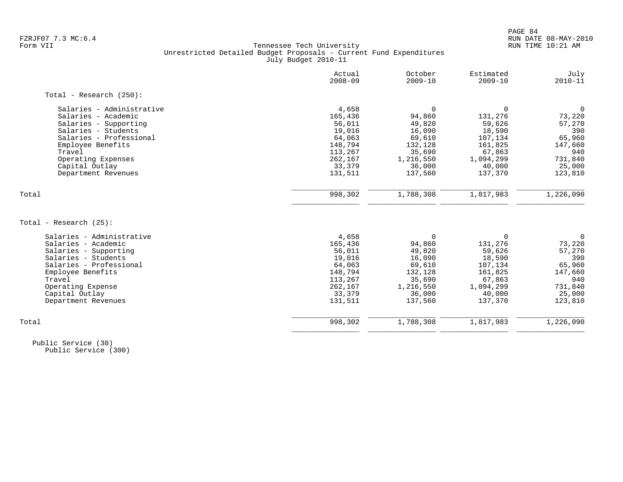|                           | Actual<br>$2008 - 09$ | October<br>$2009 - 10$ | Estimated<br>$2009 - 10$ | July<br>$2010 - 11$ |
|---------------------------|-----------------------|------------------------|--------------------------|---------------------|
| Total - Research (250):   |                       |                        |                          |                     |
| Salaries - Administrative | 4,658                 | $\Omega$               | $\mathbf 0$              | $\mathbf 0$         |
| Salaries - Academic       | 165,436               | 94,860                 | 131,276                  | 73,220              |
| Salaries - Supporting     | 56,011                | 49,820                 | 59,626                   | 57,270              |
| Salaries - Students       | 19,016                | 16,090                 | 18,590                   | 390                 |
| Salaries - Professional   | 64,063                | 69,610                 | 107,134                  | 65,960              |
| Employee Benefits         | 148,794               | 132,128                | 161,825                  | 147,660             |
| Travel                    | 113,267               | 35,690                 | 67,863                   | 940                 |
| Operating Expenses        | 262,167               | 1,216,550              | 1,094,299                | 731,840             |
| Capital Outlay            | 33,379                | 36,000                 | 40,000                   | 25,000              |
| Department Revenues       | 131,511               | 137,560                | 137,370                  | 123,810             |
| Total                     | 998,302               | 1,788,308              | 1,817,983                | 1,226,090           |
|                           |                       |                        |                          |                     |
| Total - Research $(25)$ : |                       |                        |                          |                     |
| Salaries - Administrative | 4,658                 | $\Omega$               | $\mathbf 0$              | $\mathbf 0$         |
| Salaries - Academic       | 165,436               | 94,860                 | 131,276                  | 73,220              |
| Salaries - Supporting     | 56,011                | 49,820                 | 59,626                   | 57,270              |
| Salaries - Students       | 19,016                | 16,090                 | 18,590                   | 390                 |
| Salaries - Professional   | 64,063                | 69,610                 | 107,134                  | 65,960              |
| Employee Benefits         | 148,794               | 132,128                | 161,825                  | 147,660             |
| Travel                    | 113,267               | 35,690                 | 67,863                   | 940                 |
| Operating Expense         | 262,167               | 1,216,550              | 1,094,299                | 731,840             |
| Capital Outlay            | 33,379                | 36,000                 | 40,000                   | 25,000              |
| Department Revenues       | 131,511               | 137,560                | 137,370                  | 123,810             |
| Total                     | 998,302               | 1,788,308              | 1,817,983                | 1,226,090           |
|                           |                       |                        |                          |                     |

 Public Service (30) Public Service (300)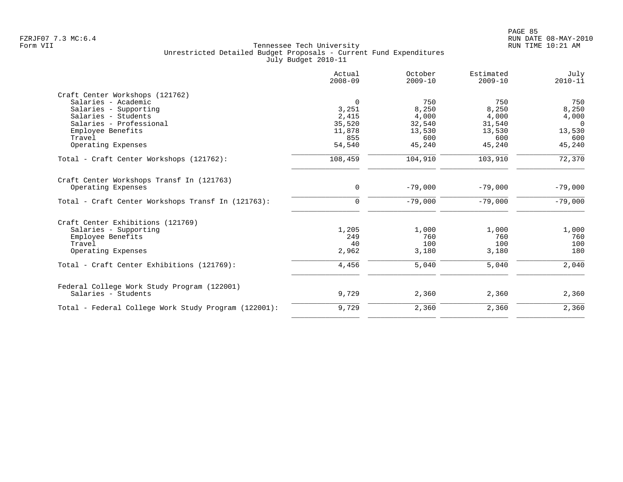| 750<br>750<br>8,250<br>8,250<br>4,000<br>4,000<br>32,540<br>31,540<br>13,530<br>13,530<br>600<br>600 | 750<br>8,250<br>4,000<br>$\Omega$<br>13,530<br>600                                                                                               |
|------------------------------------------------------------------------------------------------------|--------------------------------------------------------------------------------------------------------------------------------------------------|
|                                                                                                      |                                                                                                                                                  |
|                                                                                                      |                                                                                                                                                  |
|                                                                                                      |                                                                                                                                                  |
|                                                                                                      |                                                                                                                                                  |
|                                                                                                      |                                                                                                                                                  |
|                                                                                                      |                                                                                                                                                  |
|                                                                                                      |                                                                                                                                                  |
|                                                                                                      | 45,240                                                                                                                                           |
| 103,910                                                                                              | 72,370                                                                                                                                           |
|                                                                                                      |                                                                                                                                                  |
| $-79,000$                                                                                            | $-79,000$                                                                                                                                        |
| $-79,000$                                                                                            | $-79,000$                                                                                                                                        |
|                                                                                                      |                                                                                                                                                  |
|                                                                                                      | 1,000                                                                                                                                            |
|                                                                                                      | 760                                                                                                                                              |
|                                                                                                      | 100                                                                                                                                              |
| 3,180                                                                                                | 180                                                                                                                                              |
| 5,040                                                                                                | 2,040                                                                                                                                            |
|                                                                                                      | 2,360                                                                                                                                            |
|                                                                                                      |                                                                                                                                                  |
| 2,360                                                                                                | 2,360                                                                                                                                            |
|                                                                                                      | 45,240<br>45,240<br>104,910<br>$-79,000$<br>$-79,000$<br>1,000<br>1,000<br>760<br>760<br>100<br>100<br>3,180<br>5,040<br>2,360<br>2,360<br>2,360 |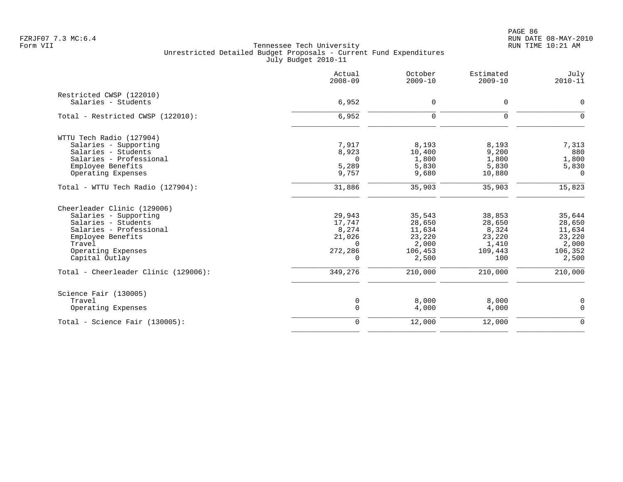PAGE 86 FZRJF07 7.3 MC:6.4 RUN DATE 08-MAY-2010

|                                                                                                                                                                               | Actual<br>$2008 - 09$                                           | October<br>$2009 - 10$                                            | Estimated<br>$2009 - 10$                                       | July<br>$2010 - 11$                                               |
|-------------------------------------------------------------------------------------------------------------------------------------------------------------------------------|-----------------------------------------------------------------|-------------------------------------------------------------------|----------------------------------------------------------------|-------------------------------------------------------------------|
| Restricted CWSP (122010)<br>Salaries - Students                                                                                                                               | 6,952                                                           | $\mathsf{O}$                                                      | 0                                                              | 0                                                                 |
| Total - Restricted CWSP (122010):                                                                                                                                             | 6,952                                                           | $\mathbf 0$                                                       | $\mathbf 0$                                                    | $\mathbf 0$                                                       |
| WTTU Tech Radio (127904)<br>Salaries - Supporting<br>Salaries - Students<br>Salaries - Professional<br>Employee Benefits<br>Operating Expenses                                | 7,917<br>8,923<br>$\Omega$<br>5,289<br>9,757                    | 8,193<br>10,400<br>1,800<br>5,830<br>9,680                        | 8,193<br>9,200<br>1,800<br>5,830<br>10,880                     | 7,313<br>880<br>1,800<br>5,830<br>$\overline{0}$                  |
| Total - WTTU Tech Radio (127904):                                                                                                                                             | 31,886                                                          | 35,903                                                            | 35,903                                                         | 15,823                                                            |
| Cheerleader Clinic (129006)<br>Salaries - Supporting<br>Salaries - Students<br>Salaries - Professional<br>Employee Benefits<br>Travel<br>Operating Expenses<br>Capital Outlay | 29,943<br>17,747<br>8,274<br>21,026<br>$\Omega$<br>272,286<br>0 | 35,543<br>28,650<br>11,634<br>23,220<br>2,000<br>106,453<br>2,500 | 38,853<br>28,650<br>8,324<br>23,220<br>1,410<br>109,443<br>100 | 35,644<br>28,650<br>11,634<br>23,220<br>2,000<br>106,352<br>2,500 |
| Total - Cheerleader Clinic (129006):                                                                                                                                          | 349,276                                                         | 210,000                                                           | 210,000                                                        | 210,000                                                           |
| Science Fair (130005)<br>Travel<br>Operating Expenses                                                                                                                         | 0<br>$\mathbf 0$                                                | 8,000<br>4,000                                                    | 8,000<br>4,000                                                 | 0<br>0                                                            |
| $Total - Science Fair (130005):$                                                                                                                                              | $\mathbf 0$                                                     | 12,000                                                            | 12,000                                                         | $\mathbf 0$                                                       |
|                                                                                                                                                                               |                                                                 |                                                                   |                                                                |                                                                   |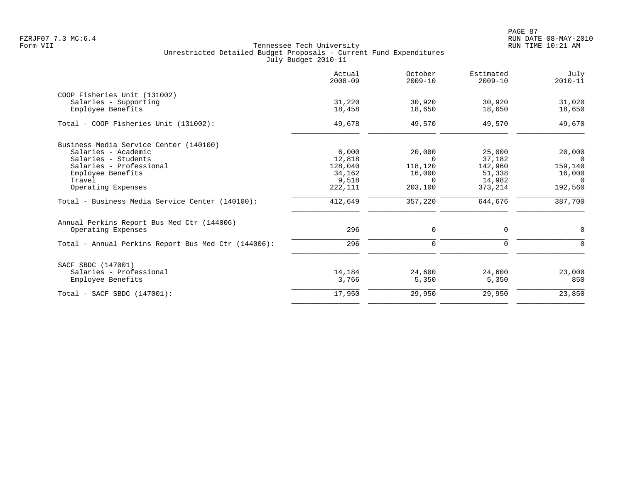PAGE 87 FZRJF07 7.3 MC:6.4 RUN DATE 08-MAY-2010

| Actual<br>$2008 - 09$ | October<br>$2009 - 10$ | Estimated<br>$2009 - 10$ | July<br>$2010 - 11$ |
|-----------------------|------------------------|--------------------------|---------------------|
|                       |                        |                          |                     |
| 31,220                | 30,920                 | 30,920                   | 31,020              |
| 18,458                | 18,650                 | 18,650                   | 18,650              |
| 49,678                | 49,570                 | 49,570                   | 49,670              |
|                       |                        |                          |                     |
| 6,000                 | 20,000                 | 25,000                   | 20,000              |
| 12,818                | $\Omega$               | 37,182                   | $\Omega$            |
| 128,040               | 118,120                | 142,960                  | 159,140             |
| 34,162                | 16,000                 | 51,338                   | 16,000              |
|                       | $\Omega$               | 14,982                   | 0                   |
| 222, 111              | 203,100                | 373,214                  | 192,560             |
| 412,649               | 357,220                | 644,676                  | 387,700             |
|                       |                        |                          |                     |
| 296                   | 0                      | 0                        | 0                   |
| 296                   | 0                      | $\mathbf 0$              | $\Omega$            |
|                       |                        |                          |                     |
| 14,184                | 24,600                 | 24,600                   | 23,000              |
| 3,766                 | 5,350                  | 5,350                    | 850                 |
| 17,950                | 29,950                 | 29,950                   | 23,850              |
|                       | 9,518                  |                          |                     |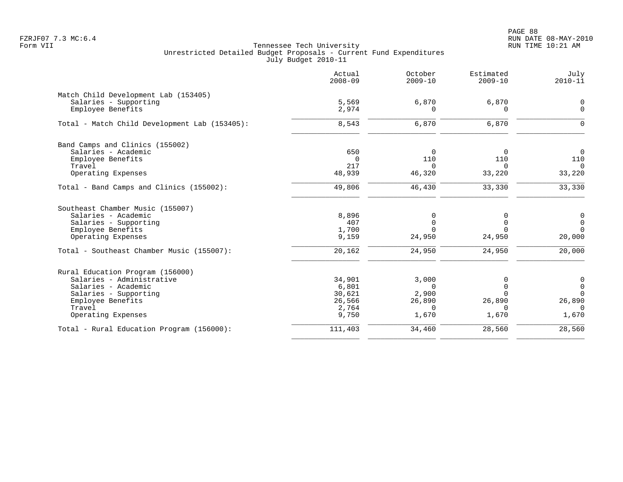PAGE 88 FZRJF07 7.3 MC:6.4 RUN DATE 08-MAY-2010

|                                               | Actual<br>$2008 - 09$ | October<br>$2009 - 10$ | Estimated<br>$2009 - 10$ | July<br>$2010 - 11$ |
|-----------------------------------------------|-----------------------|------------------------|--------------------------|---------------------|
| Match Child Development Lab (153405)          |                       |                        |                          |                     |
| Salaries - Supporting                         | 5,569                 | 6,870                  | 6,870                    | $\mathsf{O}$        |
| Employee Benefits                             | 2,974                 | U                      |                          | $\Omega$            |
| Total - Match Child Development Lab (153405): | 8,543                 | 6,870                  | 6,870                    | $\Omega$            |
| Band Camps and Clinics (155002)               |                       |                        |                          |                     |
| Salaries - Academic                           | 650                   | $\Omega$               | $\Omega$                 | $\mathbf 0$         |
| Employee Benefits                             | $\Omega$              | 110                    | 110                      | 110                 |
| Travel                                        | 217                   | $\Omega$               | $\Omega$                 | $\Omega$            |
| Operating Expenses                            | 48,939                | 46,320                 | 33,220                   | 33,220              |
| Total - Band Camps and Clinics (155002):      | 49,806                | 46,430                 | 33,330                   | 33,330              |
| Southeast Chamber Music (155007)              |                       |                        |                          |                     |
| Salaries - Academic                           | 8,896                 | 0                      | <sup>0</sup>             | 0                   |
| Salaries - Supporting                         | 407                   | $\mathbf 0$            | $\Omega$                 | $\mathsf{O}$        |
| Employee Benefits                             | 1,700                 | $\Omega$               | $\Omega$                 | $\mathbf 0$         |
| Operating Expenses                            | 9,159                 | 24,950                 | 24,950                   | 20,000              |
| Total - Southeast Chamber Music (155007):     | 20,162                | 24,950                 | 24,950                   | 20,000              |
| Rural Education Program (156000)              |                       |                        |                          |                     |
| Salaries - Administrative                     | 34,901                | 3,000                  | O                        | 0                   |
| Salaries - Academic                           | 6,801                 | $\Omega$               | $\Omega$                 | $\mathbf 0$         |
| Salaries - Supporting                         | 30,621                | 2,900                  | $\Omega$                 | $\Omega$            |
| Employee Benefits                             | 26,566                | 26,890                 | 26,890                   | 26,890              |
| Travel                                        | 2,764                 | $\Omega$               | $\Omega$                 | $\Omega$            |
| Operating Expenses                            | 9,750                 | 1,670                  | 1,670                    | 1,670               |
| Total - Rural Education Program (156000):     | 111,403               | 34,460                 | 28,560                   | 28,560              |
|                                               |                       |                        |                          |                     |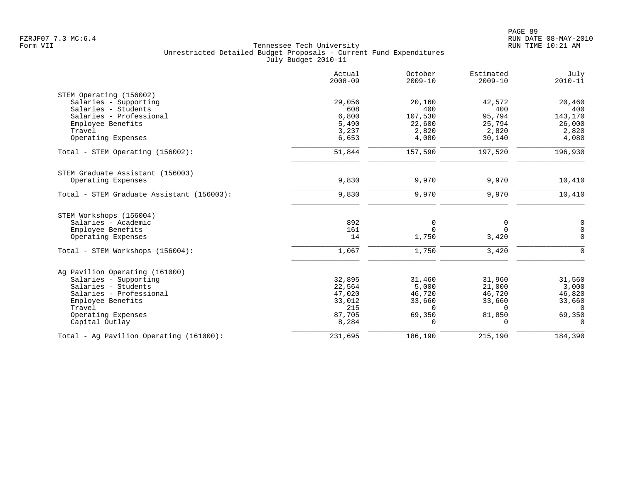|                                           | Actual<br>$2008 - 09$ | October<br>$2009 - 10$ | Estimated<br>$2009 - 10$ | July<br>$2010 - 11$ |
|-------------------------------------------|-----------------------|------------------------|--------------------------|---------------------|
| STEM Operating (156002)                   |                       |                        |                          |                     |
| Salaries - Supporting                     | 29,056                | 20,160                 | 42,572                   | 20,460              |
| Salaries - Students                       | 608                   | 400                    | 400                      | 400                 |
| Salaries - Professional                   | 6,800                 | 107,530                | 95,794                   | 143,170             |
| Employee Benefits<br>Travel               | 5,490<br>3,237        | 22,600<br>2,820        | 25,794<br>2,820          | 26,000<br>2,820     |
| Operating Expenses                        | 6,653                 | 4,080                  | 30,140                   | 4,080               |
|                                           |                       |                        |                          |                     |
| Total - STEM Operating (156002):          | 51,844                | 157,590                | 197,520                  | 196,930             |
| STEM Graduate Assistant (156003)          |                       |                        |                          |                     |
| Operating Expenses                        | 9,830                 | 9,970                  | 9,970                    | 10,410              |
| Total - STEM Graduate Assistant (156003): | 9,830                 | 9,970                  | 9,970                    | 10,410              |
| STEM Workshops (156004)                   |                       |                        |                          |                     |
| Salaries - Academic                       | 892                   | 0                      | 0                        | 0                   |
| Employee Benefits                         | 161                   | $\Omega$               | $\Omega$                 | $\mathbf 0$         |
| Operating Expenses                        | 14                    | 1,750                  | 3,420                    | $\Omega$            |
| Total - STEM Workshops (156004):          | 1,067                 | 1,750                  | 3,420                    | $\Omega$            |
| Ag Pavilion Operating (161000)            |                       |                        |                          |                     |
| Salaries - Supporting                     | 32,895                | 31,460                 | 31,960                   | 31,560              |
| Salaries - Students                       | 22,564                | 5,000                  | 21,000                   | 3,000               |
| Salaries - Professional                   | 47,020                | 46,720                 | 46,720                   | 46,820              |
| Employee Benefits                         | 33,012                | 33,660                 | 33,660                   | 33,660              |
| Travel                                    | 215                   | $\Omega$               | $\Omega$                 | $\Omega$            |
| Operating Expenses                        | 87,705                | 69,350                 | 81,850                   | 69,350              |
| Capital Outlay                            | 8,284                 | $\Omega$               | $\Omega$                 | $\Omega$            |
| Total - Ag Pavilion Operating (161000):   | 231,695               | 186,190                | 215,190                  | 184,390             |
|                                           |                       |                        |                          |                     |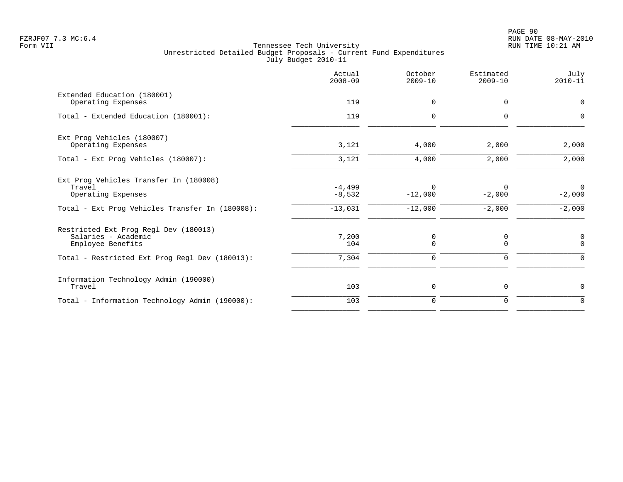|                                                                                                                                     | Actual<br>$2008 - 09$             | October<br>$2009 - 10$             | Estimated<br>$2009 - 10$         | July<br>$2010 - 11$                    |
|-------------------------------------------------------------------------------------------------------------------------------------|-----------------------------------|------------------------------------|----------------------------------|----------------------------------------|
| Extended Education (180001)<br>Operating Expenses                                                                                   | 119                               | $\mathbf 0$                        | $\Omega$                         | 0                                      |
| Total - Extended Education (180001):                                                                                                | 119                               | $\mathbf 0$                        | $\Omega$                         | $\Omega$                               |
| Ext Prog Vehicles (180007)<br>Operating Expenses                                                                                    | 3,121                             | 4,000                              | 2,000                            | 2,000                                  |
| Total - Ext Prog Vehicles (180007):                                                                                                 | 3,121                             | 4,000                              | 2,000                            | 2,000                                  |
| Ext Prog Vehicles Transfer In (180008)<br>Travel<br>Operating Expenses<br>Total - Ext Prog Vehicles Transfer In (180008):           | $-4,499$<br>$-8,532$<br>$-13,031$ | $\Omega$<br>$-12,000$<br>$-12,000$ | $\Omega$<br>$-2,000$<br>$-2,000$ | $\overline{0}$<br>$-2,000$<br>$-2,000$ |
| Restricted Ext Prog Regl Dev (180013)<br>Salaries - Academic<br>Employee Benefits<br>Total - Restricted Ext Prog Regl Dev (180013): | 7,200<br>104<br>7,304             | 0<br>$\mathbf 0$<br>$\mathbf 0$    | 0<br>$\Omega$<br>0               | $\mathsf{0}$<br>$\Omega$<br>$\Omega$   |
| Information Technology Admin (190000)<br>Travel                                                                                     | 103                               | 0                                  | $\mathbf 0$                      | 0                                      |
| Total - Information Technology Admin (190000):                                                                                      | 103                               | $\mathbf 0$                        | $\mathbf 0$                      | $\mathbf 0$                            |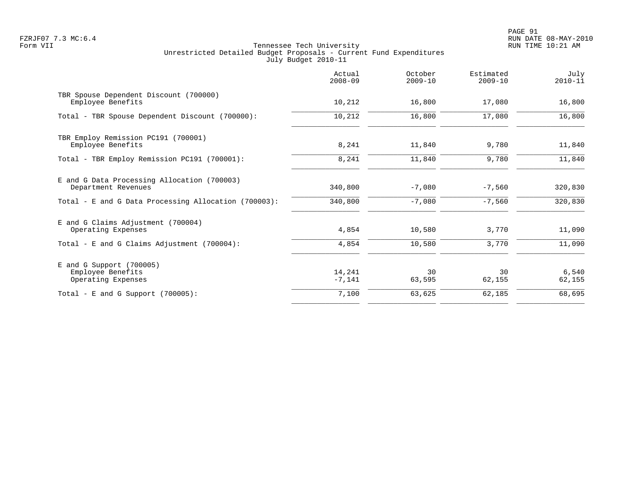PAGE 91 FZRJF07 7.3 MC:6.4 RUN DATE 08-MAY-2010

|                                                                       | Actual<br>$2008 - 09$ | October<br>$2009 - 10$ | Estimated<br>$2009 - 10$ | July<br>$2010 - 11$ |
|-----------------------------------------------------------------------|-----------------------|------------------------|--------------------------|---------------------|
| TBR Spouse Dependent Discount (700000)<br>Employee Benefits           | 10,212                | 16,800                 | 17,080                   | 16,800              |
| Total - TBR Spouse Dependent Discount (700000):                       | 10,212                | 16,800                 | 17,080                   | 16,800              |
| TBR Employ Remission PC191 (700001)<br>Employee Benefits              | 8,241                 | 11,840                 | 9,780                    | 11,840              |
| Total - TBR Employ Remission PC191 (700001):                          | 8,241                 | 11,840                 | 9,780                    | 11,840              |
| E and G Data Processing Allocation (700003)<br>Department Revenues    | 340,800               | $-7,080$               | $-7,560$                 | 320,830             |
| Total - E and G Data Processing Allocation (700003):                  | 340,800               | $-7,080$               | $-7,560$                 | 320,830             |
| E and G Claims Adjustment (700004)<br>Operating Expenses              | 4,854                 | 10,580                 | 3,770                    | 11,090              |
| Total - E and G Claims Adjustment $(700004)$ :                        | 4,854                 | 10,580                 | 3,770                    | 11,090              |
| $E$ and G Support (700005)<br>Employee Benefits<br>Operating Expenses | 14,241<br>$-7,141$    | 30<br>63,595           | 30<br>62,155             | 6,540<br>62,155     |
| Total - E and G Support $(700005)$ :                                  | 7,100                 | 63,625                 | 62,185                   | 68,695              |
|                                                                       |                       |                        |                          |                     |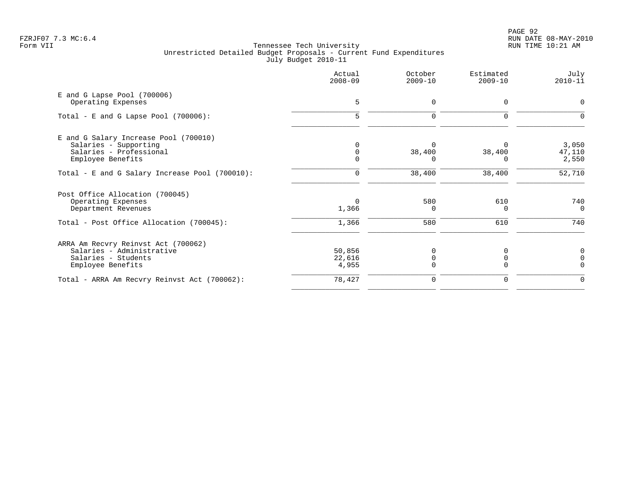|                                                                                                                          | Actual<br>$2008 - 09$      | October<br>$2009 - 10$     | Estimated<br>$2009 - 10$ | July<br>$2010 - 11$          |
|--------------------------------------------------------------------------------------------------------------------------|----------------------------|----------------------------|--------------------------|------------------------------|
| E and G Lapse Pool (700006)<br>Operating Expenses                                                                        | 5                          | 0                          | 0                        | $\Omega$                     |
| Total - E and G Lapse Pool $(700006)$ :                                                                                  | 5                          | $\Omega$                   | $\Omega$                 |                              |
| E and G Salary Increase Pool (700010)<br>Salaries - Supporting<br>Salaries - Professional<br>Employee Benefits           |                            | 38,400                     | 38,400                   | 3,050<br>47,110<br>2,550     |
| Total - E and G Salary Increase Pool (700010):                                                                           | 0                          | 38,400                     | 38,400                   | 52,710                       |
| Post Office Allocation (700045)<br>Operating Expenses<br>Department Revenues<br>Total - Post Office Allocation (700045): | $\Omega$<br>1,366<br>1,366 | 580<br><sup>0</sup><br>580 | 610<br>0<br>610          | 740<br>$\overline{0}$<br>740 |
| ARRA Am Recvry Reinvst Act (700062)<br>Salaries - Administrative<br>Salaries - Students<br>Employee Benefits             | 50,856<br>22,616<br>4,955  |                            | O                        | 0                            |
| Total - ARRA Am Recvry Reinvst Act (700062):                                                                             | 78,427                     | $\Omega$                   |                          |                              |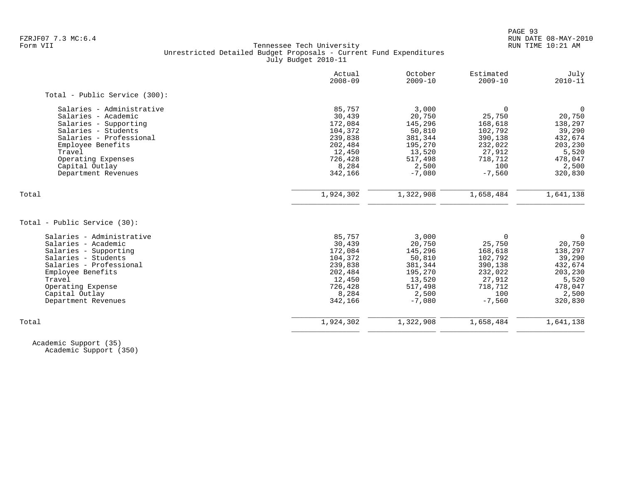# FZRJF07 7.3 MC:6.4 RUN DATE 08-MAY-2010<br>Form VII RUN TIME 10:21 AM Tennessee Tech University Unrestricted Detailed Budget Proposals - Current Fund Expenditures July Budget 2010-11

| Actual<br>$2008 - 09$ | October<br>$2009 - 10$ | Estimated<br>$2009 - 10$ | July<br>$2010 - 11$ |
|-----------------------|------------------------|--------------------------|---------------------|
|                       |                        |                          |                     |
| 85,757                | 3,000                  | $\Omega$                 | $\mathbf 0$         |
| 30,439                | 20,750                 | 25,750                   | 20,750              |
| 172,084               | 145,296                | 168,618                  | 138,297             |
| 104,372               | 50,810                 | 102,792                  | 39,290              |
| 239,838               | 381,344                | 390,138                  | 432,674             |
| 202,484               | 195,270                | 232,022                  | 203,230             |
| 12,450                | 13,520                 | 27,912                   | 5,520               |
| 726,428               | 517,498                | 718,712                  | 478,047             |
| 8,284                 | 2,500                  | 100                      | 2,500               |
| 342,166               | $-7,080$               | $-7,560$                 | 320,830             |
|                       |                        |                          | 1,641,138           |
|                       |                        |                          |                     |
|                       |                        |                          |                     |
| 85,757                | 3,000                  | $\Omega$                 | $\mathbf 0$         |
| 30,439                | 20,750                 | 25,750                   | 20,750              |
| 172,084               | 145,296                | 168,618                  | 138,297             |
| 104,372               | 50,810                 | 102,792                  | 39,290              |
| 239,838               | 381,344                | 390,138                  | 432,674             |
|                       | 195,270                | 232,022                  | 203,230             |
| 12,450                | 13,520                 | 27,912                   | 5,520               |
| 726,428               | 517,498                | 718,712                  | 478,047             |
| 8,284                 | 2,500                  | 100                      | 2,500               |
| 342,166               | $-7,080$               | $-7,560$                 | 320,830             |
|                       |                        |                          |                     |
|                       | 1,924,302<br>202,484   | 1,322,908                | 1,658,484           |

 Academic Support (35) Academic Support (350)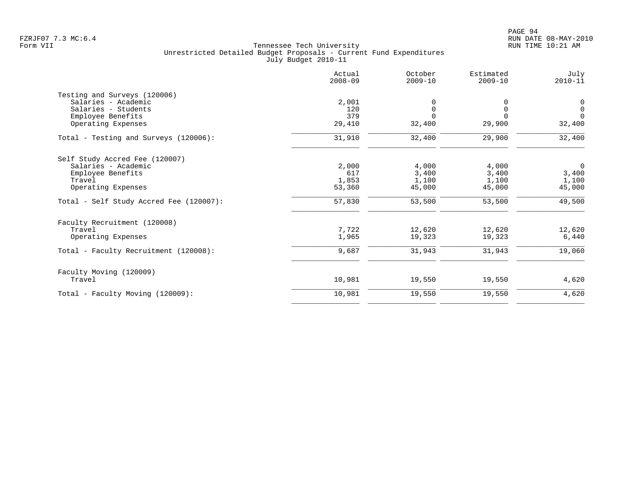|                                         | Actual<br>$2008 - 09$ | October<br>$2009 - 10$ | Estimated<br>$2009 - 10$ | July<br>$2010 - 11$ |
|-----------------------------------------|-----------------------|------------------------|--------------------------|---------------------|
| Testing and Surveys (120006)            |                       |                        |                          |                     |
| Salaries - Academic                     | 2,001                 |                        |                          | $\mathbf 0$         |
| Salaries - Students                     | 120                   | $\Omega$               | $\mathbf 0$              | $\mathbf{0}$        |
| Employee Benefits                       | 379                   | $\Omega$               | $\Omega$                 | $\Omega$            |
| Operating Expenses                      | 29,410                | 32,400                 | 29,900                   | 32,400              |
| Total - Testing and Surveys (120006):   | 31,910                | 32,400                 | 29,900                   | 32,400              |
| Self Study Accred Fee (120007)          |                       |                        |                          |                     |
| Salaries - Academic                     | 2,000                 | 4,000                  | 4,000                    | $\mathbf 0$         |
| Employee Benefits                       | 617                   | 3,400                  | 3,400                    | 3,400               |
| Travel                                  | 1,853                 | 1,100                  | 1,100                    | 1,100               |
| Operating Expenses                      | 53,360                | 45,000                 | 45,000                   | 45,000              |
| Total - Self Study Accred Fee (120007): | 57,830                | 53,500                 | 53,500                   | 49,500              |
| Faculty Recruitment (120008)            |                       |                        |                          |                     |
| Travel                                  | 7,722                 | 12,620                 | 12,620                   | 12,620              |
| Operating Expenses                      | 1,965                 | 19,323                 | 19,323                   | 6,440               |
| Total - Faculty Recruitment (120008):   | 9,687                 | 31,943                 | 31,943                   | 19,060              |
| Faculty Moving (120009)                 |                       |                        |                          |                     |
| Travel                                  | 10,981                | 19,550                 | 19,550                   | 4,620               |
| Total - Faculty Moving (120009):        | 10,981                | 19,550                 | 19,550                   | 4,620               |
|                                         |                       |                        |                          |                     |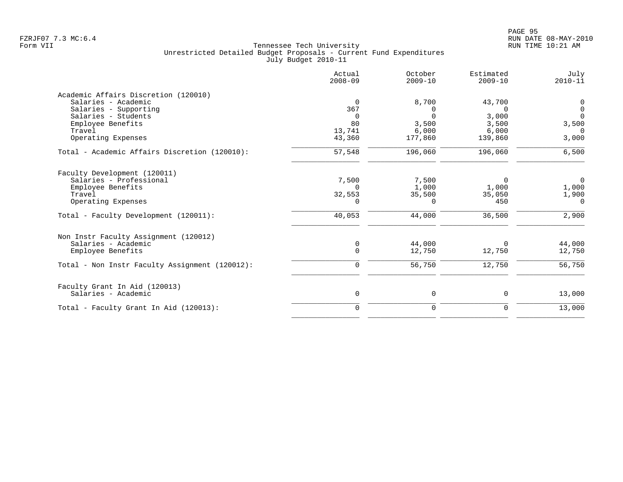|                                                      | Actual<br>$2008 - 09$ | October<br>$2009 - 10$ | Estimated<br>$2009 - 10$ | July<br>$2010 - 11$ |
|------------------------------------------------------|-----------------------|------------------------|--------------------------|---------------------|
| Academic Affairs Discretion (120010)                 |                       |                        |                          |                     |
| Salaries - Academic                                  | $\Omega$              | 8,700                  | 43,700                   | 0                   |
| Salaries - Supporting                                | 367                   | $\Omega$               | $\Omega$                 | 0                   |
| Salaries - Students                                  | $\Omega$              | $\Omega$               | 3,000                    | $\Omega$            |
| Employee Benefits                                    | 80                    | 3,500                  | 3,500                    | 3,500               |
| Travel                                               | 13,741                | 6,000                  | 6,000                    | $\Omega$            |
| Operating Expenses                                   | 43,360                | 177,860                | 139,860                  | 3,000               |
| Total - Academic Affairs Discretion (120010):        | 57,548                | 196,060                | 196,060                  | 6,500               |
| Faculty Development (120011)                         |                       |                        |                          |                     |
| Salaries - Professional                              | 7,500                 | 7,500                  | 0                        | $\overline{0}$      |
| Employee Benefits                                    | $\Omega$              | 1,000                  | 1,000                    | 1,000               |
| Travel                                               | 32,553                | 35,500                 | 35,050                   | 1,900               |
| Operating Expenses                                   | 0                     | 0                      | 450                      | $\Omega$            |
| Total - Faculty Development (120011):                | 40,053                | 44,000                 | 36,500                   | 2,900               |
| Non Instr Faculty Assignment (120012)                |                       |                        |                          |                     |
| Salaries - Academic                                  | $\mathbf 0$           | 44,000                 | $\Omega$                 | 44,000              |
| Employee Benefits                                    | $\Omega$              | 12,750                 | 12,750                   | 12,750              |
| Total - Non Instr Faculty Assignment (120012):       | 0                     | 56,750                 | 12,750                   | 56,750              |
|                                                      |                       |                        |                          |                     |
| Faculty Grant In Aid (120013)<br>Salaries - Academic | 0                     | 0                      | 0                        | 13,000              |
| Total - Faculty Grant In Aid (120013):               | $\Omega$              | $\mathbf 0$            | $\mathbf 0$              | 13,000              |
|                                                      |                       |                        |                          |                     |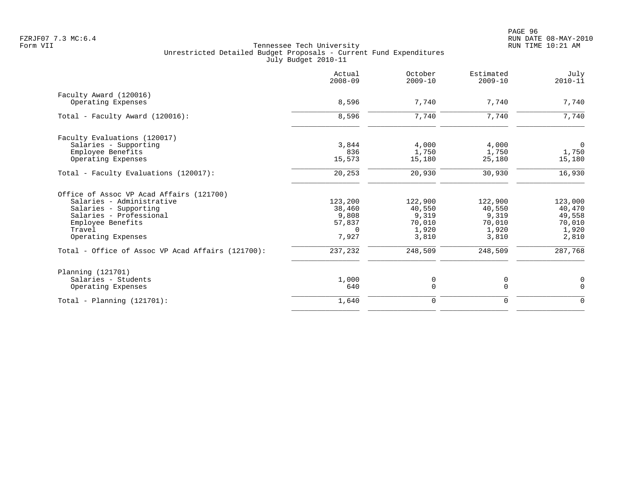|                                                   | Actual<br>$2008 - 09$ | October<br>$2009 - 10$ | Estimated<br>$2009 - 10$ | July<br>$2010 - 11$ |
|---------------------------------------------------|-----------------------|------------------------|--------------------------|---------------------|
| Faculty Award (120016)                            |                       |                        |                          |                     |
| Operating Expenses                                | 8,596                 | 7,740                  | 7,740                    | 7,740               |
| Total - Faculty Award (120016):                   | 8,596                 | 7,740                  | 7,740                    | 7,740               |
| Faculty Evaluations (120017)                      |                       |                        |                          |                     |
| Salaries - Supporting                             | 3,844                 | 4,000                  | 4,000                    | $\overline{0}$      |
| Employee Benefits                                 | 836                   | 1,750                  | 1,750                    | 1,750               |
| Operating Expenses                                | 15,573                | 15,180                 | 25,180                   | 15,180              |
| Total - Faculty Evaluations (120017):             | 20,253                | 20,930                 | 30,930                   | 16,930              |
| Office of Assoc VP Acad Affairs (121700)          |                       |                        |                          |                     |
| Salaries - Administrative                         | 123,200               | 122,900                | 122,900                  | 123,000             |
| Salaries - Supporting                             | 38,460                | 40,550                 | 40,550                   | 40,470              |
| Salaries - Professional                           | 9,808                 | 9,319                  | 9,319                    | 49,558              |
| Employee Benefits                                 | 57,837                | 70,010                 | 70,010                   | 70,010              |
| Travel                                            | $\Omega$              | 1,920                  | 1,920                    | 1,920               |
| Operating Expenses                                | 7,927                 | 3,810                  | 3,810                    | 2,810               |
| Total - Office of Assoc VP Acad Affairs (121700): | 237,232               | 248,509                | 248,509                  | 287,768             |
| Planning (121701)                                 |                       |                        |                          |                     |
| Salaries - Students                               | 1,000                 | 0                      | 0                        | $\mathbf 0$         |
| Operating Expenses                                | 640                   | $\Omega$               | $\Omega$                 | $\Omega$            |
| $Total - Planning (121701):$                      | 1,640                 | 0                      | 0                        | $\mathbf 0$         |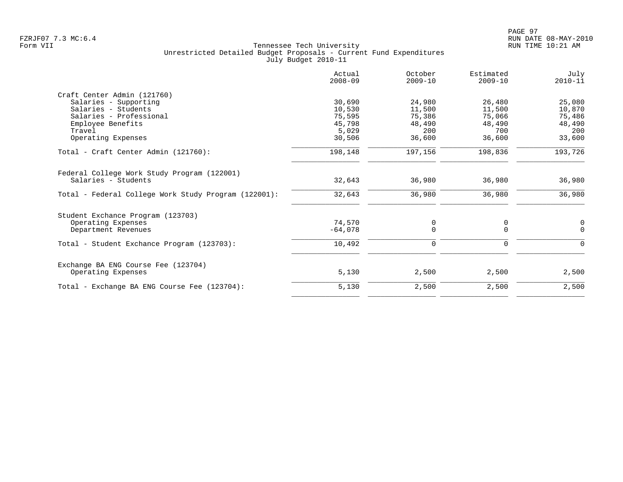|                                                      | Actual<br>$2008 - 09$ | October<br>$2009 - 10$ | Estimated<br>$2009 - 10$ | July<br>$2010 - 11$ |
|------------------------------------------------------|-----------------------|------------------------|--------------------------|---------------------|
| Craft Center Admin (121760)                          |                       |                        |                          |                     |
| Salaries - Supporting                                | 30,690                | 24,980                 | 26,480                   | 25,080              |
| Salaries - Students                                  | 10,530                | 11,500                 | 11,500                   | 10,870              |
| Salaries - Professional                              | 75,595                | 75,386                 | 75,066                   | 75,486              |
| Employee Benefits                                    | 45,798                | 48,490                 | 48,490                   | 48,490              |
| Travel                                               | 5,029                 | 200                    | 700                      | 200                 |
| Operating Expenses                                   | 30,506                | 36,600                 | 36,600                   | 33,600              |
| Total - Craft Center Admin (121760):                 | 198,148               | 197,156                | 198,836                  | 193,726             |
| Federal College Work Study Program (122001)          |                       |                        |                          |                     |
| Salaries - Students                                  | 32,643                | 36,980                 | 36,980                   | 36,980              |
| Total - Federal College Work Study Program (122001): | 32,643                | 36,980                 | 36,980                   | 36,980              |
| Student Exchance Program (123703)                    |                       |                        |                          |                     |
| Operating Expenses                                   | 74,570                | 0                      | 0                        | 0                   |
| Department Revenues                                  | $-64,078$             | $\Omega$               | $\Omega$                 | $\Omega$            |
| Total - Student Exchance Program (123703):           | 10,492                | 0                      | 0                        | $\Omega$            |
| Exchange BA ENG Course Fee (123704)                  |                       |                        |                          |                     |
| Operating Expenses                                   | 5,130                 | 2,500                  | 2,500                    | 2,500               |
| Total - Exchange BA ENG Course Fee (123704):         | 5,130                 | 2,500                  | 2,500                    | 2,500               |
|                                                      |                       |                        |                          |                     |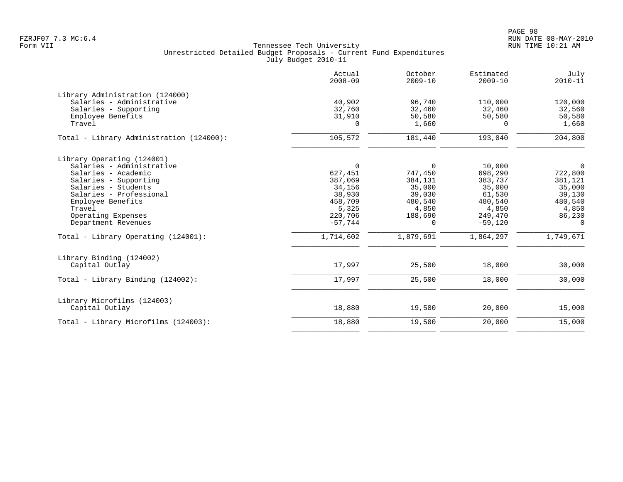|                                                                                                                                                                                                                                                                              | Actual<br>$2008 - 09$                                                                                          | October<br>$2009 - 10$                                                                              | Estimated<br>$2009 - 10$                                                                                  | July<br>$2010 - 11$                                                                                      |
|------------------------------------------------------------------------------------------------------------------------------------------------------------------------------------------------------------------------------------------------------------------------------|----------------------------------------------------------------------------------------------------------------|-----------------------------------------------------------------------------------------------------|-----------------------------------------------------------------------------------------------------------|----------------------------------------------------------------------------------------------------------|
| Library Administration (124000)<br>Salaries - Administrative<br>Salaries - Supporting<br>Employee Benefits<br>Travel                                                                                                                                                         | 40,902<br>32,760<br>31,910<br>0                                                                                | 96,740<br>32,460<br>50,580<br>1,660                                                                 | 110,000<br>32,460<br>50,580<br>$\Omega$                                                                   | 120,000<br>32,560<br>50,580<br>1,660                                                                     |
| Total - Library Administration (124000):                                                                                                                                                                                                                                     | 105,572                                                                                                        | 181,440                                                                                             | 193,040                                                                                                   | 204,800                                                                                                  |
| Library Operating (124001)<br>Salaries - Administrative<br>Salaries - Academic<br>Salaries - Supporting<br>Salaries - Students<br>Salaries - Professional<br>Employee Benefits<br>Travel<br>Operating Expenses<br>Department Revenues<br>Total - Library Operating (124001): | $\mathbf 0$<br>627,451<br>387,069<br>34,156<br>38,930<br>458,709<br>5,325<br>220,706<br>$-57,744$<br>1,714,602 | $\Omega$<br>747,450<br>384,131<br>35,000<br>39,030<br>480,540<br>4,850<br>188,690<br>0<br>1,879,691 | 10,000<br>698,290<br>383,737<br>35,000<br>61,530<br>480,540<br>4,850<br>249,470<br>$-59,120$<br>1,864,297 | $\overline{0}$<br>722,800<br>381,121<br>35,000<br>39,130<br>480,540<br>4,850<br>86,230<br>0<br>1,749,671 |
| Library Binding (124002)<br>Capital Outlay                                                                                                                                                                                                                                   | 17,997                                                                                                         | 25,500                                                                                              | 18,000                                                                                                    | 30,000                                                                                                   |
| Total - Library Binding (124002):                                                                                                                                                                                                                                            | 17,997                                                                                                         | 25,500                                                                                              | 18,000                                                                                                    | 30,000                                                                                                   |
| Library Microfilms (124003)<br>Capital Outlay                                                                                                                                                                                                                                | 18,880                                                                                                         | 19,500                                                                                              | 20,000                                                                                                    | 15,000                                                                                                   |
| Total - Library Microfilms (124003):                                                                                                                                                                                                                                         | 18,880                                                                                                         | 19,500                                                                                              | 20,000                                                                                                    | 15,000                                                                                                   |
|                                                                                                                                                                                                                                                                              |                                                                                                                |                                                                                                     |                                                                                                           |                                                                                                          |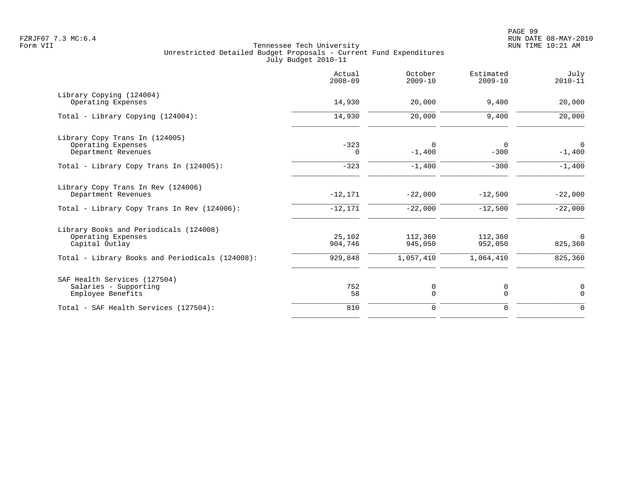|                                                                                                          | Actual<br>$2008 - 09$  | October<br>$2009 - 10$  | Estimated<br>$2009 - 10$ | July<br>$2010 - 11$        |
|----------------------------------------------------------------------------------------------------------|------------------------|-------------------------|--------------------------|----------------------------|
| Library Copying (124004)<br>Operating Expenses                                                           | 14,930                 | 20,000                  | 9,400                    | 20,000                     |
| Total - Library Copying (124004):                                                                        | 14,930                 | 20,000                  | 9,400                    | 20,000                     |
| Library Copy Trans In (124005)<br>Operating Expenses<br>Department Revenues                              | $-323$<br>0            | $\mathbf 0$<br>$-1,400$ | $\mathbf 0$<br>$-300$    | $\overline{0}$<br>$-1,400$ |
| Total - Library Copy Trans In (124005):                                                                  | $-323$                 | $-1,400$                | $-300$                   | $-1,400$                   |
| Library Copy Trans In Rev (124006)<br>Department Revenues<br>Total - Library Copy Trans In Rev (124006): | $-12,171$<br>$-12,171$ | $-22,000$<br>$-22,000$  | $-12,500$<br>$-12,500$   | $-22,000$<br>$-22,000$     |
| Library Books and Periodicals (124008)<br>Operating Expenses<br>Capital Outlay                           | 25,102<br>904,746      | 112,360<br>945,050      | 112,360<br>952,050       | $\overline{0}$<br>825,360  |
| Total - Library Books and Periodicals (124008):                                                          | 929,848                | 1,057,410               | 1,064,410                | 825,360                    |
| SAF Health Services (127504)<br>Salaries - Supporting<br>Employee Benefits                               | 752<br>58              | 0<br>$\Omega$           | 0<br>$\Omega$            | 0<br>$\Omega$              |
| Total - SAF Health Services (127504):                                                                    | 810                    | $\mathbf 0$             | $\mathbf 0$              | $\mathbf 0$                |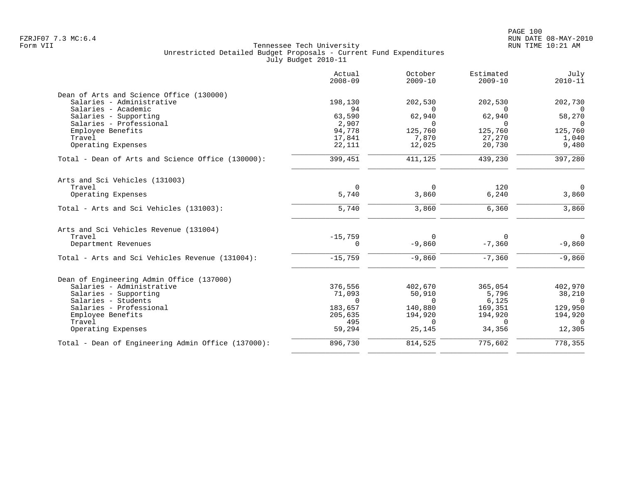|                                                    | Actual<br>$2008 - 09$ | October<br>$2009 - 10$ | Estimated<br>$2009 - 10$ | July<br>$2010 - 11$ |
|----------------------------------------------------|-----------------------|------------------------|--------------------------|---------------------|
| Dean of Arts and Science Office (130000)           |                       |                        |                          |                     |
| Salaries - Administrative                          | 198,130               | 202,530                | 202,530                  | 202,730             |
| Salaries - Academic                                | 94                    | $\Omega$               | $\Omega$                 | $\Omega$            |
| Salaries - Supporting                              | 63,590                | 62,940                 | 62,940                   | 58,270              |
| Salaries - Professional                            | 2,907                 | $\Omega$               | $\Omega$                 | $\Omega$            |
| Employee Benefits<br>Travel                        | 94,778<br>17,841      | 125,760<br>7,870       | 125,760<br>27,270        | 125,760<br>1,040    |
| Operating Expenses                                 | 22,111                | 12,025                 | 20,730                   | 9,480               |
|                                                    |                       |                        |                          |                     |
| Total - Dean of Arts and Science Office (130000):  | 399,451               | 411,125                | 439,230                  | 397,280             |
| Arts and Sci Vehicles (131003)                     |                       |                        |                          |                     |
| Travel                                             | $\mathbf 0$           | $\mathbf 0$            | 120                      | $\Omega$            |
| Operating Expenses                                 | 5,740                 | 3,860                  | 6,240                    | 3,860               |
| Total - Arts and Sci Vehicles (131003):            | 5,740                 | 3,860                  | 6,360                    | 3,860               |
| Arts and Sci Vehicles Revenue (131004)             |                       |                        |                          |                     |
| Travel                                             | $-15,759$             | $\Omega$               | $\Omega$                 | $\mathbf{0}$        |
| Department Revenues                                | 0                     | $-9,860$               | $-7,360$                 | $-9,860$            |
| Total - Arts and Sci Vehicles Revenue (131004):    | $-15,759$             | $-9,860$               | $-7,360$                 | $-9,860$            |
| Dean of Engineering Admin Office (137000)          |                       |                        |                          |                     |
| Salaries - Administrative                          | 376,556               | 402,670                | 365,054                  | 402,970             |
| Salaries - Supporting                              | 71,093                | 50,910                 | 5,796                    | 38,210              |
| Salaries - Students                                | $\Omega$              | $\Omega$               | 6,125                    | $\Omega$            |
| Salaries - Professional                            | 183,657               | 140,880                | 169,351                  | 129,950             |
| Employee Benefits                                  | 205,635               | 194,920                | 194,920                  | 194,920             |
| Travel                                             | 495                   | $\Omega$               | $\Omega$                 | $\Omega$            |
| Operating Expenses                                 | 59,294                | 25,145                 | 34,356                   | 12,305              |
| Total - Dean of Engineering Admin Office (137000): | 896,730               | 814,525                | 775,602                  | 778, 355            |
|                                                    |                       |                        |                          |                     |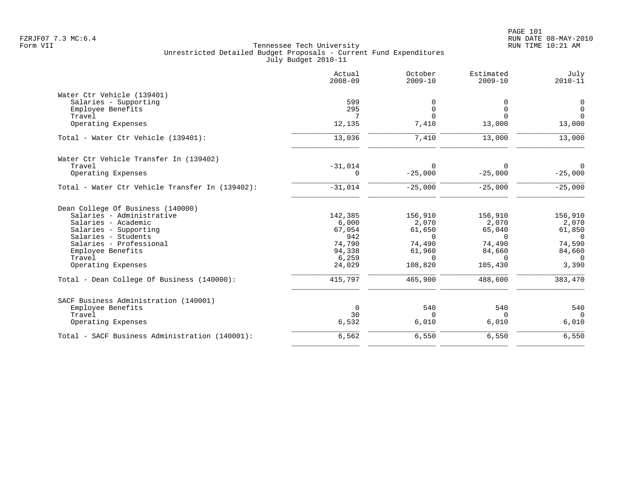|                                                 | Actual<br>$2008 - 09$ | October<br>$2009 - 10$ | Estimated<br>$2009 - 10$ | July<br>$2010 - 11$ |
|-------------------------------------------------|-----------------------|------------------------|--------------------------|---------------------|
| Water Ctr Vehicle (139401)                      |                       |                        |                          |                     |
| Salaries - Supporting                           | 599                   | 0                      | O                        | 0                   |
| Employee Benefits                               | 295                   | $\Omega$               | $\Omega$                 | $\Omega$            |
| Travel                                          | 7                     | $\Omega$               | $\Omega$                 | $\Omega$            |
| Operating Expenses                              | 12,135                | 7,410                  | 13,000                   | 13,000              |
| Total - Water Ctr Vehicle (139401):             | 13,036                | 7,410                  | 13,000                   | 13,000              |
| Water Ctr Vehicle Transfer In (139402)          |                       |                        |                          |                     |
| Travel                                          | $-31,014$             | $\Omega$               | $\Omega$                 | $\Omega$            |
| Operating Expenses                              | $\Omega$              | $-25,000$              | $-25,000$                | $-25,000$           |
| Total - Water Ctr Vehicle Transfer In (139402): | $-31,014$             | $-25,000$              | $-25,000$                | $-25,000$           |
| Dean College Of Business (140000)               |                       |                        |                          |                     |
| Salaries - Administrative                       | 142,385               | 156,910                | 156,910                  | 156,910             |
| Salaries - Academic                             | 6,000                 | 2,070                  | 2,070                    | 2,070               |
| Salaries - Supporting                           | 67,054                | 61,650                 | 65,040                   | 61,850              |
| Salaries - Students                             | 942                   | $\Omega$               | $\Omega$                 | $\Omega$            |
| Salaries - Professional                         | 74,790                | 74,490                 | 74,490                   | 74,590              |
| Employee Benefits                               | 94,338                | 61,960                 | 84,660                   | 84,660              |
| Travel                                          | 6,259                 | $\Omega$               | $\Omega$                 | $\Omega$            |
| Operating Expenses                              | 24,029                | 108,820                | 105,430                  | 3,390               |
| Total - Dean College Of Business (140000):      | 415,797               | 465,900                | 488,600                  | 383,470             |
| SACF Business Administration (140001)           |                       |                        |                          |                     |
| Employee Benefits                               | $\mathbf 0$           | 540                    | 540                      | 540                 |
| Travel                                          | 30                    | $\cap$                 | $\Omega$                 | $\Omega$            |
| Operating Expenses                              | 6,532                 | 6,010                  | 6,010                    | 6,010               |
| Total - SACF Business Administration (140001):  | 6,562                 | 6,550                  | 6,550                    | 6,550               |
|                                                 |                       |                        |                          |                     |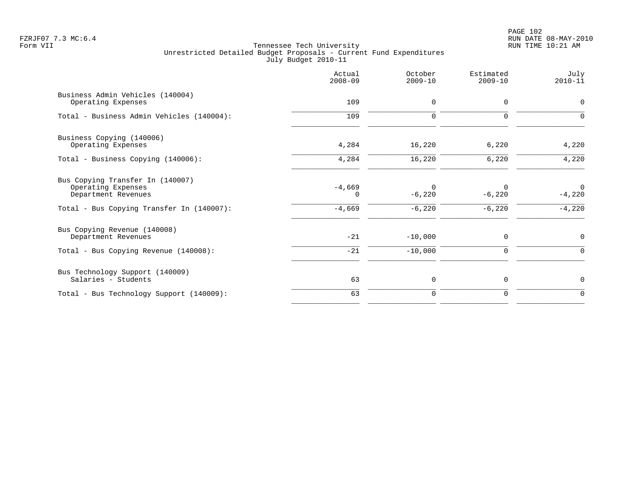# PAGE 102 FZRJF07 7.3 MC:6.4 RUN DATE 08-MAY-2010

|                                                                                                                            | Actual<br>$2008 - 09$     | October<br>$2009 - 10$           | Estimated<br>$2009 - 10$         | July<br>$2010 - 11$                 |
|----------------------------------------------------------------------------------------------------------------------------|---------------------------|----------------------------------|----------------------------------|-------------------------------------|
| Business Admin Vehicles (140004)<br>Operating Expenses                                                                     | 109                       | 0                                | $\mathbf 0$                      | 0                                   |
| Total - Business Admin Vehicles (140004):                                                                                  | 109                       | $\mathbf 0$                      | $\Omega$                         | $\Omega$                            |
| Business Copying (140006)<br>Operating Expenses                                                                            | 4,284                     | 16,220                           | 6,220                            | 4,220                               |
| Total - Business Copying (140006):                                                                                         | 4,284                     | 16,220                           | 6,220                            | 4,220                               |
| Bus Copying Transfer In (140007)<br>Operating Expenses<br>Department Revenues<br>Total - Bus Copying Transfer In (140007): | $-4,669$<br>0<br>$-4,669$ | $\Omega$<br>$-6,220$<br>$-6,220$ | $\Omega$<br>$-6,220$<br>$-6,220$ | $\mathbf 0$<br>$-4,220$<br>$-4,220$ |
| Bus Copying Revenue (140008)<br>Department Revenues                                                                        | $-21$                     | $-10,000$                        | $\mathbf 0$                      | 0                                   |
| Total - Bus Copying Revenue (140008):                                                                                      | $-21$                     | $-10,000$                        | $\mathbf 0$                      | 0                                   |
| Bus Technology Support (140009)<br>Salaries - Students                                                                     | 63                        | 0                                | 0                                | 0                                   |
| Total - Bus Technology Support (140009):                                                                                   | 63                        | $\mathbf 0$                      | $\mathbf 0$                      | 0                                   |
|                                                                                                                            |                           |                                  |                                  |                                     |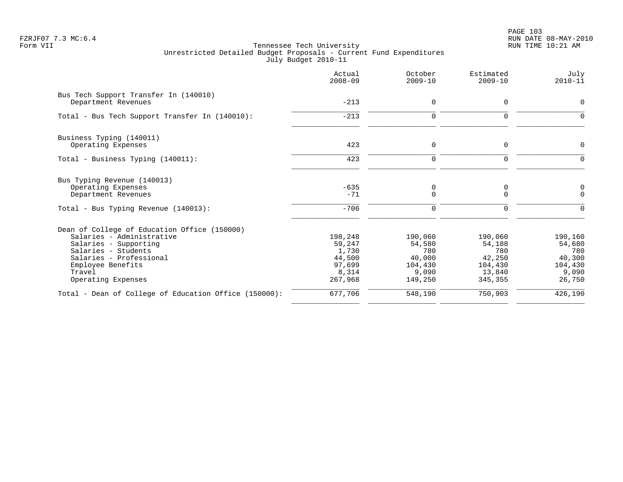PAGE 103 FZRJF07 7.3 MC:6.4 RUN DATE 08-MAY-2010

|                                                              | Actual<br>$2008 - 09$ | October<br>$2009 - 10$ | Estimated<br>$2009 - 10$ | July<br>$2010 - 11$ |
|--------------------------------------------------------------|-----------------------|------------------------|--------------------------|---------------------|
| Bus Tech Support Transfer In (140010)<br>Department Revenues | $-213$                | 0                      | $\mathbf 0$              | $\Omega$            |
| Total - Bus Tech Support Transfer In (140010):               | $-213$                | $\mathbf 0$            | $\Omega$                 | <sup>n</sup>        |
| Business Typing (140011)                                     |                       |                        |                          |                     |
| Operating Expenses                                           | 423                   | 0                      | $\mathbf 0$              | 0                   |
| Total - Business Typing (140011):                            | 423                   | $\mathbf 0$            | 0                        | $\Omega$            |
| Bus Typing Revenue (140013)                                  |                       |                        |                          |                     |
| Operating Expenses<br>Department Revenues                    | $-635$<br>$-71$       | 0<br>$\mathbf 0$       | 0<br>0                   | 0<br>$\mathbf 0$    |
| Total - Bus Typing Revenue (140013):                         | $-706$                | $\mathbf 0$            | $\Omega$                 | $\Omega$            |
| Dean of College of Education Office (150000)                 |                       |                        |                          |                     |
| Salaries - Administrative                                    | 198,248               | 190,060                | 190,060                  | 190,160             |
| Salaries - Supporting                                        | 59,247                | 54,580                 | 54,188                   | 54,680              |
| Salaries - Students<br>Salaries - Professional               | 1,730<br>44,500       | 780<br>40,000          | 780<br>42,250            | 780<br>40,300       |
| Employee Benefits                                            | 97,699                | 104,430                | 104,430                  | 104,430             |
| Travel                                                       | 8,314                 | 9,090                  | 13,840                   | 9,090               |
| Operating Expenses                                           | 267,968               | 149,250                | 345,355                  | 26,750              |
| Total - Dean of College of Education Office (150000):        | 677,706               | 548,190                | 750,903                  | 426,190             |
|                                                              |                       |                        |                          |                     |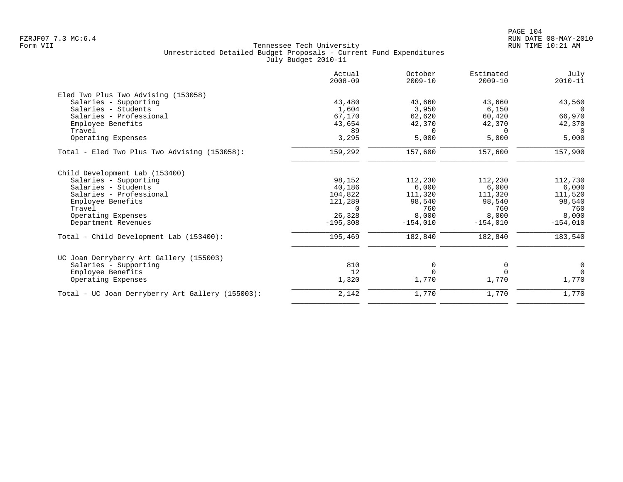|                                                  | Actual<br>$2008 - 09$ | October<br>$2009 - 10$ | Estimated<br>$2009 - 10$ | July<br>$2010 - 11$ |
|--------------------------------------------------|-----------------------|------------------------|--------------------------|---------------------|
| Eled Two Plus Two Advising (153058)              |                       |                        |                          |                     |
| Salaries - Supporting                            | 43,480                | 43,660                 | 43,660                   | 43,560              |
| Salaries - Students                              | 1,604                 | 3,950                  | 6,150                    | $\Omega$            |
| Salaries - Professional                          | 67,170                | 62,620                 | 60,420                   | 66,970              |
| Employee Benefits                                | 43,654                | 42,370                 | 42,370                   | 42,370              |
| Travel                                           | 89                    | $\Omega$               | $\Omega$                 | 0                   |
| Operating Expenses                               | 3,295                 | 5,000                  | 5,000                    | 5,000               |
| Total - Eled Two Plus Two Advising (153058):     | 159,292               | 157,600                | 157,600                  | 157,900             |
| Child Development Lab (153400)                   |                       |                        |                          |                     |
| Salaries - Supporting                            | 98,152                | 112,230                | 112,230                  | 112,730             |
| Salaries - Students                              | 40,186                | 6,000                  | 6,000                    | 6,000               |
| Salaries - Professional                          | 104,822               | 111,320                | 111,320                  | 111,520             |
| Employee Benefits                                | 121,289               | 98,540                 | 98,540                   | 98,540              |
| Travel                                           | $\Omega$              | 760                    | 760                      | 760                 |
| Operating Expenses                               | 26,328                | 8,000                  | 8,000                    | 8,000               |
| Department Revenues                              | $-195,308$            | $-154,010$             | $-154,010$               | $-154,010$          |
| Total - Child Development Lab (153400):          | 195,469               | 182,840                | 182,840                  | 183,540             |
| UC Joan Derryberry Art Gallery (155003)          |                       |                        |                          |                     |
| Salaries - Supporting                            | 810                   | 0                      | 0                        | 0                   |
| Employee Benefits                                | 12                    | $\Omega$               | $\Omega$                 | $\Omega$            |
| Operating Expenses                               | 1,320                 | 1,770                  | 1,770                    | 1,770               |
| Total - UC Joan Derryberry Art Gallery (155003): | 2,142                 | 1,770                  | 1,770                    | 1,770               |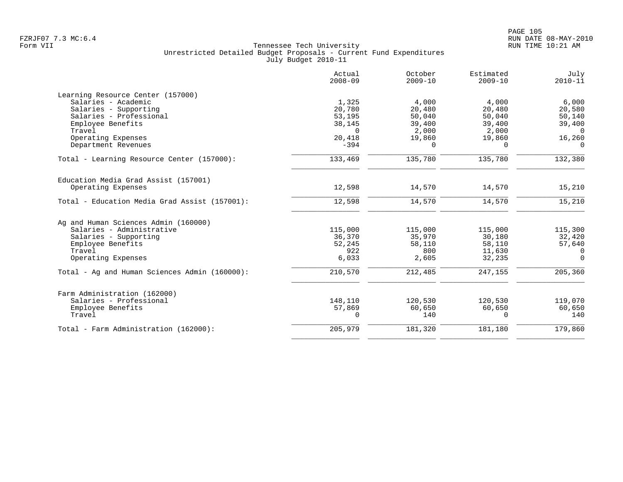|                                               | Actual<br>$2008 - 09$ | October<br>$2009 - 10$ | Estimated<br>$2009 - 10$ | July<br>$2010 - 11$ |
|-----------------------------------------------|-----------------------|------------------------|--------------------------|---------------------|
| Learning Resource Center (157000)             |                       |                        |                          |                     |
| Salaries - Academic                           | 1,325                 | 4,000                  | 4,000                    | 6,000               |
| Salaries - Supporting                         | 20,780                | 20,480                 | 20,480                   | 20,580              |
| Salaries - Professional                       | 53,195                | 50,040                 | 50,040                   | 50,140              |
| Employee Benefits                             | 38,145                | 39,400                 | 39,400                   | 39,400              |
| Travel                                        | $\Omega$              | 2,000                  | 2,000                    | $\Omega$            |
| Operating Expenses                            | 20,418                | 19,860                 | 19,860                   | 16,260              |
| Department Revenues                           | $-394$                | $\Omega$               | $\Omega$                 | $\Omega$            |
| Total - Learning Resource Center (157000):    | 133,469               | 135,780                | 135,780                  | 132,380             |
| Education Media Grad Assist (157001)          |                       |                        |                          |                     |
| Operating Expenses                            | 12,598                | 14,570                 | 14,570                   | 15,210              |
| Total - Education Media Grad Assist (157001): | 12,598                | 14,570                 | 14,570                   | 15,210              |
| Ag and Human Sciences Admin (160000)          |                       |                        |                          |                     |
| Salaries - Administrative                     | 115,000               | 115,000                | 115,000                  | 115,300             |
| Salaries - Supporting                         | 36,370                | 35,970                 | 30,180                   | 32,420              |
| Employee Benefits                             | 52,245                | 58,110                 | 58,110                   | 57,640              |
| Travel                                        | 922                   | 800                    | 11,630                   | $\Omega$            |
| Operating Expenses                            | 6,033                 | 2,605                  | 32,235                   | $\Omega$            |
| Total - Ag and Human Sciences Admin (160000): | 210,570               | 212,485                | 247,155                  | 205,360             |
| Farm Administration (162000)                  |                       |                        |                          |                     |
| Salaries - Professional                       | 148,110               | 120,530                | 120,530                  | 119,070             |
| Employee Benefits                             | 57,869                | 60,650                 | 60,650                   | 60,650              |
| Travel                                        | 0                     | 140                    | $\Omega$                 | 140                 |
| Total - Farm Administration (162000):         | 205,979               | 181,320                | 181,180                  | 179,860             |
|                                               |                       |                        |                          |                     |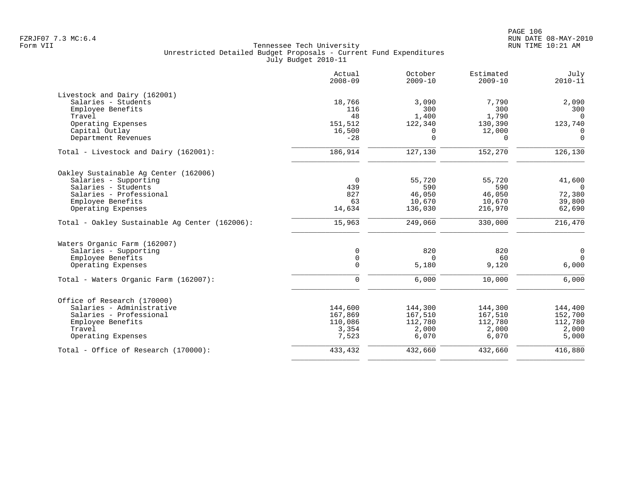|                                                | Actual<br>$2008 - 09$ | October<br>$2009 - 10$ | Estimated<br>$2009 - 10$ | July<br>$2010 - 11$ |
|------------------------------------------------|-----------------------|------------------------|--------------------------|---------------------|
| Livestock and Dairy (162001)                   |                       |                        |                          |                     |
| Salaries - Students                            | 18,766                | 3.090                  | 7,790                    | 2,090               |
| Employee Benefits                              | 116                   | 300                    | 300                      | 300                 |
| Travel                                         | 48                    | 1,400                  | 1,790                    | $\Omega$            |
| Operating Expenses                             | 151,512               | 122,340                | 130,390                  | 123,740             |
| Capital Outlay                                 | 16,500                | 0                      | 12,000                   | $\mathbf 0$         |
| Department Revenues                            | $-28$                 | $\mathbf 0$            | $\Omega$                 | $\mathbf 0$         |
| Total - Livestock and Dairy (162001):          | 186,914               | 127,130                | 152,270                  | 126,130             |
| Oakley Sustainable Ag Center (162006)          |                       |                        |                          |                     |
| Salaries - Supporting                          | $\overline{0}$        | 55,720                 | 55,720                   | 41,600              |
| Salaries - Students                            | 439                   | 590                    | 590                      | $\Omega$            |
| Salaries - Professional                        | 827                   | 46,050                 | 46,050                   | 72,380              |
| Employee Benefits                              | 63                    | 10,670                 | 10,670                   | 39,800              |
| Operating Expenses                             | 14,634                | 136,030                | 216,970                  | 62,690              |
| Total - Oakley Sustainable Aq Center (162006): | 15,963                | 249,060                | 330,000                  | 216,470             |
| Waters Organic Farm (162007)                   |                       |                        |                          |                     |
| Salaries - Supporting                          | $\mathbf 0$           | 820                    | 820                      | $\mathbf 0$         |
| Employee Benefits                              | $\mathsf{O}$          | $\Omega$               | 60                       | $\Omega$            |
| Operating Expenses                             | $\Omega$              | 5,180                  | 9,120                    | 6,000               |
| Total - Waters Organic Farm (162007):          | $\mathbf 0$           | 6,000                  | 10,000                   | 6,000               |
| Office of Research (170000)                    |                       |                        |                          |                     |
| Salaries - Administrative                      | 144,600               | 144,300                | 144,300                  | 144,400             |
| Salaries - Professional                        | 167,869               | 167,510                | 167,510                  | 152,700             |
| Employee Benefits                              | 110,086               | 112,780                | 112,780                  | 112,780             |
| Travel                                         | 3,354                 | 2,000                  | 2,000                    | 2,000               |
| Operating Expenses                             | 7,523                 | 6,070                  | 6,070                    | 5,000               |
| Total - Office of Research (170000):           | 433,432               | 432,660                | 432,660                  | 416,880             |
|                                                |                       |                        |                          |                     |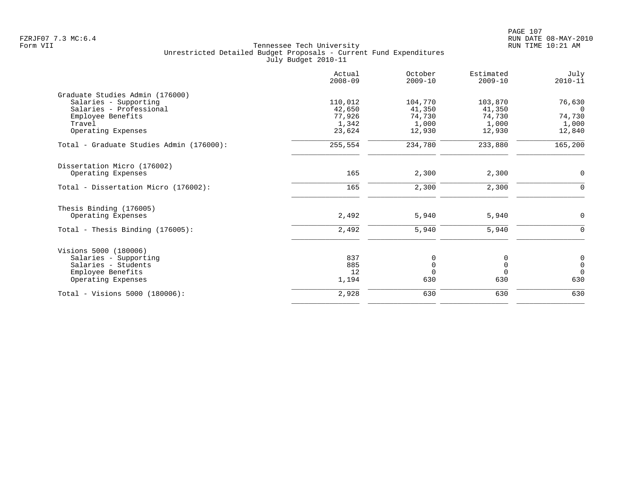|                                          | Actual<br>$2008 - 09$ | October<br>$2009 - 10$ | Estimated<br>$2009 - 10$ | July<br>$2010 - 11$ |
|------------------------------------------|-----------------------|------------------------|--------------------------|---------------------|
| Graduate Studies Admin (176000)          |                       |                        |                          |                     |
| Salaries - Supporting                    | 110,012               | 104,770                | 103,870                  | 76,630              |
| Salaries - Professional                  | 42,650                | 41,350                 | 41,350                   | $\Omega$            |
| Employee Benefits<br>Travel              | 77,926<br>1,342       | 74,730<br>1,000        | 74,730<br>1,000          | 74,730<br>1,000     |
| Operating Expenses                       | 23,624                | 12,930                 | 12,930                   | 12,840              |
| Total - Graduate Studies Admin (176000): | 255,554               | 234,780                | 233,880                  | 165,200             |
| Dissertation Micro (176002)              |                       |                        |                          |                     |
| Operating Expenses                       | 165                   | 2,300                  | 2,300                    | $\mathbf 0$         |
| Total - Dissertation Micro (176002):     | 165                   | 2,300                  | 2,300                    | 0                   |
| Thesis Binding (176005)                  |                       |                        |                          |                     |
| Operating Expenses                       | 2,492                 | 5,940                  | 5,940                    | $\mathbf 0$         |
| Total - Thesis Binding $(176005)$ :      | 2,492                 | 5,940                  | 5,940                    | $\Omega$            |
| Visions 5000 (180006)                    |                       |                        |                          |                     |
| Salaries - Supporting                    | 837                   | 0                      | 0                        | 0                   |
| Salaries - Students                      | 885                   | 0                      | $\mathsf 0$              | $\mathsf{O}\xspace$ |
| Employee Benefits                        | 12                    | $\Omega$               | $\Omega$                 | $\Omega$            |
| Operating Expenses                       | 1,194                 | 630                    | 630                      | 630                 |
| Total - Visions 5000 (180006):           | 2,928                 | 630                    | 630                      | 630                 |
|                                          |                       |                        |                          |                     |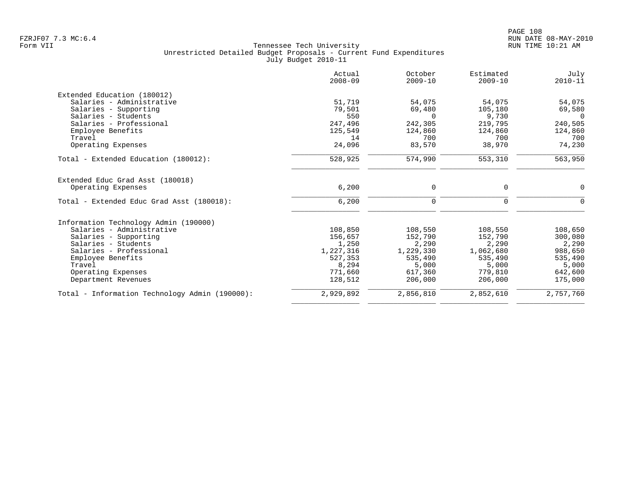|                                                | Actual<br>$2008 - 09$ | October<br>$2009 - 10$ | Estimated<br>$2009 - 10$ | July<br>$2010 - 11$ |
|------------------------------------------------|-----------------------|------------------------|--------------------------|---------------------|
| Extended Education (180012)                    |                       |                        |                          |                     |
| Salaries - Administrative                      | 51,719                | 54,075                 | 54,075                   | 54,075              |
| Salaries - Supporting                          | 79,501                | 69,480                 | 105,180                  | 69,580              |
| Salaries - Students                            | 550                   | $\Omega$               | 9,730                    | $\Omega$            |
| Salaries - Professional                        | 247,496               | 242,305                | 219,795                  | 240,505             |
| Employee Benefits                              | 125,549               | 124,860                | 124,860                  | 124,860             |
| Travel                                         | 14                    | 700                    | 700                      | 700                 |
| Operating Expenses                             | 24,096                | 83,570                 | 38,970                   | 74,230              |
| Total - Extended Education (180012):           | 528,925               | 574,990                | 553,310                  | 563,950             |
| Extended Educ Grad Asst (180018)               |                       |                        |                          |                     |
| Operating Expenses                             | 6,200                 | 0                      | 0                        | 0                   |
| Total - Extended Educ Grad Asst (180018):      | 6,200                 | 0                      | $\mathbf 0$              | $\mathbf 0$         |
| Information Technology Admin (190000)          |                       |                        |                          |                     |
| Salaries - Administrative                      | 108,850               | 108,550                | 108,550                  | 108,650             |
| Salaries - Supporting                          | 156,657               | 152,790                | 152,790                  | 300,080             |
| Salaries - Students                            | 1,250                 | 2,290                  | 2,290                    | 2,290               |
| Salaries - Professional                        | 1,227,316             | 1,229,330              | 1,062,680                | 988,650             |
| Employee Benefits                              | 527,353               | 535,490                | 535,490                  | 535,490             |
| Travel                                         | 8,294                 | 5,000                  | 5,000                    | 5,000               |
| Operating Expenses                             | 771,660               | 617,360                | 779,810                  | 642,600             |
| Department Revenues                            | 128,512               | 206,000                | 206,000                  | 175,000             |
| Total - Information Technology Admin (190000): | 2,929,892             | 2,856,810              | 2,852,610                | 2,757,760           |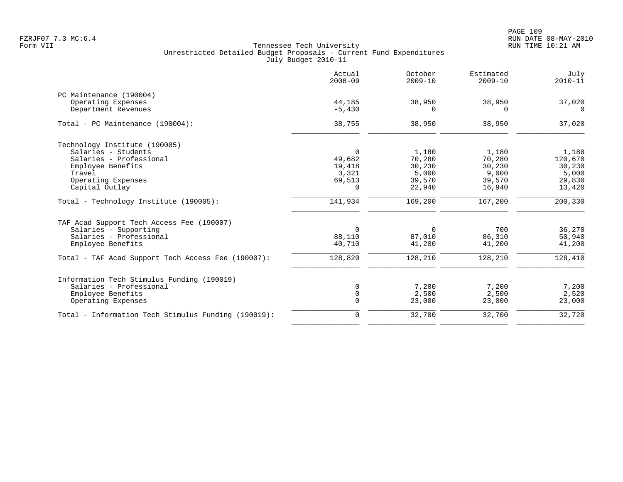|                                                     | Actual<br>$2008 - 09$ | October<br>$2009 - 10$ | Estimated<br>$2009 - 10$ | July<br>$2010 - 11$ |
|-----------------------------------------------------|-----------------------|------------------------|--------------------------|---------------------|
| PC Maintenance (190004)                             |                       |                        |                          |                     |
| Operating Expenses                                  | 44,185                | 38,950                 | 38,950                   | 37,020              |
| Department Revenues                                 | $-5,430$              | $\Omega$               | $\Omega$                 | $\Omega$            |
| Total - PC Maintenance (190004):                    | 38,755                | 38,950                 | 38,950                   | 37,020              |
| Technology Institute (190005)                       |                       |                        |                          |                     |
| Salaries - Students                                 | $\overline{0}$        | 1,180                  | 1,180                    | 1,180               |
| Salaries - Professional                             | 49,682                | 70,280                 | 70,280                   | 120,670             |
| Employee Benefits                                   | 19,418                | 30,230                 | 30,230                   | 30,230              |
| Travel                                              | 3,321                 | 5,000                  | 9,000                    | 5,000               |
| Operating Expenses                                  | 69,513                | 39,570                 | 39,570                   | 29,830              |
| Capital Outlay                                      | $\Omega$              | 22,940                 | 16,940                   | 13,420              |
| Total - Technology Institute (190005):              | 141,934               | 169,200                | 167,200                  | 200,330             |
| TAF Acad Support Tech Access Fee (190007)           |                       |                        |                          |                     |
| Salaries - Supporting                               | $\Omega$              | $\Omega$               | 700                      | 36,270              |
| Salaries - Professional                             | 88,110                | 87,010                 | 86,310                   | 50,940              |
| Employee Benefits                                   | 40,710                | 41,200                 | 41,200                   | 41,200              |
| Total - TAF Acad Support Tech Access Fee (190007):  | 128,820               | 128,210                | 128,210                  | 128,410             |
| Information Tech Stimulus Funding (190019)          |                       |                        |                          |                     |
| Salaries - Professional                             | 0                     | 7,200                  | 7,200                    | 7,200               |
| Employee Benefits                                   | $\mathbf 0$           | 2,500                  | 2,500                    | 2,520               |
| Operating Expenses                                  | $\mathbf 0$           | 23,000                 | 23,000                   | 23,000              |
| Total - Information Tech Stimulus Funding (190019): | $\mathbf 0$           | 32,700                 | 32,700                   | 32,720              |
|                                                     |                       |                        |                          |                     |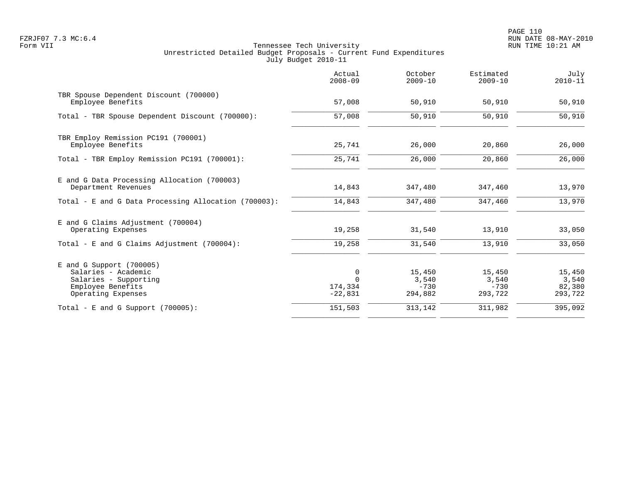PAGE 110 FZRJF07 7.3 MC:6.4 RUN DATE 08-MAY-2010

| Actual<br>$2008 - 09$                 | October<br>$2009 - 10$               | Estimated<br>$2009 - 10$             | July<br>$2010 - 11$                  |
|---------------------------------------|--------------------------------------|--------------------------------------|--------------------------------------|
| 57,008                                | 50,910                               | 50,910                               | 50,910                               |
| 57,008                                | 50,910                               | 50,910                               | 50,910                               |
| 25,741                                | 26,000                               | 20,860                               | 26,000                               |
| 25,741                                | 26,000                               | 20,860                               | 26,000                               |
| 14,843                                | 347,480                              | 347,460                              | 13,970                               |
| 14,843                                | 347,480                              | 347,460                              | 13,970                               |
| 19,258                                | 31,540                               | 13,910                               | 33,050                               |
| 19,258                                | 31,540                               | 13,910                               | 33,050                               |
| 0<br>$\Omega$<br>174,334<br>$-22,831$ | 15,450<br>3,540<br>$-730$<br>294,882 | 15,450<br>3,540<br>$-730$<br>293,722 | 15,450<br>3,540<br>82,380<br>293,722 |
| 151,503                               | 313,142                              | 311,982                              | 395,092                              |
|                                       |                                      |                                      |                                      |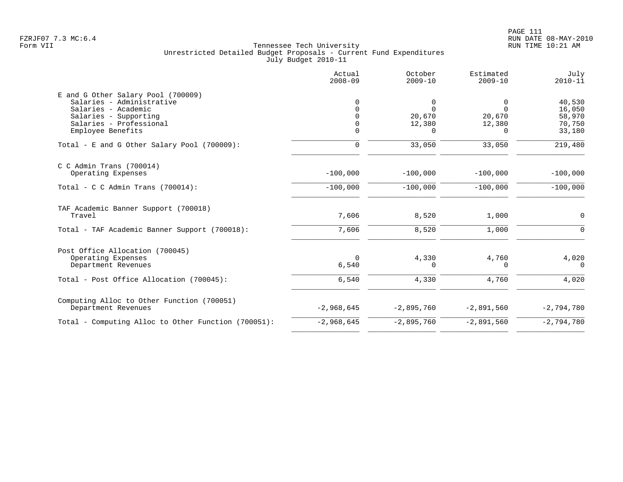|                                                                                                                 | Actual<br>$2008 - 09$ | October<br>$2009 - 10$  | Estimated<br>$2009 - 10$ | July<br>$2010 - 11$        |
|-----------------------------------------------------------------------------------------------------------------|-----------------------|-------------------------|--------------------------|----------------------------|
| E and G Other Salary Pool (700009)<br>Salaries - Administrative<br>Salaries - Academic<br>Salaries - Supporting |                       | 0<br>$\Omega$<br>20,670 | 0<br>$\Omega$<br>20,670  | 40,530<br>16,050<br>58,970 |
| Salaries - Professional<br>Employee Benefits                                                                    |                       | 12,380<br>O             | 12,380<br>0              | 70,750<br>33,180           |
| Total - E and G Other Salary Pool (700009):                                                                     | 0                     | 33,050                  | 33,050                   | 219,480                    |
| $C$ C Admin Trans (700014)<br>Operating Expenses                                                                | $-100,000$            | $-100,000$              | $-100,000$               | $-100,000$                 |
| Total - C C Admin Trans $(700014)$ :                                                                            | $-100,000$            | $-100,000$              | $-100,000$               | $-100,000$                 |
| TAF Academic Banner Support (700018)<br>Travel                                                                  | 7,606                 | 8,520                   | 1,000                    | 0                          |
| Total - TAF Academic Banner Support (700018):                                                                   | 7,606                 | 8,520                   | 1,000                    | $\mathbf 0$                |
| Post Office Allocation (700045)<br>Operating Expenses<br>Department Revenues                                    | $\Omega$<br>6,540     | 4,330<br>0              | 4,760<br>0               | 4,020<br>$\Omega$          |
| Total - Post Office Allocation (700045):                                                                        | 6,540                 | 4,330                   | 4,760                    | 4,020                      |
| Computing Alloc to Other Function (700051)<br>Department Revenues                                               | $-2,968,645$          | $-2,895,760$            | $-2,891,560$             | $-2,794,780$               |
| Total - Computing Alloc to Other Function (700051):                                                             | $-2,968,645$          | $-2,895,760$            | $-2,891,560$             | $-2,794,780$               |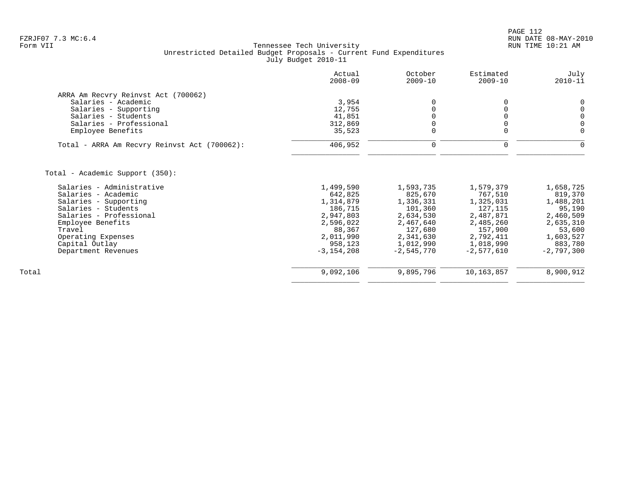| Actual<br>$2008 - 09$ | October<br>$2009 - 10$                          | Estimated<br>$2009 - 10$                 | July<br>$2010 - 11$                      |
|-----------------------|-------------------------------------------------|------------------------------------------|------------------------------------------|
|                       |                                                 |                                          |                                          |
|                       |                                                 |                                          | 0                                        |
|                       | $\Omega$                                        | 0                                        | $\mathsf 0$                              |
|                       | 0                                               |                                          | $\mathbf 0$                              |
|                       | 0                                               | $\Omega$                                 | $\overline{0}$                           |
| 35,523                | $\mathbf 0$                                     | $\mathbf 0$                              | $\mathbf 0$                              |
| 406,952               | 0                                               | 0                                        | $\Omega$                                 |
|                       |                                                 |                                          |                                          |
|                       |                                                 |                                          |                                          |
| 1,499,590             |                                                 |                                          | 1,658,725                                |
| 642,825               | 825,670                                         | 767,510                                  | 819,370                                  |
| 1,314,879             | 1,336,331                                       | 1,325,031                                | 1,488,201                                |
| 186,715               | 101,360                                         | 127,115                                  | 95,190                                   |
| 2,947,803             | 2,634,530                                       | 2,487,871                                | 2,460,509                                |
| 2,596,022             | 2,467,640                                       | 2,485,260                                | 2,635,310                                |
| 88,367                | 127,680                                         | 157,900                                  | 53,600                                   |
| 2,011,990             |                                                 |                                          | 1,603,527                                |
|                       |                                                 |                                          | 883,780                                  |
| $-3, 154, 208$        | $-2,545,770$                                    | $-2,577,610$                             | $-2,797,300$                             |
| 9,092,106             | 9,895,796                                       | 10,163,857                               | 8,900,912                                |
|                       | 3,954<br>12,755<br>41,851<br>312,869<br>958,123 | 0<br>1,593,735<br>2,341,630<br>1,012,990 | 0<br>1,579,379<br>2,792,411<br>1,018,990 |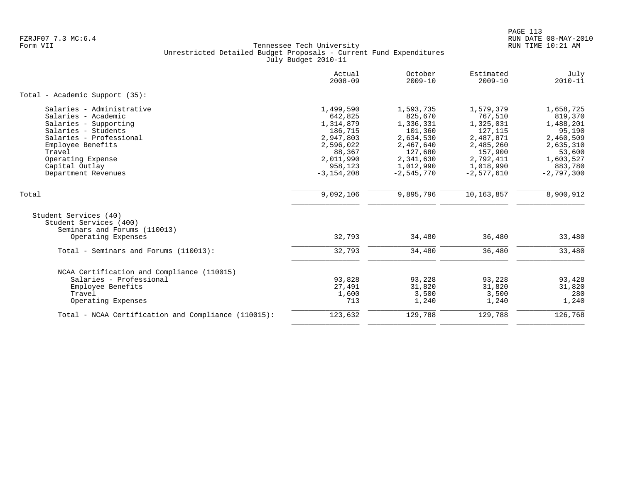|                                                                                                                                                                                                                          | Actual<br>$2008 - 09$                                                                                                      | October<br>$2009 - 10$                                                                                                      | Estimated<br>$2009 - 10$                                                                                                    | July<br>$2010 - 11$                                                                                                     |
|--------------------------------------------------------------------------------------------------------------------------------------------------------------------------------------------------------------------------|----------------------------------------------------------------------------------------------------------------------------|-----------------------------------------------------------------------------------------------------------------------------|-----------------------------------------------------------------------------------------------------------------------------|-------------------------------------------------------------------------------------------------------------------------|
| Total - Academic Support (35):                                                                                                                                                                                           |                                                                                                                            |                                                                                                                             |                                                                                                                             |                                                                                                                         |
| Salaries - Administrative<br>Salaries - Academic<br>Salaries - Supporting<br>Salaries - Students<br>Salaries - Professional<br>Employee Benefits<br>Travel<br>Operating Expense<br>Capital Outlay<br>Department Revenues | 1,499,590<br>642,825<br>1,314,879<br>186,715<br>2,947,803<br>2,596,022<br>88,367<br>2,011,990<br>958,123<br>$-3, 154, 208$ | 1,593,735<br>825,670<br>1,336,331<br>101,360<br>2,634,530<br>2,467,640<br>127,680<br>2,341,630<br>1,012,990<br>$-2,545,770$ | 1,579,379<br>767,510<br>1,325,031<br>127,115<br>2,487,871<br>2,485,260<br>157,900<br>2,792,411<br>1,018,990<br>$-2,577,610$ | 1,658,725<br>819,370<br>1,488,201<br>95,190<br>2,460,509<br>2,635,310<br>53,600<br>1,603,527<br>883,780<br>$-2,797,300$ |
| Total                                                                                                                                                                                                                    | 9,092,106                                                                                                                  | 9,895,796                                                                                                                   | 10,163,857                                                                                                                  | 8,900,912                                                                                                               |
| Student Services (40)<br>Student Services (400)<br>Seminars and Forums (110013)<br>Operating Expenses                                                                                                                    | 32,793                                                                                                                     | 34,480                                                                                                                      | 36,480                                                                                                                      | 33,480                                                                                                                  |
| Total - Seminars and Forums (110013):                                                                                                                                                                                    | 32,793                                                                                                                     | 34,480                                                                                                                      | 36,480                                                                                                                      | 33,480                                                                                                                  |
| NCAA Certification and Compliance (110015)<br>Salaries - Professional<br>Employee Benefits<br>Travel<br>Operating Expenses                                                                                               | 93,828<br>27,491<br>1,600<br>713                                                                                           | 93,228<br>31,820<br>3,500<br>1,240                                                                                          | 93,228<br>31,820<br>3,500<br>1,240                                                                                          | 93,428<br>31,820<br>280<br>1,240                                                                                        |
| Total - NCAA Certification and Compliance (110015):                                                                                                                                                                      | 123,632                                                                                                                    | 129,788                                                                                                                     | 129,788                                                                                                                     | 126,768                                                                                                                 |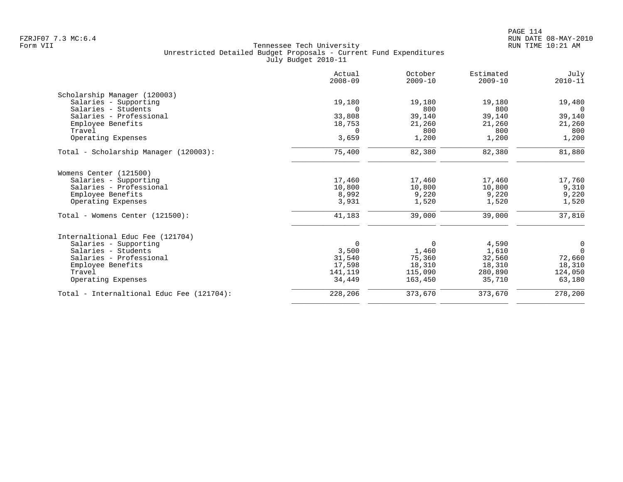|                                           | Actual<br>$2008 - 09$ | October<br>$2009 - 10$ | Estimated<br>$2009 - 10$ | July<br>$2010 - 11$ |
|-------------------------------------------|-----------------------|------------------------|--------------------------|---------------------|
| Scholarship Manager (120003)              |                       |                        |                          |                     |
| Salaries - Supporting                     | 19,180                | 19,180                 | 19,180                   | 19,480              |
| Salaries - Students                       | $\Omega$              | 800                    | 800                      | $\Omega$            |
| Salaries - Professional                   | 33,808                | 39,140                 | 39,140                   | 39,140              |
| Employee Benefits                         | 18,753                | 21,260                 | 21,260                   | 21,260              |
| Travel                                    | 0                     | 800                    | 800                      | 800                 |
| Operating Expenses                        | 3,659                 | 1,200                  | 1,200                    | 1,200               |
| Total - Scholarship Manager (120003):     | 75,400                | 82,380                 | 82,380                   | 81,880              |
| Womens Center (121500)                    |                       |                        |                          |                     |
| Salaries - Supporting                     | 17,460                | 17,460                 | 17,460                   | 17,760              |
| Salaries - Professional                   | 10,800                | 10,800                 | 10,800                   | 9,310               |
| Employee Benefits                         | 8,992                 | 9,220                  | 9,220                    | 9,220               |
| Operating Expenses                        | 3,931                 | 1,520                  | 1,520                    | 1,520               |
| Total - Womens Center (121500):           | 41,183                | 39,000                 | 39,000                   | 37,810              |
| Internaltional Educ Fee (121704)          |                       |                        |                          |                     |
| Salaries - Supporting                     | 0                     | 0                      | 4,590                    | 0                   |
| Salaries - Students                       | 3,500                 | 1,460                  | 1,610                    | $\Omega$            |
| Salaries - Professional                   | 31,540                | 75,360                 | 32,560                   | 72,660              |
| Employee Benefits                         | 17,598                | 18,310                 | 18,310                   | 18,310              |
| Travel                                    | 141,119               | 115,090                | 280,890                  | 124,050             |
| Operating Expenses                        | 34,449                | 163,450                | 35,710                   | 63,180              |
| Total - Internaltional Educ Fee (121704): | 228,206               | 373,670                | 373,670                  | 278,200             |
|                                           |                       |                        |                          |                     |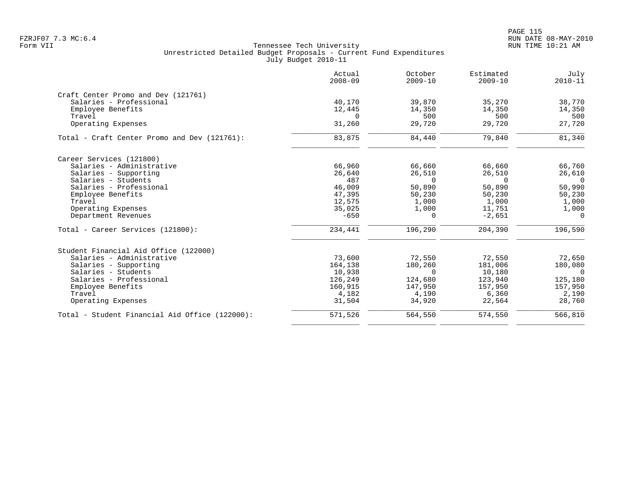|                                                | Actual<br>$2008 - 09$ | October<br>$2009 - 10$ | Estimated<br>$2009 - 10$ | July<br>$2010 - 11$ |
|------------------------------------------------|-----------------------|------------------------|--------------------------|---------------------|
| Craft Center Promo and Dev (121761)            |                       |                        |                          |                     |
| Salaries - Professional                        | 40,170                | 39,870                 | 35,270                   | 38,770              |
| Employee Benefits                              | 12,445                | 14,350                 | 14,350                   | 14,350              |
| Travel                                         | $\Omega$              | 500                    | 500                      | 500                 |
| Operating Expenses                             | 31,260                | 29,720                 | 29,720                   | 27,720              |
| Total - Craft Center Promo and Dev (121761):   | 83,875                | 84,440                 | 79,840                   | 81,340              |
| Career Services (121800)                       |                       |                        |                          |                     |
| Salaries - Administrative                      | 66,960                | 66,660                 | 66,660                   | 66,760              |
| Salaries - Supporting                          | 26,640                | 26,510                 | 26,510                   | 26,610              |
| Salaries - Students                            | 487                   | $\Omega$               | $\Omega$                 | $\overline{0}$      |
| Salaries - Professional                        | 46,009                | 50,890                 | 50,890                   | 50,990              |
| Employee Benefits                              | 47,395                | 50,230                 | 50,230                   | 50,230              |
| Travel                                         | 12,575                | 1,000                  | 1,000                    | 1,000               |
| Operating Expenses                             | 35,025                | 1,000                  | 11,751                   | 1,000               |
| Department Revenues                            | $-650$                | $\Omega$               | $-2,651$                 | $\Omega$            |
| Total - Career Services (121800):              | 234,441               | 196,290                | 204,390                  | 196,590             |
| Student Financial Aid Office (122000)          |                       |                        |                          |                     |
| Salaries - Administrative                      | 73,600                | 72,550                 | 72,550                   | 72,650              |
| Salaries - Supporting                          | 164,138               | 180,260                | 181,006                  | 180,080             |
| Salaries - Students                            | 10,938                | $\Omega$               | 10,180                   | $\Omega$            |
| Salaries - Professional                        | 126,249               | 124,680                | 123,940                  | 125,180             |
| Employee Benefits                              | 160,915               | 147,950                | 157,950                  | 157,950             |
| Travel                                         | 4,182                 | 4,190                  | 6,360                    | 2,190               |
| Operating Expenses                             | 31,504                | 34,920                 | 22,564                   | 28,760              |
| Total - Student Financial Aid Office (122000): | 571,526               | 564,550                | 574,550                  | 566,810             |
|                                                |                       |                        |                          |                     |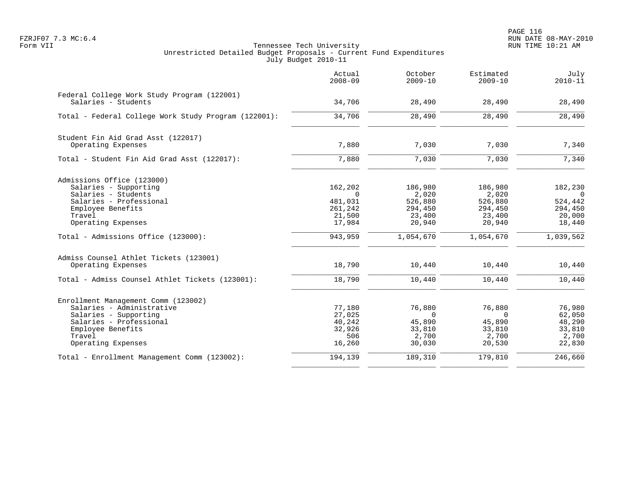|                                                                    | Actual<br>$2008 - 09$ | October<br>$2009 - 10$ | Estimated<br>$2009 - 10$ | July<br>$2010 - 11$       |
|--------------------------------------------------------------------|-----------------------|------------------------|--------------------------|---------------------------|
| Federal College Work Study Program (122001)<br>Salaries - Students | 34,706                | 28,490                 | 28,490                   | 28,490                    |
| Total - Federal College Work Study Program (122001):               | 34,706                | 28,490                 | 28,490                   | 28,490                    |
| Student Fin Aid Grad Asst (122017)<br>Operating Expenses           | 7,880                 | 7,030                  | 7,030                    | 7,340                     |
| Total - Student Fin Aid Grad Asst (122017):                        | 7,880                 | 7,030                  | 7,030                    | 7,340                     |
| Admissions Office (123000)                                         |                       |                        |                          |                           |
| Salaries - Supporting<br>Salaries - Students                       | 162,202<br>$\Omega$   | 186,980<br>2,020       | 186,980<br>2,020         | 182,230<br>$\overline{0}$ |
| Salaries - Professional                                            | 481,031               | 526,880                | 526,880                  | 524,442                   |
| Employee Benefits<br>Travel                                        | 261,242<br>21,500     | 294,450<br>23,400      | 294,450<br>23,400        | 294,450<br>20,000         |
| Operating Expenses                                                 | 17,984                | 20,940                 | 20,940                   | 18,440                    |
| Total - Admissions Office (123000):                                | 943,959               | 1,054,670              | 1,054,670                | 1,039,562                 |
| Admiss Counsel Athlet Tickets (123001)                             |                       |                        |                          |                           |
| Operating Expenses                                                 | 18,790                | 10,440                 | 10,440                   | 10,440                    |
| Total - Admiss Counsel Athlet Tickets (123001):                    | 18,790                | 10,440                 | 10,440                   | 10,440                    |
| Enrollment Management Comm (123002)                                |                       |                        |                          |                           |
| Salaries - Administrative<br>Salaries - Supporting                 | 77,180<br>27,025      | 76,880<br>$\Omega$     | 76,880<br>$\Omega$       | 76,980<br>62,050          |
| Salaries - Professional                                            | 40,242                | 45,890                 | 45,890                   | 48,290                    |
| Employee Benefits                                                  | 32,926                | 33,810                 | 33,810                   | 33,810                    |
| Travel                                                             | 506                   | 2,700                  | 2,700                    | 2,700                     |
| Operating Expenses                                                 | 16,260                | 30,030                 | 20,530                   | 22,830                    |
| Total - Enrollment Management Comm (123002):                       | 194,139               | 189,310                | 179,810                  | 246,660                   |
|                                                                    |                       |                        |                          |                           |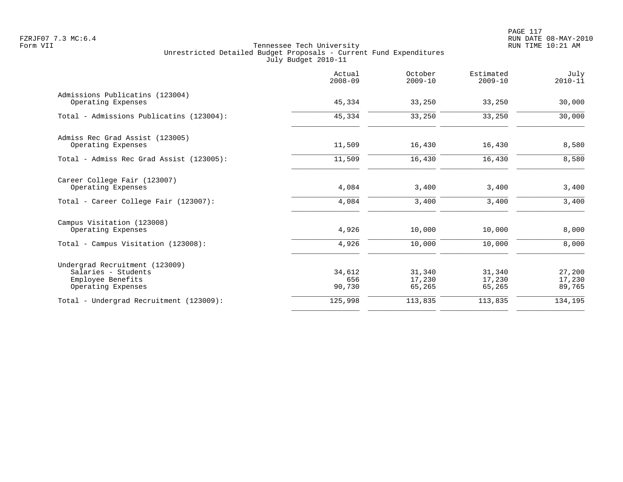|                                                       | Actual<br>$2008 - 09$ | October<br>$2009 - 10$ | Estimated<br>$2009 - 10$ | July<br>$2010 - 11$ |
|-------------------------------------------------------|-----------------------|------------------------|--------------------------|---------------------|
| Admissions Publicatins (123004)<br>Operating Expenses | 45,334                | 33,250                 | 33,250                   | 30,000              |
| Total - Admissions Publicatins (123004):              | 45,334                | 33,250                 | 33,250                   | 30,000              |
| Admiss Rec Grad Assist (123005)                       |                       |                        |                          |                     |
| Operating Expenses                                    | 11,509                | 16,430                 | 16,430                   | 8,580               |
| Total - Admiss Rec Grad Assist (123005):              | 11,509                | 16,430                 | 16,430                   | 8,580               |
| Career College Fair (123007)<br>Operating Expenses    | 4,084                 | 3,400                  | 3,400                    | 3,400               |
| Total - Career College Fair (123007):                 | 4,084                 | 3,400                  | 3,400                    | 3,400               |
| Campus Visitation (123008)<br>Operating Expenses      | 4,926                 | 10,000                 | 10,000                   | 8,000               |
| Total - Campus Visitation (123008):                   | 4,926                 | 10,000                 | 10,000                   | 8,000               |
| Undergrad Recruitment (123009)                        |                       |                        |                          |                     |
| Salaries - Students                                   | 34,612                | 31,340                 | 31,340                   | 27,200              |
| Employee Benefits<br>Operating Expenses               | 656<br>90,730         | 17,230<br>65,265       | 17,230<br>65,265         | 17,230<br>89,765    |
| Total - Undergrad Recruitment (123009):               | 125,998               | 113,835                | 113,835                  | 134,195             |
|                                                       |                       |                        |                          |                     |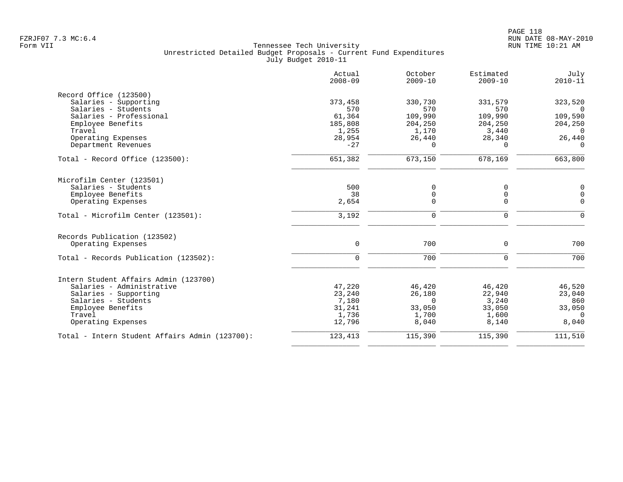|                                                | Actual<br>$2008 - 09$ | October<br>$2009 - 10$ | Estimated<br>$2009 - 10$ | July<br>$2010 - 11$ |
|------------------------------------------------|-----------------------|------------------------|--------------------------|---------------------|
| Record Office (123500)                         |                       |                        |                          |                     |
| Salaries - Supporting                          | 373,458               | 330,730                | 331,579                  | 323,520             |
| Salaries - Students                            | 570                   | 570                    | 570                      | $\Omega$            |
| Salaries - Professional<br>Employee Benefits   | 61,364<br>185,808     | 109,990<br>204,250     | 109,990<br>204,250       | 109,590<br>204,250  |
| Travel                                         | 1,255                 | 1,170                  | 3,440                    | $\Omega$            |
| Operating Expenses                             | 28,954                | 26,440                 | 28,340                   | 26,440              |
| Department Revenues                            | $-27$                 | $\Omega$               | $\Omega$                 | $\Omega$            |
| Total - Record Office (123500):                | 651,382               | 673,150                | 678,169                  | 663,800             |
| Microfilm Center (123501)                      |                       |                        |                          |                     |
| Salaries - Students                            | 500                   | $\mathbf 0$            | $\Omega$                 | $\mathbf 0$         |
| Employee Benefits                              | 38                    | 0                      | 0                        | 0                   |
| Operating Expenses                             | 2,654                 | $\Omega$               | $\Omega$                 | $\Omega$            |
| Total - Microfilm Center (123501):             | 3,192                 | 0                      | 0                        | $\mathbf 0$         |
| Records Publication (123502)                   |                       |                        |                          |                     |
| Operating Expenses                             | $\mathbf 0$           | 700                    | $\mathbf 0$              | 700                 |
| Total - Records Publication (123502):          | $\mathbf 0$           | 700                    | $\mathbf 0$              | 700                 |
| Intern Student Affairs Admin (123700)          |                       |                        |                          |                     |
| Salaries - Administrative                      | 47,220                | 46,420                 | 46,420                   | 46,520              |
| Salaries - Supporting                          | 23,240                | 26,180                 | 22,940                   | 23,040              |
| Salaries - Students                            | 7,180                 | $\Omega$               | 3,240                    | 860                 |
| Employee Benefits                              | 31,241                | 33,050                 | 33,050                   | 33,050              |
| Travel                                         | 1,736                 | 1,700                  | 1,600                    | $\Omega$            |
| Operating Expenses                             | 12,796                | 8,040                  | 8,140                    | 8,040               |
| Total - Intern Student Affairs Admin (123700): | 123,413               | 115,390                | 115,390                  | 111,510             |
|                                                |                       |                        |                          |                     |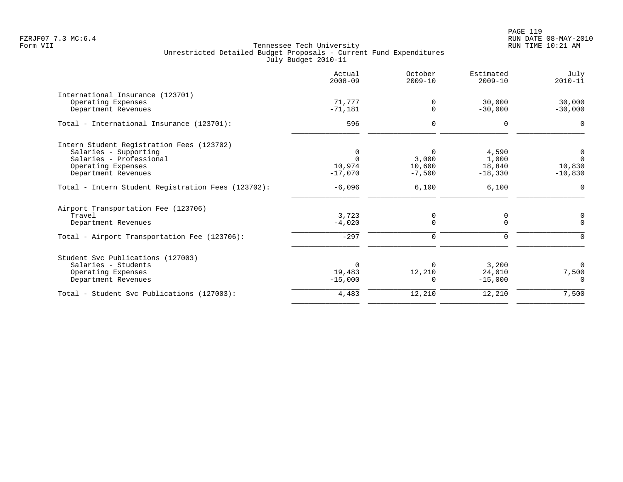|                                                    | Actual<br>$2008 - 09$ | October<br>$2009 - 10$ | Estimated<br>$2009 - 10$ | July<br>$2010 - 11$ |
|----------------------------------------------------|-----------------------|------------------------|--------------------------|---------------------|
| International Insurance (123701)                   |                       |                        |                          |                     |
| Operating Expenses<br>Department Revenues          | 71,777<br>$-71,181$   | 0<br>$\Omega$          | 30,000<br>$-30,000$      | 30,000<br>$-30,000$ |
| Total - International Insurance (123701):          | 596                   | 0                      | 0                        | 0                   |
| Intern Student Registration Fees (123702)          |                       |                        |                          |                     |
| Salaries - Supporting                              | $\Omega$              | $\Omega$               | 4,590                    | 0                   |
| Salaries - Professional                            | $\Omega$              | 3,000                  | 1,000                    | $\Omega$            |
| Operating Expenses<br>Department Revenues          | 10,974<br>$-17,070$   | 10,600<br>$-7,500$     | 18,840                   | 10,830<br>$-10,830$ |
|                                                    |                       |                        | $-18,330$                |                     |
| Total - Intern Student Registration Fees (123702): | $-6,096$              | 6,100                  | 6,100                    | $\mathbf 0$         |
| Airport Transportation Fee (123706)                |                       |                        |                          |                     |
| Travel                                             | 3,723                 | 0                      | 0                        | 0                   |
| Department Revenues                                | $-4,020$              | $\Omega$               | $\Omega$                 | $\Omega$            |
| Total - Airport Transportation Fee (123706):       | $-297$                | 0                      | 0                        | O                   |
| Student Svc Publications (127003)                  |                       |                        |                          |                     |
| Salaries - Students                                | $\Omega$              | $\Omega$               | 3,200                    | $\Omega$            |
| Operating Expenses                                 | 19,483                | 12,210                 | 24,010                   | 7,500               |
| Department Revenues                                | $-15,000$             | $\Omega$               | $-15,000$                | $\Omega$            |
| Total - Student Svc Publications (127003):         | 4,483                 | 12,210                 | 12,210                   | 7,500               |
|                                                    |                       |                        |                          |                     |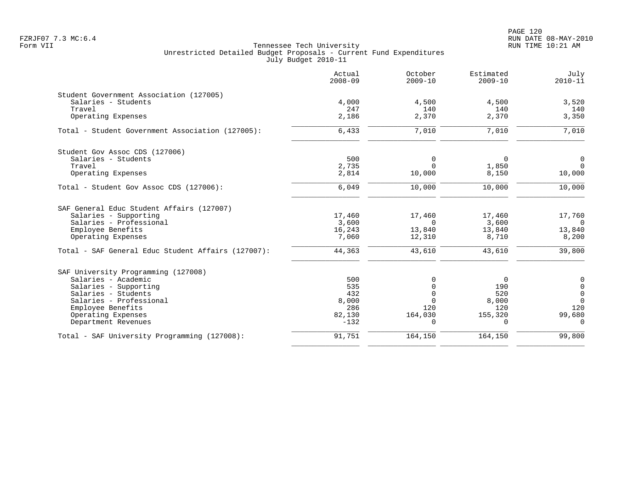PAGE 120 FZRJF07 7.3 MC:6.4 RUN DATE 08-MAY-2010

|                                                    | Actual<br>$2008 - 09$ | October<br>$2009 - 10$ | Estimated<br>$2009 - 10$ | July<br>$2010 - 11$ |
|----------------------------------------------------|-----------------------|------------------------|--------------------------|---------------------|
| Student Government Association (127005)            |                       |                        |                          |                     |
| Salaries - Students                                | 4,000                 | 4,500                  | 4,500                    | 3,520               |
| Travel                                             | 247                   | 140                    | 140                      | 140                 |
| Operating Expenses                                 | 2,186                 | 2,370                  | 2,370                    | 3,350               |
| Total - Student Government Association (127005):   | 6,433                 | 7,010                  | 7,010                    | 7,010               |
| Student Gov Assoc CDS (127006)                     |                       |                        |                          |                     |
| Salaries - Students                                | 500                   | 0                      | 0                        | 0                   |
| Travel                                             | 2,735                 | $\Omega$               | 1,850                    | $\Omega$            |
| Operating Expenses                                 | 2,814                 | 10,000                 | 8,150                    | 10,000              |
| Total - Student Gov Assoc CDS (127006):            | 6,049                 | 10,000                 | 10,000                   | 10,000              |
| SAF General Educ Student Affairs (127007)          |                       |                        |                          |                     |
| Salaries - Supporting                              | 17,460                | 17,460                 | 17,460                   | 17,760              |
| Salaries - Professional                            | 3,600                 | $\Omega$               | 3,600                    | $\Omega$            |
| Employee Benefits                                  | 16,243                | 13,840                 | 13,840                   | 13,840              |
| Operating Expenses                                 | 7,060                 | 12,310                 | 8,710                    | 8,200               |
| Total - SAF General Educ Student Affairs (127007): | 44,363                | 43,610                 | 43,610                   | 39,800              |
| SAF University Programming (127008)                |                       |                        |                          |                     |
| Salaries - Academic                                | 500                   | $\Omega$               | $\overline{0}$           | $\mathsf 0$         |
| Salaries - Supporting                              | 535                   |                        | 190                      | $\mathbf 0$         |
| Salaries - Students                                | 432                   |                        | 520                      | $\mathbf 0$         |
| Salaries - Professional                            | 8,000                 | $\Omega$               | 8,000                    | $\Omega$            |
| Employee Benefits                                  | 286                   | 120                    | 120                      | 120                 |
| Operating Expenses                                 | 82,130                | 164,030                | 155,320                  | 99,680              |
| Department Revenues                                | $-132$                | $\Omega$               | $\Omega$                 | $\Omega$            |
| Total - SAF University Programming (127008):       | 91,751                | 164,150                | 164,150                  | 99,800              |
|                                                    |                       |                        |                          |                     |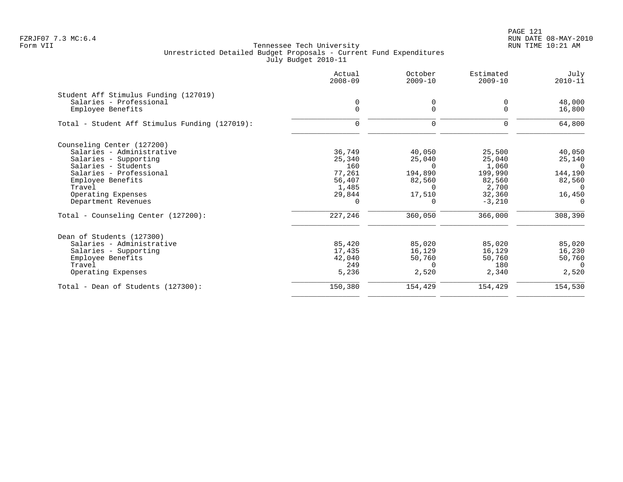PAGE 121 FZRJF07 7.3 MC:6.4 RUN DATE 08-MAY-2010

|         | 0                                                           | 0                                                               | 48,000                                                       |
|---------|-------------------------------------------------------------|-----------------------------------------------------------------|--------------------------------------------------------------|
|         |                                                             |                                                                 | 16,800                                                       |
| 0       | $\mathbf 0$                                                 | 0                                                               | 64,800                                                       |
|         |                                                             |                                                                 |                                                              |
| 36,749  | 40,050                                                      | 25,500                                                          | 40,050                                                       |
| 25,340  | 25,040                                                      | 25,040                                                          | 25,140                                                       |
| 160     | $\Omega$                                                    | 1,060                                                           | $\Omega$                                                     |
|         |                                                             |                                                                 | 144,190                                                      |
|         |                                                             |                                                                 | 82,560                                                       |
|         |                                                             |                                                                 | $\Omega$                                                     |
|         |                                                             |                                                                 | 16,450                                                       |
|         |                                                             |                                                                 | $\Omega$                                                     |
| 227,246 | 360,050                                                     | 366,000                                                         | 308,390                                                      |
|         |                                                             |                                                                 |                                                              |
| 85,420  | 85,020                                                      | 85,020                                                          | 85,020                                                       |
| 17,435  | 16,129                                                      | 16,129                                                          | 16,230                                                       |
| 42,040  | 50,760                                                      | 50,760                                                          | 50,760                                                       |
| 249     | $\Omega$                                                    | 180                                                             | $\Omega$                                                     |
| 5,236   | 2,520                                                       | 2,340                                                           | 2,520                                                        |
| 150,380 | 154,429                                                     | 154,429                                                         | 154,530                                                      |
|         | $\Omega$<br>77,261<br>56,407<br>1,485<br>29,844<br>$\Omega$ | $\Omega$<br>194,890<br>82,560<br>$\Omega$<br>17,510<br>$\Omega$ | $\Omega$<br>199,990<br>82,560<br>2,700<br>32,360<br>$-3,210$ |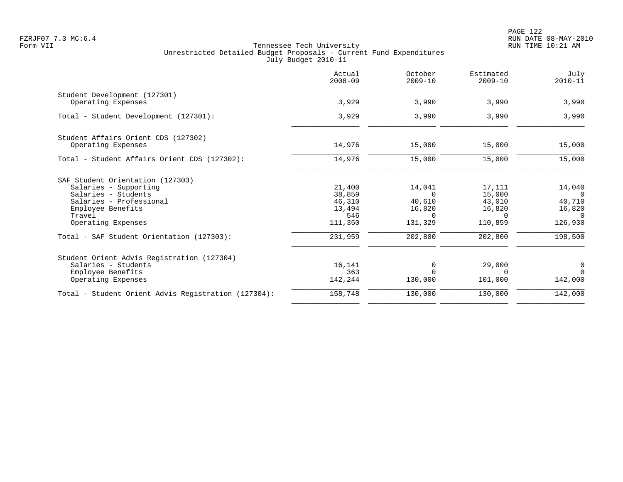|                                                     | Actual<br>$2008 - 09$ | October<br>$2009 - 10$ | Estimated<br>$2009 - 10$ | July<br>$2010 - 11$ |
|-----------------------------------------------------|-----------------------|------------------------|--------------------------|---------------------|
| Student Development (127301)                        |                       |                        |                          |                     |
| Operating Expenses                                  | 3,929                 | 3,990                  | 3,990                    | 3,990               |
| Total - Student Development (127301):               | 3,929                 | 3,990                  | 3,990                    | 3,990               |
| Student Affairs Orient CDS (127302)                 |                       |                        |                          |                     |
| Operating Expenses                                  | 14,976                | 15,000                 | 15,000                   | 15,000              |
| Total - Student Affairs Orient CDS (127302):        | 14,976                | 15,000                 | 15,000                   | 15,000              |
| SAF Student Orientation (127303)                    |                       |                        |                          |                     |
| Salaries - Supporting                               | 21,400                | 14,041                 | 17,111                   | 14,040              |
| Salaries - Students                                 | 38,859                | $\Omega$               | 15,000                   | $\Omega$            |
| Salaries - Professional                             | 46,310                | 40,610                 | 43,010                   | 40,710              |
| Employee Benefits                                   | 13,494                | 16,820                 | 16,820                   | 16,820              |
| Travel                                              | 546                   | $\Omega$               | $\Omega$                 | $\Omega$            |
| Operating Expenses                                  | 111,350               | 131,329                | 110,859                  | 126,930             |
| Total - SAF Student Orientation (127303):           | 231,959               | 202,800                | 202,800                  | 198,500             |
| Student Orient Advis Registration (127304)          |                       |                        |                          |                     |
| Salaries - Students                                 | 16,141                | $\Omega$               | 29,000                   | 0                   |
| Employee Benefits                                   | 363                   | $\Omega$               | $\Omega$                 | $\Omega$            |
| Operating Expenses                                  | 142,244               | 130,000                | 101,000                  | 142,000             |
| Total - Student Orient Advis Registration (127304): | 158,748               | 130,000                | 130,000                  | 142,000             |
|                                                     |                       |                        |                          |                     |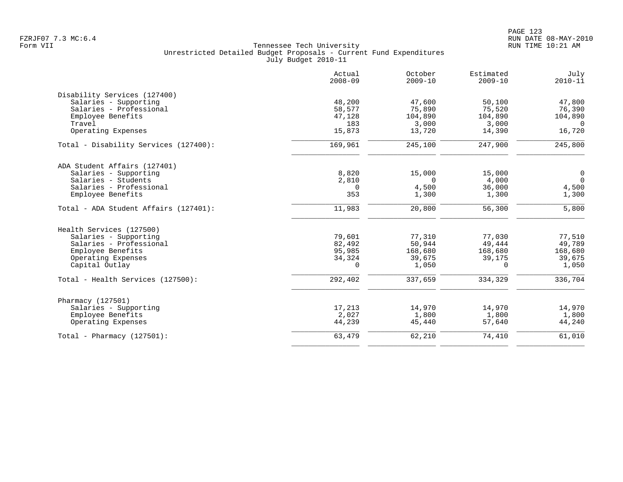|                                       | Actual<br>$2008 - 09$ | October<br>$2009 - 10$ | Estimated<br>$2009 - 10$ | July<br>$2010 - 11$ |
|---------------------------------------|-----------------------|------------------------|--------------------------|---------------------|
| Disability Services (127400)          |                       |                        |                          |                     |
| Salaries - Supporting                 | 48,200                | 47,600                 | 50,100                   | 47,800              |
| Salaries - Professional               | 58,577                | 75,890                 | 75,520                   | 76,390              |
| Employee Benefits                     | 47,128                | 104,890                | 104,890                  | 104,890             |
| Travel                                | 183                   | 3,000                  | 3,000                    | $\Omega$            |
| Operating Expenses                    | 15,873                | 13,720                 | 14,390                   | 16,720              |
| Total - Disability Services (127400): | 169,961               | 245,100                | 247,900                  | 245,800             |
| ADA Student Affairs (127401)          |                       |                        |                          |                     |
| Salaries - Supporting                 | 8,820                 | 15,000                 | 15,000                   | 0                   |
| Salaries - Students                   | 2,810                 | $\Omega$               | 4,000                    | $\Omega$            |
| Salaries - Professional               | 0                     | 4,500                  | 36,000                   | 4,500               |
| Employee Benefits                     | 353                   | 1,300                  | 1,300                    | 1,300               |
| Total - ADA Student Affairs (127401): | 11,983                | 20,800                 | 56,300                   | 5,800               |
| Health Services (127500)              |                       |                        |                          |                     |
| Salaries - Supporting                 | 79,601                | 77,310                 | 77,030                   | 77,510              |
| Salaries - Professional               | 82,492                | 50,944                 | 49,444                   | 49,789              |
| Employee Benefits                     | 95,985                | 168,680                | 168,680                  | 168,680             |
| Operating Expenses                    | 34,324                | 39,675                 | 39,175                   | 39,675              |
| Capital Outlay                        | $\Omega$              | 1,050                  | $\Omega$                 | 1,050               |
| Total - Health Services (127500):     | 292,402               | 337,659                | 334,329                  | 336,704             |
| Pharmacy (127501)                     |                       |                        |                          |                     |
| Salaries - Supporting                 | 17,213                | 14,970                 | 14,970                   | 14,970              |
| Employee Benefits                     | 2,027                 | 1,800                  | 1,800                    | 1,800               |
| Operating Expenses                    | 44,239                | 45,440                 | 57,640                   | 44,240              |
| Total - Pharmacy $(127501)$ :         | 63,479                | 62,210                 | 74,410                   | 61,010              |
|                                       |                       |                        |                          |                     |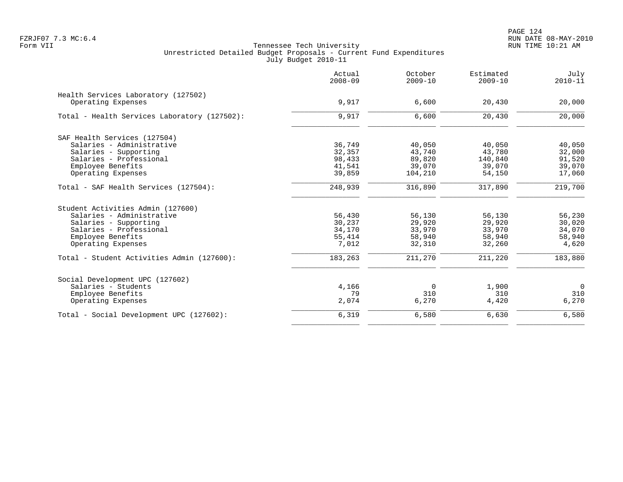PAGE 124 FZRJF07 7.3 MC:6.4 RUN DATE 08-MAY-2010

|                                              | Actual<br>$2008 - 09$ | October<br>$2009 - 10$ | Estimated<br>$2009 - 10$ | July<br>$2010 - 11$ |
|----------------------------------------------|-----------------------|------------------------|--------------------------|---------------------|
| Health Services Laboratory (127502)          |                       |                        |                          |                     |
| Operating Expenses                           | 9,917                 | 6,600                  | 20,430                   | 20,000              |
| Total - Health Services Laboratory (127502): | 9,917                 | 6,600                  | 20,430                   | 20,000              |
| SAF Health Services (127504)                 |                       |                        |                          |                     |
| Salaries - Administrative                    | 36,749                | 40,050                 | 40,050                   | 40,050              |
| Salaries - Supporting                        | 32,357                | 43,740                 | 43,780                   | 32,000              |
| Salaries - Professional                      | 98,433                | 89,820                 | 140,840                  | 91,520              |
| Employee Benefits                            | 41,541                | 39,070                 | 39,070                   | 39,070              |
| Operating Expenses                           | 39,859                | 104,210                | 54,150                   | 17,060              |
| Total - SAF Health Services (127504):        | 248,939               | 316,890                | 317,890                  | 219,700             |
| Student Activities Admin (127600)            |                       |                        |                          |                     |
| Salaries - Administrative                    | 56,430                | 56,130                 | 56,130                   | 56,230              |
| Salaries - Supporting                        | 30,237                | 29,920                 | 29,920                   | 30,020              |
| Salaries - Professional                      | 34,170                | 33,970                 | 33,970                   | 34,070              |
| Employee Benefits                            | 55,414                | 58,940                 | 58,940                   | 58,940              |
| Operating Expenses                           | 7,012                 | 32,310                 | 32,260                   | 4,620               |
| Total - Student Activities Admin (127600):   | 183,263               | 211,270                | 211,220                  | 183,880             |
| Social Development UPC (127602)              |                       |                        |                          |                     |
| Salaries - Students                          | 4,166                 | 0                      | 1,900                    | $\overline{0}$      |
| Employee Benefits                            | 79                    | 310                    | 310                      | 310                 |
| Operating Expenses                           | 2,074                 | 6,270                  | 4,420                    | 6,270               |
| Total - Social Development UPC (127602):     | 6,319                 | 6,580                  | 6,630                    | 6,580               |
|                                              |                       |                        |                          |                     |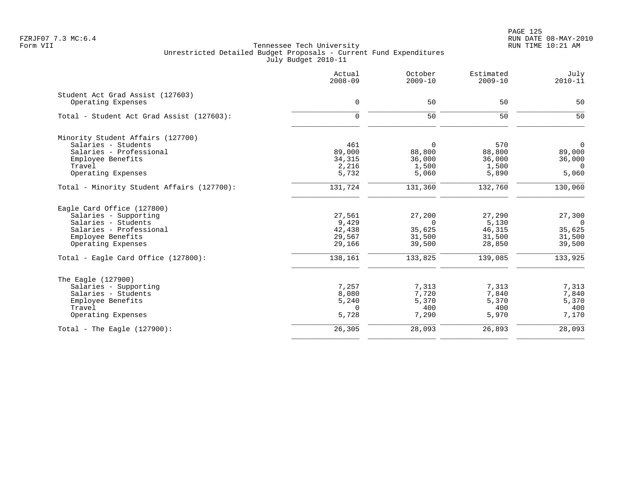PAGE 125 FZRJF07 7.3 MC:6.4 RUN DATE 08-MAY-2010

|                                            | Actual<br>$2008 - 09$ | October<br>$2009 - 10$ | Estimated<br>$2009 - 10$ | July<br>$2010 - 11$ |
|--------------------------------------------|-----------------------|------------------------|--------------------------|---------------------|
| Student Act Grad Assist (127603)           |                       |                        |                          |                     |
| Operating Expenses                         | $\mathbf 0$           | 50                     | 50                       | 50                  |
| Total - Student Act Grad Assist (127603):  | $\Omega$              | 50                     | 50                       | 50                  |
| Minority Student Affairs (127700)          |                       |                        |                          |                     |
| Salaries - Students                        | 461                   | $\Omega$               | 570                      | $\Omega$            |
| Salaries - Professional                    | 89,000                | 88,800                 | 88,800                   | 89,000              |
| Employee Benefits                          | 34, 315               | 36,000                 | 36,000                   | 36,000              |
| Travel                                     | 2,216                 | 1,500                  | 1,500                    | $\Omega$            |
| Operating Expenses                         | 5,732                 | 5,060                  | 5,890                    | 5,060               |
| Total - Minority Student Affairs (127700): | 131,724               | 131,360                | 132,760                  | 130,060             |
| Eagle Card Office (127800)                 |                       |                        |                          |                     |
| Salaries - Supporting                      | 27,561                | 27,200                 | 27,290                   | 27,300              |
| Salaries - Students                        | 9,429                 | $\Omega$               | 5,130                    | $\Omega$            |
| Salaries - Professional                    | 42,438                | 35,625                 | 46,315                   | 35,625              |
| Employee Benefits                          | 29,567                | 31,500                 | 31,500                   | 31,500              |
| Operating Expenses                         | 29,166                | 39,500                 | 28,850                   | 39,500              |
| Total - Eagle Card Office (127800):        | 138,161               | 133,825                | 139,085                  | 133,925             |
| The Eagle (127900)                         |                       |                        |                          |                     |
| Salaries - Supporting                      | 7,257                 | 7,313                  | 7,313                    | 7,313               |
| Salaries - Students                        | 8,080                 | 7,720                  | 7,840                    | 7,840               |
| Employee Benefits                          | 5,240                 | 5,370                  | 5,370                    | 5,370               |
| Travel                                     | $\mathbf 0$           | 400                    | 400                      | 400                 |
| Operating Expenses                         | 5,728                 | 7,290                  | 5,970                    | 7,170               |
| Total - The Eagle $(127900)$ :             | 26,305                | 28,093                 | 26,893                   | 28,093              |
|                                            |                       |                        |                          |                     |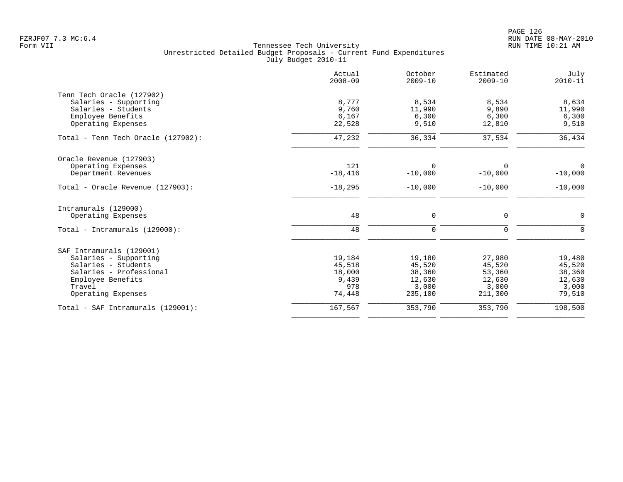|                                    | Actual<br>$2008 - 09$ | October<br>$2009 - 10$ | Estimated<br>$2009 - 10$ | July<br>$2010 - 11$ |
|------------------------------------|-----------------------|------------------------|--------------------------|---------------------|
| Tenn Tech Oracle (127902)          |                       |                        |                          |                     |
| Salaries - Supporting              | 8,777                 | 8,534                  | 8,534                    | 8,634               |
| Salaries - Students                | 9,760                 | 11,990                 | 9,890                    | 11,990              |
| Employee Benefits                  | 6,167                 | 6,300                  | 6,300                    | 6,300               |
| Operating Expenses                 | 22,528                | 9,510                  | 12,810                   | 9,510               |
| Total - Tenn Tech Oracle (127902): | 47,232                | 36,334                 | 37,534                   | 36,434              |
| Oracle Revenue (127903)            |                       |                        |                          |                     |
| Operating Expenses                 | 121                   | 0                      | $\Omega$                 | $\Omega$            |
| Department Revenues                | $-18,416$             | $-10,000$              | $-10,000$                | $-10,000$           |
| Total - Oracle Revenue (127903):   | $-18,295$             | $-10,000$              | $-10,000$                | $-10,000$           |
| Intramurals (129000)               |                       |                        |                          |                     |
| Operating Expenses                 | 48                    | 0                      | $\mathbf 0$              | $\mathbf 0$         |
| Total - Intramurals (129000):      | 48                    | $\mathbf 0$            | $\mathbf 0$              | $\Omega$            |
| SAF Intramurals (129001)           |                       |                        |                          |                     |
| Salaries - Supporting              | 19,184                | 19,180                 | 27,980                   | 19,480              |
| Salaries - Students                | 45,518                | 45,520                 | 45,520                   | 45,520              |
| Salaries - Professional            | 18,000                | 38,360                 | 53,360                   | 38,360              |
| Employee Benefits                  | 9,439                 | 12,630                 | 12,630                   | 12,630              |
| Travel                             | 978                   | 3,000                  | 3,000                    | 3,000               |
| Operating Expenses                 | 74,448                | 235,100                | 211,300                  | 79,510              |
| Total - SAF Intramurals (129001):  | 167,567               | 353,790                | 353,790                  | 198,500             |
|                                    |                       |                        |                          |                     |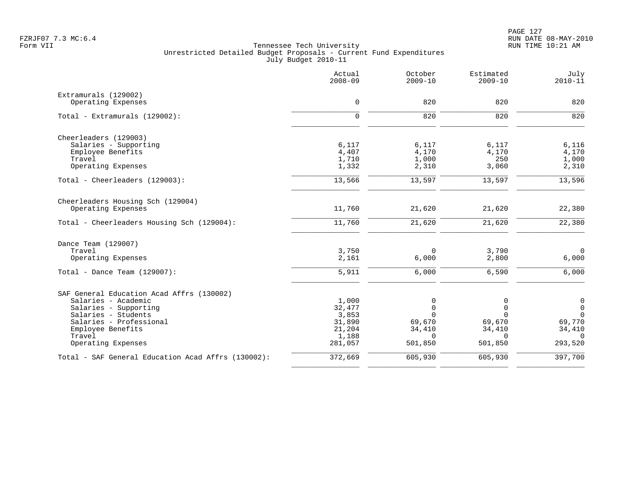|                                                    | Actual<br>$2008 - 09$ | October<br>$2009 - 10$ | Estimated<br>$2009 - 10$ | July<br>$2010 - 11$   |
|----------------------------------------------------|-----------------------|------------------------|--------------------------|-----------------------|
| Extramurals (129002)<br>Operating Expenses         | $\mathbf 0$           | 820                    | 820                      | 820                   |
|                                                    |                       |                        |                          |                       |
| Total - Extramurals (129002):                      | $\mathbf 0$           | 820                    | 820                      | 820                   |
| Cheerleaders (129003)                              |                       |                        |                          |                       |
| Salaries - Supporting                              | 6,117                 | 6,117                  | 6,117                    | 6,116                 |
| Employee Benefits<br>Travel                        | 4,407                 | 4,170                  | 4,170<br>250             | 4,170                 |
| Operating Expenses                                 | 1,710<br>1,332        | 1,000<br>2,310         | 3,060                    | 1,000<br>2,310        |
| Total - Cheerleaders (129003):                     | 13,566                | 13,597                 | 13,597                   | 13,596                |
| Cheerleaders Housing Sch (129004)                  |                       |                        |                          |                       |
| Operating Expenses                                 | 11,760                | 21,620                 | 21,620                   | 22,380                |
| Total - Cheerleaders Housing Sch (129004):         | 11,760                | 21,620                 | 21,620                   | 22,380                |
| Dance Team (129007)                                |                       |                        |                          |                       |
| Travel                                             | 3,750                 | 0                      | 3,790                    | $\overline{0}$        |
| Operating Expenses                                 | 2,161                 | 6,000                  | 2,800                    | 6,000                 |
| Total - Dance Team $(129007)$ :                    | 5,911                 | 6,000                  | 6,590                    | 6,000                 |
| SAF General Education Acad Affrs (130002)          |                       |                        |                          |                       |
| Salaries - Academic                                | 1,000                 | 0                      | 0                        | $\mathsf{O}$          |
| Salaries - Supporting                              | 32,477                | $\mathbf 0$            | $\mathbf 0$              | $\mathsf{O}$          |
| Salaries - Students<br>Salaries - Professional     | 3,853<br>31,890       | $\Omega$<br>69,670     | $\Omega$<br>69,670       | $\mathbf 0$<br>69,770 |
| Employee Benefits                                  | 21,204                | 34,410                 | 34,410                   | 34,410                |
| Travel                                             | 1,188                 | $\Omega$               | $\Omega$                 | $\Omega$              |
| Operating Expenses                                 | 281,057               | 501,850                | 501,850                  | 293,520               |
| Total - SAF General Education Acad Affrs (130002): | 372,669               | 605,930                | 605,930                  | 397,700               |
|                                                    |                       |                        |                          |                       |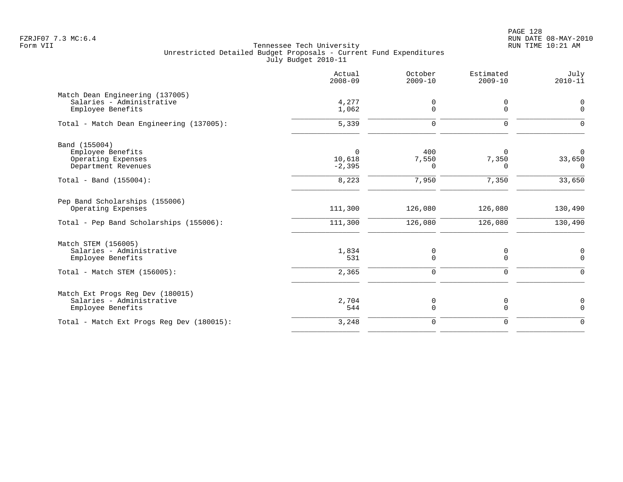|                                                                                                       | Actual<br>$2008 - 09$          | October<br>$2009 - 10$ | Estimated<br>$2009 - 10$      | July<br>$2010 - 11$                       |
|-------------------------------------------------------------------------------------------------------|--------------------------------|------------------------|-------------------------------|-------------------------------------------|
| Match Dean Engineering (137005)<br>Salaries - Administrative<br>Employee Benefits                     | 4,277<br>1,062                 | 0<br>$\Omega$          | 0<br>$\Omega$                 | 0<br>$\Omega$                             |
| Total - Match Dean Engineering (137005):                                                              | 5,339                          | 0                      | 0                             | $\Omega$                                  |
| Band (155004)<br>Employee Benefits<br>Operating Expenses<br>Department Revenues                       | $\Omega$<br>10,618<br>$-2,395$ | 400<br>7,550<br>0      | $\Omega$<br>7,350<br>$\Omega$ | $\Omega$<br>33,650<br>$\Omega$            |
| Total - Band $(155004)$ :                                                                             | 8,223                          | 7,950                  | 7,350                         | 33,650                                    |
| Pep Band Scholarships (155006)<br>Operating Expenses<br>Total - Pep Band Scholarships (155006):       | 111,300<br>111,300             | 126,080<br>126,080     | 126,080<br>126,080            | 130,490<br>130,490                        |
| Match STEM (156005)<br>Salaries - Administrative<br>Employee Benefits<br>Total - Match STEM (156005): | 1,834<br>531<br>2,365          | 0<br>0<br>0            | 0<br>0<br>0                   | $\mathbf 0$<br>$\mathbf 0$<br>$\mathbf 0$ |
| Match Ext Progs Reg Dev (180015)<br>Salaries - Administrative<br>Employee Benefits                    | 2,704<br>544                   | 0<br>0                 | 0<br>0                        | 0<br>$\mathbf 0$                          |
| Total - Match Ext Progs Reg Dev (180015):                                                             | 3,248                          | 0                      | 0                             | $\mathbf 0$                               |
|                                                                                                       |                                |                        |                               |                                           |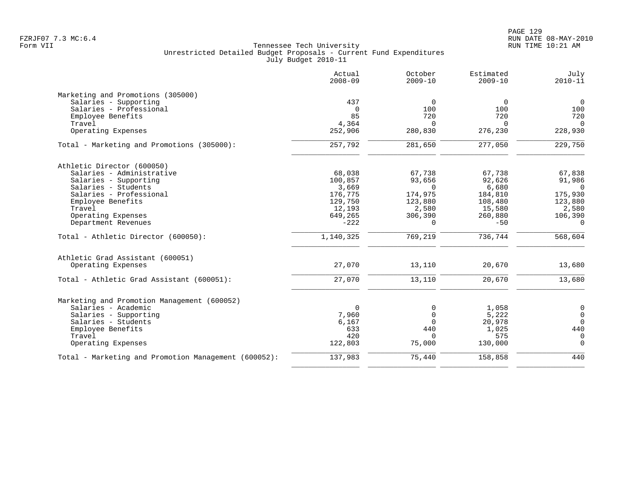|                                                      | Actual<br>$2008 - 09$ | October<br>$2009 - 10$ | Estimated<br>$2009 - 10$ | July<br>$2010 - 11$ |
|------------------------------------------------------|-----------------------|------------------------|--------------------------|---------------------|
| Marketing and Promotions (305000)                    |                       |                        |                          |                     |
| Salaries - Supporting                                | 437                   | $\mathbf 0$            | $\Omega$                 | $\mathsf{O}$        |
| Salaries - Professional                              | $\Omega$              | 100                    | 100                      | 100                 |
| Employee Benefits                                    | 85                    | 720                    | 720                      | 720                 |
| Travel                                               | 4,364                 | $\Omega$               | $\Omega$                 | $\Omega$            |
| Operating Expenses                                   | 252,906               | 280,830                | 276,230                  | 228,930             |
| Total - Marketing and Promotions (305000):           | 257,792               | 281,650                | 277,050                  | 229,750             |
| Athletic Director (600050)                           |                       |                        |                          |                     |
| Salaries - Administrative                            | 68,038                | 67,738                 | 67,738                   | 67,838              |
| Salaries - Supporting                                | 100,857               | 93,656                 | 92,626                   | 91,986              |
| Salaries - Students                                  | 3,669                 | $\Omega$               | 6,680                    | $\overline{0}$      |
| Salaries - Professional                              | 176,775               | 174,975                | 184,810                  | 175,930             |
| Employee Benefits                                    | 129,750               | 123,880                | 108,480                  | 123,880             |
| Travel                                               | 12,193                | 2,580                  | 15,580                   | 2,580               |
| Operating Expenses                                   | 649,265               | 306,390                | 260,880                  | 106,390             |
| Department Revenues                                  | $-222$                | $\Omega$               | $-50$                    | $\Omega$            |
| Total - Athletic Director (600050):                  | 1,140,325             | 769,219                | 736,744                  | 568,604             |
| Athletic Grad Assistant (600051)                     |                       |                        |                          |                     |
| Operating Expenses                                   | 27,070                | 13,110                 | 20,670                   | 13,680              |
| Total - Athletic Grad Assistant (600051):            | 27,070                | 13,110                 | 20,670                   | 13,680              |
| Marketing and Promotion Management (600052)          |                       |                        |                          |                     |
| Salaries - Academic                                  | $\mathbf 0$           | 0                      | 1,058                    | 0                   |
| Salaries - Supporting                                | 7,960                 | $\mathbf 0$            | 5,222                    | $\mathsf{O}$        |
| Salaries - Students                                  | 6,167                 | $\Omega$               | 20,978                   | $\Omega$            |
| Employee Benefits                                    | 633                   | 440                    | 1,025                    | 440                 |
| Travel                                               | 420                   | $\Omega$               | 575                      | $\mathbf 0$         |
| Operating Expenses                                   | 122,803               | 75,000                 | 130,000                  | $\Omega$            |
| Total - Marketing and Promotion Management (600052): | 137,983               | 75,440                 | 158,858                  | 440                 |
|                                                      |                       |                        |                          |                     |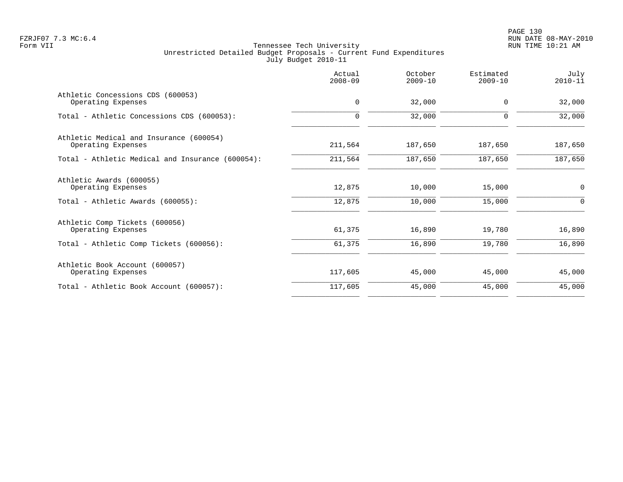PAGE 130 FZRJF07 7.3 MC:6.4 RUN DATE 08-MAY-2010

|                                                               | Actual<br>$2008 - 09$ | October<br>$2009 - 10$ | Estimated<br>$2009 - 10$ | July<br>$2010 - 11$ |
|---------------------------------------------------------------|-----------------------|------------------------|--------------------------|---------------------|
| Athletic Concessions CDS (600053)<br>Operating Expenses       | $\mathbf 0$           | 32,000                 | $\mathbf 0$              | 32,000              |
| Total - Athletic Concessions CDS (600053):                    | $\Omega$              | 32,000                 | $\Omega$                 | 32,000              |
| Athletic Medical and Insurance (600054)<br>Operating Expenses | 211,564               | 187,650                | 187,650                  | 187,650             |
| Total - Athletic Medical and Insurance (600054):              | 211,564               | 187,650                | 187,650                  | 187,650             |
| Athletic Awards (600055)<br>Operating Expenses                | 12,875                | 10,000                 | 15,000                   | $\mathbf 0$         |
| Total - Athletic Awards (600055):                             | 12,875                | 10,000                 | 15,000                   | 0                   |
| Athletic Comp Tickets (600056)<br>Operating Expenses          | 61,375                | 16,890                 | 19,780                   | 16,890              |
| Total - Athletic Comp Tickets (600056):                       | 61,375                | 16,890                 | 19,780                   | 16,890              |
| Athletic Book Account (600057)<br>Operating Expenses          | 117,605               | 45,000                 | 45,000                   | 45,000              |
| Total - Athletic Book Account (600057):                       | 117,605               | 45,000                 | 45,000                   | 45,000              |
|                                                               |                       |                        |                          |                     |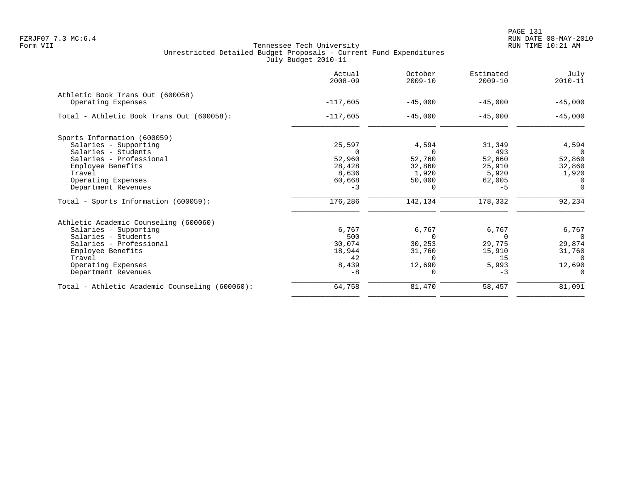|                                                | Actual<br>$2008 - 09$ | October<br>$2009 - 10$ | Estimated<br>$2009 - 10$ | July<br>$2010 - 11$ |
|------------------------------------------------|-----------------------|------------------------|--------------------------|---------------------|
| Athletic Book Trans Out (600058)               |                       |                        |                          |                     |
| Operating Expenses                             | $-117,605$            | $-45,000$              | $-45,000$                | $-45,000$           |
| Total - Athletic Book Trans Out (600058):      | $-117,605$            | $-45,000$              | $-45,000$                | $-45,000$           |
| Sports Information (600059)                    |                       |                        |                          |                     |
| Salaries - Supporting                          | 25,597                | 4,594                  | 31,349                   | 4,594               |
| Salaries - Students                            |                       | $\Omega$               | 493                      | $\Omega$            |
| Salaries - Professional                        | 52,960                | 52,760                 | 52,660                   | 52,860              |
| Employee Benefits                              | 28,428                | 32,860                 | 25,910                   | 32,860              |
| Travel                                         | 8,636                 | 1,920                  | 5,920                    | 1,920               |
| Operating Expenses                             | 60,668                | 50,000                 | 62,005                   | $\Omega$            |
| Department Revenues                            | $-3$                  | $\Omega$               | $-5$                     | $\Omega$            |
| Total - Sports Information (600059):           | 176,286               | 142,134                | 178,332                  | 92,234              |
| Athletic Academic Counseling (600060)          |                       |                        |                          |                     |
| Salaries - Supporting                          | 6,767                 | 6,767                  | 6,767                    | 6,767               |
| Salaries - Students                            | 500                   | $\Omega$               | $\Omega$                 | $\Omega$            |
| Salaries - Professional                        | 30,074                | 30,253                 | 29,775                   | 29,874              |
| Employee Benefits                              | 18,944                | 31,760                 | 15,910                   | 31,760              |
| Travel                                         | 42                    | $\Omega$               | 15                       | $\Omega$            |
| Operating Expenses                             | 8,439                 | 12,690                 | 5,993                    | 12,690              |
| Department Revenues                            | $-8$                  | $\Omega$               | $-3$                     |                     |
| Total - Athletic Academic Counseling (600060): | 64,758                | 81,470                 | 58,457                   | 81,091              |
|                                                |                       |                        |                          |                     |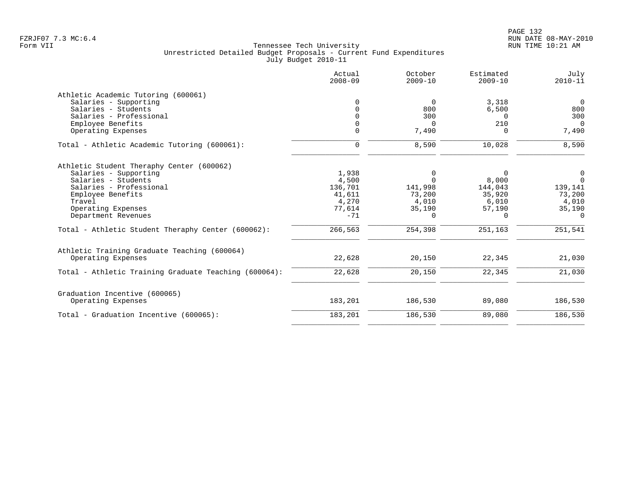|                                                       | Actual<br>$2008 - 09$ | October<br>$2009 - 10$ | Estimated<br>$2009 - 10$ | July<br>$2010 - 11$ |
|-------------------------------------------------------|-----------------------|------------------------|--------------------------|---------------------|
| Athletic Academic Tutoring (600061)                   |                       |                        |                          |                     |
| Salaries - Supporting                                 | 0                     | $\Omega$               | 3,318                    | $\overline{0}$      |
| Salaries - Students                                   | 0                     | 800                    | 6,500                    | 800                 |
| Salaries - Professional                               | $\Omega$              | 300                    | $\Omega$                 | 300                 |
| Employee Benefits                                     | 0                     | $\Omega$               | 210                      | $\Omega$            |
| Operating Expenses                                    | $\Omega$              | 7,490                  | $\Omega$                 | 7,490               |
| Total - Athletic Academic Tutoring (600061):          | $\mathbf 0$           | 8,590                  | 10,028                   | 8,590               |
| Athletic Student Theraphy Center (600062)             |                       |                        |                          |                     |
| Salaries - Supporting                                 | 1,938                 | 0                      | $\Omega$                 | 0                   |
| Salaries - Students                                   | 4,500                 | $\Omega$               | 8,000                    | $\Omega$            |
| Salaries - Professional                               | 136,701               | 141,998                | 144,043                  | 139,141             |
| Employee Benefits                                     | 41,611                | 73,200                 | 35,920                   | 73,200              |
| Travel                                                | 4,270                 | 4,010                  | 6,010                    | 4,010               |
| Operating Expenses                                    | 77,614                | 35,190                 | 57,190                   | 35,190              |
| Department Revenues                                   | $-71$                 | $\Omega$               | $\Omega$                 | $\Omega$            |
| Total - Athletic Student Theraphy Center (600062):    | 266,563               | 254,398                | 251,163                  | 251,541             |
| Athletic Training Graduate Teaching (600064)          |                       |                        |                          |                     |
| Operating Expenses                                    | 22,628                | 20,150                 | 22,345                   | 21,030              |
| Total - Athletic Training Graduate Teaching (600064): | 22,628                | 20,150                 | 22,345                   | 21,030              |
| Graduation Incentive (600065)                         |                       |                        |                          |                     |
| Operating Expenses                                    | 183,201               | 186,530                | 89,080                   | 186,530             |
| Total - Graduation Incentive (600065):                | 183,201               | 186,530                | 89,080                   | 186,530             |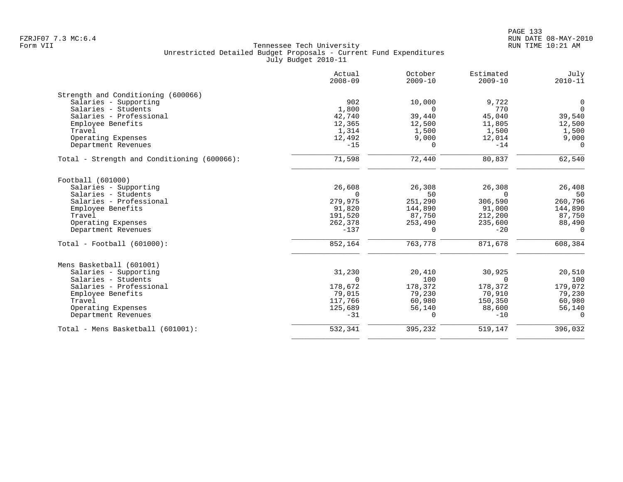|                                             | Actual<br>$2008 - 09$ | October<br>$2009 - 10$ | Estimated<br>$2009 - 10$ | July<br>$2010 - 11$ |
|---------------------------------------------|-----------------------|------------------------|--------------------------|---------------------|
| Strength and Conditioning (600066)          |                       |                        |                          |                     |
| Salaries - Supporting                       | 902                   | 10,000                 | 9,722                    | 0                   |
| Salaries - Students                         | 1,800                 | $\Omega$               | 770                      | $\overline{0}$      |
| Salaries - Professional                     | 42,740                | 39,440                 | 45,040                   | 39,540              |
| Employee Benefits                           | 12,365                | 12,500                 | 11,805                   | 12,500              |
| Travel                                      | 1,314                 | 1,500                  | 1,500                    | 1,500               |
| Operating Expenses                          | 12,492                | 9,000                  | 12,014                   | 9,000               |
| Department Revenues                         | $-15$                 | $\Omega$               | $-14$                    | $\Omega$            |
| Total - Strength and Conditioning (600066): | 71,598                | 72,440                 | 80,837                   | 62,540              |
| Football (601000)                           |                       |                        |                          |                     |
| Salaries - Supporting                       | 26,608                | 26,308                 | 26,308                   | 26,408              |
| Salaries - Students                         | $\Omega$              | 50                     | $\Omega$                 | 50                  |
| Salaries - Professional                     | 279,975               | 251,290                | 306,590                  | 260,796             |
| Employee Benefits                           | 91,820                | 144,890                | 91,000                   | 144,890             |
| Travel                                      | 191,520               | 87,750                 | 212,200                  | 87,750              |
| Operating Expenses                          | 262,378               | 253,490                | 235,600                  | 88,490              |
| Department Revenues                         | $-137$                | $\Omega$               | $-20$                    | $\Omega$            |
| $Total - Football (601000):$                | 852,164               | 763,778                | 871,678                  | 608,384             |
| Mens Basketball (601001)                    |                       |                        |                          |                     |
| Salaries - Supporting                       | 31,230                | 20,410                 | 30,925                   | 20,510              |
| Salaries - Students                         | $\Omega$              | 100                    | $\Omega$                 | 100                 |
| Salaries - Professional                     | 178,672               | 178,372                | 178,372                  | 179,072             |
| Employee Benefits                           | 79,015                | 79,230                 | 70,910                   | 79,230              |
| Travel                                      | 117,766               | 60,980                 | 150,350                  | 60,980              |
| Operating Expenses                          | 125,689               | 56,140                 | 88,600                   | 56,140              |
| Department Revenues                         | $-31$                 | $\Omega$               | $-10$                    | $\Omega$            |
| Total - Mens Basketball (601001):           | 532,341               | 395,232                | 519,147                  | 396,032             |
|                                             |                       |                        |                          |                     |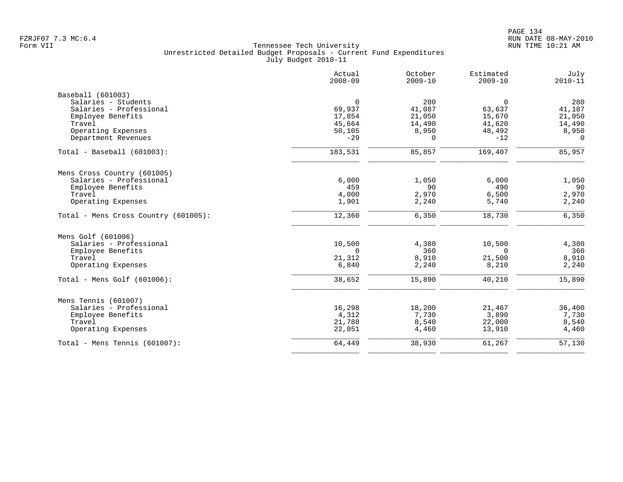|                                      | Actual<br>$2008 - 09$ | October<br>$2009 - 10$ | Estimated<br>$2009 - 10$ | July<br>$2010 - 11$ |
|--------------------------------------|-----------------------|------------------------|--------------------------|---------------------|
| Baseball (601003)                    |                       |                        |                          |                     |
| Salaries - Students                  | $\mathbf 0$           | 280                    | $\overline{0}$           | 280                 |
| Salaries - Professional              | 69,937                | 41,087                 | 63,637                   | 41,187              |
| Employee Benefits                    | 17,854                | 21,050                 | 15,670                   | 21,050              |
| Travel                               | 45,664                | 14,490                 | 41,620                   | 14,490              |
| Operating Expenses                   | 50,105                | 8,950                  | 48,492                   | 8,950               |
| Department Revenues                  | $-29$                 | $\Omega$               | $-12$                    | $\Omega$            |
| Total - Baseball (601003):           | 183,531               | 85,857                 | 169,407                  | 85,957              |
| Mens Cross Country (601005)          |                       |                        |                          |                     |
| Salaries - Professional              | 6,000                 | 1,050                  | 6,000                    | 1,050               |
| Employee Benefits                    | 459                   | 90                     | 490                      | 90                  |
| Travel                               | 4,000                 | 2,970                  | 6,500                    | 2,970               |
| Operating Expenses                   | 1,901                 | 2,240                  | 5,740                    | 2,240               |
| Total - Mens Cross Country (601005): | 12,360                | 6,350                  | 18,730                   | 6,350               |
| Mens Golf (601006)                   |                       |                        |                          |                     |
| Salaries - Professional              | 10,500                | 4,380                  | 10,500                   | 4,380               |
| Employee Benefits                    | $\mathbf 0$           | 360                    | $\mathbf 0$              | 360                 |
| Travel                               | 21,312                | 8,910                  | 21,500                   | 8,910               |
| Operating Expenses                   | 6,840                 | 2,240                  | 8,210                    | 2,240               |
| Total - Mens Golf (601006):          | 38,652                | 15,890                 | 40,210                   | 15,890              |
| Mens Tennis (601007)                 |                       |                        |                          |                     |
| Salaries - Professional              | 16,298                | 18,200                 | 21,467                   | 36,400              |
| Employee Benefits                    | 4,312                 | 7,730                  | 3,890                    | 7,730               |
| Travel                               | 21,788                | 8,540                  | 22,000                   | 8,540               |
| Operating Expenses                   | 22,051                | 4,460                  | 13,910                   | 4,460               |
| Total - Mens Tennis (601007):        | 64,449                | 38,930                 | 61,267                   | 57,130              |
|                                      |                       |                        |                          |                     |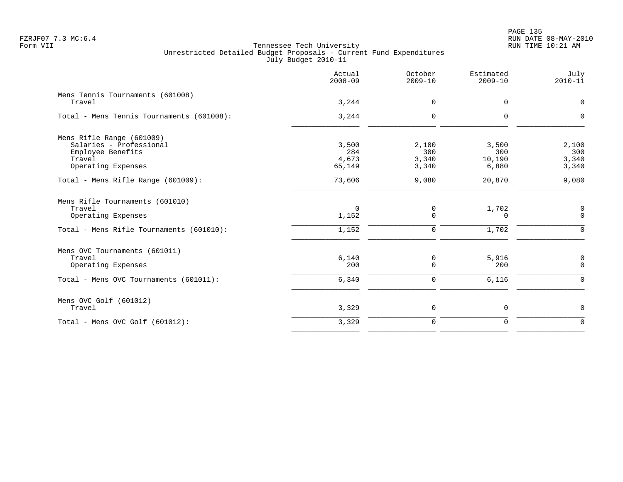|                                                                                                             | Actual<br>$2008 - 09$           | October<br>$2009 - 10$         | Estimated<br>$2009 - 10$        | July<br>$2010 - 11$              |
|-------------------------------------------------------------------------------------------------------------|---------------------------------|--------------------------------|---------------------------------|----------------------------------|
| Mens Tennis Tournaments (601008)<br>Travel                                                                  | 3,244                           | $\mathbf 0$                    | $\mathbf 0$                     | $\mathsf{O}$                     |
| Total - Mens Tennis Tournaments (601008):                                                                   | 3,244                           | $\mathbf 0$                    | $\mathbf 0$                     | $\mathbf 0$                      |
| Mens Rifle Range (601009)<br>Salaries - Professional<br>Employee Benefits<br>Travel<br>Operating Expenses   | 3,500<br>284<br>4,673<br>65,149 | 2,100<br>300<br>3,340<br>3,340 | 3,500<br>300<br>10,190<br>6,880 | 2,100<br>300<br>3,340<br>3,340   |
| Total - Mens Rifle Range (601009):                                                                          | 73,606                          | 9,080                          | 20,870                          | 9,080                            |
| Mens Rifle Tournaments (601010)<br>Travel<br>Operating Expenses<br>Total - Mens Rifle Tournaments (601010): | $\mathbf 0$<br>1,152<br>1,152   | 0<br>$\mathbf 0$<br>0          | 1,702<br>0<br>1,702             | 0<br>0<br>$\mathbf 0$            |
| Mens OVC Tournaments (601011)<br>Travel<br>Operating Expenses<br>Total - Mens OVC Tournaments (601011):     | 6,140<br>200<br>6,340           | 0<br>$\mathbf 0$<br>0          | 5,916<br>200<br>6,116           | $\mathsf{O}$<br>$\mathbf 0$<br>0 |
| Mens OVC Golf (601012)<br>Travel                                                                            | 3,329                           | 0                              | $\mathsf 0$                     | 0                                |
| Total - Mens OVC Golf $(601012)$ :                                                                          | 3,329                           | $\mathsf{O}$                   | $\mathbf 0$                     | $\mathbf 0$                      |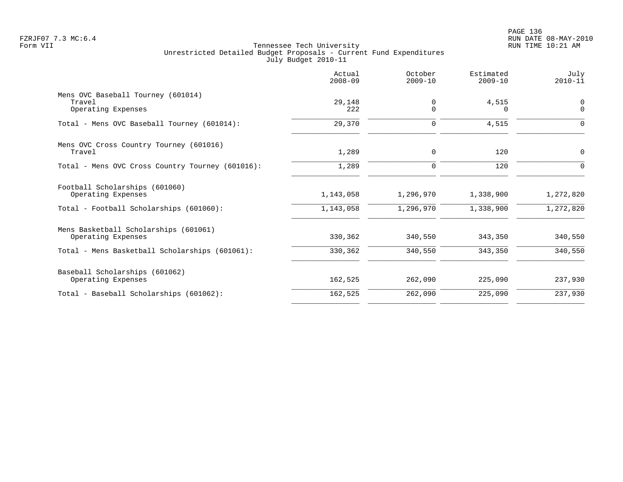|                                                                    | Actual<br>$2008 - 09$ | October<br>$2009 - 10$ | Estimated<br>$2009 - 10$ | July<br>$2010 - 11$     |
|--------------------------------------------------------------------|-----------------------|------------------------|--------------------------|-------------------------|
| Mens OVC Baseball Tourney (601014)<br>Travel<br>Operating Expenses | 29,148<br>222         | 0<br>$\Omega$          | 4,515<br>$\Omega$        | $\mathbf 0$<br>$\Omega$ |
| Total - Mens OVC Baseball Tourney (601014):                        | 29,370                | 0                      | 4,515                    | $\Omega$                |
| Mens OVC Cross Country Tourney (601016)<br>Travel                  | 1,289                 | 0                      | 120                      | 0                       |
| Total - Mens OVC Cross Country Tourney (601016):                   | 1,289                 | $\mathbf 0$            | 120                      | ∩                       |
| Football Scholarships (601060)<br>Operating Expenses               | 1,143,058             | 1,296,970              | 1,338,900                | 1,272,820               |
| Total - Football Scholarships (601060):                            | 1,143,058             | 1,296,970              | 1,338,900                | 1,272,820               |
| Mens Basketball Scholarships (601061)<br>Operating Expenses        | 330,362               | 340,550                | 343,350                  | 340,550                 |
| Total - Mens Basketball Scholarships (601061):                     | 330,362               | 340,550                | 343,350                  | 340,550                 |
| Baseball Scholarships (601062)<br>Operating Expenses               | 162,525               | 262,090                | 225,090                  | 237,930                 |
| Total - Baseball Scholarships (601062):                            | 162,525               | 262,090                | 225,090                  | 237,930                 |
|                                                                    |                       |                        |                          |                         |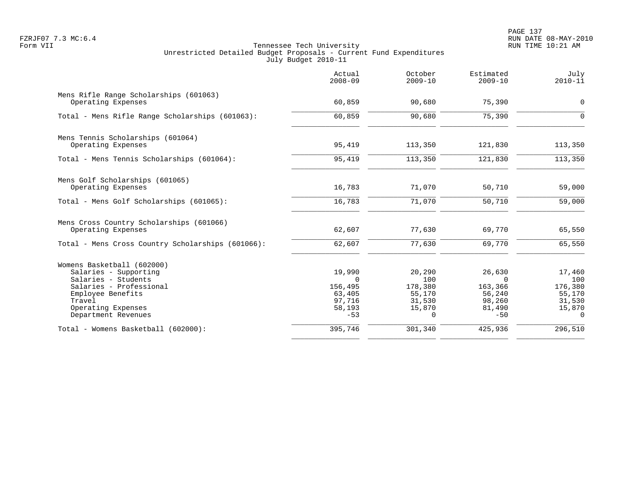PAGE 137 FZRJF07 7.3 MC:6.4 RUN DATE 08-MAY-2010

|                                                                                                                                                                                   | Actual<br>$2008 - 09$                                                | October<br>$2009 - 10$                                             | Estimated<br>$2009 - 10$                                             | July<br>$2010 - 11$                                                |
|-----------------------------------------------------------------------------------------------------------------------------------------------------------------------------------|----------------------------------------------------------------------|--------------------------------------------------------------------|----------------------------------------------------------------------|--------------------------------------------------------------------|
| Mens Rifle Range Scholarships (601063)<br>Operating Expenses                                                                                                                      | 60,859                                                               | 90,680                                                             | 75,390                                                               | $\mathbf 0$                                                        |
| Total - Mens Rifle Range Scholarships (601063):                                                                                                                                   | 60,859                                                               | 90,680                                                             | 75,390                                                               | $\Omega$                                                           |
| Mens Tennis Scholarships (601064)<br>Operating Expenses                                                                                                                           | 95,419                                                               | 113,350                                                            | 121,830                                                              | 113,350                                                            |
| Total - Mens Tennis Scholarships (601064):                                                                                                                                        | 95,419                                                               | 113,350                                                            | 121,830                                                              | 113,350                                                            |
| Mens Golf Scholarships (601065)<br>Operating Expenses                                                                                                                             | 16,783                                                               | 71,070                                                             | 50,710                                                               | 59,000                                                             |
| Total - Mens Golf Scholarships (601065):                                                                                                                                          | 16,783                                                               | 71,070                                                             | 50,710                                                               | 59,000                                                             |
| Mens Cross Country Scholarships (601066)<br>Operating Expenses<br>Total - Mens Cross Country Scholarships (601066):                                                               | 62,607<br>62,607                                                     | 77,630<br>77,630                                                   | 69,770<br>69,770                                                     | 65,550<br>65,550                                                   |
|                                                                                                                                                                                   |                                                                      |                                                                    |                                                                      |                                                                    |
| Womens Basketball (602000)<br>Salaries - Supporting<br>Salaries - Students<br>Salaries - Professional<br>Employee Benefits<br>Travel<br>Operating Expenses<br>Department Revenues | 19,990<br>$\Omega$<br>156,495<br>63,405<br>97,716<br>58,193<br>$-53$ | 20,290<br>100<br>178,380<br>55,170<br>31,530<br>15,870<br>$\Omega$ | 26,630<br>$\Omega$<br>163,366<br>56,240<br>98,260<br>81,490<br>$-50$ | 17,460<br>100<br>176,380<br>55,170<br>31,530<br>15,870<br>$\Omega$ |
| Total - Womens Basketball (602000):                                                                                                                                               | 395,746                                                              | 301,340                                                            | 425,936                                                              | 296,510                                                            |
|                                                                                                                                                                                   |                                                                      |                                                                    |                                                                      |                                                                    |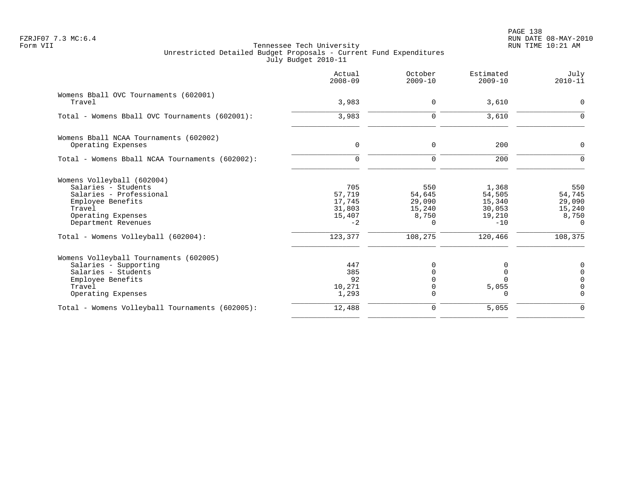| Actual<br>$2008 - 09$                               | October<br>$2009 - 10$                                 | Estimated<br>$2009 - 10$                               | July<br>$2010 - 11$                                        |
|-----------------------------------------------------|--------------------------------------------------------|--------------------------------------------------------|------------------------------------------------------------|
| 3,983                                               | $\Omega$                                               | 3,610                                                  | $\Omega$                                                   |
| 3,983                                               | $\Omega$                                               | 3,610                                                  | $\Omega$                                                   |
| $\mathbf 0$                                         | $\mathbf 0$                                            | 200                                                    | $\mathbf 0$                                                |
| $\Omega$                                            | $\Omega$                                               | 200                                                    | $\Omega$                                                   |
| 705<br>57,719<br>17,745<br>31,803<br>15,407<br>$-2$ | 550<br>54,645<br>29,090<br>15,240<br>8,750<br>$\Omega$ | 1,368<br>54,505<br>15,340<br>30,053<br>19,210<br>$-10$ | 550<br>54,745<br>29,090<br>15,240<br>8,750<br>$\Omega$     |
| 123,377                                             | 108,275                                                | 120,466                                                | 108,375                                                    |
| 447<br>385<br>92<br>10,271<br>1,293                 | O<br>0<br>$\Omega$                                     | 5,055<br>0                                             | 0<br>$\overline{0}$<br>$\Omega$<br>$\mathbf 0$<br>$\Omega$ |
| 12,488                                              | $\Omega$                                               | 5,055                                                  | $\Omega$                                                   |
|                                                     |                                                        |                                                        |                                                            |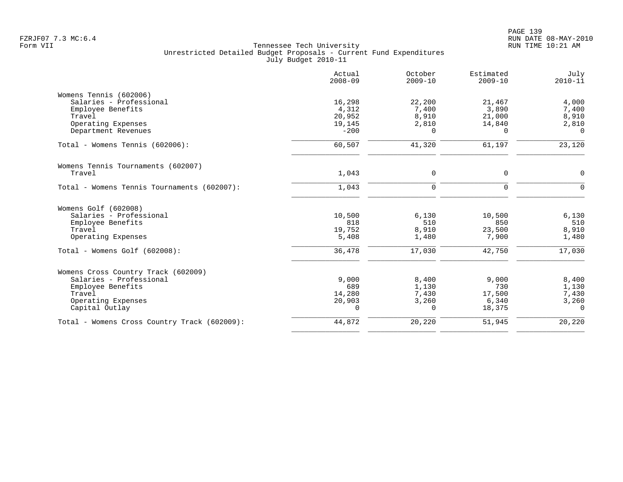|                                              | Actual<br>$2008 - 09$ | October<br>$2009 - 10$ | Estimated<br>$2009 - 10$ | July<br>$2010 - 11$ |
|----------------------------------------------|-----------------------|------------------------|--------------------------|---------------------|
| Womens Tennis (602006)                       |                       |                        |                          |                     |
| Salaries - Professional                      | 16,298                | 22,200                 | 21,467                   | 4,000               |
| Employee Benefits                            | 4,312                 | 7,400                  | 3,890                    | 7,400               |
| Travel                                       | 20,952                | 8,910                  | 21,000                   | 8,910               |
| Operating Expenses                           | 19,145                | 2,810                  | 14,840                   | 2,810               |
| Department Revenues                          | $-200$                | 0                      | $\Omega$                 | $\Omega$            |
| Total - Womens Tennis (602006):              | 60,507                | 41,320                 | 61,197                   | 23,120              |
| Womens Tennis Tournaments (602007)           |                       |                        |                          |                     |
| Travel                                       | 1,043                 | 0                      | 0                        | 0                   |
| Total - Womens Tennis Tournaments (602007):  | 1,043                 | 0                      | $\mathbf 0$              | $\mathbf 0$         |
| Womens Golf (602008)                         |                       |                        |                          |                     |
| Salaries - Professional                      | 10,500                | 6,130                  | 10,500                   | 6,130               |
| Employee Benefits                            | 818                   | 510                    | 850                      | 510                 |
| Travel                                       | 19,752                | 8,910                  | 23,500                   | 8,910               |
| Operating Expenses                           | 5,408                 | 1,480                  | 7,900                    | 1,480               |
| Total - Womens Golf (602008):                | 36,478                | 17,030                 | 42,750                   | 17,030              |
| Womens Cross Country Track (602009)          |                       |                        |                          |                     |
| Salaries - Professional                      | 9,000                 | 8,400                  | 9,000                    | 8,400               |
| Employee Benefits                            | 689                   | 1,130                  | 730                      | 1,130               |
| Travel                                       | 14,280                | 7,430                  | 17,500                   | 7,430               |
| Operating Expenses                           | 20,903                | 3,260                  | 6,340                    | 3,260               |
| Capital Outlay                               | 0                     | 0                      | 18,375                   | $\mathbf 0$         |
| Total - Womens Cross Country Track (602009): | 44,872                | 20,220                 | 51,945                   | 20,220              |
|                                              |                       |                        |                          |                     |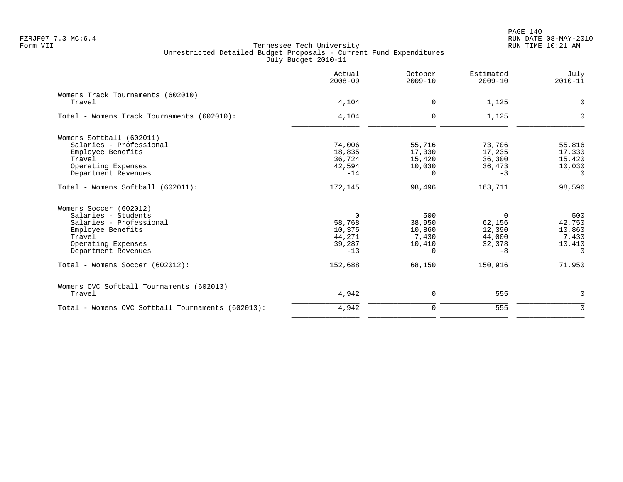|                                                   | Actual<br>$2008 - 09$ | October<br>$2009 - 10$ | Estimated<br>$2009 - 10$ | July<br>$2010 - 11$ |
|---------------------------------------------------|-----------------------|------------------------|--------------------------|---------------------|
| Womens Track Tournaments (602010)                 |                       |                        |                          |                     |
| Travel                                            | 4,104                 | 0                      | 1,125                    | $\mathbf 0$         |
| Total - Womens Track Tournaments (602010):        | 4,104                 | $\Omega$               | 1,125                    | $\Omega$            |
| Womens Softball (602011)                          |                       |                        |                          |                     |
| Salaries - Professional                           | 74,006                | 55,716                 | 73,706                   | 55,816              |
| Employee Benefits                                 | 18,835                | 17,330                 | 17,235                   | 17,330              |
| Travel                                            | 36,724                | 15,420                 | 36,300                   | 15,420              |
| Operating Expenses                                | 42,594                | 10,030                 | 36,473                   | 10,030              |
| Department Revenues                               | $-14$                 | $\Omega$               | $-3$                     | $\Omega$            |
| Total - Womens Softball (602011):                 | 172,145               | 98,496                 | 163,711                  | 98,596              |
| Womens Soccer (602012)                            |                       |                        |                          |                     |
| Salaries - Students                               | $\Omega$              | 500                    | $\Omega$                 | 500                 |
| Salaries - Professional                           | 58,768                | 38,950                 | 62,156                   | 42,750              |
| Employee Benefits                                 | 10,375                | 10,860                 | 12,390                   | 10,860              |
| Travel                                            | 44,271                | 7,430                  | 44,000                   | 7,430               |
| Operating Expenses                                | 39,287                | 10,410                 | 32,378                   | 10,410              |
| Department Revenues                               | $-13$                 | $\Omega$               | $-8$                     | $\Omega$            |
| Total - Womens Soccer (602012):                   | 152,688               | 68,150                 | 150,916                  | 71,950              |
| Womens OVC Softball Tournaments (602013)          |                       |                        |                          |                     |
| Travel                                            | 4,942                 | 0                      | 555                      | 0                   |
| Total - Womens OVC Softball Tournaments (602013): | 4,942                 | $\Omega$               | 555                      | $\Omega$            |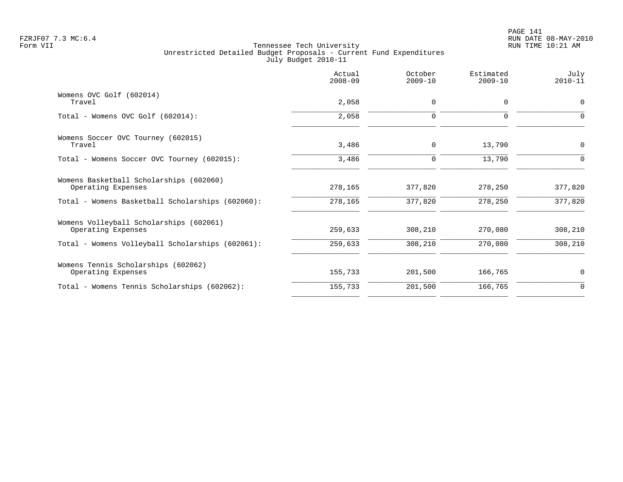| Actual<br>$2008 - 09$ | October<br>$2009 - 10$ | Estimated<br>$2009 - 10$ | July<br>$2010 - 11$ |
|-----------------------|------------------------|--------------------------|---------------------|
| 2,058                 | $\mathbf 0$            | 0                        | $\mathbf 0$         |
| 2,058                 | $\mathbf 0$            | 0                        | $\Omega$            |
| 3,486                 | $\mathbf 0$            | 13,790                   | $\mathbf 0$         |
| 3,486                 | $\mathbf 0$            | 13,790                   | 0                   |
| 278,165               | 377,820                | 278,250                  | 377,820             |
| 278,165               | 377,820                | 278,250                  | 377,820             |
| 259,633               | 308,210                | 270,080                  | 308,210             |
|                       |                        |                          | 308,210             |
| 155,733               | 201,500                | 166,765                  | $\mathbf 0$         |
| 155,733               | 201,500                | 166,765                  | $\mathbf 0$         |
|                       | 259,633                | 308,210                  | 270,080             |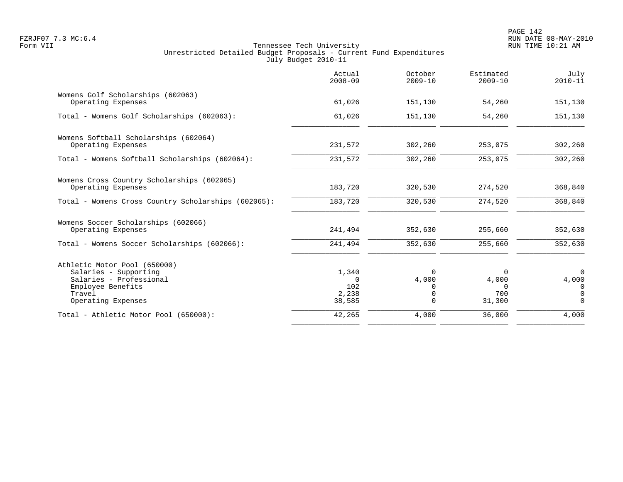|                                                                                                                                       | Actual<br>$2008 - 09$                       | October<br>$2009 - 10$                         | Estimated<br>$2009 - 10$                | July<br>$2010 - 11$                            |
|---------------------------------------------------------------------------------------------------------------------------------------|---------------------------------------------|------------------------------------------------|-----------------------------------------|------------------------------------------------|
| Womens Golf Scholarships (602063)<br>Operating Expenses                                                                               | 61,026                                      | 151,130                                        | 54,260                                  | 151,130                                        |
| Total - Womens Golf Scholarships (602063):                                                                                            | 61,026                                      | 151,130                                        | 54,260                                  | 151,130                                        |
| Womens Softball Scholarships (602064)<br>Operating Expenses                                                                           | 231,572                                     | 302,260                                        | 253,075                                 | 302,260                                        |
| Total - Womens Softball Scholarships (602064):                                                                                        | 231,572                                     | 302,260                                        | 253,075                                 | 302,260                                        |
| Womens Cross Country Scholarships (602065)<br>Operating Expenses                                                                      | 183,720                                     | 320,530                                        | 274,520                                 | 368,840                                        |
| Total - Womens Cross Country Scholarships (602065):                                                                                   | 183,720                                     | 320,530                                        | 274,520                                 | 368,840                                        |
| Womens Soccer Scholarships (602066)<br>Operating Expenses                                                                             | 241,494                                     | 352,630                                        | 255,660                                 | 352,630                                        |
| Total - Womens Soccer Scholarships (602066):                                                                                          | 241,494                                     | 352,630                                        | 255,660                                 | 352,630                                        |
| Athletic Motor Pool (650000)<br>Salaries - Supporting<br>Salaries - Professional<br>Employee Benefits<br>Travel<br>Operating Expenses | 1,340<br>$\Omega$<br>102<br>2,238<br>38,585 | $\Omega$<br>4,000<br>0<br>$\Omega$<br>$\Omega$ | 0<br>4,000<br>$\Omega$<br>700<br>31,300 | $\Omega$<br>4,000<br>0<br>$\Omega$<br>$\Omega$ |
| Total - Athletic Motor Pool (650000):                                                                                                 | 42,265                                      | 4,000                                          | 36,000                                  | 4,000                                          |
|                                                                                                                                       |                                             |                                                |                                         |                                                |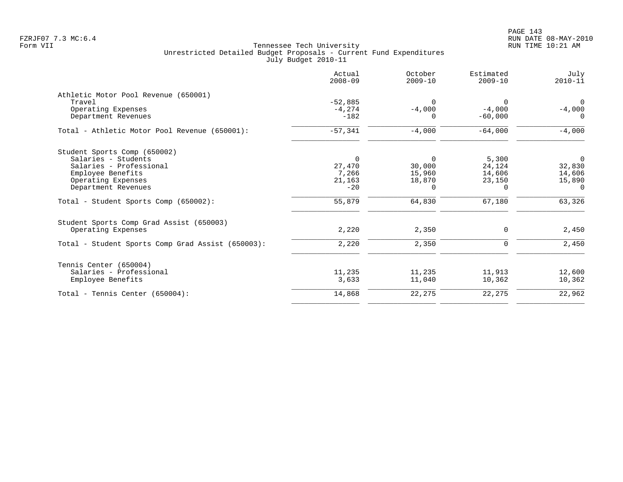|                                                   | Actual<br>$2008 - 09$ | October<br>$2009 - 10$ | Estimated<br>$2009 - 10$ | July<br>$2010 - 11$ |
|---------------------------------------------------|-----------------------|------------------------|--------------------------|---------------------|
| Athletic Motor Pool Revenue (650001)              |                       |                        |                          |                     |
| Travel                                            | $-52,885$             | $\Omega$               | $\Omega$                 | $\Omega$            |
| Operating Expenses                                | $-4, 274$             | $-4,000$               | $-4,000$                 | $-4,000$            |
| Department Revenues                               | $-182$                |                        | $-60,000$                | $\Omega$            |
| Total - Athletic Motor Pool Revenue (650001):     | $-57,341$             | $-4,000$               | $-64,000$                | $-4,000$            |
| Student Sports Comp (650002)                      |                       |                        |                          |                     |
| Salaries - Students                               | $\mathbf 0$           | $\Omega$               | 5,300                    | $\mathbf 0$         |
| Salaries - Professional                           | 27,470                | 30,000                 | 24,124                   | 32,830              |
| Employee Benefits                                 | 7,266                 | 15,960                 | 14,606                   | 14,606              |
| Operating Expenses                                | 21,163                | 18,870                 | 23,150                   | 15,890              |
| Department Revenues                               | $-20$                 | 0                      | 0                        | 0                   |
| Total - Student Sports Comp (650002):             | 55,879                | 64,830                 | 67,180                   | 63,326              |
| Student Sports Comp Grad Assist (650003)          |                       |                        |                          |                     |
| Operating Expenses                                | 2,220                 | 2,350                  | 0                        | 2,450               |
| Total - Student Sports Comp Grad Assist (650003): | 2,220                 | 2,350                  | $\mathbf 0$              | 2,450               |
| Tennis Center (650004)                            |                       |                        |                          |                     |
| Salaries - Professional                           | 11,235                | 11,235                 | 11,913                   | 12,600              |
| Employee Benefits                                 | 3,633                 | 11,040                 | 10,362                   | 10,362              |
| Total - Tennis Center $(650004)$ :                | 14,868                | 22,275                 | 22,275                   | 22,962              |
|                                                   |                       |                        |                          |                     |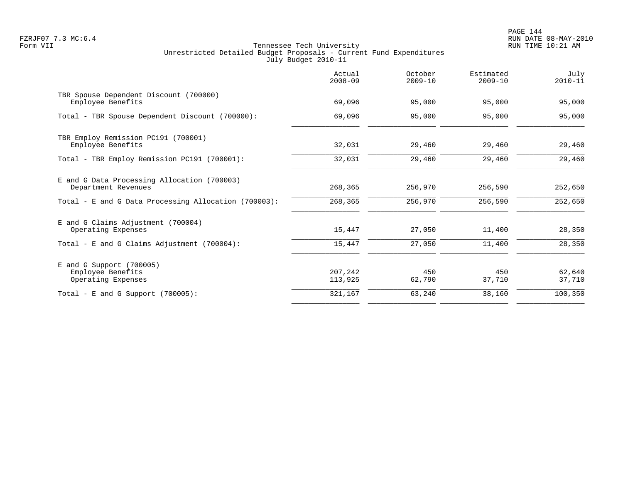PAGE 144 FZRJF07 7.3 MC:6.4 RUN DATE 08-MAY-2010

|                                                                       | Actual<br>$2008 - 09$ | October<br>$2009 - 10$ | Estimated<br>$2009 - 10$ | July<br>$2010 - 11$ |
|-----------------------------------------------------------------------|-----------------------|------------------------|--------------------------|---------------------|
| TBR Spouse Dependent Discount (700000)<br>Employee Benefits           | 69,096                | 95,000                 | 95,000                   | 95,000              |
| Total - TBR Spouse Dependent Discount (700000):                       | 69,096                | 95,000                 | 95,000                   | 95,000              |
| TBR Employ Remission PC191 (700001)<br>Employee Benefits              | 32,031                | 29,460                 | 29,460                   | 29,460              |
| Total - TBR Employ Remission PC191 (700001):                          | 32,031                | 29,460                 | 29,460                   | 29,460              |
| E and G Data Processing Allocation (700003)<br>Department Revenues    | 268,365               | 256,970                | 256,590                  | 252,650             |
| Total - E and G Data Processing Allocation (700003):                  | 268,365               | 256,970                | 256,590                  | 252,650             |
| E and G Claims Adjustment (700004)<br>Operating Expenses              | 15,447                | 27,050                 | 11,400                   | 28,350              |
| Total - E and G Claims Adjustment (700004):                           | 15,447                | 27,050                 | 11,400                   | 28,350              |
| $E$ and G Support (700005)<br>Employee Benefits<br>Operating Expenses | 207,242<br>113,925    | 450<br>62,790          | 450<br>37,710            | 62,640<br>37,710    |
| Total - E and G Support $(700005)$ :                                  | 321,167               | 63,240                 | 38,160                   | 100,350             |
|                                                                       |                       |                        |                          |                     |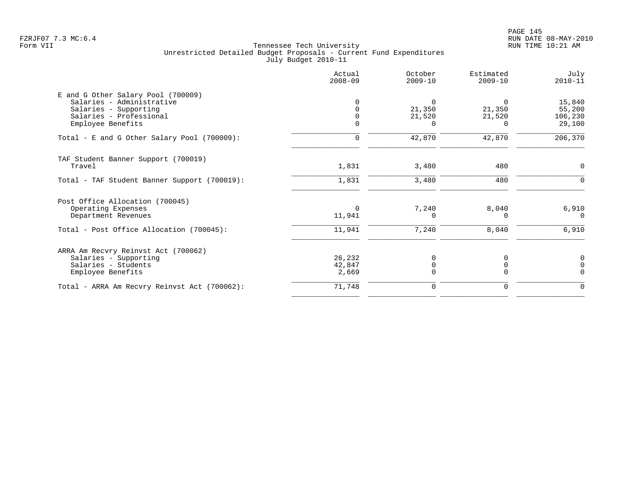|                                                                                                                                          | Actual<br>$2008 - 09$            | October<br>$2009 - 10$                   | Estimated<br>$2009 - 10$     | July<br>$2010 - 11$                   |
|------------------------------------------------------------------------------------------------------------------------------------------|----------------------------------|------------------------------------------|------------------------------|---------------------------------------|
| E and G Other Salary Pool (700009)<br>Salaries - Administrative<br>Salaries - Supporting<br>Salaries - Professional<br>Employee Benefits | $\Omega$<br>$\Omega$<br>$\Omega$ | $\Omega$<br>21,350<br>21,520<br>$\Omega$ | 21,350<br>21,520<br>$\Omega$ | 15,840<br>55,200<br>106,230<br>29,100 |
| Total - E and G Other Salary Pool (700009):                                                                                              | $\mathbf 0$                      | 42,870                                   | 42,870                       | 206, 370                              |
| TAF Student Banner Support (700019)<br>Travel                                                                                            | 1,831                            | 3,480                                    | 480                          | 0                                     |
| Total - TAF Student Banner Support (700019):                                                                                             | 1,831                            | 3,480                                    | 480                          | $\Omega$                              |
| Post Office Allocation (700045)<br>Operating Expenses<br>Department Revenues<br>Total - Post Office Allocation (700045):                 | $\Omega$<br>11,941<br>11,941     | 7,240<br>$\Omega$<br>7,240               | 8,040<br>$\Omega$<br>8,040   | 6,910<br>$\Omega$<br>6,910            |
| ARRA Am Recvry Reinvst Act (700062)<br>Salaries - Supporting<br>Salaries - Students<br>Employee Benefits                                 | 26,232<br>42,847<br>2,669        | $\Omega$<br>0<br>$\Omega$                | 0<br>$\Omega$<br>$\Omega$    | $\Omega$<br>$\Omega$<br>$\Omega$      |
| Total - ARRA Am Recvry Reinvst Act (700062):                                                                                             | 71,748                           | $\mathbf 0$                              | $\mathbf 0$                  | $\Omega$                              |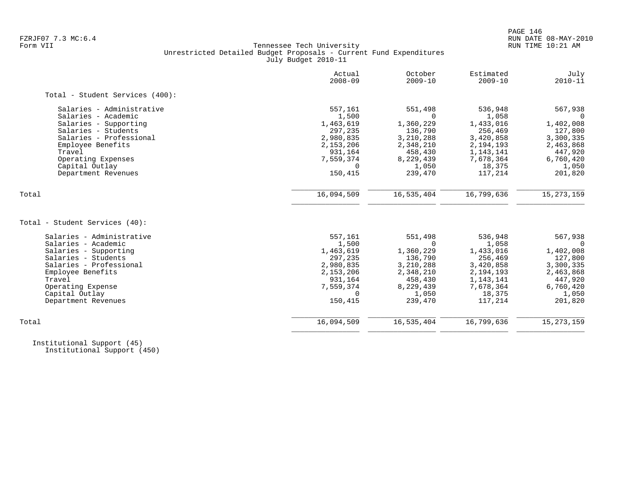# FZRJF07 7.3 MC:6.4 RUN DATE 08-MAY-2010 Tennessee Tech University Unrestricted Detailed Budget Proposals - Current Fund Expenditures July Budget 2010-11

|                                 | Actual<br>$2008 - 09$ | October<br>$2009 - 10$ | Estimated<br>$2009 - 10$ | July<br>$2010 - 11$ |
|---------------------------------|-----------------------|------------------------|--------------------------|---------------------|
| Total - Student Services (400): |                       |                        |                          |                     |
| Salaries - Administrative       | 557,161               | 551,498                | 536,948                  | 567,938             |
| Salaries - Academic             | 1,500                 | $\Omega$               | 1,058                    |                     |
| Salaries - Supporting           | 1,463,619             | 1,360,229              | 1,433,016                | 1,402,008           |
| Salaries - Students             | 297,235               | 136,790                | 256,469                  | 127,800             |
| Salaries - Professional         | 2,980,835             | 3,210,288              | 3,420,858                | 3,300,335           |
| Employee Benefits               | 2,153,206             | 2,348,210              | 2,194,193                | 2,463,868           |
| Travel                          | 931,164               | 458,430                | 1,143,141                | 447,920             |
| Operating Expenses              | 7,559,374             | 8,229,439              | 7,678,364                | 6,760,420           |
| Capital Outlay                  | $\Omega$              | 1,050                  | 18,375                   | 1,050               |
| Department Revenues             | 150,415               | 239,470                | 117,214                  | 201,820             |
| Total                           | 16,094,509            | 16,535,404             | 16,799,636               | 15, 273, 159        |
|                                 |                       |                        |                          |                     |
| Total - Student Services (40):  |                       |                        |                          |                     |
| Salaries - Administrative       | 557,161               | 551,498                | 536,948                  | 567,938             |
| Salaries - Academic             | 1,500                 | $\Omega$               | 1,058                    | $\Omega$            |
| Salaries - Supporting           | 1,463,619             | 1,360,229              | 1,433,016                | 1,402,008           |
| Salaries - Students             | 297,235               | 136,790                | 256,469                  | 127,800             |
| Salaries - Professional         | 2,980,835             | 3,210,288              | 3,420,858                | 3,300,335           |
| Employee Benefits               | 2,153,206             | 2,348,210              | 2,194,193                | 2,463,868           |
| Travel                          | 931,164               | 458,430                | 1,143,141                | 447,920             |
| Operating Expense               | 7,559,374             | 8,229,439              | 7,678,364                | 6,760,420           |
| Capital Outlay                  | $\Omega$              | 1,050                  | 18,375                   | 1,050               |
| Department Revenues             | 150,415               | 239,470                | 117,214                  | 201,820             |
| Total                           | 16,094,509            | 16,535,404             | 16,799,636               | 15, 273, 159        |
|                                 |                       |                        |                          |                     |

 Institutional Support (45) Institutional Support (450)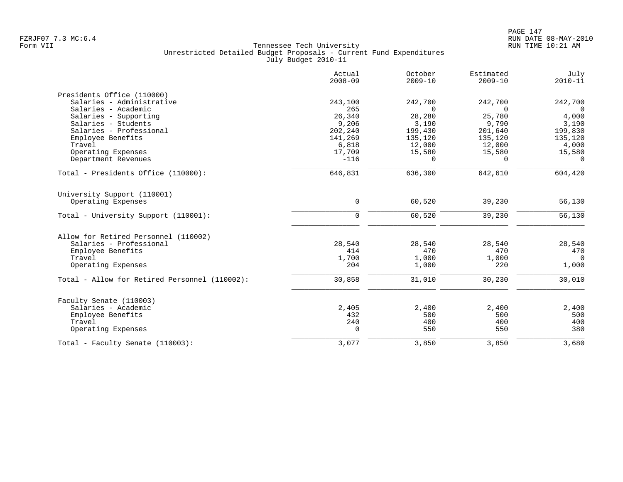|                                               | Actual<br>$2008 - 09$ | October<br>$2009 - 10$ | Estimated<br>$2009 - 10$ | July<br>$2010 - 11$ |
|-----------------------------------------------|-----------------------|------------------------|--------------------------|---------------------|
| Presidents Office (110000)                    |                       |                        |                          |                     |
| Salaries - Administrative                     | 243,100               | 242,700                | 242,700                  | 242,700             |
| Salaries - Academic                           | 265                   | $\Omega$               | $\Omega$                 | $\Omega$            |
| Salaries - Supporting                         | 26,340                | 28,280                 | 25,780                   | 4,000               |
| Salaries - Students                           | 9,206                 | 3,190                  | 9,790                    | 3,190               |
| Salaries - Professional                       | 202,240               | 199,430                | 201,640                  | 199,830             |
| Employee Benefits                             | 141,269               | 135,120                | 135,120                  | 135,120             |
| Travel                                        | 6,818                 | 12,000                 | 12,000                   | 4,000               |
| Operating Expenses                            | 17,709                | 15,580                 | 15,580                   | 15,580              |
| Department Revenues                           | $-116$                | $\Omega$               | $\Omega$                 | $\Omega$            |
| Total - Presidents Office (110000):           | 646,831               | 636,300                | 642,610                  | 604,420             |
| University Support (110001)                   |                       |                        |                          |                     |
| Operating Expenses                            | $\mathbf 0$           | 60,520                 | 39,230                   | 56,130              |
| Total - University Support (110001):          | $\Omega$              | 60,520                 | 39,230                   | 56,130              |
| Allow for Retired Personnel (110002)          |                       |                        |                          |                     |
| Salaries - Professional                       | 28,540                | 28,540                 | 28,540                   | 28,540              |
| Employee Benefits                             | 414                   | 470                    | 470                      | 470                 |
| Travel                                        | 1,700                 | 1,000                  | 1,000                    | $\Omega$            |
| Operating Expenses                            | 204                   | 1,000                  | 220                      | 1,000               |
| Total - Allow for Retired Personnel (110002): | 30,858                | 31,010                 | 30,230                   | 30,010              |
| Faculty Senate (110003)                       |                       |                        |                          |                     |
| Salaries - Academic                           | 2,405                 | 2,400                  | 2,400                    | 2,400               |
| Employee Benefits                             | 432                   | 500                    | 500                      | 500                 |
| Travel                                        | 240                   | 400                    | 400                      | 400                 |
| Operating Expenses                            | $\Omega$              | 550                    | 550                      | 380                 |
| Total - Faculty Senate (110003):              | 3,077                 | 3,850                  | 3,850                    | 3,680               |
|                                               |                       |                        |                          |                     |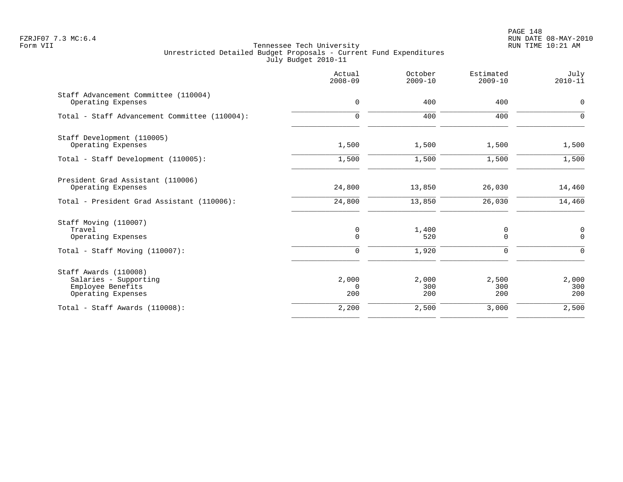PAGE 148 FZRJF07 7.3 MC:6.4 RUN DATE 08-MAY-2010

|                                                                                           | Actual<br>$2008 - 09$    | October<br>$2009 - 10$ | Estimated<br>$2009 - 10$ | July<br>$2010 - 11$     |
|-------------------------------------------------------------------------------------------|--------------------------|------------------------|--------------------------|-------------------------|
| Staff Advancement Committee (110004)<br>Operating Expenses                                | $\mathbf 0$              | 400                    | 400                      | $\mathbf 0$             |
| Total - Staff Advancement Committee (110004):                                             | $\mathbf 0$              | 400                    | 400                      | $\mathbf 0$             |
| Staff Development (110005)<br>Operating Expenses                                          | 1,500                    | 1,500                  | 1,500                    | 1,500                   |
| Total - Staff Development (110005):                                                       | 1,500                    | 1,500                  | 1,500                    | 1,500                   |
| President Grad Assistant (110006)<br>Operating Expenses                                   | 24,800                   | 13,850                 | 26,030                   | 14,460                  |
| Total - President Grad Assistant (110006):                                                | 24,800                   | 13,850                 | 26,030                   | 14,460                  |
| Staff Moving (110007)<br>Travel<br>Operating Expenses                                     | 0<br>$\mathbf 0$         | 1,400<br>520           | 0<br>0                   | $\mathbf 0$<br>$\Omega$ |
| Total - Staff Moving (110007):                                                            | $\mathbf 0$              | 1,920                  | $\mathbf 0$              | $\Omega$                |
| Staff Awards (110008)<br>Salaries - Supporting<br>Employee Benefits<br>Operating Expenses | 2,000<br>$\Omega$<br>200 | 2,000<br>300<br>200    | 2,500<br>300<br>200      | 2,000<br>300<br>200     |
| Total - Staff Awards (110008):                                                            | 2,200                    | 2,500                  | 3,000                    | 2,500                   |
|                                                                                           |                          |                        |                          |                         |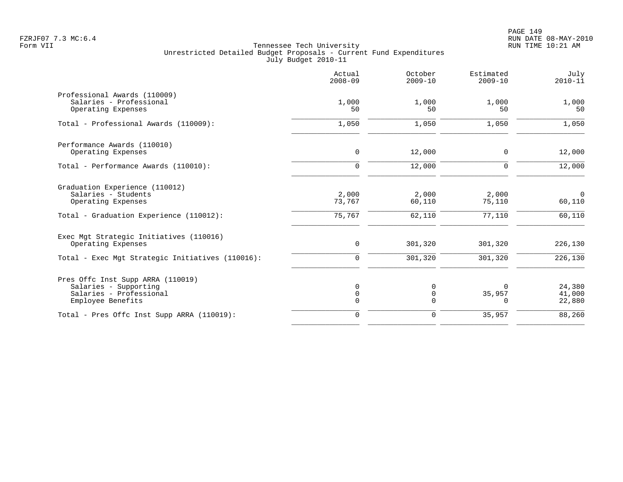|                                                                                                                        | Actual<br>$2008 - 09$        | October<br>$2009 - 10$       | Estimated<br>$2009 - 10$           | July<br>$2010 - 11$                |
|------------------------------------------------------------------------------------------------------------------------|------------------------------|------------------------------|------------------------------------|------------------------------------|
| Professional Awards (110009)<br>Salaries - Professional<br>Operating Expenses                                          | 1,000<br>50                  | 1,000<br>50                  | 1,000<br>50                        | 1,000<br>50                        |
| Total - Professional Awards (110009):                                                                                  | 1,050                        | 1,050                        | 1,050                              | 1,050                              |
| Performance Awards (110010)<br>Operating Expenses                                                                      | $\mathbf 0$                  | 12,000                       | $\Omega$                           | 12,000                             |
| Total - Performance Awards (110010):                                                                                   | $\mathbf 0$                  | 12,000                       | $\mathbf 0$                        | 12,000                             |
| Graduation Experience (110012)<br>Salaries - Students<br>Operating Expenses<br>Total - Graduation Experience (110012): | 2,000<br>73,767<br>75,767    | 2,000<br>60,110<br>62,110    | 2,000<br>75,110<br>77,110          | $\overline{0}$<br>60,110<br>60,110 |
| Exec Mgt Strategic Initiatives (110016)<br>Operating Expenses                                                          | 0                            | 301,320                      | 301,320                            | 226,130                            |
| Total - Exec Mgt Strategic Initiatives (110016):                                                                       | 0                            | 301,320                      | 301,320                            | 226,130                            |
| Pres Offc Inst Supp ARRA (110019)<br>Salaries - Supporting<br>Salaries - Professional<br>Employee Benefits             | 0<br>$\mathbf 0$<br>$\Omega$ | 0<br>$\mathsf 0$<br>$\Omega$ | <sup>0</sup><br>35,957<br>$\Omega$ | 24,380<br>41,000<br>22,880         |
| Total - Pres Offc Inst Supp ARRA (110019):                                                                             | $\mathbf 0$                  | $\mathbf 0$                  | 35,957                             | 88,260                             |
|                                                                                                                        |                              |                              |                                    |                                    |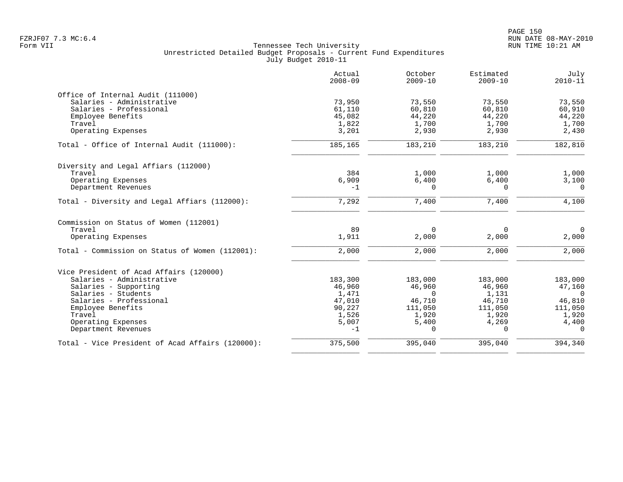|                                                  | Actual<br>$2008 - 09$ | October<br>$2009 - 10$ | Estimated<br>$2009 - 10$ | July<br>$2010 - 11$ |
|--------------------------------------------------|-----------------------|------------------------|--------------------------|---------------------|
| Office of Internal Audit (111000)                |                       |                        |                          |                     |
| Salaries - Administrative                        | 73,950                | 73,550                 | 73,550                   | 73,550              |
| Salaries - Professional                          | 61,110                | 60,810                 | 60,810                   | 60,910              |
| Employee Benefits                                | 45,082                | 44,220                 | 44,220                   | 44,220              |
| Travel                                           | 1,822                 | 1,700                  | 1,700                    | 1,700               |
| Operating Expenses                               | 3,201                 | 2,930                  | 2,930                    | 2,430               |
| Total - Office of Internal Audit (111000):       | 185,165               | 183,210                | 183,210                  | 182,810             |
| Diversity and Legal Affiars (112000)             |                       |                        |                          |                     |
| Travel                                           | 384                   | 1,000                  | 1,000                    | 1,000               |
| Operating Expenses                               | 6,909                 | 6,400                  | 6,400                    | 3,100               |
| Department Revenues                              | $-1$                  | $\Omega$               | $\Omega$                 | $\Omega$            |
| Total - Diversity and Legal Affiars (112000):    | 7,292                 | 7,400                  | 7,400                    | 4,100               |
| Commission on Status of Women (112001)           |                       |                        |                          |                     |
| Travel                                           | 89                    | $\Omega$               | $\Omega$                 | $\overline{0}$      |
| Operating Expenses                               | 1,911                 | 2,000                  | 2,000                    | 2,000               |
| Total - Commission on Status of Women (112001):  | 2,000                 | 2,000                  | 2,000                    | 2,000               |
| Vice President of Acad Affairs (120000)          |                       |                        |                          |                     |
| Salaries - Administrative                        | 183,300               | 183,000                | 183,000                  | 183,000             |
| Salaries - Supporting                            | 46,960                | 46,960                 | 46,960                   | 47,160              |
| Salaries - Students                              | 1,471                 | $\Omega$               | 1,131                    | $\Omega$            |
| Salaries - Professional                          | 47,010                | 46,710                 | 46,710                   | 46,810              |
| Employee Benefits                                | 90,227                | 111,050                | 111,050                  | 111,050             |
| Travel                                           | 1,526                 | 1,920                  | 1,920                    | 1,920               |
| Operating Expenses                               | 5,007                 | 5,400                  | 4,269                    | 4,400               |
| Department Revenues                              | $-1$                  | $\Omega$               | $\Omega$                 | $\Omega$            |
| Total - Vice President of Acad Affairs (120000): | 375,500               | 395,040                | 395,040                  | 394,340             |
|                                                  |                       |                        |                          |                     |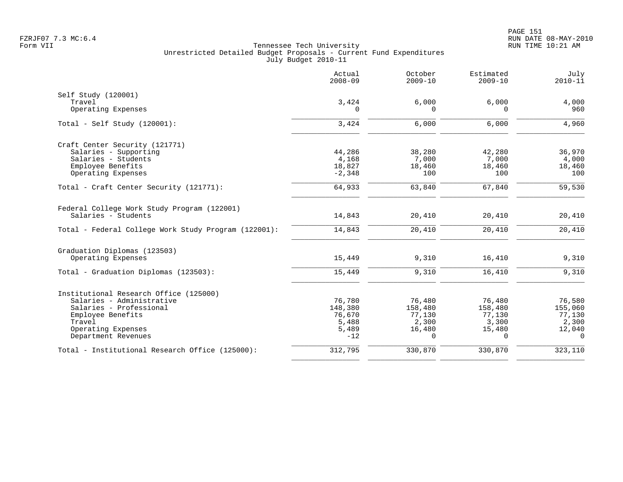|                                                      | Actual<br>$2008 - 09$ | October<br>$2009 - 10$ | Estimated<br>$2009 - 10$ | July<br>$2010 - 11$ |
|------------------------------------------------------|-----------------------|------------------------|--------------------------|---------------------|
| Self Study (120001)                                  |                       |                        |                          |                     |
| Travel                                               | 3,424                 | 6,000                  | 6,000                    | 4,000               |
| Operating Expenses                                   | 0                     | $\Omega$               | $\Omega$                 | 960                 |
| Total - Self Study $(120001)$ :                      | 3,424                 | 6,000                  | 6,000                    | 4,960               |
| Craft Center Security (121771)                       |                       |                        |                          |                     |
| Salaries - Supporting                                | 44,286                | 38,280                 | 42,280                   | 36,970              |
| Salaries - Students                                  | 4,168                 | 7,000                  | 7,000                    | 4,000               |
| Employee Benefits                                    | 18,827                | 18,460                 | 18,460                   | 18,460              |
| Operating Expenses                                   | $-2,348$              | 100                    | 100                      | 100                 |
| Total - Craft Center Security (121771):              | 64,933                | 63,840                 | 67,840                   | 59,530              |
| Federal College Work Study Program (122001)          |                       |                        |                          |                     |
| Salaries - Students                                  | 14,843                | 20,410                 | 20,410                   | 20,410              |
| Total - Federal College Work Study Program (122001): | 14,843                | 20,410                 | 20,410                   | 20,410              |
| Graduation Diplomas (123503)                         |                       |                        |                          |                     |
| Operating Expenses                                   | 15,449                | 9,310                  | 16,410                   | 9,310               |
| Total - Graduation Diplomas (123503):                | 15,449                | 9,310                  | 16,410                   | 9,310               |
| Institutional Research Office (125000)               |                       |                        |                          |                     |
| Salaries - Administrative                            | 76,780                | 76,480                 | 76,480                   | 76,580              |
| Salaries - Professional                              | 148,380               | 158,480                | 158,480                  | 155,060             |
| Employee Benefits                                    | 76,670                | 77,130                 | 77,130                   | 77,130              |
| Travel                                               | 5,488                 | 2,300                  | 3,300                    | 2,300               |
| Operating Expenses                                   | 5,489                 | 16,480                 | 15,480                   | 12,040              |
| Department Revenues                                  | $-12$                 | $\Omega$               | $\Omega$                 | $\Omega$            |
| Total - Institutional Research Office (125000):      | 312,795               | 330,870                | 330,870                  | 323,110             |
|                                                      |                       |                        |                          |                     |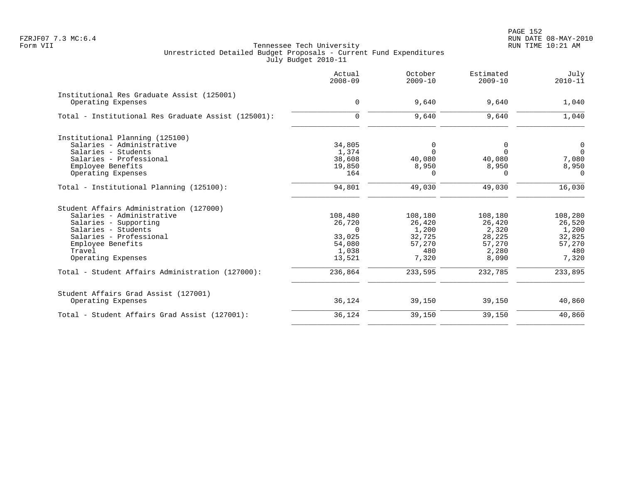|                                                                                                                                                                                                       | Actual<br>$2008 - 09$                                | October<br>$2009 - 10$                                 | Estimated<br>$2009 - 10$                               | July<br>$2010 - 11$                                      |
|-------------------------------------------------------------------------------------------------------------------------------------------------------------------------------------------------------|------------------------------------------------------|--------------------------------------------------------|--------------------------------------------------------|----------------------------------------------------------|
| Institutional Res Graduate Assist (125001)<br>Operating Expenses                                                                                                                                      | $\mathbf 0$                                          | 9,640                                                  | 9,640                                                  | 1,040                                                    |
| Total - Institutional Res Graduate Assist (125001):                                                                                                                                                   | $\mathbf 0$                                          | 9,640                                                  | 9,640                                                  | 1,040                                                    |
| Institutional Planning (125100)<br>Salaries - Administrative<br>Salaries - Students<br>Salaries - Professional<br>Employee Benefits<br>Operating Expenses<br>Total - Institutional Planning (125100): | 34,805<br>1,374<br>38,608<br>19,850<br>164<br>94,801 | 0<br>$\Omega$<br>40,080<br>8,950<br>$\Omega$<br>49,030 | 0<br>$\Omega$<br>40,080<br>8,950<br>$\Omega$<br>49,030 | 0<br>$\mathbf 0$<br>7,080<br>8,950<br>$\Omega$<br>16,030 |
| Student Affairs Administration (127000)                                                                                                                                                               |                                                      |                                                        |                                                        |                                                          |
| Salaries - Administrative                                                                                                                                                                             | 108,480                                              | 108,180                                                | 108,180                                                | 108,280                                                  |
| Salaries - Supporting                                                                                                                                                                                 | 26,720                                               | 26,420                                                 | 26,420                                                 | 26,520                                                   |
| Salaries - Students                                                                                                                                                                                   | $\Omega$                                             | 1,200                                                  | 2,320                                                  | 1,200                                                    |
| Salaries - Professional                                                                                                                                                                               | 33,025                                               | 32,725                                                 | 28,225                                                 | 32,825                                                   |
| Employee Benefits                                                                                                                                                                                     | 54,080                                               | 57,270                                                 | 57,270                                                 | 57,270                                                   |
| Travel                                                                                                                                                                                                | 1,038                                                | 480                                                    | 2,280                                                  | 480                                                      |
| Operating Expenses                                                                                                                                                                                    | 13,521                                               | 7,320                                                  | 8,090                                                  | 7,320                                                    |
| Total - Student Affairs Administration (127000):                                                                                                                                                      | 236,864                                              | 233,595                                                | 232,785                                                | 233,895                                                  |
| Student Affairs Grad Assist (127001)<br>Operating Expenses                                                                                                                                            | 36,124                                               | 39,150                                                 | 39,150                                                 | 40,860                                                   |
| Total - Student Affairs Grad Assist (127001):                                                                                                                                                         | 36,124                                               | 39,150                                                 | 39,150                                                 | 40,860                                                   |
|                                                                                                                                                                                                       |                                                      |                                                        |                                                        |                                                          |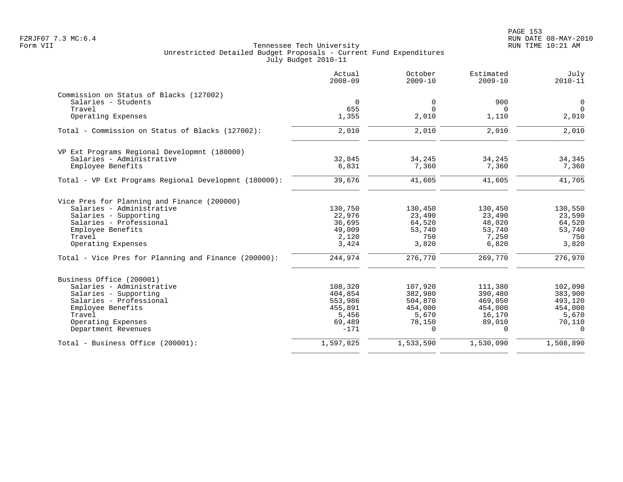PAGE 153 FZRJF07 7.3 MC:6.4 RUN DATE 08-MAY-2010

|                                                       | Actual<br>$2008 - 09$ | October<br>$2009 - 10$ | Estimated<br>$2009 - 10$ | July<br>$2010 - 11$ |
|-------------------------------------------------------|-----------------------|------------------------|--------------------------|---------------------|
| Commission on Status of Blacks (127002)               |                       |                        |                          |                     |
| Salaries - Students                                   | $\Omega$              | 0                      | 900                      | $\overline{0}$      |
| Travel                                                | 655                   | $\Omega$               | 0                        | $\Omega$            |
| Operating Expenses                                    | 1,355                 | 2,010                  | 1,110                    | 2,010               |
| Total - Commission on Status of Blacks (127002):      | 2,010                 | 2,010                  | 2,010                    | 2,010               |
| VP Ext Programs Regional Developmnt (180000)          |                       |                        |                          |                     |
| Salaries - Administrative                             | 32,845                | 34,245                 | 34,245                   | 34,345              |
| Employee Benefits                                     | 6,831                 | 7,360                  | 7,360                    | 7,360               |
| Total - VP Ext Programs Regional Developmnt (180000): | 39,676                | 41,605                 | 41,605                   | 41,705              |
| Vice Pres for Planning and Finance (200000)           |                       |                        |                          |                     |
| Salaries - Administrative                             | 130,750               | 130,450                | 130,450                  | 130,550             |
| Salaries - Supporting                                 | 22,976                | 23,490                 | 23,490                   | 23,590              |
| Salaries - Professional                               | 36,695                | 64,520                 | 48,020                   | 64,520              |
| Employee Benefits                                     | 49,009                | 53,740                 | 53,740                   | 53,740              |
| Travel<br>Operating Expenses                          | 2,120<br>3,424        | 750<br>3,820           | 7,250<br>6,820           | 750<br>3,820        |
|                                                       |                       |                        |                          |                     |
| Total - Vice Pres for Planning and Finance (200000):  | 244,974               | 276,770                | 269,770                  | 276,970             |
| Business Office (200001)                              |                       |                        |                          |                     |
| Salaries - Administrative                             | 108,320               | 107,920                | 111,380                  | 102,090             |
| Salaries - Supporting                                 | 404,854               | 382,980                | 390,480                  | 383,900             |
| Salaries - Professional                               | 553,986               | 504,870                | 469,050                  | 493,120             |
| Employee Benefits                                     | 455,891               | 454,000                | 454,000                  | 454,000             |
| Travel                                                | 5,456                 | 5,670                  | 16,170                   | 5,670               |
| Operating Expenses                                    | 69,489                | 78,150                 | 89,010                   | 70,110              |
| Department Revenues                                   | $-171$                | $\cap$                 | $\cap$                   | $\Omega$            |
| Total - Business Office (200001):                     | 1,597,825             | 1,533,590              | 1,530,090                | 1,508,890           |
|                                                       |                       |                        |                          |                     |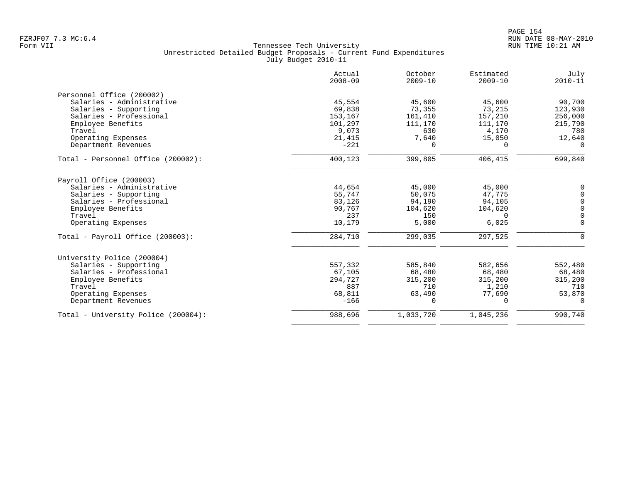|                                     | Actual<br>$2008 - 09$ | October<br>$2009 - 10$ | Estimated<br>$2009 - 10$ | July<br>$2010 - 11$ |
|-------------------------------------|-----------------------|------------------------|--------------------------|---------------------|
| Personnel Office (200002)           |                       |                        |                          |                     |
| Salaries - Administrative           | 45,554                | 45,600                 | 45,600                   | 90,700              |
| Salaries - Supporting               | 69,838                | 73,355                 | 73,215                   | 123,930             |
| Salaries - Professional             | 153,167               | 161,410                | 157,210                  | 256,000             |
| Employee Benefits                   | 101,297               | 111,170                | 111,170                  | 215,790             |
| Travel                              | 9,073                 | 630                    | 4,170                    | 780                 |
| Operating Expenses                  | 21,415                | 7,640                  | 15,050                   | 12,640              |
| Department Revenues                 | $-221$                | $\Omega$               | $\Omega$                 | $\Omega$            |
| Total - Personnel Office (200002):  | 400,123               | 399,805                | 406,415                  | 699,840             |
| Payroll Office (200003)             |                       |                        |                          |                     |
| Salaries - Administrative           | 44,654                | 45,000                 | 45,000                   | $\mathbf 0$         |
| Salaries - Supporting               | 55,747                | 50,075                 | 47,775                   | $\mathbf 0$         |
| Salaries - Professional             | 83,126                | 94,190                 | 94,105                   | $\mathbf 0$         |
| Employee Benefits                   | 90,767                | 104,620                | 104,620                  | $\mathbf 0$         |
| Travel                              | 237                   | 150                    | $\Omega$                 | $\overline{0}$      |
| Operating Expenses                  | 10,179                | 5,000                  | 6,025                    | $\Omega$            |
| Total - Payroll Office $(200003)$ : | 284,710               | 299,035                | 297,525                  | $\Omega$            |
| University Police (200004)          |                       |                        |                          |                     |
| Salaries - Supporting               | 557,332               | 585,840                | 582,656                  | 552,480             |
| Salaries - Professional             | 67,105                | 68,480                 | 68,480                   | 68,480              |
| Employee Benefits                   | 294,727               | 315,200                | 315,200                  | 315,200             |
| Travel                              | 887                   | 710                    | 1,210                    | 710                 |
| Operating Expenses                  | 68,811                | 63,490                 | 77,690                   | 53,870              |
| Department Revenues                 | $-166$                | $\Omega$               | $\Omega$                 | $\Omega$            |
| Total - University Police (200004): | 988,696               | 1,033,720              | 1,045,236                | 990,740             |
|                                     |                       |                        |                          |                     |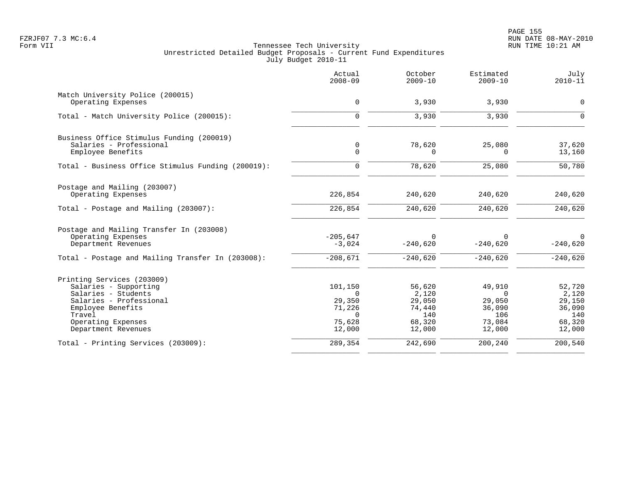|                                                    | Actual<br>$2008 - 09$ | October<br>$2009 - 10$ | Estimated<br>$2009 - 10$ | July<br>$2010 - 11$ |
|----------------------------------------------------|-----------------------|------------------------|--------------------------|---------------------|
| Match University Police (200015)                   |                       |                        |                          |                     |
| Operating Expenses                                 | 0                     | 3,930                  | 3,930                    | $\mathbf 0$         |
| Total - Match University Police (200015):          | $\mathbf 0$           | 3,930                  | 3,930                    | $\Omega$            |
| Business Office Stimulus Funding (200019)          |                       |                        |                          |                     |
| Salaries - Professional                            | $\mathbf 0$           | 78,620                 | 25,080                   | 37,620              |
| Employee Benefits                                  | $\mathbf 0$           | $\Omega$               | 0                        | 13,160              |
| Total - Business Office Stimulus Funding (200019): | $\Omega$              | 78,620                 | 25,080                   | 50,780              |
| Postage and Mailing (203007)                       |                       |                        |                          |                     |
| Operating Expenses                                 | 226,854               | 240,620                | 240,620                  | 240,620             |
| Total - Postage and Mailing (203007):              | 226,854               | 240,620                | 240,620                  | 240,620             |
| Postage and Mailing Transfer In (203008)           |                       |                        |                          |                     |
| Operating Expenses                                 | $-205,647$            | $\Omega$               | 0                        | $\Omega$            |
| Department Revenues                                | $-3,024$              | $-240,620$             | $-240,620$               | $-240,620$          |
| Total - Postage and Mailing Transfer In (203008):  | $-208,671$            | $-240,620$             | $-240,620$               | $-240,620$          |
| Printing Services (203009)                         |                       |                        |                          |                     |
| Salaries - Supporting                              | 101,150               | 56,620                 | 49,910                   | 52,720              |
| Salaries - Students                                | $\Omega$              | 2,120                  | $\Omega$                 | 2,120               |
| Salaries - Professional                            | 29,350                | 29,050                 | 29,050                   | 29,150              |
| Employee Benefits                                  | 71,226                | 74,440                 | 36,090                   | 36,090              |
| Travel                                             | $\Omega$              | 140                    | 106                      | 140                 |
| Operating Expenses                                 | 75,628                | 68,320                 | 73,084                   | 68,320              |
| Department Revenues                                | 12,000                | 12,000                 | 12,000                   | 12,000              |
| Total - Printing Services (203009):                | 289,354               | 242,690                | 200,240                  | 200,540             |
|                                                    |                       |                        |                          |                     |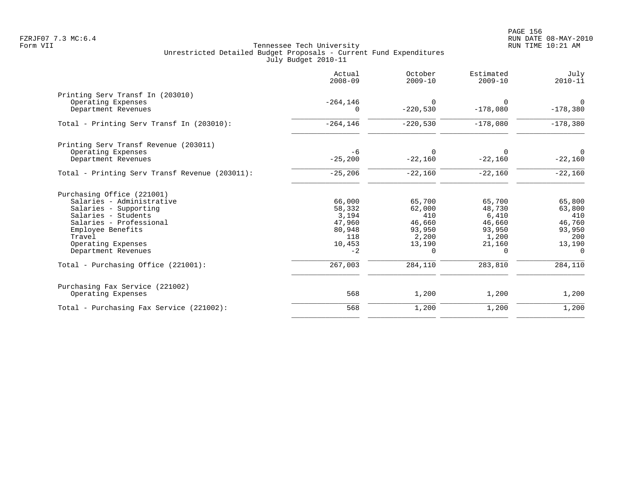|                                                | Actual<br>$2008 - 09$   | October<br>$2009 - 10$ | Estimated<br>$2009 - 10$ | July<br>$2010 - 11$    |
|------------------------------------------------|-------------------------|------------------------|--------------------------|------------------------|
| Printing Serv Transf In (203010)               |                         |                        |                          |                        |
| Operating Expenses<br>Department Revenues      | $-264, 146$<br>$\Omega$ | $\Omega$<br>$-220,530$ | $\Omega$<br>$-178,080$   | $\Omega$<br>$-178,380$ |
| Total - Printing Serv Transf In (203010):      | $-264, 146$             | $-220,530$             | $-178,080$               | $-178,380$             |
| Printing Serv Transf Revenue (203011)          |                         |                        |                          |                        |
| Operating Expenses<br>Department Revenues      | -6<br>$-25,200$         | $\Omega$<br>$-22,160$  | $\Omega$<br>$-22,160$    | $\Omega$<br>$-22,160$  |
| Total - Printing Serv Transf Revenue (203011): | $-25, 206$              | $-22,160$              | $-22,160$                | $-22,160$              |
| Purchasing Office (221001)                     |                         |                        |                          |                        |
| Salaries - Administrative                      | 66,000                  | 65,700                 | 65,700                   | 65,800                 |
| Salaries - Supporting                          | 58,332                  | 62,000                 | 48,730                   | 63,800                 |
| Salaries - Students                            | 3,194                   | 410                    | 6,410                    | 410                    |
| Salaries - Professional                        | 47,960                  | 46,660                 | 46,660                   | 46,760                 |
| Employee Benefits                              | 80,948                  | 93,950                 | 93,950                   | 93,950                 |
| Travel<br>Operating Expenses                   | 118<br>10,453           | 2,200<br>13,190        | 1,200<br>21,160          | 200<br>13,190          |
| Department Revenues                            | $-2$                    | $\Omega$               | $\Omega$                 | $\Omega$               |
| Total - Purchasing Office (221001):            | 267,003                 | 284,110                | 283,810                  | 284,110                |
| Purchasing Fax Service (221002)                |                         |                        |                          |                        |
| Operating Expenses                             | 568                     | 1,200                  | 1,200                    | 1,200                  |
| Total - Purchasing Fax Service (221002):       | 568                     | 1,200                  | 1,200                    | 1,200                  |
|                                                |                         |                        |                          |                        |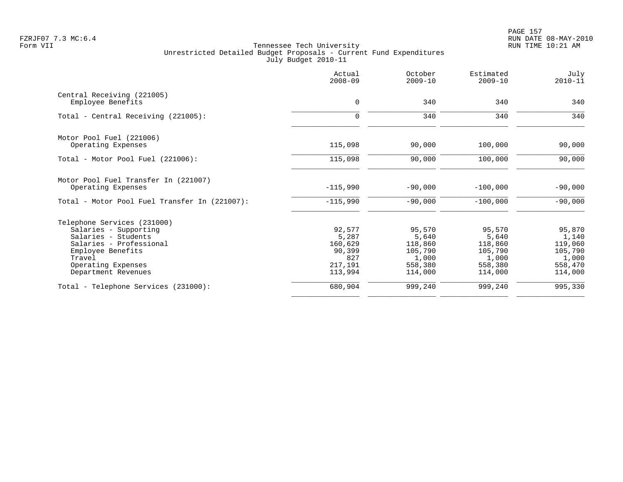PAGE 157 FZRJF07 7.3 MC:6.4 RUN DATE 08-MAY-2010

|                                               | Actual<br>$2008 - 09$ | October<br>$2009 - 10$ | Estimated<br>$2009 - 10$ | July<br>$2010 - 11$ |
|-----------------------------------------------|-----------------------|------------------------|--------------------------|---------------------|
| Central Receiving (221005)                    |                       | 340                    | 340                      | 340                 |
| Employee Benefits                             | 0                     |                        |                          |                     |
| Total - Central Receiving (221005):           | $\mathbf 0$           | 340                    | 340                      | 340                 |
| Motor Pool Fuel (221006)                      |                       |                        |                          |                     |
| Operating Expenses                            | 115,098               | 90,000                 | 100,000                  | 90,000              |
| Total - Motor Pool Fuel (221006):             | 115,098               | 90,000                 | 100,000                  | 90,000              |
| Motor Pool Fuel Transfer In (221007)          |                       |                        |                          |                     |
| Operating Expenses                            | $-115,990$            | $-90,000$              | $-100,000$               | $-90,000$           |
| Total - Motor Pool Fuel Transfer In (221007): | $-115,990$            | $-90,000$              | $-100,000$               | $-90,000$           |
| Telephone Services (231000)                   |                       |                        |                          |                     |
| Salaries - Supporting                         | 92,577                | 95,570                 | 95,570                   | 95,870              |
| Salaries - Students                           | 5,287                 | 5,640                  | 5,640                    | 1,140               |
| Salaries - Professional                       | 160,629               | 118,860                | 118,860                  | 119,060             |
| Employee Benefits                             | 90,399                | 105,790                | 105,790                  | 105,790             |
| Travel                                        | 827                   | 1,000                  | 1,000                    | 1,000               |
| Operating Expenses                            | 217,191               | 558,380                | 558,380                  | 558,470             |
| Department Revenues                           | 113,994               | 114,000                | 114,000                  | 114,000             |
| Total - Telephone Services (231000):          | 680,904               | 999,240                | 999,240                  | 995,330             |
|                                               |                       |                        |                          |                     |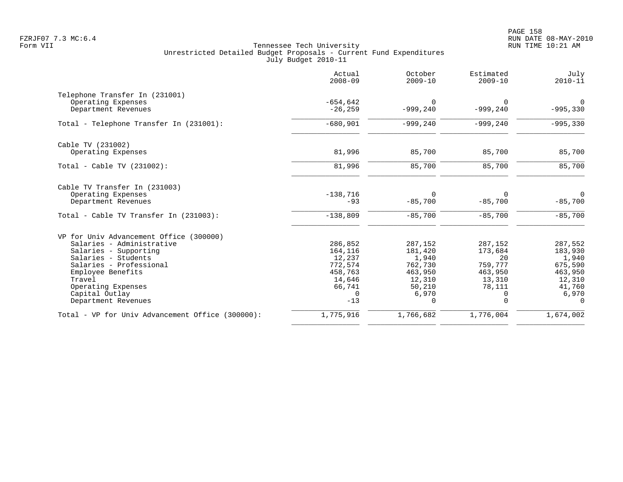en and the set of the set of the set of the set of the set of the set of the set of the set of the set of the set of the set of the set of the set of the set of the set of the set of the set of the set of the set of the se FZRJF07 7.3 MC:6.4 RUN DATE 08-MAY-2010

|                                                  | Actual<br>$2008 - 09$ | October<br>$2009 - 10$ | Estimated<br>$2009 - 10$ | July<br>$2010 - 11$ |
|--------------------------------------------------|-----------------------|------------------------|--------------------------|---------------------|
| Telephone Transfer In (231001)                   |                       |                        |                          |                     |
| Operating Expenses                               | $-654,642$            | U                      | $\Omega$                 | 0                   |
| Department Revenues                              | $-26, 259$            | $-999, 240$            | $-999,240$               | $-995,330$          |
| Total - Telephone Transfer In (231001):          | $-680,901$            | $-999, 240$            | $-999, 240$              | $-995,330$          |
| Cable TV (231002)                                |                       |                        |                          |                     |
| Operating Expenses                               | 81,996                | 85,700                 | 85,700                   | 85,700              |
| Total - Cable TV (231002):                       | 81,996                | 85,700                 | 85,700                   | 85,700              |
| Cable TV Transfer In (231003)                    |                       |                        |                          |                     |
| Operating Expenses                               | $-138,716$            | $\Omega$               | $\Omega$                 | $\Omega$            |
| Department Revenues                              | $-93$                 | $-85,700$              | $-85,700$                | $-85,700$           |
| Total - Cable TV Transfer In (231003):           | $-138,809$            | $-85,700$              | $-85,700$                | $-85,700$           |
| VP for Univ Advancement Office (300000)          |                       |                        |                          |                     |
| Salaries - Administrative                        | 286,852               | 287,152                | 287,152                  | 287,552             |
| Salaries - Supporting                            | 164,116               | 181,420                | 173,684                  | 183,930             |
| Salaries - Students                              | 12,237                | 1,940                  | 20                       | 1,940               |
| Salaries - Professional                          | 772,574               | 762,730                | 759,777                  | 675,590             |
| Employee Benefits                                | 458,763               | 463,950                | 463,950                  | 463,950             |
| Travel                                           | 14,646                | 12,310                 | 13,310                   | 12,310              |
| Operating Expenses                               | 66,741                | 50,210                 | 78,111                   | 41,760              |
| Capital Outlay<br>Department Revenues            | 0<br>$-13$            | 6,970<br>0             | $\mathbf 0$<br>0         | 6,970<br>$\Omega$   |
|                                                  |                       |                        |                          |                     |
| Total - VP for Univ Advancement Office (300000): | 1,775,916             | 1,766,682              | 1,776,004                | 1,674,002           |
|                                                  |                       |                        |                          |                     |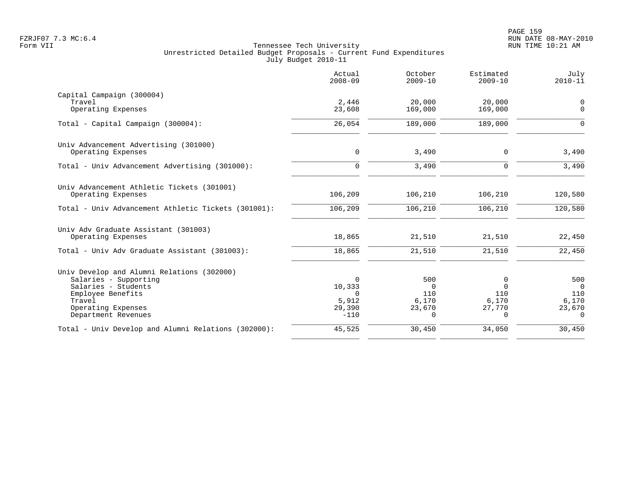|                                                                  | Actual<br>$2008 - 09$ | October<br>$2009 - 10$ | Estimated<br>$2009 - 10$ | July<br>$2010 - 11$     |
|------------------------------------------------------------------|-----------------------|------------------------|--------------------------|-------------------------|
| Capital Campaign (300004)                                        |                       |                        |                          |                         |
| Travel<br>Operating Expenses                                     | 2,446<br>23,608       | 20,000<br>169,000      | 20,000<br>169,000        | $\mathbf 0$<br>$\Omega$ |
| Total - Capital Campaign (300004):                               | 26,054                | 189,000                | 189,000                  | $\Omega$                |
| Univ Advancement Advertising (301000)                            |                       |                        |                          |                         |
| Operating Expenses                                               | $\mathbf 0$           | 3,490                  | $\mathbf 0$              | 3,490                   |
| Total - Univ Advancement Advertising (301000):                   | $\Omega$              | 3,490                  | $\Omega$                 | 3,490                   |
| Univ Advancement Athletic Tickets (301001)<br>Operating Expenses | 106,209               | 106,210                | 106,210                  | 120,580                 |
| Total - Univ Advancement Athletic Tickets (301001):              | 106,209               | 106,210                | 106,210                  | 120,580                 |
|                                                                  |                       |                        |                          |                         |
| Univ Adv Graduate Assistant (301003)                             |                       |                        |                          |                         |
| Operating Expenses                                               | 18,865                | 21,510                 | 21,510                   | 22,450                  |
| Total - Univ Adv Graduate Assistant (301003):                    | 18,865                | 21,510                 | 21,510                   | 22,450                  |
| Univ Develop and Alumni Relations (302000)                       |                       |                        |                          |                         |
| Salaries - Supporting                                            | $\Omega$              | 500                    | 0                        | 500                     |
| Salaries - Students                                              | 10,333                | $\Omega$               | $\Omega$                 | $\overline{0}$          |
| Employee Benefits<br>Travel                                      | $\Omega$<br>5,912     | 110<br>6,170           | 110<br>6,170             | 110<br>6,170            |
| Operating Expenses                                               | 29,390                | 23,670                 | 27,770                   | 23,670                  |
| Department Revenues                                              | $-110$                | $\Omega$               | 0                        | $\Omega$                |
| Total - Univ Develop and Alumni Relations (302000):              | 45,525                | 30,450                 | 34,050                   | 30,450                  |
|                                                                  |                       |                        |                          |                         |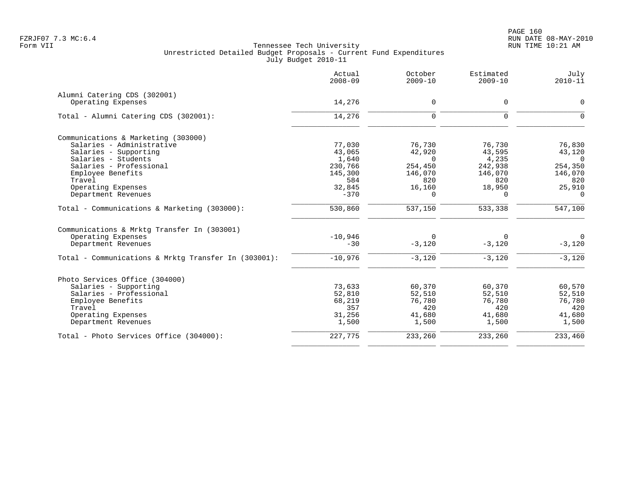|                                                      | Actual<br>$2008 - 09$ | October<br>$2009 - 10$ | Estimated<br>$2009 - 10$ | July<br>$2010 - 11$  |
|------------------------------------------------------|-----------------------|------------------------|--------------------------|----------------------|
| Alumni Catering CDS (302001)                         |                       |                        |                          |                      |
| Operating Expenses                                   | 14,276                | $\mathbf 0$            | 0                        | $\mathbf 0$          |
| Total - Alumni Catering CDS (302001):                | 14,276                | $\Omega$               | $\Omega$                 |                      |
| Communications & Marketing (303000)                  |                       |                        |                          |                      |
| Salaries - Administrative                            | 77,030                | 76,730                 | 76,730                   | 76,830               |
| Salaries - Supporting                                | 43,065                | 42,920                 | 43,595                   | 43,120               |
| Salaries - Students                                  | 1,640                 | $\Omega$               | 4,235                    | $\Omega$             |
| Salaries - Professional                              | 230,766               | 254,450                | 242,938                  | 254,350              |
| Employee Benefits                                    | 145,300               | 146,070                | 146,070                  | 146,070              |
| Travel                                               | 584                   | 820                    | 820                      | 820                  |
| Operating Expenses                                   | 32,845                | 16,160                 | 18,950                   | 25,910               |
| Department Revenues                                  | $-370$                | 0                      | $\Omega$                 | $\Omega$             |
| Total - Communications & Marketing (303000):         | 530,860               | 537,150                | 533,338                  | $\overline{547,}100$ |
| Communications & Mrktg Transfer In (303001)          |                       |                        |                          |                      |
| Operating Expenses                                   | $-10,946$             | $\Omega$               |                          | $\Omega$             |
| Department Revenues                                  | $-30$                 | $-3,120$               | $-3,120$                 | $-3,120$             |
| Total - Communications & Mrktq Transfer In (303001): | $-10,976$             | $-3,120$               | $-3,120$                 | $-3,120$             |
| Photo Services Office (304000)                       |                       |                        |                          |                      |
| Salaries - Supporting                                | 73,633                | 60,370                 | 60,370                   | 60,570               |
| Salaries - Professional                              | 52,810                | 52,510                 | 52,510                   | 52,510               |
| Employee Benefits                                    | 68,219                | 76,780                 | 76,780                   | 76,780               |
| Travel                                               | 357                   | 420                    | 420                      | 420                  |
| Operating Expenses                                   | 31,256                | 41,680                 | 41,680                   | 41,680               |
| Department Revenues                                  | 1,500                 | 1,500                  | 1,500                    | 1,500                |
| Total - Photo Services Office (304000):              | 227,775               | 233,260                | 233,260                  | 233,460              |
|                                                      |                       |                        |                          |                      |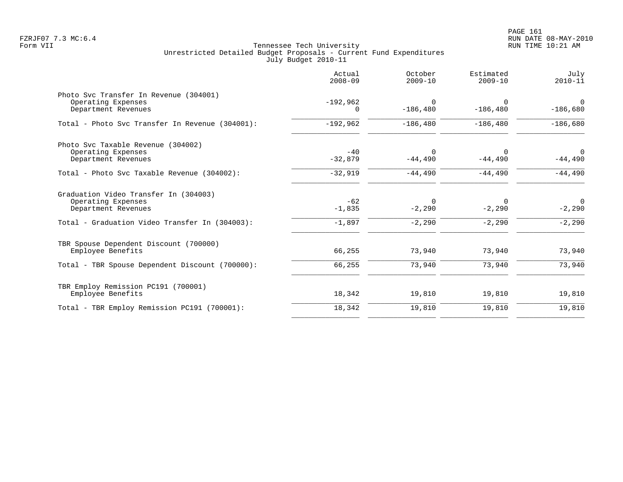|                                                                                                                                      | Actual<br>$2008 - 09$         | October<br>$2009 - 10$           | Estimated<br>$2009 - 10$ | July<br>$2010 - 11$                    |
|--------------------------------------------------------------------------------------------------------------------------------------|-------------------------------|----------------------------------|--------------------------|----------------------------------------|
| Photo Svc Transfer In Revenue (304001)<br>Operating Expenses<br>Department Revenues                                                  | $-192,962$<br>$\Omega$        | $\Omega$<br>$-186, 480$          | $\Omega$<br>$-186, 480$  | 0<br>$-186,680$                        |
| Total - Photo Svc Transfer In Revenue (304001):                                                                                      | $-192,962$                    | $-186, 480$                      | $-186, 480$              | $-186,680$                             |
| Photo Svc Taxable Revenue (304002)<br>Operating Expenses<br>Department Revenues                                                      | $-40$<br>$-32,879$            | $\Omega$<br>$-44,490$            | $-44,490$                | $\Omega$<br>$-44,490$                  |
| Total - Photo Svc Taxable Revenue (304002):                                                                                          | $-32,919$                     | $-44,490$                        | $-44,490$                | $-44,490$                              |
| Graduation Video Transfer In (304003)<br>Operating Expenses<br>Department Revenues<br>Total - Graduation Video Transfer In (304003): | $-62$<br>$-1,835$<br>$-1,897$ | $\Omega$<br>$-2,290$<br>$-2,290$ | $-2,290$<br>$-2,290$     | $\overline{0}$<br>$-2,290$<br>$-2,290$ |
| TBR Spouse Dependent Discount (700000)<br>Employee Benefits<br>Total - TBR Spouse Dependent Discount (700000):                       | 66,255<br>66,255              | 73,940<br>73,940                 | 73,940<br>73,940         | 73,940<br>73,940                       |
|                                                                                                                                      |                               |                                  |                          |                                        |
| TBR Employ Remission PC191 (700001)<br>Employee Benefits                                                                             | 18,342                        | 19,810                           | 19,810                   | 19,810                                 |
| Total - TBR Employ Remission PC191 (700001):                                                                                         | 18,342                        | 19,810                           | 19,810                   | 19,810                                 |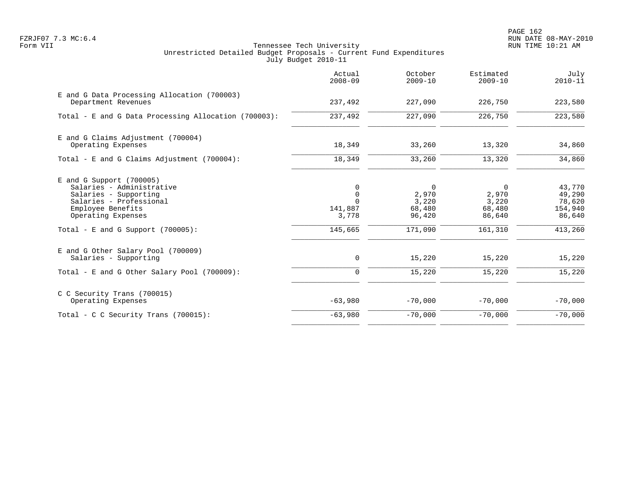PAGE 162 FZRJF07 7.3 MC:6.4 RUN DATE 08-MAY-2010

|                                                                                                                                                                                                | Actual<br>$2008 - 09$                                              | October<br>$2009 - 10$                                          | Estimated<br>$2009 - 10$                           | July<br>$2010 - 11$                                        |
|------------------------------------------------------------------------------------------------------------------------------------------------------------------------------------------------|--------------------------------------------------------------------|-----------------------------------------------------------------|----------------------------------------------------|------------------------------------------------------------|
| E and G Data Processing Allocation (700003)<br>Department Revenues                                                                                                                             | 237,492                                                            | 227,090                                                         | 226,750                                            | 223,580                                                    |
| Total - E and G Data Processing Allocation (700003):                                                                                                                                           | 237,492                                                            | 227,090                                                         | 226,750                                            | 223,580                                                    |
| E and G Claims Adjustment (700004)<br>Operating Expenses                                                                                                                                       | 18,349                                                             | 33,260                                                          | 13,320                                             | 34,860                                                     |
| Total - E and G Claims Adjustment $(700004)$ :                                                                                                                                                 | 18,349                                                             | 33,260                                                          | 13,320                                             | 34,860                                                     |
| $E$ and G Support (700005)<br>Salaries - Administrative<br>Salaries - Supporting<br>Salaries - Professional<br>Employee Benefits<br>Operating Expenses<br>Total - E and G Support $(700005)$ : | $\Omega$<br>$\mathbf 0$<br>$\Omega$<br>141,887<br>3,778<br>145,665 | $\overline{0}$<br>2,970<br>3,220<br>68,480<br>96,420<br>171,090 | 0<br>2,970<br>3,220<br>68,480<br>86,640<br>161,310 | 43,770<br>49,290<br>78,620<br>154,940<br>86,640<br>413,260 |
| E and G Other Salary Pool (700009)<br>Salaries - Supporting                                                                                                                                    | 0                                                                  | 15,220                                                          | 15,220                                             | 15,220                                                     |
| Total - E and G Other Salary Pool (700009):                                                                                                                                                    | 0                                                                  | 15,220                                                          | 15,220                                             | 15,220                                                     |
| C C Security Trans (700015)<br>Operating Expenses                                                                                                                                              | $-63,980$                                                          | $-70,000$                                                       | $-70,000$                                          | $-70,000$                                                  |
| Total - C C Security Trans $(700015)$ :                                                                                                                                                        | $-63,980$                                                          | $-70,000$                                                       | $-70,000$                                          | $-70,000$                                                  |
|                                                                                                                                                                                                |                                                                    |                                                                 |                                                    |                                                            |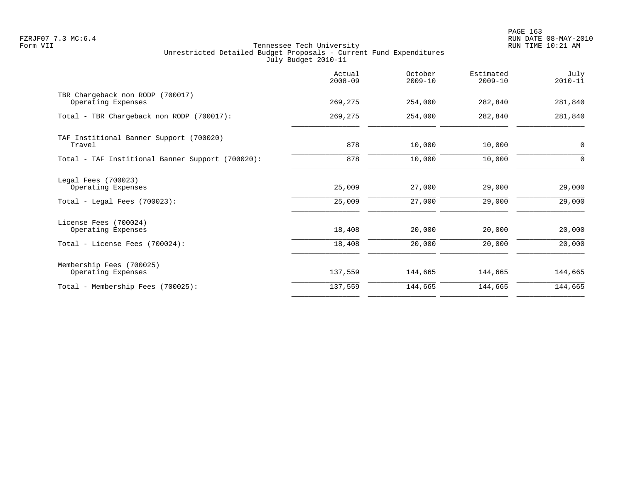PAGE 163 FZRJF07 7.3 MC:6.4 RUN DATE 08-MAY-2010

|                                                                               | Actual<br>$2008 - 09$ | October<br>$2009 - 10$ | Estimated<br>$2009 - 10$ | July<br>$2010 - 11$ |
|-------------------------------------------------------------------------------|-----------------------|------------------------|--------------------------|---------------------|
| TBR Chargeback non RODP (700017)<br>Operating Expenses                        | 269,275               | 254,000                | 282,840                  | 281,840             |
| Total - TBR Chargeback non RODP (700017):                                     | 269,275               | 254,000                | 282,840                  | 281,840             |
| TAF Institional Banner Support (700020)<br>Travel                             | 878                   | 10,000                 | 10,000                   | $\mathbf 0$         |
| Total - TAF Institional Banner Support (700020):                              | 878                   | 10,000                 | 10,000                   | $\Omega$            |
| Legal Fees (700023)<br>Operating Expenses<br>Total - Legal Fees $(700023)$ :  | 25,009<br>25,009      | 27,000<br>27,000       | 29,000<br>29,000         | 29,000<br>29,000    |
| License Fees (700024)<br>Operating Expenses<br>Total - License Fees (700024): | 18,408<br>18,408      | 20,000<br>20,000       | 20,000<br>20,000         | 20,000<br>20,000    |
| Membership Fees (700025)                                                      |                       |                        |                          |                     |
| Operating Expenses                                                            | 137,559               | 144,665                | 144,665                  | 144,665             |
| Total - Membership Fees (700025):                                             | 137,559               | 144,665                | 144,665                  | 144,665             |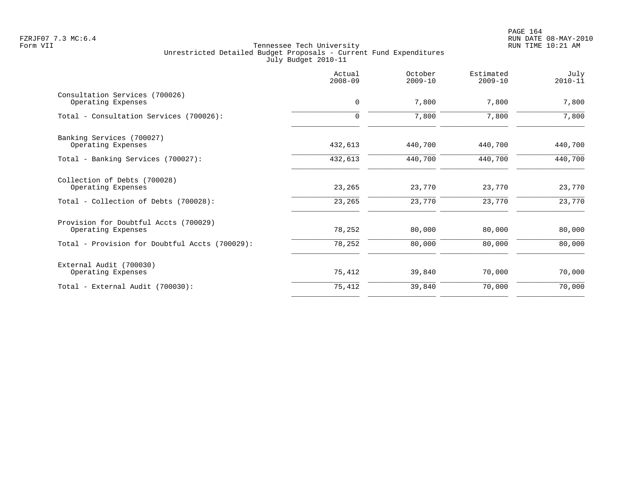|                                                      | Actual<br>$2008 - 09$ | October<br>$2009 - 10$ | Estimated<br>$2009 - 10$ | July<br>$2010 - 11$ |
|------------------------------------------------------|-----------------------|------------------------|--------------------------|---------------------|
| Consultation Services (700026)<br>Operating Expenses | $\mathbf 0$           | 7,800                  | 7,800                    | 7,800               |
| Total - Consultation Services (700026):              | $\Omega$              | 7,800                  | 7,800                    | 7,800               |
| Banking Services (700027)                            |                       |                        |                          |                     |
| Operating Expenses                                   | 432,613               | 440,700                | 440,700                  | 440,700             |
| Total - Banking Services (700027):                   | 432,613               | 440,700                | 440,700                  | 440,700             |
| Collection of Debts (700028)<br>Operating Expenses   | 23,265                | 23,770                 | 23,770                   | 23,770              |
| Total - Collection of Debts (700028):                | 23,265                | 23,770                 | 23,770                   | 23,770              |
| Provision for Doubtful Accts (700029)                |                       |                        |                          |                     |
| Operating Expenses                                   | 78,252                | 80,000                 | 80,000                   | 80,000              |
| Total - Provision for Doubtful Accts (700029):       | 78,252                | 80,000                 | 80,000                   | 80,000              |
| External Audit (700030)                              |                       |                        |                          |                     |
| Operating Expenses                                   | 75,412                | 39,840                 | 70,000                   | 70,000              |
| Total - External Audit (700030):                     | 75,412                | 39,840                 | 70,000                   | 70,000              |
|                                                      |                       |                        |                          |                     |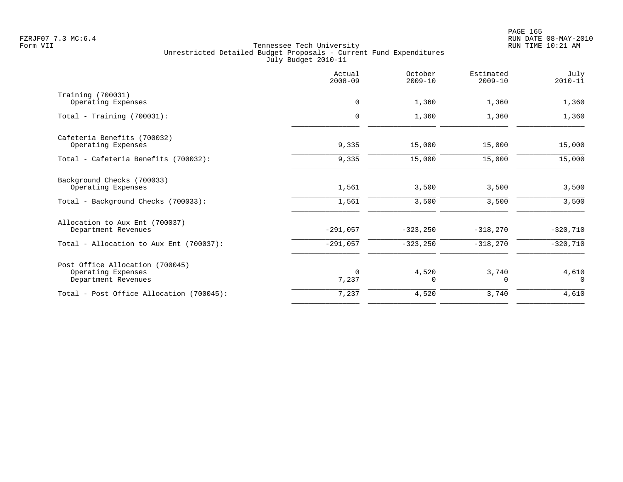|                                                                              | Actual<br>$2008 - 09$ | October<br>$2009 - 10$ | Estimated<br>$2009 - 10$ | July<br>$2010 - 11$ |
|------------------------------------------------------------------------------|-----------------------|------------------------|--------------------------|---------------------|
| Training (700031)<br>Operating Expenses                                      | 0                     | 1,360                  | 1,360                    | 1,360               |
| Total - Training $(700031)$ :                                                | $\mathbf 0$           | 1,360                  | 1,360                    | 1,360               |
| Cafeteria Benefits (700032)<br>Operating Expenses                            | 9,335                 | 15,000                 | 15,000                   | 15,000              |
| Total - Cafeteria Benefits (700032):                                         | 9,335                 | 15,000                 | 15,000                   | 15,000              |
| Background Checks (700033)<br>Operating Expenses                             | 1,561                 | 3,500                  | 3,500                    | 3,500               |
| Total - Background Checks (700033):                                          | 1,561                 | 3,500                  | 3,500                    | 3,500               |
| Allocation to Aux Ent (700037)<br>Department Revenues                        | $-291,057$            | $-323, 250$            | $-318,270$               | $-320,710$          |
| Total - Allocation to Aux Ent (700037):                                      | $-291,057$            | $-323, 250$            | $-318,270$               | $-320,710$          |
| Post Office Allocation (700045)<br>Operating Expenses<br>Department Revenues | $\Omega$<br>7,237     | 4,520<br>$\Omega$      | 3,740<br>$\Omega$        | 4,610<br>$\Omega$   |
| Total - Post Office Allocation (700045):                                     | 7,237                 | 4,520                  | 3,740                    | 4,610               |
|                                                                              |                       |                        |                          |                     |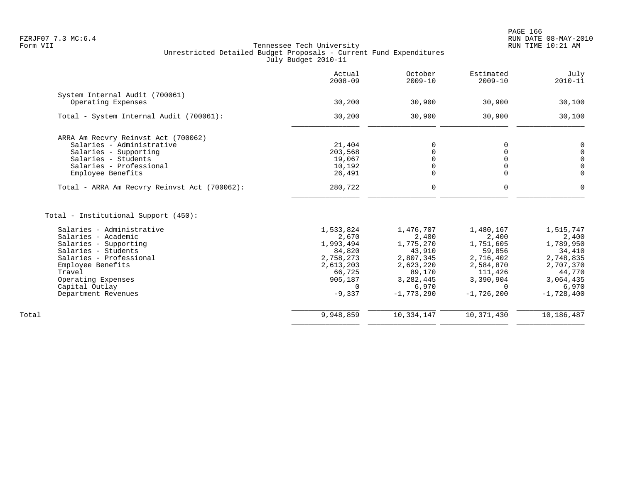|                                              | Actual<br>$2008 - 09$   | October<br>$2009 - 10$ | Estimated<br>$2009 - 10$ | July<br>$2010 - 11$   |
|----------------------------------------------|-------------------------|------------------------|--------------------------|-----------------------|
| System Internal Audit (700061)               |                         |                        |                          |                       |
| Operating Expenses                           | 30,200                  | 30,900                 | 30,900                   | 30,100                |
| Total - System Internal Audit (700061):      | 30,200                  | 30,900                 | 30,900                   | 30,100                |
| ARRA Am Recvry Reinvst Act (700062)          |                         |                        |                          |                       |
| Salaries - Administrative                    | 21,404                  | 0                      | 0                        | 0                     |
| Salaries - Supporting                        | 203,568                 |                        |                          | $\mathsf 0$           |
| Salaries - Students                          | 19,067                  |                        |                          | $\mathsf 0$           |
| Salaries - Professional                      | 10,192                  |                        |                          | $\overline{0}$        |
| Employee Benefits                            | 26,491                  | $\mathbf 0$            | $\Omega$                 | $\Omega$              |
| Total - ARRA Am Recvry Reinvst Act (700062): | 280,722                 | $\mathbf 0$            | 0                        | $\Omega$              |
| Total - Institutional Support (450):         |                         |                        |                          |                       |
| Salaries - Administrative                    | 1,533,824               | 1,476,707              | 1,480,167                | 1,515,747             |
| Salaries - Academic                          | 2,670                   | 2,400                  | 2,400                    | 2,400                 |
| Salaries - Supporting                        | 1,993,494               | 1,775,270              | 1,751,605                | 1,789,950             |
| Salaries - Students                          | 84,820                  | 43,910                 | 59,856                   | 34,410                |
| Salaries - Professional                      | 2,758,273               | 2,807,345              | 2,716,402                | 2,748,835             |
| Employee Benefits                            | 2,613,203               | 2,623,220              | 2,584,870                | 2,707,370             |
| Travel                                       | 66,725                  | 89,170                 | 111,426                  | 44,770                |
| Operating Expenses                           | 905,187                 | 3, 282, 445            | 3,390,904                | 3,064,435             |
| Capital Outlay<br>Department Revenues        | $\mathbf 0$<br>$-9,337$ | 6,970<br>$-1,773,290$  | $\Omega$<br>$-1,726,200$ | 6,970<br>$-1,728,400$ |
|                                              |                         |                        |                          |                       |
| Total                                        | 9,948,859               | 10, 334, 147           | 10,371,430               | 10,186,487            |
|                                              |                         |                        |                          |                       |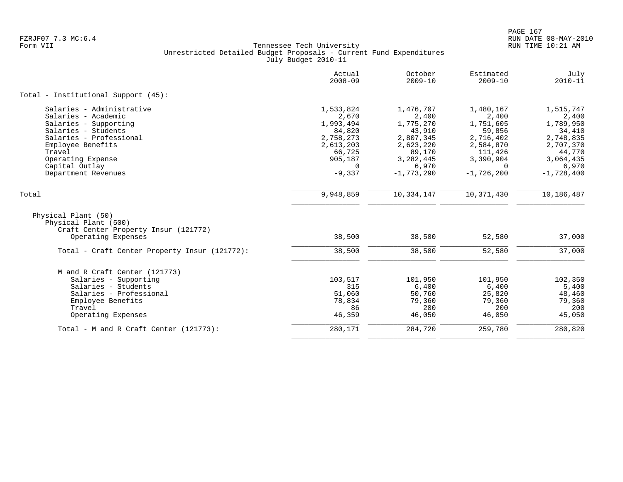|                                                                                     | Actual<br>$2008 - 09$ | October<br>$2009 - 10$ | Estimated<br>$2009 - 10$ | July<br>$2010 - 11$ |
|-------------------------------------------------------------------------------------|-----------------------|------------------------|--------------------------|---------------------|
| Total - Institutional Support (45):                                                 |                       |                        |                          |                     |
| Salaries - Administrative                                                           | 1,533,824             | 1,476,707              | 1,480,167                | 1,515,747           |
| Salaries - Academic                                                                 | 2,670                 | 2,400                  | 2,400                    | 2,400               |
| Salaries - Supporting                                                               | 1,993,494             | 1,775,270              | 1,751,605                | 1,789,950           |
| Salaries - Students                                                                 | 84,820                | 43,910                 | 59,856                   | 34,410              |
| Salaries - Professional                                                             | 2,758,273             | 2,807,345              | 2,716,402                | 2,748,835           |
| Employee Benefits                                                                   | 2,613,203             | 2,623,220              | 2,584,870                | 2,707,370           |
| Travel                                                                              | 66,725                | 89,170                 | 111,426                  | 44,770              |
| Operating Expense                                                                   | 905,187               | 3, 282, 445            | 3,390,904                | 3,064,435           |
| Capital Outlay                                                                      | $\Omega$              | 6,970                  | $\Omega$                 | 6,970               |
| Department Revenues                                                                 | $-9,337$              | $-1,773,290$           | $-1,726,200$             | $-1,728,400$        |
| Total                                                                               | 9,948,859             | 10,334,147             | 10,371,430               | 10,186,487          |
| Physical Plant (50)<br>Physical Plant (500)<br>Craft Center Property Insur (121772) |                       |                        |                          |                     |
| Operating Expenses                                                                  | 38,500                | 38,500                 | 52,580                   | 37,000              |
| Total - Craft Center Property Insur (121772):                                       | 38,500                | 38,500                 | 52,580                   | 37,000              |
| M and R Craft Center (121773)                                                       |                       |                        |                          |                     |
| Salaries - Supporting                                                               | 103,517               | 101,950                | 101,950                  | 102,350             |
| Salaries - Students                                                                 | 315                   | 6,400                  | 6,400                    | 5,400               |
| Salaries - Professional                                                             | 51,060                | 50,760                 | 25,820                   | 48,460              |
| Employee Benefits                                                                   | 78,834                | 79,360                 | 79,360                   | 79,360              |
| Travel                                                                              | 86                    | 200                    | 200                      | 200                 |
| Operating Expenses                                                                  | 46,359                | 46,050                 | 46,050                   | 45,050              |
| Total - M and R Craft Center $(121773)$ :                                           | 280,171               | 284,720                | 259,780                  | 280,820             |
|                                                                                     |                       |                        |                          |                     |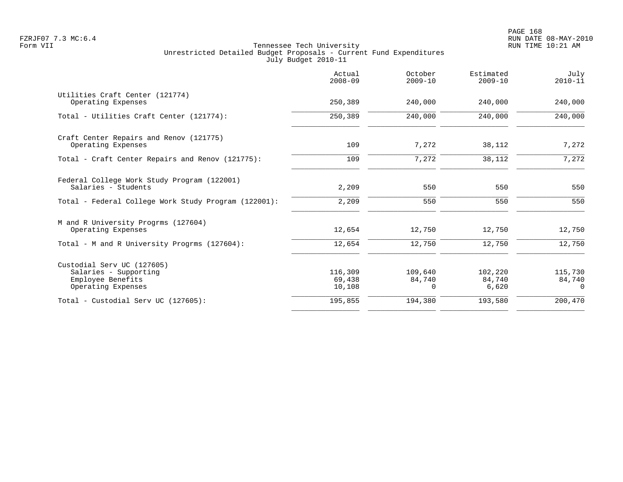|                                                                                                | Actual<br>$2008 - 09$       | October<br>$2009 - 10$        | Estimated<br>$2009 - 10$   | July<br>$2010 - 11$           |
|------------------------------------------------------------------------------------------------|-----------------------------|-------------------------------|----------------------------|-------------------------------|
| Utilities Craft Center (121774)<br>Operating Expenses                                          | 250,389                     | 240,000                       | 240,000                    | 240,000                       |
| Total - Utilities Craft Center (121774):                                                       | 250,389                     | 240,000                       | 240,000                    | 240,000                       |
| Craft Center Repairs and Renov (121775)<br>Operating Expenses                                  | 109                         | 7,272                         | 38,112                     | 7,272                         |
| Total - Craft Center Repairs and Renov (121775):                                               | 109                         | 7,272                         | 38,112                     | 7,272                         |
| Federal College Work Study Program (122001)<br>Salaries - Students                             | 2,209                       | 550                           | 550                        | 550                           |
| Total - Federal College Work Study Program (122001):                                           | 2,209                       | 550                           | 550                        | 550                           |
| M and R University Progrms (127604)<br>Operating Expenses                                      | 12,654                      | 12,750                        | 12,750                     | 12,750                        |
| Total - M and R University Progrms (127604):                                                   | 12,654                      | 12,750                        | 12,750                     | 12,750                        |
| Custodial Serv UC (127605)<br>Salaries - Supporting<br>Employee Benefits<br>Operating Expenses | 116,309<br>69,438<br>10,108 | 109,640<br>84,740<br>$\Omega$ | 102,220<br>84,740<br>6,620 | 115,730<br>84,740<br>$\Omega$ |
| Total - Custodial Serv UC (127605):                                                            | 195,855                     | 194,380                       | 193,580                    | 200,470                       |
|                                                                                                |                             |                               |                            |                               |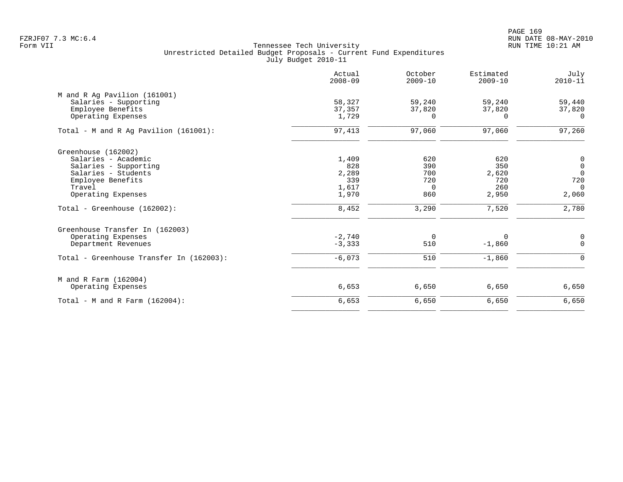PAGE 169 FZRJF07 7.3 MC:6.4 RUN DATE 08-MAY-2010

|                                          | Actual<br>$2008 - 09$ | October<br>$2009 - 10$ | Estimated<br>$2009 - 10$ | July<br>$2010 - 11$ |
|------------------------------------------|-----------------------|------------------------|--------------------------|---------------------|
| M and R Ag Pavilion (161001)             |                       |                        |                          |                     |
| Salaries - Supporting                    | 58,327                | 59,240                 | 59,240                   | 59,440              |
| Employee Benefits                        | 37,357                | 37,820                 | 37,820                   | 37,820              |
| Operating Expenses                       | 1,729                 | $\Omega$               | $\Omega$                 | $\Omega$            |
| Total - M and R Ag Pavilion $(161001)$ : | 97,413                | 97,060                 | 97,060                   | 97,260              |
| Greenhouse (162002)                      |                       |                        |                          |                     |
| Salaries - Academic                      | 1,409                 | 620                    | 620                      | $\mathbf 0$         |
| Salaries - Supporting                    | 828                   | 390                    | 350                      | $\mathbf 0$         |
| Salaries - Students                      | 2,289                 | 700                    | 2,620                    | $\overline{0}$      |
| Employee Benefits                        | 339                   | 720                    | 720                      | 720                 |
| Travel                                   | 1,617                 | $\Omega$               | 260                      | $\Omega$            |
| Operating Expenses                       | 1,970                 | 860                    | 2,950                    | 2,060               |
| Total - Greenhouse (162002):             | 8,452                 | 3,290                  | 7,520                    | 2,780               |
| Greenhouse Transfer In (162003)          |                       |                        |                          |                     |
| Operating Expenses                       | $-2,740$              | $\mathbf 0$            | 0                        | 0                   |
| Department Revenues                      | $-3,333$              | 510                    | $-1,860$                 | $\Omega$            |
| Total - Greenhouse Transfer In (162003): | $-6,073$              | 510                    | $-1,860$                 | $\Omega$            |
| M and R Farm (162004)                    |                       |                        |                          |                     |
| Operating Expenses                       | 6,653                 | 6,650                  | 6,650                    | 6,650               |
| Total - M and R Farm $(162004)$ :        | 6,653                 | 6,650                  | 6,650                    | 6,650               |
|                                          |                       |                        |                          |                     |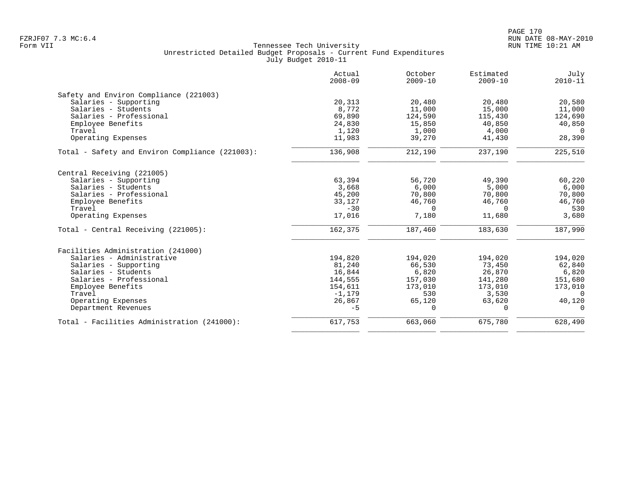|                                                 | Actual<br>$2008 - 09$ | October<br>$2009 - 10$ | Estimated<br>$2009 - 10$ | July<br>$2010 - 11$ |
|-------------------------------------------------|-----------------------|------------------------|--------------------------|---------------------|
| Safety and Environ Compliance (221003)          |                       |                        |                          |                     |
| Salaries - Supporting                           | 20,313                | 20,480                 | 20,480                   | 20,580              |
| Salaries - Students                             | 8,772                 | 11,000                 | 15,000                   | 11,000              |
| Salaries - Professional                         | 69,890                | 124,590                | 115,430                  | 124,690             |
| Employee Benefits                               | 24,830                | 15,850                 | 40,850                   | 40,850              |
| Travel                                          | 1,120                 | 1,000                  | 4,000                    | $\Omega$            |
| Operating Expenses                              | 11,983                | 39,270                 | 41,430                   | 28,390              |
| Total - Safety and Environ Compliance (221003): | 136,908               | 212,190                | 237,190                  | 225,510             |
| Central Receiving (221005)                      |                       |                        |                          |                     |
| Salaries - Supporting                           | 63,394                | 56,720                 | 49,390                   | 60,220              |
| Salaries - Students                             | 3,668                 | 6,000                  | 5,000                    | 6,000               |
| Salaries - Professional                         | 45,200                | 70,800                 | 70,800                   | 70,800              |
| Employee Benefits                               | 33,127                | 46,760                 | 46,760                   | 46,760              |
| Travel                                          | $-30$                 | $\Omega$               | $\Omega$                 | 530                 |
| Operating Expenses                              | 17,016                | 7,180                  | 11,680                   | 3,680               |
| Total - Central Receiving (221005):             | 162,375               | 187,460                | 183,630                  | 187,990             |
| Facilities Administration (241000)              |                       |                        |                          |                     |
| Salaries - Administrative                       | 194,820               | 194,020                | 194,020                  | 194,020             |
| Salaries - Supporting                           | 81,240                | 66,530                 | 73,450                   | 62,840              |
| Salaries - Students                             | 16,844                | 6,820                  | 26,870                   | 6,820               |
| Salaries - Professional                         | 144,555               | 157,030                | 141,280                  | 151,680             |
| Employee Benefits                               | 154,611               | 173,010                | 173,010                  | 173,010             |
| Travel                                          | $-1,179$              | 530                    | 3,530                    | 0                   |
| Operating Expenses                              | 26,867                | 65,120                 | 63,620                   | 40,120              |
| Department Revenues                             | $-5$                  | $\Omega$               | $\Omega$                 | $\Omega$            |
| Total - Facilities Administration (241000):     | 617,753               | 663,060                | 675,780                  | 628,490             |
|                                                 |                       |                        |                          |                     |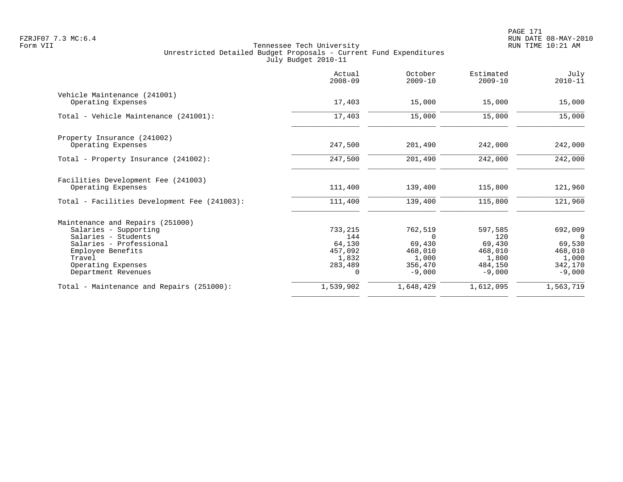|                                              | Actual<br>$2008 - 09$ | October<br>$2009 - 10$ | Estimated<br>$2009 - 10$ | July<br>$2010 - 11$ |
|----------------------------------------------|-----------------------|------------------------|--------------------------|---------------------|
| Vehicle Maintenance (241001)                 |                       |                        |                          |                     |
| Operating Expenses                           | 17,403                | 15,000                 | 15,000                   | 15,000              |
| Total - Vehicle Maintenance (241001):        | 17,403                | 15,000                 | 15,000                   | 15,000              |
| Property Insurance (241002)                  |                       |                        |                          |                     |
| Operating Expenses                           | 247,500               | 201,490                | 242,000                  | 242,000             |
| Total - Property Insurance (241002):         | 247,500               | 201,490                | 242,000                  | 242,000             |
| Facilities Development Fee (241003)          |                       |                        |                          |                     |
| Operating Expenses                           | 111,400               | 139,400                | 115,800                  | 121,960             |
| Total - Facilities Development Fee (241003): | 111,400               | 139,400                | 115,800                  | 121,960             |
| Maintenance and Repairs (251000)             |                       |                        |                          |                     |
| Salaries - Supporting                        | 733,215               | 762,519                | 597,585                  | 692,009             |
| Salaries - Students                          | 144                   | $\Omega$               | 120                      | $\Omega$            |
| Salaries - Professional                      | 64,130                | 69,430                 | 69,430                   | 69,530              |
| Employee Benefits                            | 457,092               | 468,010                | 468,010                  | 468,010             |
| Travel                                       | 1,832                 | 1,000                  | 1,800                    | 1,000               |
| Operating Expenses                           | 283,489               | 356,470                | 484,150                  | 342,170             |
| Department Revenues                          | $\Omega$              | $-9,000$               | $-9,000$                 | $-9,000$            |
| Total - Maintenance and Repairs (251000):    | 1,539,902             | 1,648,429              | 1,612,095                | 1,563,719           |
|                                              |                       |                        |                          |                     |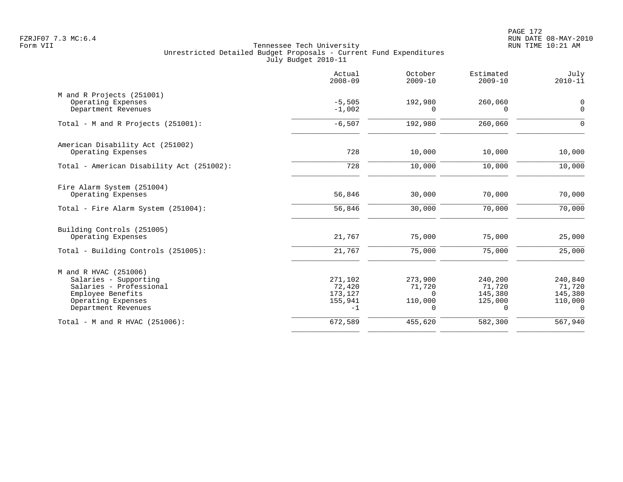PAGE 172 FZRJF07 7.3 MC:6.4 RUN DATE 08-MAY-2010

|                                                                                                                                             | Actual<br>$2008 - 09$                           | October<br>$2009 - 10$                        | Estimated<br>$2009 - 10$                            | July<br>$2010 - 11$                                 |
|---------------------------------------------------------------------------------------------------------------------------------------------|-------------------------------------------------|-----------------------------------------------|-----------------------------------------------------|-----------------------------------------------------|
| M and R Projects (251001)<br>Operating Expenses<br>Department Revenues                                                                      | $-5,505$<br>$-1,002$                            | 192,980<br>$\Omega$                           | 260,060<br>$\Omega$                                 | $\mathbf 0$<br>$\mathbf 0$                          |
| Total - M and R Projects (251001):                                                                                                          | $-6,507$                                        | 192,980                                       | 260,060                                             | $\mathbf 0$                                         |
| American Disability Act (251002)<br>Operating Expenses                                                                                      | 728                                             | 10,000                                        | 10,000                                              | 10,000                                              |
| Total - American Disability Act (251002):                                                                                                   | 728                                             | 10,000                                        | 10,000                                              | 10,000                                              |
| Fire Alarm System (251004)<br>Operating Expenses                                                                                            | 56,846<br>56,846                                | 30,000<br>30,000                              | 70,000<br>70,000                                    | 70,000<br>70,000                                    |
| Total - Fire Alarm System (251004):                                                                                                         |                                                 |                                               |                                                     |                                                     |
| Building Controls (251005)<br>Operating Expenses                                                                                            | 21,767                                          | 75,000                                        | 75,000                                              | 25,000                                              |
| Total - Building Controls (251005):                                                                                                         | 21,767                                          | 75,000                                        | 75,000                                              | 25,000                                              |
| M and R HVAC (251006)<br>Salaries - Supporting<br>Salaries - Professional<br>Employee Benefits<br>Operating Expenses<br>Department Revenues | 271,102<br>72,420<br>173,127<br>155,941<br>$-1$ | 273,900<br>71,720<br>0<br>110,000<br>$\Omega$ | 240,200<br>71,720<br>145,380<br>125,000<br>$\Omega$ | 240,840<br>71,720<br>145,380<br>110,000<br>$\Omega$ |
| Total - M and R HVAC (251006):                                                                                                              | 672,589                                         | 455,620                                       | 582,300                                             | 567,940                                             |
|                                                                                                                                             |                                                 |                                               |                                                     |                                                     |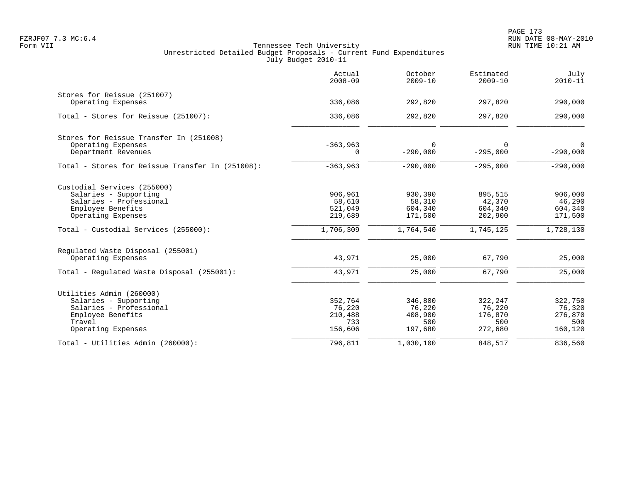|                                                  | Actual<br>$2008 - 09$ | October<br>$2009 - 10$ | Estimated<br>$2009 - 10$ | July<br>$2010 - 11$ |
|--------------------------------------------------|-----------------------|------------------------|--------------------------|---------------------|
| Stores for Reissue (251007)                      |                       |                        |                          |                     |
| Operating Expenses                               | 336,086               | 292,820                | 297,820                  | 290,000             |
| Total - Stores for Reissue (251007):             | 336,086               | 292,820                | 297,820                  | 290,000             |
| Stores for Reissue Transfer In (251008)          |                       |                        |                          |                     |
| Operating Expenses                               | $-363,963$            | $\Omega$               | 0                        | $\mathbf 0$         |
| Department Revenues                              | 0                     | $-290,000$             | $-295,000$               | $-290,000$          |
| Total - Stores for Reissue Transfer In (251008): | $-363,963$            | $-290,000$             | $-295,000$               | $-290,000$          |
| Custodial Services (255000)                      |                       |                        |                          |                     |
| Salaries - Supporting                            | 906,961               | 930,390                | 895,515                  | 906,000             |
| Salaries - Professional                          | 58,610                | 58,310                 | 42,370                   | 46,290              |
| Employee Benefits                                | 521,049               | 604,340                | 604,340                  | 604,340             |
| Operating Expenses                               | 219,689               | 171,500                | 202,900                  | 171,500             |
| Total - Custodial Services (255000):             | 1,706,309             | 1,764,540              | 1,745,125                | 1,728,130           |
| Regulated Waste Disposal (255001)                |                       |                        |                          |                     |
| Operating Expenses                               | 43,971                | 25,000                 | 67,790                   | 25,000              |
| Total - Regulated Waste Disposal (255001):       | 43,971                | 25,000                 | 67,790                   | 25,000              |
| Utilities Admin (260000)                         |                       |                        |                          |                     |
| Salaries - Supporting                            | 352,764               | 346,800                | 322,247                  | 322,750             |
| Salaries - Professional                          | 76,220                | 76,220                 | 76,220                   | 76,320              |
| Employee Benefits                                | 210,488               | 408,900                | 176,870                  | 276,870             |
| Travel                                           | 733                   | 500                    | 500                      | 500                 |
| Operating Expenses                               | 156,606               | 197,680                | 272,680                  | 160,120             |
| Total - Utilities Admin (260000):                | 796,811               | 1,030,100              | 848,517                  | 836,560             |
|                                                  |                       |                        |                          |                     |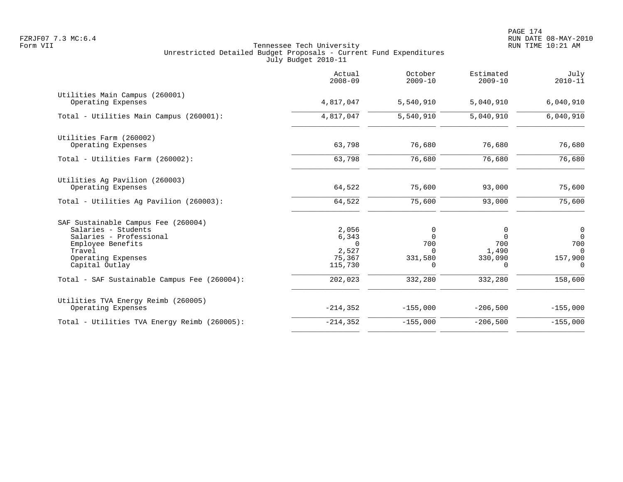|                                                                                                                                                              | Actual<br>$2008 - 09$                                    | October<br>$2009 - 10$                               | Estimated<br>$2009 - 10$                             | July<br>$2010 - 11$                                        |
|--------------------------------------------------------------------------------------------------------------------------------------------------------------|----------------------------------------------------------|------------------------------------------------------|------------------------------------------------------|------------------------------------------------------------|
| Utilities Main Campus (260001)<br>Operating Expenses                                                                                                         | 4,817,047                                                | 5,540,910                                            | 5,040,910                                            | 6,040,910                                                  |
| Total - Utilities Main Campus (260001):                                                                                                                      | 4,817,047                                                | 5,540,910                                            | 5,040,910                                            | 6,040,910                                                  |
| Utilities Farm (260002)<br>Operating Expenses                                                                                                                | 63,798                                                   | 76,680                                               | 76,680                                               | 76,680                                                     |
| Total - Utilities Farm (260002):                                                                                                                             | 63,798                                                   | 76,680                                               | 76,680                                               | 76,680                                                     |
| Utilities Ag Pavilion (260003)<br>Operating Expenses                                                                                                         | 64,522                                                   | 75,600                                               | 93,000                                               | 75,600                                                     |
| Total - Utilities Aq Pavilion (260003):                                                                                                                      | 64,522                                                   | 75,600                                               | 93,000                                               | 75,600                                                     |
| SAF Sustainable Campus Fee (260004)<br>Salaries - Students<br>Salaries - Professional<br>Employee Benefits<br>Travel<br>Operating Expenses<br>Capital Outlay | 2,056<br>6,343<br>$\Omega$<br>2,527<br>75,367<br>115,730 | 0<br>$\Omega$<br>700<br><sup>n</sup><br>331,580<br>0 | 0<br>$\Omega$<br>700<br>1,490<br>330,090<br>$\Omega$ | 0<br>$\mathbf 0$<br>700<br>$\Omega$<br>157,900<br>$\Omega$ |
| Total - SAF Sustainable Campus Fee (260004):                                                                                                                 | 202,023                                                  | 332,280                                              | 332,280                                              | 158,600                                                    |
| Utilities TVA Energy Reimb (260005)<br>Operating Expenses                                                                                                    | $-214, 352$                                              | $-155,000$                                           | $-206,500$                                           | $-155,000$                                                 |
| Total - Utilities TVA Energy Reimb (260005):                                                                                                                 | $-214, 352$                                              | $-155,000$                                           | $-206,500$                                           | $-155,000$                                                 |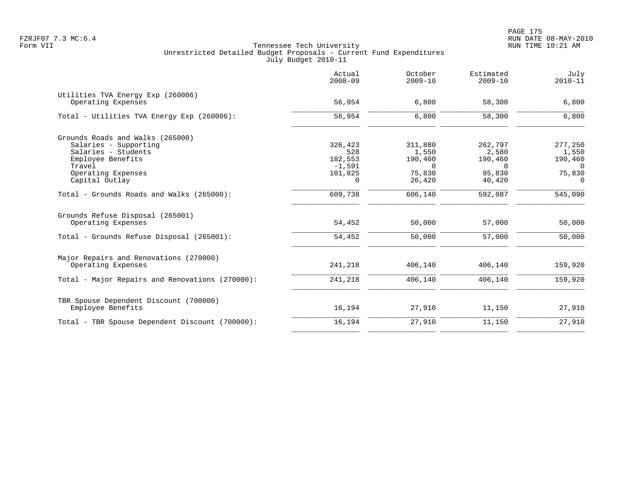|                                                         | Actual<br>$2008 - 09$ | October<br>$2009 - 10$ | Estimated<br>$2009 - 10$ | July<br>$2010 - 11$ |
|---------------------------------------------------------|-----------------------|------------------------|--------------------------|---------------------|
| Utilities TVA Energy Exp (260006)<br>Operating Expenses | 56,954                | 6,800                  | 58,300                   | 6,800               |
| Total - Utilities TVA Energy Exp (260006):              | 56,954                | 6,800                  | 58,300                   | 6,800               |
| Grounds Roads and Walks (265000)                        |                       |                        |                          |                     |
| Salaries - Supporting                                   | 326,423               | 311,880                | 262,797                  | 277,250             |
| Salaries - Students                                     | 528                   | 1,550                  | 2,580                    | 1,550               |
| Employee Benefits                                       | 182,553<br>$-1,591$   | 190,460<br>$\Omega$    | 190,460                  | 190,460             |
| Travel<br>Operating Expenses                            | 101,825               | 75,830                 | 0<br>95,830              | 0<br>75,830         |
| Capital Outlay                                          | 0                     | 26,420                 | 40,420                   | 0                   |
| Total - Grounds Roads and Walks (265000):               | 609,738               | 606,140                | 592,087                  | 545,090             |
| Grounds Refuse Disposal (265001)<br>Operating Expenses  | 54,452                | 50,000                 | 57,000                   | 50,000              |
| Total - Grounds Refuse Disposal (265001):               | 54,452                | 50,000                 | 57,000                   | 50,000              |
| Major Repairs and Renovations (270000)                  |                       |                        |                          |                     |
| Operating Expenses                                      | 241,218               | 406,140                | 406,140                  | 159,920             |
| Total - Major Repairs and Renovations (270000):         | 241,218               | 406,140                | 406,140                  | 159,920             |
| TBR Spouse Dependent Discount (700000)                  |                       |                        |                          |                     |
| Employee Benefits                                       | 16,194                | 27,910                 | 11,150                   | 27,910              |
| Total - TBR Spouse Dependent Discount (700000):         | 16,194                | 27,910                 | 11,150                   | 27,910              |
|                                                         |                       |                        |                          |                     |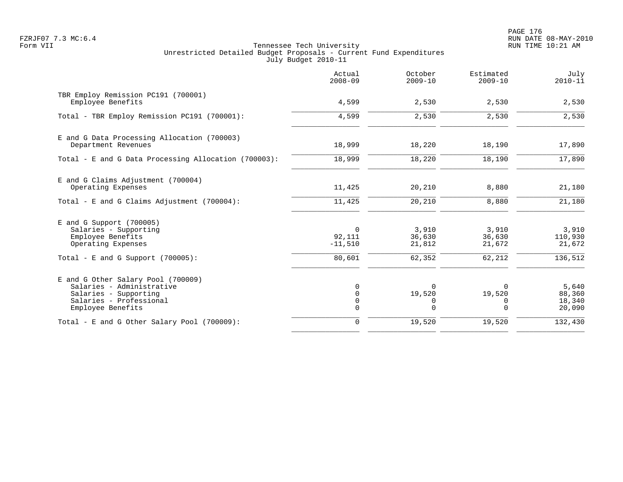PAGE 176 FZRJF07 7.3 MC:6.4 RUN DATE 08-MAY-2010

|                                                                                                                                          | Actual<br>$2008 - 09$                          | October<br>$2009 - 10$                 | Estimated<br>$2009 - 10$               | July<br>$2010 - 11$                   |
|------------------------------------------------------------------------------------------------------------------------------------------|------------------------------------------------|----------------------------------------|----------------------------------------|---------------------------------------|
| TBR Employ Remission PC191 (700001)<br>Employee Benefits                                                                                 | 4,599                                          | 2,530                                  | 2,530                                  | 2,530                                 |
| Total - TBR Employ Remission PC191 (700001):                                                                                             | 4,599                                          | 2,530                                  | 2,530                                  | 2,530                                 |
| E and G Data Processing Allocation (700003)<br>Department Revenues                                                                       | 18,999                                         | 18,220                                 | 18,190                                 | 17,890                                |
| Total - E and G Data Processing Allocation (700003):                                                                                     | 18,999                                         | 18,220                                 | 18,190                                 | 17,890                                |
| E and G Claims Adjustment (700004)<br>Operating Expenses                                                                                 | 11,425                                         | 20,210                                 | 8,880                                  | 21,180                                |
| Total - E and G Claims Adjustment (700004):                                                                                              | 11,425                                         | 20,210                                 | 8,880                                  | 21,180                                |
| $E$ and G Support (700005)<br>Salaries - Supporting<br>Employee Benefits<br>Operating Expenses<br>Total - E and G Support $(700005)$ :   | $\mathbf 0$<br>92,111<br>$-11,510$<br>80,601   | 3,910<br>36,630<br>21,812<br>62,352    | 3,910<br>36,630<br>21,672<br>62,212    | 3,910<br>110,930<br>21,672<br>136,512 |
| E and G Other Salary Pool (700009)<br>Salaries - Administrative<br>Salaries - Supporting<br>Salaries - Professional<br>Employee Benefits | 0<br>$\mathbf 0$<br>$\mathbf 0$<br>$\mathbf 0$ | $\Omega$<br>19,520<br>0<br>$\mathbf 0$ | $\Omega$<br>19,520<br>0<br>$\mathbf 0$ | 5,640<br>88,360<br>18,340<br>20,090   |
| Total - E and G Other Salary Pool (700009):                                                                                              | $\mathbf 0$                                    | 19,520                                 | 19,520                                 | 132,430                               |
|                                                                                                                                          |                                                |                                        |                                        |                                       |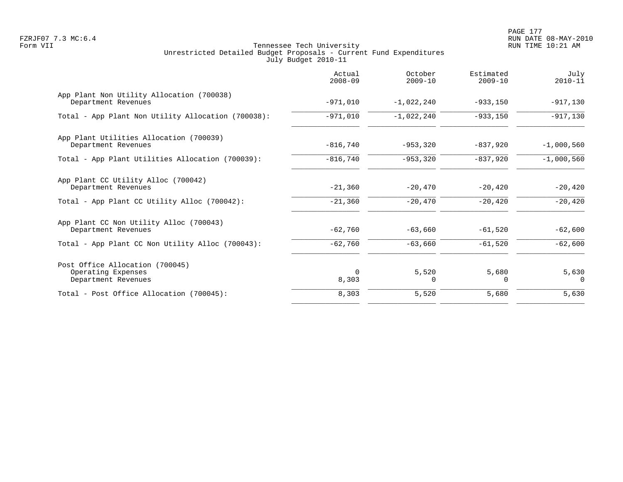PAGE 177 FZRJF07 7.3 MC:6.4 RUN DATE 08-MAY-2010

|                                                                              | Actual<br>$2008 - 09$ | October<br>$2009 - 10$ | Estimated<br>$2009 - 10$ | July<br>$2010 - 11$ |
|------------------------------------------------------------------------------|-----------------------|------------------------|--------------------------|---------------------|
| App Plant Non Utility Allocation (700038)<br>Department Revenues             | $-971,010$            | $-1,022,240$           | $-933,150$               | $-917,130$          |
| Total - App Plant Non Utility Allocation (700038):                           | $-971,010$            | $-1,022,240$           | $-933,150$               | $-917,130$          |
| App Plant Utilities Allocation (700039)<br>Department Revenues               | $-816,740$            | $-953,320$             | $-837,920$               | $-1,000,560$        |
| Total - App Plant Utilities Allocation (700039):                             | $-816,740$            | $-953,320$             | $-837,920$               | $-1,000,560$        |
| App Plant CC Utility Alloc (700042)<br>Department Revenues                   | $-21,360$             | $-20,470$              | $-20,420$                | $-20,420$           |
| Total - App Plant CC Utility Alloc (700042):                                 | $-21,360$             | $-20,470$              | $-20,420$                | $-20,420$           |
| App Plant CC Non Utility Alloc (700043)<br>Department Revenues               | $-62,760$             | $-63,660$              | $-61,520$                | $-62,600$           |
| Total - App Plant CC Non Utility Alloc (700043):                             | $-62,760$             | $-63,660$              | $-61,520$                | $-62,600$           |
| Post Office Allocation (700045)<br>Operating Expenses<br>Department Revenues | $\Omega$<br>8,303     | 5,520<br>$\Omega$      | 5,680<br>$\Omega$        | 5,630<br>$\Omega$   |
| Total - Post Office Allocation (700045):                                     | 8,303                 | 5,520                  | 5,680                    | 5,630               |
|                                                                              |                       |                        |                          |                     |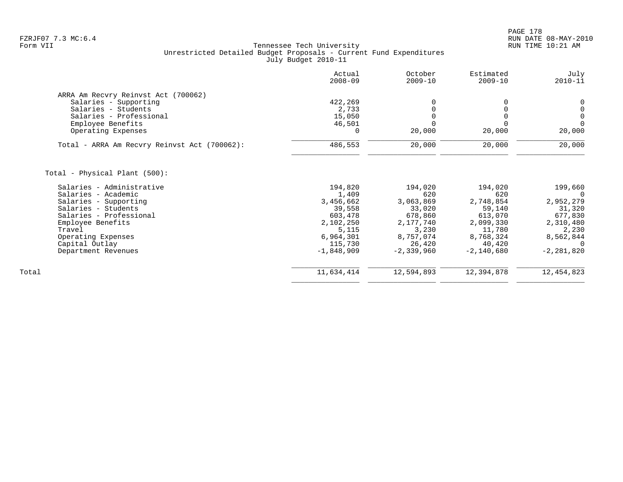| Actual<br>$2008 - 09$ | October<br>$2009 - 10$                  | Estimated<br>$2009 - 10$ | July<br>$2010 - 11$ |
|-----------------------|-----------------------------------------|--------------------------|---------------------|
|                       |                                         |                          |                     |
|                       |                                         |                          | 0                   |
|                       | $\Omega$                                |                          | $\mathsf{O}\xspace$ |
|                       |                                         |                          | $\mathbf 0$         |
| 46,501                | $\Omega$                                |                          | $\Omega$            |
| 0                     | 20,000                                  | 20,000                   | 20,000              |
| 486,553               | 20,000                                  | 20,000                   | 20,000              |
|                       |                                         |                          |                     |
|                       |                                         |                          |                     |
| 194,820               | 194,020                                 | 194,020                  | 199,660             |
| 1,409                 | 620                                     | 620                      | 0                   |
| 3,456,662             | 3,063,869                               | 2,748,854                | 2,952,279           |
| 39,558                | 33,020                                  | 59,140                   | 31,320              |
| 603,478               | 678,860                                 | 613,070                  | 677,830             |
|                       | 2,177,740                               | 2,099,330                | 2,310,480           |
| 5,115                 | 3,230                                   | 11,780                   | 2,230               |
| 6,964,301             | 8,757,074                               | 8,768,324                | 8,562,844           |
| 115,730               | 26,420                                  | 40,420                   |                     |
| $-1,848,909$          | $-2, 339, 960$                          | $-2,140,680$             | $-2, 281, 820$      |
| 11,634,414            | 12,594,893                              | 12,394,878               | 12,454,823          |
|                       | 422,269<br>2,733<br>15,050<br>2,102,250 |                          |                     |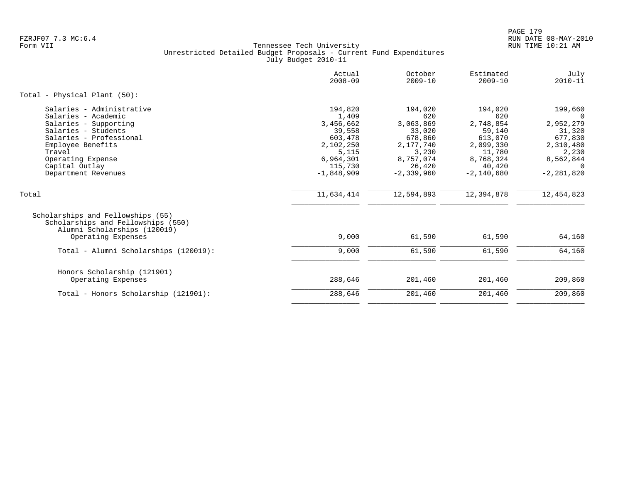PAGE 179 FZRJF07 7.3 MC:6.4 RUN DATE 08-MAY-2010

|                                                                                                                                                                                                                          | Actual<br>$2008 - 09$                                                                                            | October<br>$2009 - 10$                                                                                          | Estimated<br>$2009 - 10$                                                                                       | July<br>$2010 - 11$                                                                                                    |
|--------------------------------------------------------------------------------------------------------------------------------------------------------------------------------------------------------------------------|------------------------------------------------------------------------------------------------------------------|-----------------------------------------------------------------------------------------------------------------|----------------------------------------------------------------------------------------------------------------|------------------------------------------------------------------------------------------------------------------------|
| Total - Physical Plant (50):                                                                                                                                                                                             |                                                                                                                  |                                                                                                                 |                                                                                                                |                                                                                                                        |
| Salaries - Administrative<br>Salaries - Academic<br>Salaries - Supporting<br>Salaries - Students<br>Salaries - Professional<br>Employee Benefits<br>Travel<br>Operating Expense<br>Capital Outlay<br>Department Revenues | 194,820<br>1,409<br>3,456,662<br>39,558<br>603,478<br>2,102,250<br>5,115<br>6,964,301<br>115,730<br>$-1,848,909$ | 194,020<br>620<br>3,063,869<br>33,020<br>678,860<br>2,177,740<br>3,230<br>8,757,074<br>26,420<br>$-2, 339, 960$ | 194,020<br>620<br>2,748,854<br>59,140<br>613,070<br>2,099,330<br>11,780<br>8,768,324<br>40,420<br>$-2,140,680$ | 199,660<br>$\Omega$<br>2,952,279<br>31,320<br>677,830<br>2,310,480<br>2,230<br>8,562,844<br>$\Omega$<br>$-2, 281, 820$ |
| Total                                                                                                                                                                                                                    | 11,634,414                                                                                                       | 12,594,893                                                                                                      | 12,394,878                                                                                                     | 12,454,823                                                                                                             |
| Scholarships and Fellowships (55)<br>Scholarships and Fellowships (550)<br>Alumni Scholarships (120019)<br>Operating Expenses                                                                                            | 9,000                                                                                                            | 61,590                                                                                                          | 61,590                                                                                                         | 64,160                                                                                                                 |
| Total - Alumni Scholarships (120019):                                                                                                                                                                                    | 9,000                                                                                                            | 61,590                                                                                                          | 61,590                                                                                                         | 64,160                                                                                                                 |
| Honors Scholarship (121901)<br>Operating Expenses                                                                                                                                                                        | 288,646<br>288,646                                                                                               | 201,460<br>201,460                                                                                              | 201,460<br>201,460                                                                                             | 209,860<br>209,860                                                                                                     |
| Total - Honors Scholarship (121901):                                                                                                                                                                                     |                                                                                                                  |                                                                                                                 |                                                                                                                |                                                                                                                        |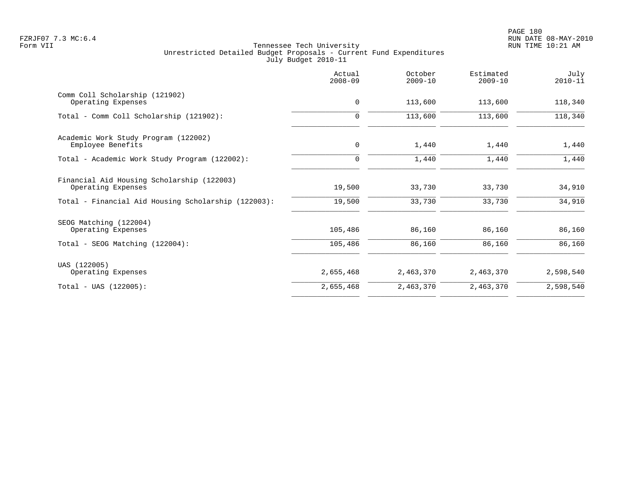|                                                                  | Actual<br>$2008 - 09$ | October<br>$2009 - 10$ | Estimated<br>$2009 - 10$ | July<br>$2010 - 11$ |
|------------------------------------------------------------------|-----------------------|------------------------|--------------------------|---------------------|
| Comm Coll Scholarship (121902)<br>Operating Expenses             | $\mathbf 0$           | 113,600                | 113,600                  | 118,340             |
| Total - Comm Coll Scholarship (121902):                          | $\Omega$              | 113,600                | 113,600                  | 118,340             |
| Academic Work Study Program (122002)                             |                       |                        |                          |                     |
| Employee Benefits                                                | $\mathbf 0$           | 1,440                  | 1,440                    | 1,440               |
| Total - Academic Work Study Program (122002):                    | $\Omega$              | 1,440                  | 1,440                    | 1,440               |
| Financial Aid Housing Scholarship (122003)<br>Operating Expenses | 19,500                | 33,730                 | 33,730                   | 34,910              |
| Total - Financial Aid Housing Scholarship (122003):              | 19,500                | 33,730                 | 33,730                   | 34,910              |
| SEOG Matching (122004)                                           |                       |                        |                          |                     |
| Operating Expenses                                               | 105,486               | 86,160                 | 86,160                   | 86,160              |
| Total - SEOG Matching (122004):                                  | 105,486               | 86,160                 | 86,160                   | 86,160              |
| UAS (122005)                                                     |                       |                        |                          |                     |
| Operating Expenses                                               | 2,655,468             | 2,463,370              | 2,463,370                | 2,598,540           |
| $Total - UAS (122005):$                                          | 2,655,468             | 2,463,370              | 2,463,370                | 2,598,540           |
|                                                                  |                       |                        |                          |                     |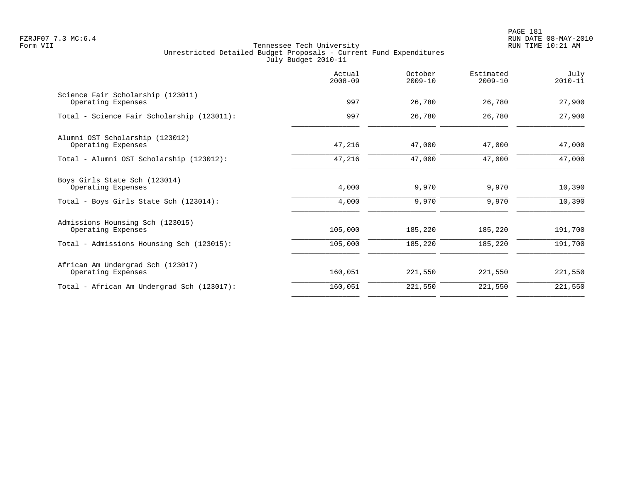PAGE 181 FZRJF07 7.3 MC:6.4 RUN DATE 08-MAY-2010

|                                                         | Actual<br>$2008 - 09$ | October<br>$2009 - 10$ | Estimated<br>$2009 - 10$ | July<br>$2010 - 11$ |
|---------------------------------------------------------|-----------------------|------------------------|--------------------------|---------------------|
| Science Fair Scholarship (123011)<br>Operating Expenses | 997                   | 26,780                 | 26,780                   | 27,900              |
| Total - Science Fair Scholarship (123011):              | 997                   | 26,780                 | 26,780                   | 27,900              |
| Alumni OST Scholarship (123012)<br>Operating Expenses   | 47,216                | 47,000                 | 47,000                   | 47,000              |
| Total - Alumni OST Scholarship (123012):                | 47,216                | 47,000                 | 47,000                   | 47,000              |
| Boys Girls State Sch (123014)<br>Operating Expenses     | 4,000                 | 9,970                  | 9,970                    | 10,390              |
| Total - Boys Girls State Sch (123014):                  | 4,000                 | 9,970                  | 9,970                    | 10,390              |
| Admissions Hounsing Sch (123015)<br>Operating Expenses  | 105,000               | 185,220                | 185,220                  | 191,700             |
| Total - Admissions Hounsing Sch (123015):               | 105,000               | 185,220                | 185,220                  | 191,700             |
| African Am Undergrad Sch (123017)<br>Operating Expenses | 160,051               | 221,550                | 221,550                  | 221,550             |
| Total - African Am Undergrad Sch (123017):              | 160,051               | 221,550                | 221,550                  | 221,550             |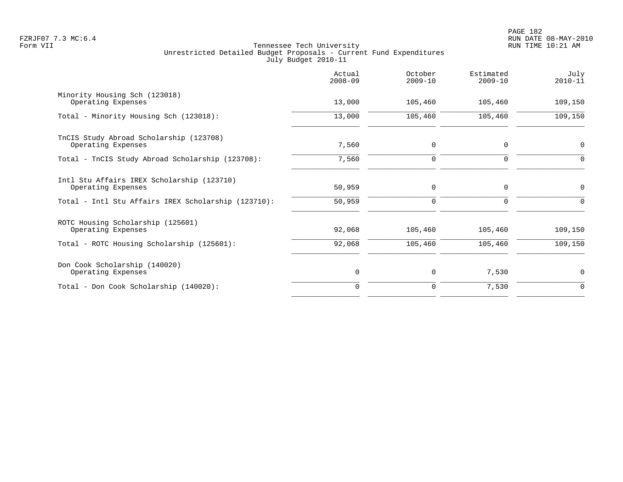|                                                                  | Actual<br>$2008 - 09$ | October<br>$2009 - 10$ | Estimated<br>$2009 - 10$ | July<br>$2010 - 11$ |
|------------------------------------------------------------------|-----------------------|------------------------|--------------------------|---------------------|
| Minority Housing Sch (123018)<br>Operating Expenses              | 13,000                | 105,460                | 105,460                  | 109,150             |
| Total - Minority Housing Sch (123018):                           | 13,000                | 105,460                | 105,460                  | 109,150             |
| TnCIS Study Abroad Scholarship (123708)<br>Operating Expenses    | 7,560                 | $\mathbf 0$            | $\Omega$                 | $\mathbf 0$         |
| Total - TnCIS Study Abroad Scholarship (123708):                 | 7,560                 | $\mathbf 0$            | 0                        | 0                   |
| Intl Stu Affairs IREX Scholarship (123710)<br>Operating Expenses | 50,959                | $\mathbf 0$            | $\Omega$                 | $\Omega$            |
| Total - Intl Stu Affairs IREX Scholarship (123710):              | 50,959                | 0                      | 0                        | $\Omega$            |
| ROTC Housing Scholarship (125601)<br>Operating Expenses          | 92,068                | 105,460                | 105,460                  | 109,150             |
| Total - ROTC Housing Scholarship (125601):                       | 92,068                | 105,460                | 105,460                  | 109,150             |
| Don Cook Scholarship (140020)<br>Operating Expenses              | 0                     | $\mathbf 0$            | 7,530                    | $\mathbf 0$         |
| Total - Don Cook Scholarship (140020):                           | $\Omega$              | $\mathbf 0$            | 7,530                    | $\mathbf 0$         |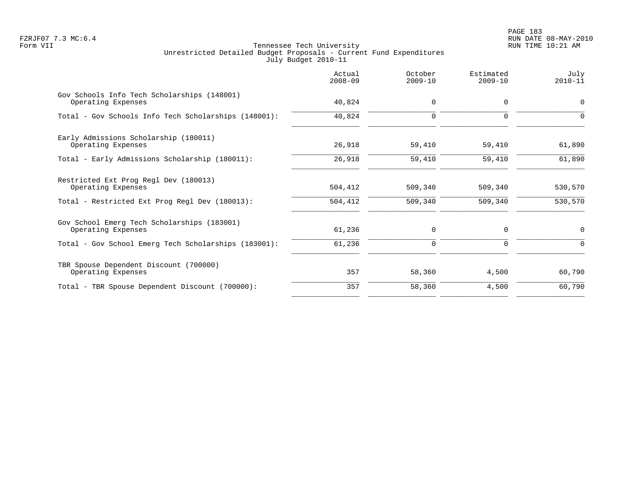PAGE 183 FZRJF07 7.3 MC:6.4 RUN DATE 08-MAY-2010

| $2008 - 09$ | October<br>$2009 - 10$ | Estimated<br>$2009 - 10$ | July<br>$2010 - 11$ |
|-------------|------------------------|--------------------------|---------------------|
| 40,824      | $\mathbf 0$            | $\Omega$                 | $\mathbf 0$         |
| 40,824      | $\mathbf 0$            | $\Omega$                 | $\Omega$            |
| 26,918      | 59,410                 | 59,410                   | 61,890              |
| 26,918      | 59,410                 | 59,410                   | 61,890              |
| 504,412     | 509,340                | 509,340                  | 530,570             |
| 504,412     | 509,340                | 509,340                  | 530,570             |
| 61,236      | 0                      | 0                        | $\mathbf 0$         |
| 61,236      | $\Omega$               | $\Omega$                 | $\Omega$            |
| 357         | 58,360                 | 4,500                    | 60,790              |
| 357         | 58,360                 | 4,500                    | 60,790              |
|             |                        |                          |                     |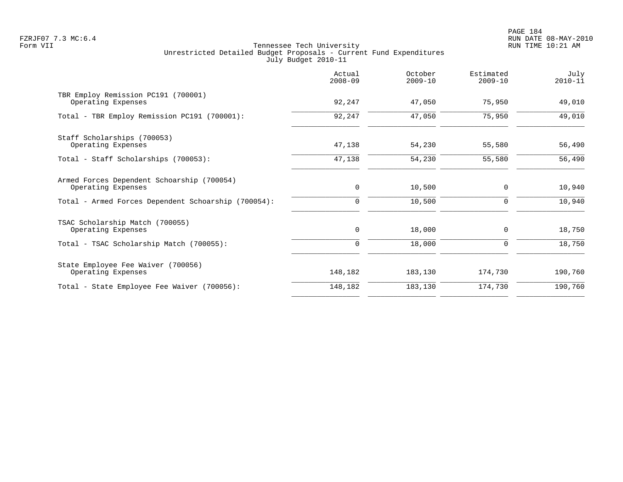PAGE 184 FZRJF07 7.3 MC:6.4 RUN DATE 08-MAY-2010

|                                                                  | Actual<br>$2008 - 09$ | October<br>$2009 - 10$ | Estimated<br>$2009 - 10$ | July<br>$2010 - 11$ |
|------------------------------------------------------------------|-----------------------|------------------------|--------------------------|---------------------|
| TBR Employ Remission PC191 (700001)<br>Operating Expenses        | 92,247                | 47,050                 | 75,950                   | 49,010              |
| Total - TBR Employ Remission PC191 (700001):                     | 92,247                | 47,050                 | 75,950                   | 49,010              |
| Staff Scholarships (700053)<br>Operating Expenses                | 47,138                | 54,230                 | 55,580                   | 56,490              |
| Total - Staff Scholarships (700053):                             | 47,138                | 54,230                 | 55,580                   | 56,490              |
| Armed Forces Dependent Schoarship (700054)<br>Operating Expenses | 0                     | 10,500                 | 0                        | 10,940              |
| Total - Armed Forces Dependent Schoarship (700054):              | $\mathbf 0$           | 10,500                 | 0                        | 10,940              |
| TSAC Scholarship Match (700055)<br>Operating Expenses            | $\mathbf 0$           | 18,000                 | $\mathbf 0$              | 18,750              |
| Total - TSAC Scholarship Match (700055):                         | 0                     | 18,000                 | 0                        | 18,750              |
| State Employee Fee Waiver (700056)<br>Operating Expenses         | 148,182               | 183,130                | 174,730                  | 190,760             |
| Total - State Employee Fee Waiver (700056):                      | 148,182               | 183,130                | 174,730                  | 190,760             |
|                                                                  |                       |                        |                          |                     |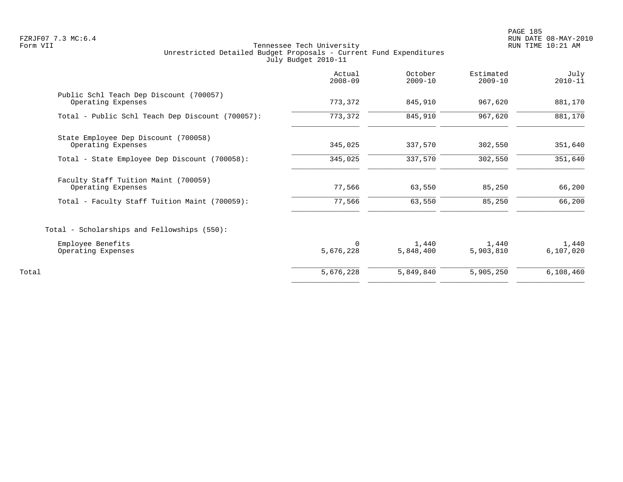PAGE 185 FZRJF07 7.3 MC:6.4 RUN DATE 08-MAY-2010

|                                                               | Actual<br>$2008 - 09$ | October<br>$2009 - 10$ | Estimated<br>$2009 - 10$ | July<br>$2010 - 11$ |
|---------------------------------------------------------------|-----------------------|------------------------|--------------------------|---------------------|
| Public Schl Teach Dep Discount (700057)<br>Operating Expenses | 773,372               | 845,910                | 967,620                  | 881,170             |
| Total - Public Schl Teach Dep Discount (700057):              | 773,372               | 845,910                | 967,620                  | 881,170             |
| State Employee Dep Discount (700058)<br>Operating Expenses    | 345,025               | 337,570                | 302,550                  | 351,640             |
| Total - State Employee Dep Discount (700058):                 | 345,025               | 337,570                | 302,550                  | 351,640             |
| Faculty Staff Tuition Maint (700059)<br>Operating Expenses    | 77,566                | 63,550                 | 85,250                   | 66,200              |
| Total - Faculty Staff Tuition Maint (700059):                 | 77,566                | 63,550                 | 85,250                   | 66,200              |
| Total - Scholarships and Fellowships (550):                   |                       |                        |                          |                     |
| Employee Benefits<br>Operating Expenses                       | $\Omega$<br>5,676,228 | 1,440<br>5,848,400     | 1,440<br>5,903,810       | 1,440<br>6,107,020  |
| Total                                                         | 5,676,228             | 5,849,840              | 5,905,250                | 6,108,460           |
|                                                               |                       |                        |                          |                     |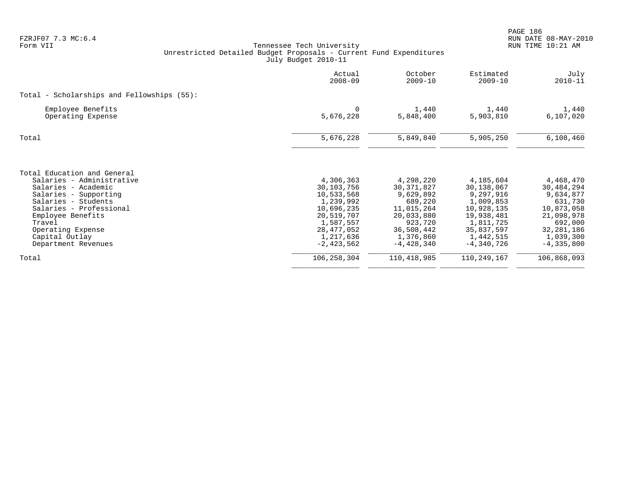PAGE 186 FZRJF07 7.3 MC:6.4 RUN DATE 08-MAY-2010

|                                                                                                                                                                                                                                                         | Actual<br>$2008 - 09$                                                                                                                  | October<br>$2009 - 10$                                                                                                              | Estimated<br>$2009 - 10$                                                                                                              | July<br>$2010 - 11$                                                                                                                   |
|---------------------------------------------------------------------------------------------------------------------------------------------------------------------------------------------------------------------------------------------------------|----------------------------------------------------------------------------------------------------------------------------------------|-------------------------------------------------------------------------------------------------------------------------------------|---------------------------------------------------------------------------------------------------------------------------------------|---------------------------------------------------------------------------------------------------------------------------------------|
| Total - Scholarships and Fellowships $(55)$ :                                                                                                                                                                                                           |                                                                                                                                        |                                                                                                                                     |                                                                                                                                       |                                                                                                                                       |
| Employee Benefits<br>Operating Expense                                                                                                                                                                                                                  | $\Omega$<br>5,676,228                                                                                                                  | 1,440<br>5,848,400                                                                                                                  | 1,440<br>5,903,810                                                                                                                    | 1,440<br>6,107,020                                                                                                                    |
| Total                                                                                                                                                                                                                                                   | 5,676,228                                                                                                                              | 5,849,840                                                                                                                           | 5,905,250                                                                                                                             | 6,108,460                                                                                                                             |
| Total Education and General<br>Salaries - Administrative<br>Salaries - Academic<br>Salaries - Supporting<br>Salaries - Students<br>Salaries - Professional<br>Employee Benefits<br>Travel<br>Operating Expense<br>Capital Outlay<br>Department Revenues | 4,306,363<br>30,103,756<br>10,533,568<br>1,239,992<br>10,696,235<br>20,519,707<br>1,587,557<br>28,477,052<br>1,217,636<br>$-2.423.562$ | 4,298,220<br>30, 371, 827<br>9,629,892<br>689,220<br>11,015,264<br>20,033,880<br>923,720<br>36,508,442<br>1,376,860<br>$-4,428,340$ | 4,185,604<br>30,138,067<br>9,297,916<br>1,009,853<br>10,928,135<br>19,938,481<br>1,811,725<br>35,837,597<br>1,442,515<br>$-4,340,726$ | 4,468,470<br>30,484,294<br>9,634,877<br>631,730<br>10,873,058<br>21,098,978<br>692,000<br>32, 281, 186<br>1,039,300<br>$-4, 335, 800$ |
| Total                                                                                                                                                                                                                                                   | 106, 258, 304                                                                                                                          | 110,418,985                                                                                                                         | 110,249,167                                                                                                                           | 106,868,093                                                                                                                           |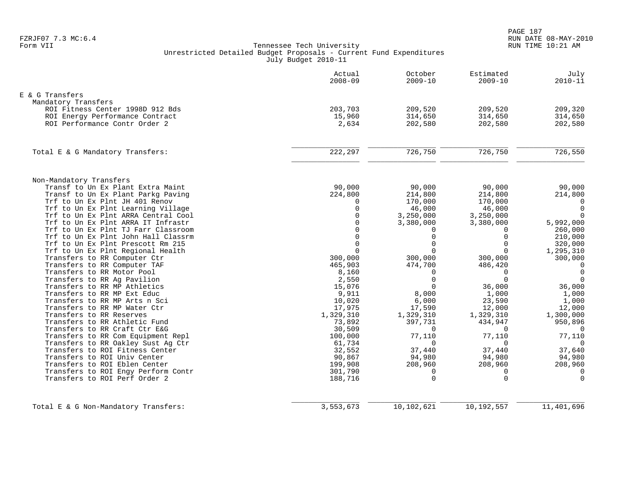|                                                                          | Actual<br>$2008 - 09$   | October<br>$2009 - 10$  | Estimated<br>$2009 - 10$ | July<br>$2010 - 11$  |
|--------------------------------------------------------------------------|-------------------------|-------------------------|--------------------------|----------------------|
| E & G Transfers                                                          |                         |                         |                          |                      |
| Mandatory Transfers                                                      |                         |                         |                          |                      |
| ROI Fitness Center 1998D 912 Bds                                         | 203,703                 | 209,520                 | 209,520                  | 209,320              |
| ROI Energy Performance Contract                                          | 15,960                  | 314,650                 | 314,650                  | 314,650              |
| ROI Performance Contr Order 2                                            | 2,634                   | 202,580                 | 202,580                  | 202,580              |
| Total E & G Mandatory Transfers:                                         | 222,297                 | 726,750                 | 726,750                  | 726,550              |
|                                                                          |                         |                         |                          |                      |
| Non-Mandatory Transfers                                                  |                         |                         |                          |                      |
| Transf to Un Ex Plant Extra Maint                                        | 90,000                  | 90,000                  | 90,000                   | 90,000               |
| Transf to Un Ex Plant Parkg Paving                                       | 224,800                 | 214,800                 | 214,800                  | 214,800              |
| Trf to Un Ex Plnt JH 401 Renov                                           | 0                       | 170,000                 | 170,000                  | 0                    |
| Trf to Un Ex Plnt Learning Village                                       | $\mathbf 0$             | 46,000                  | 46,000                   | $\mathbf 0$          |
| Trf to Un Ex Plnt ARRA Central Cool                                      | $\Omega$                | 3,250,000               | 3,250,000                | $\Omega$             |
| Trf to Un Ex Plnt ARRA IT Infrastr                                       | $\mathbf 0$<br>$\Omega$ | 3,380,000               | 3,380,000                | 5,992,000            |
| Trf to Un Ex Plnt TJ Farr Classroom                                      | $\mathbf 0$             | $\Omega$<br>$\mathbf 0$ | $\Omega$<br>$\mathbf 0$  | 260,000              |
| Trf to Un Ex Plnt John Hall Classrm<br>Trf to Un Ex Plnt Prescott Rm 215 | $\Omega$                | $\Omega$                | $\Omega$                 | 210,000              |
| Trf to Un Ex Plnt Regional Health                                        | $\Omega$                | $\Omega$                | $\Omega$                 | 320,000<br>1,295,310 |
| Transfers to RR Computer Ctr                                             | 300,000                 | 300,000                 | 300,000                  | 300,000              |
| Transfers to RR Computer TAF                                             | 465,903                 | 474,700                 | 486,420                  | $\mathbf 0$          |
| Transfers to RR Motor Pool                                               | 8,160                   | $\Omega$                | $\Omega$                 | $\mathbf 0$          |
| Transfers to RR Ag Pavilion                                              | 2,550                   | $\Omega$                | $\Omega$                 | $\Omega$             |
| Transfers to RR MP Athletics                                             | 15,076                  | $\Omega$                | 36,000                   | 36,000               |
| Transfers to RR MP Ext Educ                                              | 9,911                   | 8,000                   | 1,000                    | 1,000                |
| Transfers to RR MP Arts n Sci                                            | 10,020                  | 6,000                   | 23,590                   | 1,000                |
| Transfers to RR MP Water Ctr                                             | 17,975                  | 17,590                  | 12,000                   | 12,000               |
| Transfers to RR Reserves                                                 | 1,329,310               | 1,329,310               | 1,329,310                | 1,300,000            |
| Transfers to RR Athletic Fund                                            | 73,892                  | 397,731                 | 434,947                  | 950,896              |
| Transfers to RR Craft Ctr E&G                                            | 30,509                  | $\Omega$                | $\Omega$                 | $\Omega$             |
| Transfers to RR Com Equipment Repl                                       | 100,000                 | 77,110                  | 77,110                   | 77,110               |
| Transfers to RR Oakley Sust Aq Ctr                                       | 61,734                  | $\Omega$                | $\Omega$                 | $\Omega$             |
| Transfers to ROI Fitness Center                                          | 32,552                  | 37,440                  | 37,440                   | 37,640               |
| Transfers to ROI Univ Center                                             | 90,867                  | 94,980                  | 94,980                   | 94,980               |
| Transfers to ROI Eblen Center                                            | 199,908                 | 208,960                 | 208,960                  | 208,960              |
| Transfers to ROI Engy Perform Contr                                      | 301,790                 | $\Omega$                | $\Omega$                 | $\Omega$             |
| Transfers to ROI Perf Order 2                                            | 188,716                 | $\Omega$                | $\mathbf 0$              | $\mathbf 0$          |
|                                                                          |                         |                         |                          |                      |
| Total E & G Non-Mandatory Transfers:                                     | 3,553,673               | 10,102,621              | 10,192,557               | 11,401,696           |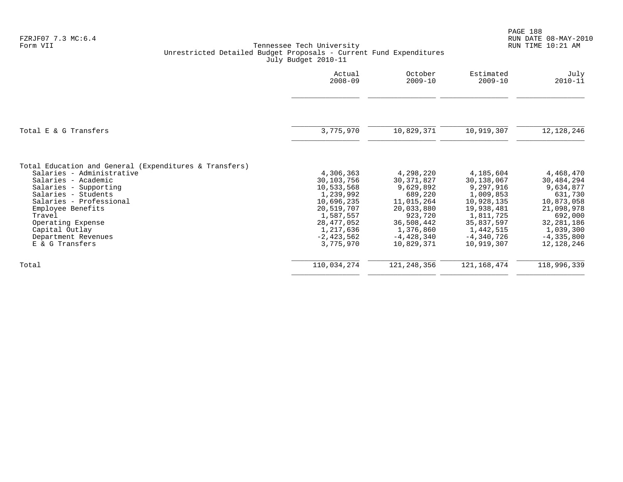|                                                                                     | Actual       | October       | Estimated     | July           |
|-------------------------------------------------------------------------------------|--------------|---------------|---------------|----------------|
|                                                                                     | $2008 - 09$  | $2009 - 10$   | $2009 - 10$   | $2010 - 11$    |
|                                                                                     |              |               |               |                |
| Total E & G Transfers                                                               | 3,775,970    | 10,829,371    | 10,919,307    | 12, 128, 246   |
| Total Education and General (Expenditures & Transfers)<br>Salaries - Administrative | 4,306,363    | 4,298,220     | 4,185,604     | 4,468,470      |
| Salaries - Academic                                                                 | 30,103,756   | 30, 371, 827  | 30,138,067    | 30,484,294     |
| Salaries - Supporting                                                               | 10,533,568   | 9,629,892     | 9,297,916     | 9,634,877      |
| Salaries - Students                                                                 | 1,239,992    | 689,220       | 1,009,853     | 631,730        |
| Salaries - Professional                                                             | 10,696,235   | 11,015,264    | 10,928,135    | 10,873,058     |
| Employee Benefits                                                                   | 20,519,707   | 20,033,880    | 19,938,481    | 21,098,978     |
| Travel                                                                              | 1,587,557    | 923,720       | 1,811,725     | 692,000        |
| Operating Expense                                                                   | 28, 477, 052 | 36,508,442    | 35,837,597    | 32, 281, 186   |
| Capital Outlay                                                                      | 1,217,636    | 1,376,860     | 1,442,515     | 1,039,300      |
| Department Revenues                                                                 | $-2,423,562$ | $-4,428,340$  | $-4,340,726$  | $-4, 335, 800$ |
| E & G Transfers                                                                     | 3,775,970    | 10,829,371    | 10,919,307    | 12,128,246     |
| Total                                                                               | 110,034,274  | 121, 248, 356 | 121, 168, 474 | 118,996,339    |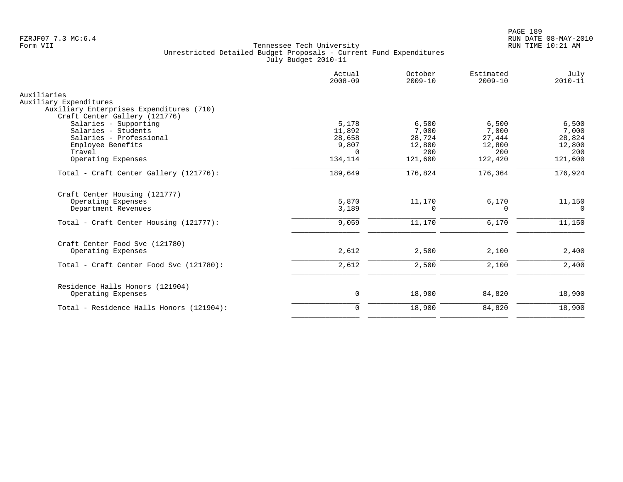|                                                       | Actual<br>$2008 - 09$ | October<br>$2009 - 10$ | Estimated<br>$2009 - 10$ | July<br>$2010 - 11$ |
|-------------------------------------------------------|-----------------------|------------------------|--------------------------|---------------------|
| Auxiliaries                                           |                       |                        |                          |                     |
| Auxiliary Expenditures                                |                       |                        |                          |                     |
| Auxiliary Enterprises Expenditures (710)              |                       |                        |                          |                     |
| Craft Center Gallery (121776)                         |                       |                        |                          |                     |
| Salaries - Supporting                                 | 5,178                 | 6,500                  | 6,500                    | 6,500               |
| Salaries - Students                                   | 11,892                | 7,000                  | 7,000                    | 7,000               |
| Salaries - Professional                               | 28,658                | 28,724                 | 27,444                   | 28,824              |
| Employee Benefits                                     | 9,807                 | 12,800                 | 12,800                   | 12,800              |
| Travel                                                | $\Omega$              | 200                    | 200                      | 200                 |
| Operating Expenses                                    | 134,114               | 121,600                | 122,420                  | 121,600             |
| Total - Craft Center Gallery (121776):                | 189,649               | 176,824                | 176,364                  | 176,924             |
| Craft Center Housing (121777)                         |                       |                        |                          |                     |
| Operating Expenses                                    | 5,870                 | 11,170                 | 6,170                    | 11,150              |
| Department Revenues                                   | 3,189                 | <sup>0</sup>           | 0                        | 0                   |
| Total - Craft Center Housing (121777):                | 9,059                 | 11,170                 | 6,170                    | 11,150              |
| Craft Center Food Svc (121780)                        |                       |                        |                          |                     |
| Operating Expenses                                    | 2,612                 | 2,500                  | 2,100                    | 2,400               |
| Total - Craft Center Food Svc (121780):               | 2,612                 | 2,500                  | 2,100                    | 2,400               |
|                                                       |                       |                        |                          |                     |
| Residence Halls Honors (121904)<br>Operating Expenses | 0                     | 18,900                 | 84,820                   | 18,900              |
| Total - Residence Halls Honors (121904):              | $\mathbf 0$           | 18,900                 | 84,820                   | 18,900              |
|                                                       |                       |                        |                          |                     |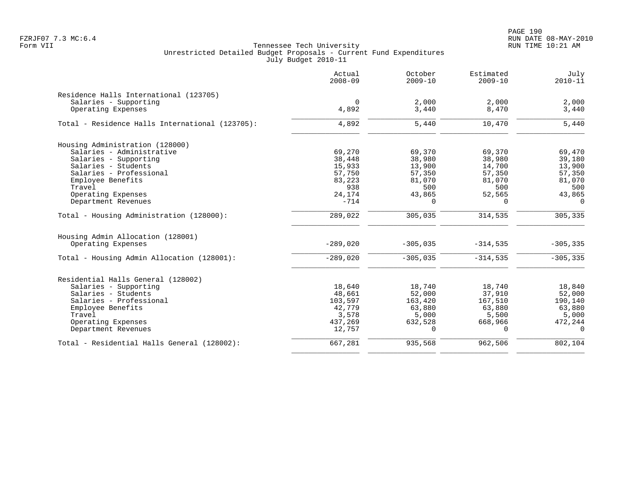PAGE 190 FZRJF07 7.3 MC:6.4 RUN DATE 08-MAY-2010

|                                                 | Actual<br>$2008 - 09$ | October<br>$2009 - 10$ | Estimated<br>$2009 - 10$ | July<br>$2010 - 11$ |
|-------------------------------------------------|-----------------------|------------------------|--------------------------|---------------------|
| Residence Halls International (123705)          |                       |                        |                          |                     |
| Salaries - Supporting                           | $\Omega$              | 2,000                  | 2,000                    | 2,000               |
| Operating Expenses                              | 4,892                 | 3,440                  | 8,470                    | 3,440               |
| Total - Residence Halls International (123705): | 4,892                 | 5,440                  | 10,470                   | 5,440               |
| Housing Administration (128000)                 |                       |                        |                          |                     |
| Salaries - Administrative                       | 69,270                | 69,370                 | 69,370                   | 69,470              |
| Salaries - Supporting                           | 38,448                | 38,980                 | 38,980                   | 39,180              |
| Salaries - Students                             | 15,933                | 13,900                 | 14,700                   | 13,900              |
| Salaries - Professional                         | 57,750                | 57,350                 | 57,350                   | 57,350              |
| Employee Benefits                               | 83,223                | 81,070                 | 81,070                   | 81,070              |
| Travel                                          | 938                   | 500                    | 500                      | 500                 |
| Operating Expenses                              | 24,174                | 43,865                 | 52,565                   | 43,865              |
| Department Revenues                             | $-714$                | $\Omega$               | $\Omega$                 | $\Omega$            |
| Total - Housing Administration (128000):        | 289,022               | 305,035                | 314,535                  | 305,335             |
| Housing Admin Allocation (128001)               |                       |                        |                          |                     |
| Operating Expenses                              | $-289,020$            | $-305,035$             | $-314,535$               | $-305, 335$         |
| Total - Housing Admin Allocation (128001):      | $-289,020$            | $-305,035$             | $-314,535$               | $-305, 335$         |
| Residential Halls General (128002)              |                       |                        |                          |                     |
| Salaries - Supporting                           | 18,640                | 18,740                 | 18,740                   | 18,840              |
| Salaries - Students                             | 48,661                | 52,000                 | 37,910                   | 52,000              |
| Salaries - Professional                         | 103,597               | 163,420                | 167,510                  | 190,140             |
| Employee Benefits                               | 42,779                | 63,880                 | 63,880                   | 63,880              |
| Travel                                          | 3,578                 | 5,000                  | 5,500                    | 5,000               |
| Operating Expenses                              | 437,269               | 632,528                | 668,966                  | 472,244             |
| Department Revenues                             | 12,757                | $\Omega$               | $\Omega$                 | $\Omega$            |
| Total - Residential Halls General (128002):     | 667,281               | 935,568                | 962,506                  | 802, 104            |
|                                                 |                       |                        |                          |                     |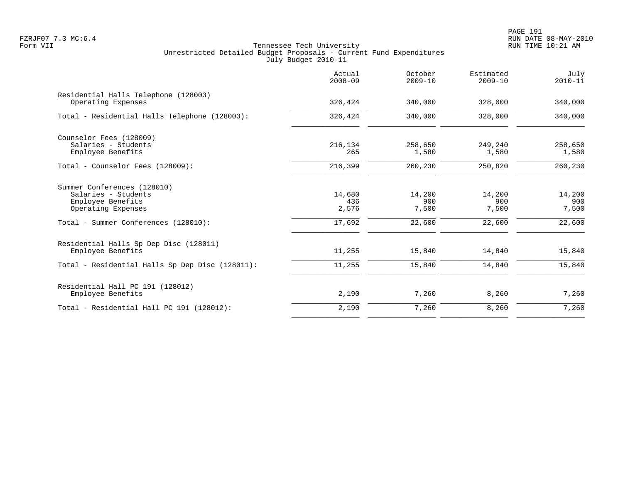PAGE 191 FZRJF07 7.3 MC:6.4 RUN DATE 08-MAY-2010

|                                                                                               | Actual<br>$2008 - 09$  | October<br>$2009 - 10$ | Estimated<br>$2009 - 10$ | July<br>$2010 - 11$    |
|-----------------------------------------------------------------------------------------------|------------------------|------------------------|--------------------------|------------------------|
| Residential Halls Telephone (128003)<br>Operating Expenses                                    | 326,424                | 340,000                | 328,000                  | 340,000                |
| Total - Residential Halls Telephone (128003):                                                 | 326,424                | 340,000                | 328,000                  | 340,000                |
| Counselor Fees (128009)<br>Salaries - Students<br>Employee Benefits                           | 216,134<br>265         | 258,650<br>1,580       | 249,240<br>1,580         | 258,650<br>1,580       |
| Total - Counselor Fees (128009):                                                              | 216,399                | 260,230                | 250,820                  | 260,230                |
| Summer Conferences (128010)<br>Salaries - Students<br>Employee Benefits<br>Operating Expenses | 14,680<br>436<br>2,576 | 14,200<br>900<br>7,500 | 14,200<br>900<br>7,500   | 14,200<br>900<br>7,500 |
| Total - Summer Conferences (128010):                                                          | 17,692                 | 22,600                 | 22,600                   | 22,600                 |
| Residential Halls Sp Dep Disc (128011)<br>Employee Benefits                                   | 11,255                 | 15,840                 | 14,840                   | 15,840                 |
| Total - Residential Halls Sp Dep Disc (128011):                                               | 11,255                 | 15,840                 | 14,840                   | 15,840                 |
| Residential Hall PC 191 (128012)<br>Employee Benefits                                         | 2,190                  | 7,260                  | 8,260                    | 7,260                  |
| Total - Residential Hall PC 191 (128012):                                                     | 2,190                  | 7,260                  | 8,260                    | 7,260                  |
|                                                                                               |                        |                        |                          |                        |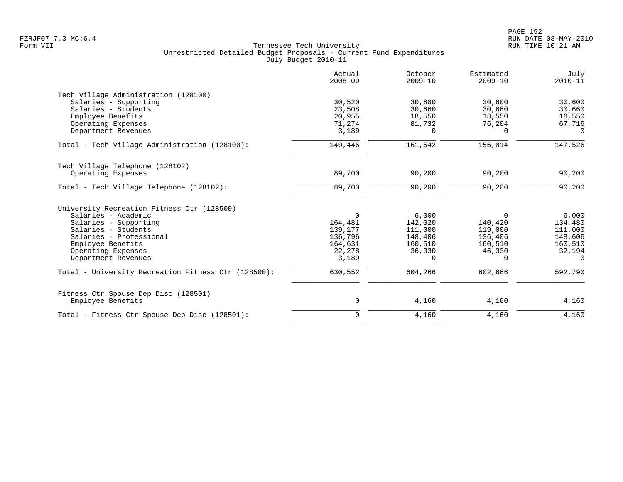|                                                           | Actual<br>$2008 - 09$ | October<br>$2009 - 10$ | Estimated<br>$2009 - 10$ | July<br>$2010 - 11$ |
|-----------------------------------------------------------|-----------------------|------------------------|--------------------------|---------------------|
| Tech Village Administration (128100)                      |                       |                        |                          |                     |
| Salaries - Supporting                                     | 30,520                | 30,600                 | 30,600                   | 30,600              |
| Salaries - Students                                       | 23,508                | 30,660                 | 30,660                   | 30,660              |
| Employee Benefits                                         | 20,955                | 18,550                 | 18,550                   | 18,550              |
| Operating Expenses                                        | 71,274                | 81,732                 | 76,204                   | 67,716              |
| Department Revenues                                       | 3,189                 | $\Omega$               | $\Omega$                 | $\Omega$            |
| Total - Tech Village Administration (128100):             | 149,446               | 161,542                | 156,014                  | 147,526             |
| Tech Village Telephone (128102)                           |                       |                        |                          |                     |
| Operating Expenses                                        | 89,700                | 90,200                 | 90,200                   | 90,200              |
| Total - Tech Village Telephone (128102):                  | 89,700                | 90,200                 | 90,200                   | 90,200              |
|                                                           |                       |                        |                          |                     |
| University Recreation Fitness Ctr (128500)                |                       |                        |                          |                     |
| Salaries - Academic                                       | $\mathbf 0$           | 6,000                  | 0                        | 6,000               |
| Salaries - Supporting                                     | 164,481               | 142,020                | 140,420                  | 134,480             |
| Salaries - Students                                       | 139,177               | 111,000                | 119,000                  | 111,000             |
| Salaries - Professional                                   | 136,796               | 148,406                | 136,406                  | 148,606             |
| Employee Benefits                                         | 164,631               | 160,510                | 160,510                  | 160,510             |
| Operating Expenses                                        | 22,278                | 36,330                 | 46,330                   | 32,194              |
| Department Revenues                                       | 3,189                 | $\Omega$               | $\Omega$                 | $\Omega$            |
| Total - University Recreation Fitness Ctr (128500):       | 630,552               | 604,266                | 602,666                  | 592,790             |
|                                                           |                       |                        |                          |                     |
| Fitness Ctr Spouse Dep Disc (128501)<br>Employee Benefits | 0                     | 4,160                  | 4,160                    | 4,160               |
|                                                           |                       |                        |                          |                     |
| Total - Fitness Ctr Spouse Dep Disc (128501):             | $\mathbf 0$           | 4,160                  | 4,160                    | 4,160               |
|                                                           |                       |                        |                          |                     |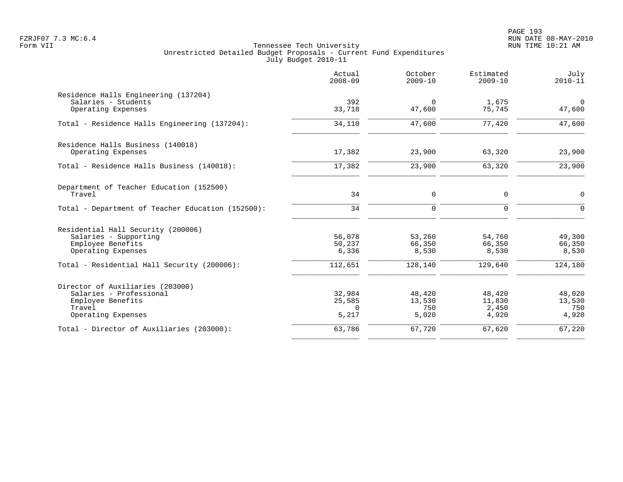PAGE 193 FZRJF07 7.3 MC:6.4 RUN DATE 08-MAY-2010

|                                                                                                                                                       | Actual<br>$2008 - 09$                | October<br>$2009 - 10$               | Estimated<br>$2009 - 10$             | July<br>$2010 - 11$                  |
|-------------------------------------------------------------------------------------------------------------------------------------------------------|--------------------------------------|--------------------------------------|--------------------------------------|--------------------------------------|
| Residence Halls Engineering (137204)<br>Salaries - Students<br>Operating Expenses                                                                     | 392<br>33,718                        | $\Omega$<br>47,600                   | 1,675<br>75,745                      | $\Omega$<br>47,600                   |
| Total - Residence Halls Engineering (137204):                                                                                                         | 34,110                               | 47,600                               | 77,420                               | 47,600                               |
| Residence Halls Business (140018)<br>Operating Expenses                                                                                               | 17,382                               | 23,900                               | 63,320                               | 23,900                               |
| Total - Residence Halls Business (140018):                                                                                                            | 17,382                               | 23,900                               | 63,320                               | 23,900                               |
| Department of Teacher Education (152500)<br>Travel<br>Total - Department of Teacher Education (152500):                                               | 34<br>34                             | $\mathbf 0$<br>$\Omega$              | 0<br>$\Omega$                        | $\mathbf 0$<br>$\Omega$              |
| Residential Hall Security (200006)<br>Salaries - Supporting<br>Employee Benefits<br>Operating Expenses<br>Total - Residential Hall Security (200006): | 56,078<br>50,237<br>6,336<br>112,651 | 53,260<br>66,350<br>8,530<br>128,140 | 54,760<br>66,350<br>8,530<br>129,640 | 49,300<br>66,350<br>8,530<br>124,180 |
| Director of Auxiliaries (203000)<br>Salaries - Professional<br>Employee Benefits<br>Travel<br>Operating Expenses                                      | 32,984<br>25,585<br>0<br>5,217       | 48,420<br>13,530<br>750<br>5,020     | 48,420<br>11,830<br>2,450<br>4,920   | 48,020<br>13,530<br>750<br>4,920     |
| Total - Director of Auxiliaries (203000):                                                                                                             | 63,786                               | 67,720                               | 67,620                               | 67,220                               |
|                                                                                                                                                       |                                      |                                      |                                      |                                      |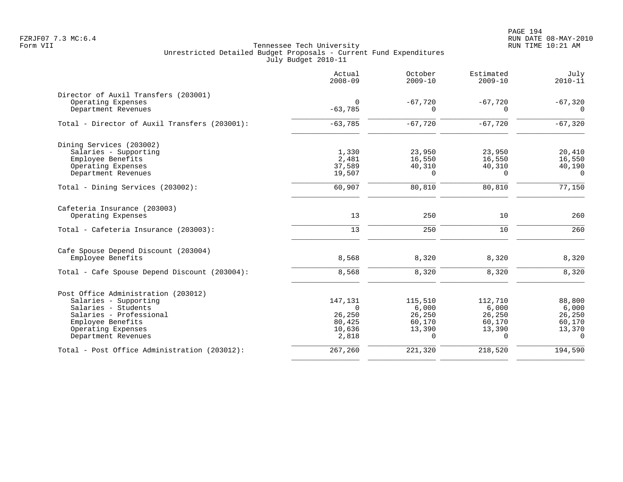PAGE 194 FZRJF07 7.3 MC:6.4 RUN DATE 08-MAY-2010

|                                               | Actual<br>$2008 - 09$ | October<br>$2009 - 10$ | Estimated<br>$2009 - 10$ | July<br>$2010 - 11$ |
|-----------------------------------------------|-----------------------|------------------------|--------------------------|---------------------|
| Director of Auxil Transfers (203001)          |                       |                        |                          |                     |
| Operating Expenses                            | 0                     | $-67,720$              | $-67,720$                | $-67,320$           |
| Department Revenues                           | $-63,785$             | O                      | $\Omega$                 | $\Omega$            |
| Total - Director of Auxil Transfers (203001): | $-63,785$             | $-67,720$              | $-67,720$                | $-67,320$           |
| Dining Services (203002)                      |                       |                        |                          |                     |
| Salaries - Supporting                         | 1,330                 | 23,950                 | 23,950                   | 20,410              |
| Employee Benefits                             | 2,481                 | 16,550                 | 16,550                   | 16,550              |
| Operating Expenses                            | 37,589                | 40,310                 | 40,310                   | 40,190              |
| Department Revenues                           | 19,507                | $\Omega$               | $\Omega$                 | $\Omega$            |
| Total - Dining Services (203002):             | 60,907                | 80,810                 | 80,810                   | 77,150              |
| Cafeteria Insurance (203003)                  |                       |                        |                          |                     |
| Operating Expenses                            | 13                    | 250                    | 10                       | 260                 |
| Total - Cafeteria Insurance (203003):         | 13                    | 250                    | 10                       | 260                 |
| Cafe Spouse Depend Discount (203004)          |                       |                        |                          |                     |
| Employee Benefits                             | 8,568                 | 8,320                  | 8,320                    | 8,320               |
| Total - Cafe Spouse Depend Discount (203004): | 8,568                 | 8,320                  | 8,320                    | 8,320               |
| Post Office Administration (203012)           |                       |                        |                          |                     |
| Salaries - Supporting                         | 147,131               | 115,510                | 112,710                  | 88,800              |
| Salaries - Students                           | $\Omega$              | 6,000                  | 6,000                    | 6,000               |
| Salaries - Professional                       | 26,250                | 26,250                 | 26,250                   | 26,250              |
| Employee Benefits                             | 80,425                | 60,170                 | 60,170                   | 60,170              |
| Operating Expenses                            | 10,636                | 13,390                 | 13,390                   | 13,370              |
| Department Revenues                           | 2,818                 | $\Omega$               | $\Omega$                 | $\Omega$            |
| Total - Post Office Administration (203012):  | 267,260               | 221,320                | 218,520                  | 194,590             |
|                                               |                       |                        |                          |                     |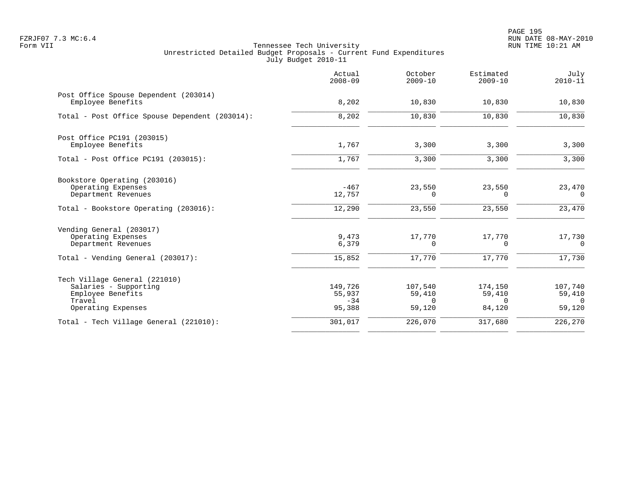PAGE 195 FZRJF07 7.3 MC:6.4 RUN DATE 08-MAY-2010

|                                                                                                             | Actual<br>$2008 - 09$                | October<br>$2009 - 10$                  | Estimated<br>$2009 - 10$                | July<br>$2010 - 11$                           |
|-------------------------------------------------------------------------------------------------------------|--------------------------------------|-----------------------------------------|-----------------------------------------|-----------------------------------------------|
| Post Office Spouse Dependent (203014)<br>Employee Benefits                                                  | 8,202                                | 10,830                                  | 10,830                                  | 10,830                                        |
| Total - Post Office Spouse Dependent (203014):                                                              | 8,202                                | 10,830                                  | 10,830                                  | 10,830                                        |
| Post Office PC191 (203015)<br>Employee Benefits                                                             | 1,767                                | 3,300                                   | 3,300                                   | 3,300                                         |
| Total - Post Office PC191 (203015):                                                                         | 1,767                                | 3,300                                   | 3,300                                   | 3,300                                         |
| Bookstore Operating (203016)<br>Operating Expenses<br>Department Revenues                                   | $-467$<br>12,757                     | 23,550<br>$\Omega$                      | 23,550<br>$\Omega$                      | 23,470<br>$\Omega$                            |
| Total - Bookstore Operating (203016):                                                                       | 12,290                               | 23,550                                  | 23,550                                  | 23,470                                        |
| Vending General (203017)<br>Operating Expenses<br>Department Revenues                                       | 9,473<br>6,379                       | 17,770<br>0                             | 17,770<br>0                             | 17,730<br>$\overline{0}$                      |
| Total - Vending General (203017):                                                                           | 15,852                               | 17,770                                  | 17,770                                  | 17,730                                        |
| Tech Village General (221010)<br>Salaries - Supporting<br>Employee Benefits<br>Travel<br>Operating Expenses | 149,726<br>55,937<br>$-34$<br>95,388 | 107,540<br>59,410<br>$\Omega$<br>59,120 | 174,150<br>59,410<br>$\Omega$<br>84,120 | 107,740<br>59,410<br>$\overline{0}$<br>59,120 |
| Total - Tech Village General (221010):                                                                      | 301,017                              | 226,070                                 | 317,680                                 | 226,270                                       |
|                                                                                                             |                                      |                                         |                                         |                                               |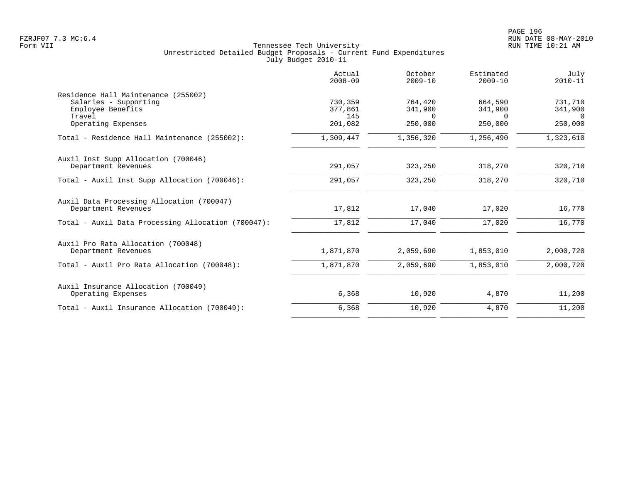|                                                                                                                   | Actual<br>$2008 - 09$                | October<br>$2009 - 10$                    | Estimated<br>$2009 - 10$                  | July<br>$2010 - 11$                       |
|-------------------------------------------------------------------------------------------------------------------|--------------------------------------|-------------------------------------------|-------------------------------------------|-------------------------------------------|
| Residence Hall Maintenance (255002)<br>Salaries - Supporting<br>Employee Benefits<br>Travel<br>Operating Expenses | 730,359<br>377,861<br>145<br>201,082 | 764,420<br>341,900<br>$\Omega$<br>250,000 | 664,590<br>341,900<br>$\Omega$<br>250,000 | 731,710<br>341,900<br>$\Omega$<br>250,000 |
| Total - Residence Hall Maintenance (255002):                                                                      | 1,309,447                            | 1,356,320                                 | 1,256,490                                 | 1,323,610                                 |
| Auxil Inst Supp Allocation (700046)<br>Department Revenues                                                        | 291,057                              | 323,250                                   | 318,270                                   | 320,710                                   |
| Total - Auxil Inst Supp Allocation (700046):                                                                      | 291,057                              | 323,250                                   | 318,270                                   | 320,710                                   |
| Auxil Data Processing Allocation (700047)<br>Department Revenues                                                  | 17,812                               | 17,040                                    | 17,020                                    | 16,770                                    |
| Total - Auxil Data Processing Allocation (700047):                                                                | 17,812                               | 17,040                                    | 17,020                                    | 16,770                                    |
| Auxil Pro Rata Allocation (700048)<br>Department Revenues                                                         | 1,871,870                            | 2,059,690                                 | 1,853,010                                 | 2,000,720                                 |
| Total - Auxil Pro Rata Allocation (700048):                                                                       | 1,871,870                            | 2,059,690                                 | 1,853,010                                 | 2,000,720                                 |
| Auxil Insurance Allocation (700049)<br>Operating Expenses                                                         | 6,368                                | 10,920                                    | 4,870                                     | 11,200                                    |
| Total - Auxil Insurance Allocation (700049):                                                                      | 6,368                                | 10,920                                    | 4,870                                     | 11,200                                    |
|                                                                                                                   |                                      |                                           |                                           |                                           |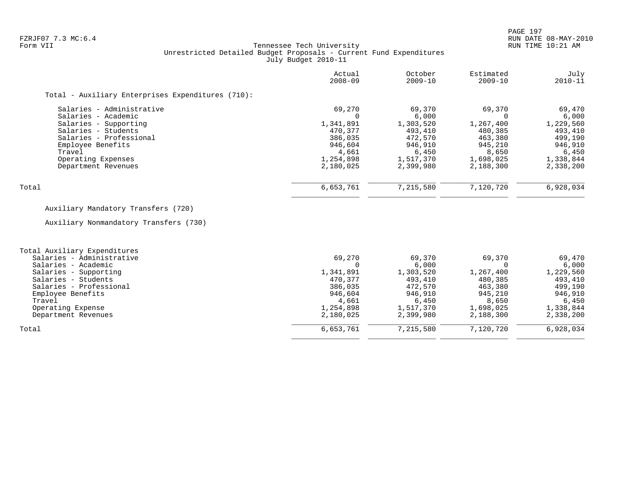### FZRJF07 7.3 MC:6.4 RUN DATE 08-MAY-2010<br>Form VII RUN TIME 10:21 AM Tennessee Tech University Unrestricted Detailed Budget Proposals - Current Fund Expenditures July Budget 2010-11

|                                                   | Actual<br>$2008 - 09$ | October<br>$2009 - 10$ | Estimated<br>2009-10 | July<br>$2010 - 11$ |
|---------------------------------------------------|-----------------------|------------------------|----------------------|---------------------|
| Total - Auxiliary Enterprises Expenditures (710): |                       |                        |                      |                     |
| Salaries - Administrative                         | 69,270                | 69,370                 | 69,370               | 69,470              |
| Salaries - Academic                               |                       | 6,000                  |                      | 6,000               |
| Salaries - Supporting                             | 1,341,891             | 1,303,520              | 1,267,400            | 1,229,560           |
| Salaries - Students                               | 470,377               | 493,410                | 480,385              | 493,410             |
| Salaries - Professional                           | 386,035               | 472,570                | 463,380              | 499,190             |
| Employee Benefits                                 | 946,604               | 946,910                | 945,210              | 946,910             |
| Travel                                            | 4,661                 | 6,450                  | 8,650                | 6,450               |
| Operating Expenses                                | 1,254,898             | 1,517,370              | 1,698,025            | 1,338,844           |
| Department Revenues                               | 2,180,025             | 2,399,980              | 2,188,300            | 2,338,200           |
| Total                                             | 6,653,761             | 7,215,580              | 7,120,720            | 6,928,034           |

# Auxiliary Mandatory Transfers (720)

Auxiliary Nonmandatory Transfers (730)

| Total Auxiliary Expenditures |           |           |           |           |
|------------------------------|-----------|-----------|-----------|-----------|
| Salaries - Administrative    | 69,270    | 69,370    | 69,370    | 69,470    |
|                              |           |           |           |           |
| Salaries - Academic          |           | 6,000     |           | 6,000     |
| Salaries - Supporting        | 1,341,891 | 1,303,520 | 1,267,400 | 1,229,560 |
| Salaries - Students          | 470.377   | 493,410   | 480,385   | 493,410   |
| Salaries - Professional      | 386,035   | 472,570   | 463,380   | 499,190   |
| Employee Benefits            | 946,604   | 946,910   | 945,210   | 946,910   |
| Travel                       | 4,661     | 6,450     | 8,650     | 6,450     |
| Operating Expense            | 1,254,898 | 1,517,370 | 1,698,025 | 1,338,844 |
| Department Revenues          | 2,180,025 | 2,399,980 | 2,188,300 | 2,338,200 |
| Total                        | 6,653,761 | 7,215,580 | 7,120,720 | 6,928,034 |
|                              |           |           |           |           |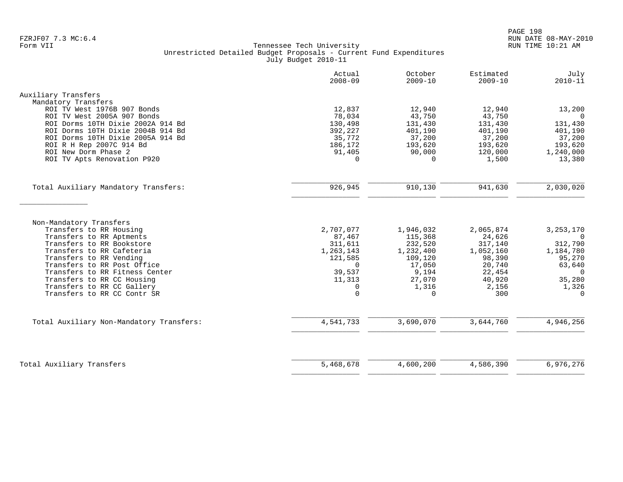|                                                            | Actual<br>$2008 - 09$ | October<br>$2009 - 10$ | Estimated<br>$2009 - 10$ | July<br>$2010 - 11$     |
|------------------------------------------------------------|-----------------------|------------------------|--------------------------|-------------------------|
| Auxiliary Transfers                                        |                       |                        |                          |                         |
| Mandatory Transfers                                        |                       |                        |                          |                         |
| ROI TV West 1976B 907 Bonds<br>ROI TV West 2005A 907 Bonds | 12,837<br>78,034      | 12,940<br>43,750       | 12,940<br>43,750         | 13,200<br>$\Omega$      |
| ROI Dorms 10TH Dixie 2002A 914 Bd                          | 130,498               | 131,430                | 131,430                  | 131,430                 |
| ROI Dorms 10TH Dixie 2004B 914 Bd                          | 392,227               | 401,190                | 401,190                  | 401,190                 |
| ROI Dorms 10TH Dixie 2005A 914 Bd                          | 35,772                | 37,200                 | 37,200                   | 37,200                  |
| ROI R H Rep 2007C 914 Bd                                   | 186,172               | 193,620                | 193,620                  | 193,620                 |
| ROI New Dorm Phase 2                                       | 91,405                | 90,000                 | 120,000                  | 1,240,000               |
| ROI TV Apts Renovation P920                                | $\Omega$              | $\Omega$               | 1,500                    | 13,380                  |
| Total Auxiliary Mandatory Transfers:                       | 926,945               | 910,130                | 941,630                  | 2,030,020               |
|                                                            |                       |                        |                          |                         |
|                                                            |                       |                        |                          |                         |
| Non-Mandatory Transfers                                    |                       |                        |                          |                         |
| Transfers to RR Housing<br>Transfers to RR Aptments        | 2,707,077<br>87,467   | 1,946,032<br>115,368   | 2,065,874<br>24,626      | 3, 253, 170<br>$\Omega$ |
| Transfers to RR Bookstore                                  | 311,611               | 232,520                | 317,140                  | 312,790                 |
| Transfers to RR Cafeteria                                  | 1,263,143             | 1,232,400              | 1,052,160                | 1,184,780               |
| Transfers to RR Vending                                    | 121,585               | 109,120                | 98,390                   | 95,270                  |
| Transfers to RR Post Office                                | $\Omega$              | 17,050                 | 20,740                   | 63,640                  |
| Transfers to RR Fitness Center                             | 39,537                | 9,194                  | 22,454                   | $\overline{0}$          |
| Transfers to RR CC Housing<br>Transfers to RR CC Gallery   | 11,313<br>$\Omega$    | 27,070<br>1,316        | 40,920<br>2,156          | 35,280<br>1,326         |
| Transfers to RR CC Contr SR                                | $\Omega$              | $\Omega$               | 300                      | $\Omega$                |
|                                                            |                       |                        |                          |                         |
| Total Auxiliary Non-Mandatory Transfers:                   | 4,541,733             | 3,690,070              | 3,644,760                | 4,946,256               |
|                                                            |                       |                        |                          |                         |
| Total Auxiliary Transfers                                  | 5,468,678             | 4,600,200              | 4,586,390                | 6,976,276               |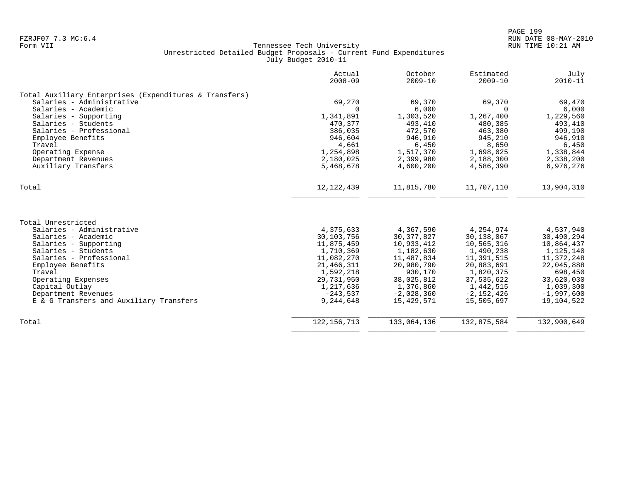|                                                        | Actual<br>$2008 - 09$ | October<br>$2009 - 10$ | Estimated<br>$2009 - 10$ | July<br>$2010 - 11$ |
|--------------------------------------------------------|-----------------------|------------------------|--------------------------|---------------------|
| Total Auxiliary Enterprises (Expenditures & Transfers) |                       |                        |                          |                     |
| Salaries - Administrative                              | 69,270                | 69,370                 | 69,370                   | 69,470              |
| Salaries - Academic                                    | $\Omega$              | 6,000                  | $\Omega$                 | 6,000               |
| Salaries - Supporting                                  | 1,341,891             | 1,303,520              | 1,267,400                | 1,229,560           |
| Salaries - Students                                    | 470,377               | 493,410                | 480,385                  | 493,410             |
| Salaries - Professional                                | 386,035               | 472,570                | 463,380                  | 499,190             |
| Employee Benefits                                      | 946,604               | 946,910                | 945,210                  | 946,910             |
| Travel                                                 | 4,661                 | 6,450                  | 8,650                    | 6,450               |
| Operating Expense                                      | 1,254,898             | 1,517,370              | 1,698,025                | 1,338,844           |
| Department Revenues                                    | 2,180,025             | 2,399,980              | 2,188,300                | 2,338,200           |
| Auxiliary Transfers                                    | 5,468,678             | 4,600,200              | 4,586,390                | 6,976,276           |
| Total                                                  | 12, 122, 439          | 11,815,780             | 11,707,110               | 13,904,310          |
|                                                        |                       |                        |                          |                     |
| Total Unrestricted                                     |                       |                        |                          |                     |
| Salaries - Administrative                              | 4,375,633             | 4,367,590              | 4,254,974                | 4,537,940           |
| Salaries - Academic                                    | 30,103,756            | 30, 377, 827           | 30,138,067               | 30,490,294          |
| Salaries - Supporting                                  | 11,875,459            | 10,933,412             | 10,565,316               | 10,864,437          |
| Salaries - Students                                    | 1,710,369             | 1,182,630              | 1,490,238                | 1,125,140           |
| Salaries - Professional                                | 11,082,270            | 11,487,834             | 11,391,515               | 11,372,248          |
| Employee Benefits                                      | 21,466,311            | 20,980,790             | 20,883,691               | 22,045,888          |
| Travel                                                 | 1,592,218             | 930,170                | 1,820,375                | 698,450             |
| Operating Expenses                                     | 29,731,950            | 38,025,812             | 37,535,622               | 33,620,030          |
| Capital Outlay                                         | 1,217,636             | 1,376,860              | 1,442,515                | 1,039,300           |
| Department Revenues                                    | $-243,537$            | $-2,028,360$           | $-2,152,426$             | $-1,997,600$        |
| E & G Transfers and Auxiliary Transfers                | 9,244,648             | 15,429,571             | 15,505,697               | 19,104,522          |
| Total                                                  | 122, 156, 713         | 133,064,136            | 132,875,584              | 132,900,649         |
|                                                        |                       |                        |                          |                     |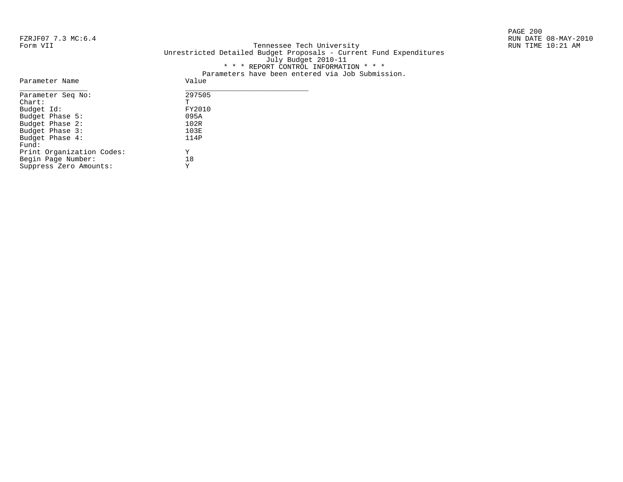PAGE 200

#### FZRJF07 7.3 MC:6.4 RUN DATE 08-MAY-2010<br>Form VII RUN TIME 10:21 AM Tennessee Tech University Unrestricted Detailed Budget Proposals - Current Fund Expenditures July Budget 2010-11 \* \* \* REPORT CONTROL INFORMATION \* \* \* Parameters have been entered via Job Submission.

| Parameter Name            | Value  |
|---------------------------|--------|
| Parameter Seq No:         | 297505 |
| $chart$ :                 | т      |
| Budget Id:                | FY2010 |
| Budget Phase 5:           | 095A   |
| Budget Phase 2:           | 102R   |
| Budget Phase 3:           | 103E   |
| Budget Phase 4:           | 114P   |
| Fund:                     |        |
| Print Organization Codes: | Υ      |
| Begin Page Number:        | 18     |
| Suppress Zero Amounts:    | Υ      |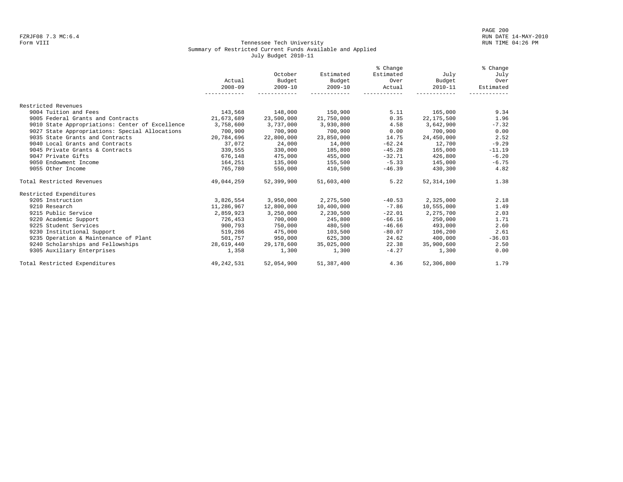#### Form VIII Tennessee Tech University RUN TIME 04:26 PM Summary of Restricted Current Funds Available and Applied July Budget 2010-11

|                                                 |              |             |             | % Change  |              | % Change  |
|-------------------------------------------------|--------------|-------------|-------------|-----------|--------------|-----------|
|                                                 |              | October     | Estimated   | Estimated | July         | July      |
|                                                 | Actual       | Budget      | Budget      | Over      | Budget       | Over      |
|                                                 | $2008 - 09$  | $2009 - 10$ | $2009 - 10$ | Actual    | $2010 - 11$  | Estimated |
|                                                 |              |             |             |           |              |           |
| Restricted Revenues                             |              |             |             |           |              |           |
| 9004 Tuition and Fees                           | 143,568      | 148,000     | 150,900     | 5.11      | 165,000      | 9.34      |
| 9005 Federal Grants and Contracts               | 21,673,689   | 23,500,000  | 21,750,000  | 0.35      | 22, 175, 500 | 1.96      |
| 9010 State Appropriations: Center of Excellence | 3,758,600    | 3,737,000   | 3,930,800   | 4.58      | 3,642,900    | $-7.32$   |
| 9027 State Appropriations: Special Allocations  | 700,900      | 700,900     | 700,900     | 0.00      | 700,900      | 0.00      |
| 9035 State Grants and Contracts                 | 20,784,696   | 22,800,000  | 23,850,000  | 14.75     | 24,450,000   | 2.52      |
| 9040 Local Grants and Contracts                 | 37,072       | 24,000      | 14,000      | $-62.24$  | 12,700       | $-9.29$   |
| 9045 Private Grants & Contracts                 | 339,555      | 330,000     | 185,800     | $-45.28$  | 165,000      | $-11.19$  |
| 9047 Private Gifts                              | 676,148      | 475,000     | 455,000     | $-32.71$  | 426,800      | $-6.20$   |
| 9050 Endowment Income                           | 164,251      | 135,000     | 155,500     | $-5.33$   | 145,000      | $-6.75$   |
| 9055 Other Income                               | 765,780      | 550,000     | 410,500     | $-46.39$  | 430,300      | 4.82      |
| Total Restricted Revenues                       | 49,044,259   | 52,399,900  | 51,603,400  | 5.22      | 52, 314, 100 | 1.38      |
| Restricted Expenditures                         |              |             |             |           |              |           |
| 9205 Instruction                                | 3,826,554    | 3,950,000   | 2,275,500   | $-40.53$  | 2,325,000    | 2.18      |
| 9210 Research                                   | 11,286,967   | 12,800,000  | 10,400,000  | $-7.86$   | 10,555,000   | 1.49      |
| 9215 Public Service                             | 2,859,923    | 3,250,000   | 2,230,500   | $-22.01$  | 2,275,700    | 2.03      |
| 9220 Academic Support                           | 726,453      | 700,000     | 245,800     | $-66.16$  | 250,000      | 1.71      |
| 9225 Student Services                           | 900,793      | 750,000     | 480,500     | $-46.66$  | 493,000      | 2.60      |
| 9230 Institutional Support                      | 519,286      | 475,000     | 103,500     | $-80.07$  | 106,200      | 2.61      |
| 9235 Operation & Maintenance of Plant           | 501,757      | 950,000     | 625,300     | 24.62     | 400,000      | $-36.03$  |
| 9240 Scholarships and Fellowships               | 28,619,440   | 29,178,600  | 35,025,000  | 22.38     | 35,900,600   | 2.50      |
| 9305 Auxiliary Enterprises                      | 1,358        | 1,300       | 1,300       | $-4.27$   | 1,300        | 0.00      |
| Total Restricted Expenditures                   | 49, 242, 531 | 52,054,900  | 51,387,400  | 4.36      | 52,306,800   | 1.79      |